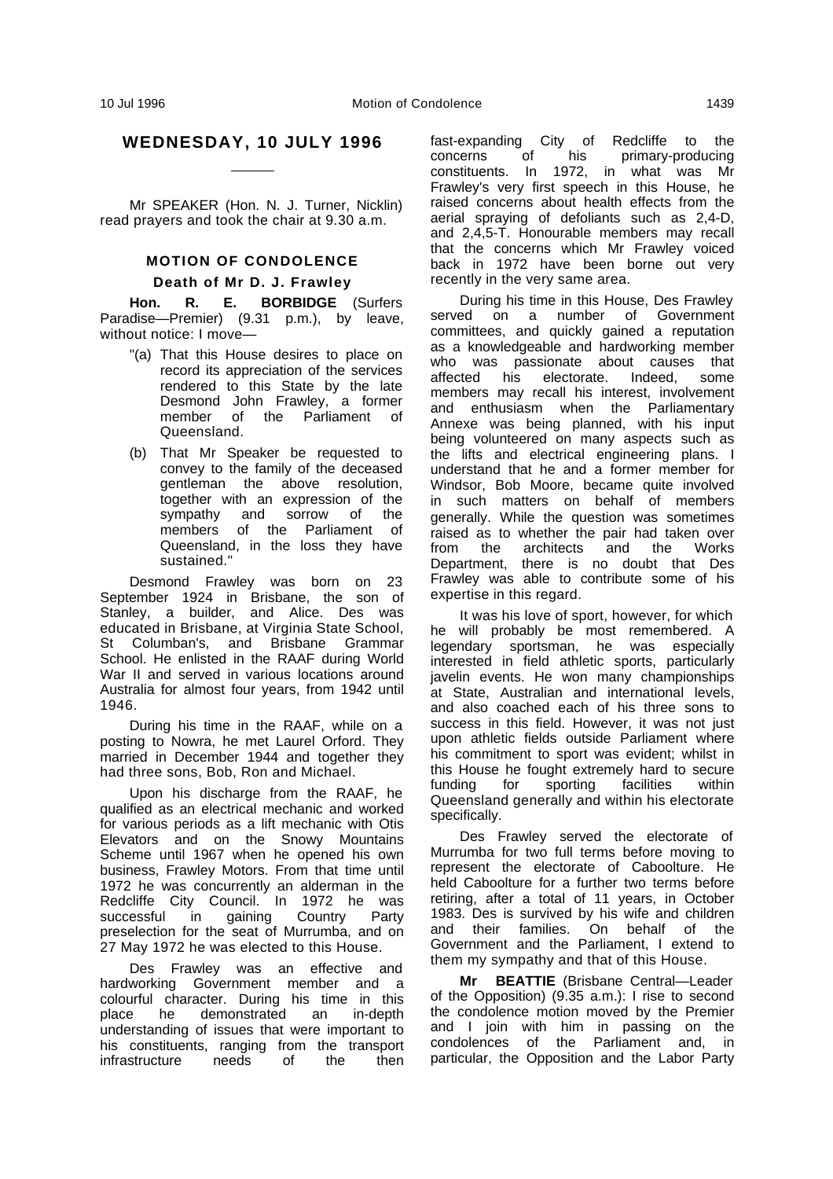Mr SPEAKER (Hon. N. J. Turner, Nicklin) read prayers and took the chair at 9.30 a.m.

 $\overline{a}$ 

# **MOTION OF CONDOLENCE**

#### **Death of Mr D. J. Frawley**

**Hon. R. E. BORBIDGE** (Surfers Paradise—Premier) (9.31 p.m.), by leave, without notice: I move—

- "(a) That this House desires to place on record its appreciation of the services rendered to this State by the late Desmond John Frawley, a former member of the Parliament of Queensland.
- (b) That Mr Speaker be requested to convey to the family of the deceased gentleman the above resolution, together with an expression of the sympathy and sorrow of the members of the Parliament of Queensland, in the loss they have sustained."

Desmond Frawley was born on 23 September 1924 in Brisbane, the son of Stanley, a builder, and Alice. Des was educated in Brisbane, at Virginia State School, St Columban's, and Brisbane Grammar School. He enlisted in the RAAF during World War II and served in various locations around Australia for almost four years, from 1942 until 1946.

During his time in the RAAF, while on a posting to Nowra, he met Laurel Orford. They married in December 1944 and together they had three sons, Bob, Ron and Michael.

Upon his discharge from the RAAF, he qualified as an electrical mechanic and worked for various periods as a lift mechanic with Otis Elevators and on the Snowy Mountains Scheme until 1967 when he opened his own business, Frawley Motors. From that time until 1972 he was concurrently an alderman in the Redcliffe City Council. In 1972 he was<br>successful in gaining Country Party successful in gaining Country preselection for the seat of Murrumba, and on 27 May 1972 he was elected to this House.

Des Frawley was an effective and hardworking Government member and a colourful character. During his time in this place he demonstrated an in-depth understanding of issues that were important to his constituents, ranging from the transport infrastructure needs of the then

fast-expanding City of Redcliffe to the<br>concerns of his primary-producing concerns of his primary-producing constituents. In 1972, in what was Mr Frawley's very first speech in this House, he raised concerns about health effects from the aerial spraying of defoliants such as 2,4-D, and 2,4,5-T. Honourable members may recall that the concerns which Mr Frawley voiced back in 1972 have been borne out very recently in the very same area.

During his time in this House, Des Frawley served on a number of Government committees, and quickly gained a reputation as a knowledgeable and hardworking member who was passionate about causes that affected his electorate. Indeed, some members may recall his interest, involvement and enthusiasm when the Parliamentary Annexe was being planned, with his input being volunteered on many aspects such as the lifts and electrical engineering plans. I understand that he and a former member for Windsor, Bob Moore, became quite involved in such matters on behalf of members generally. While the question was sometimes raised as to whether the pair had taken over from the architects and the Works Department, there is no doubt that Des Frawley was able to contribute some of his expertise in this regard.

It was his love of sport, however, for which he will probably be most remembered. A legendary sportsman, he was especially interested in field athletic sports, particularly javelin events. He won many championships at State, Australian and international levels, and also coached each of his three sons to success in this field. However, it was not just upon athletic fields outside Parliament where his commitment to sport was evident; whilst in this House he fought extremely hard to secure funding for sporting facilities within Queensland generally and within his electorate specifically.

Des Frawley served the electorate of Murrumba for two full terms before moving to represent the electorate of Caboolture. He held Caboolture for a further two terms before retiring, after a total of 11 years, in October 1983. Des is survived by his wife and children and their families. On behalf of the Government and the Parliament, I extend to them my sympathy and that of this House.

**Mr BEATTIE** (Brisbane Central—Leader of the Opposition) (9.35 a.m.): I rise to second the condolence motion moved by the Premier and I join with him in passing on the condolences of the Parliament and, in particular, the Opposition and the Labor Party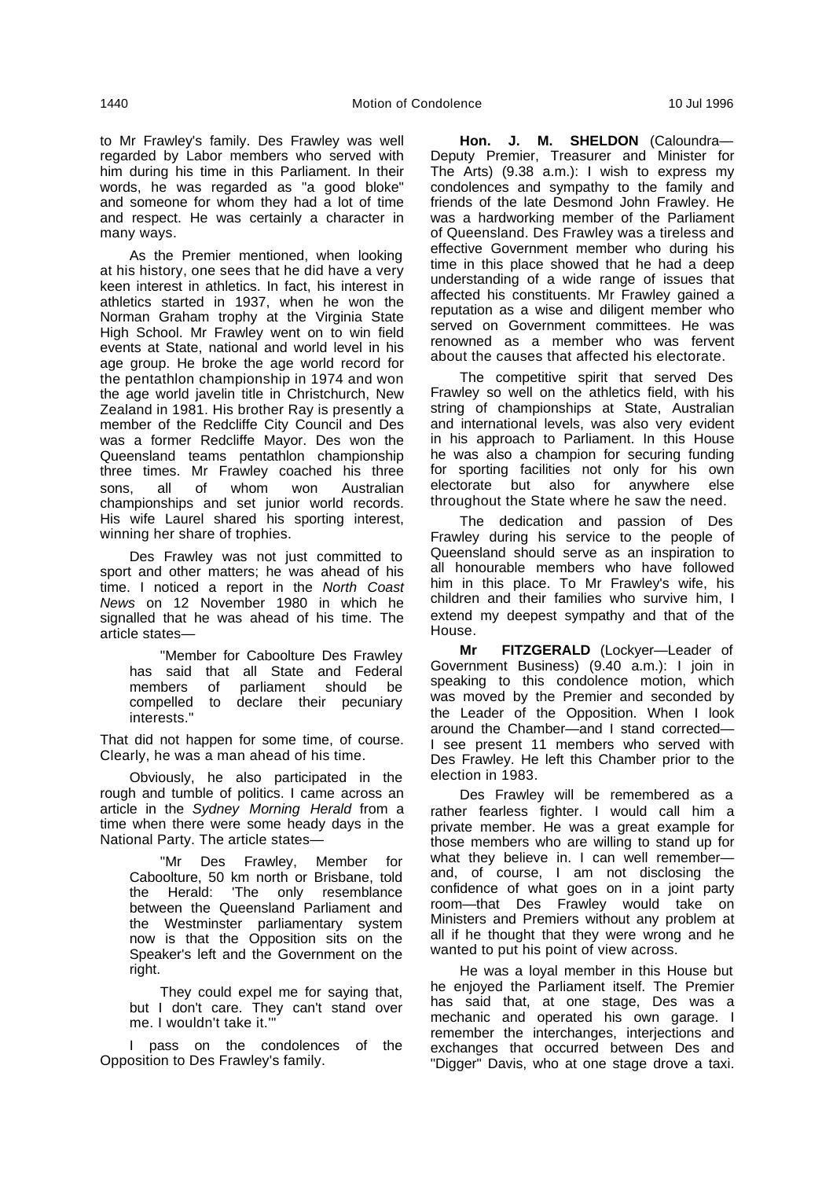to Mr Frawley's family. Des Frawley was well regarded by Labor members who served with him during his time in this Parliament. In their words, he was regarded as "a good bloke" and someone for whom they had a lot of time and respect. He was certainly a character in many ways.

As the Premier mentioned, when looking at his history, one sees that he did have a very keen interest in athletics. In fact, his interest in athletics started in 1937, when he won the Norman Graham trophy at the Virginia State High School. Mr Frawley went on to win field events at State, national and world level in his age group. He broke the age world record for the pentathlon championship in 1974 and won the age world javelin title in Christchurch, New Zealand in 1981. His brother Ray is presently a member of the Redcliffe City Council and Des was a former Redcliffe Mayor. Des won the Queensland teams pentathlon championship three times. Mr Frawley coached his three sons, all of whom won Australian championships and set junior world records. His wife Laurel shared his sporting interest, winning her share of trophies.

Des Frawley was not just committed to sport and other matters; he was ahead of his time. I noticed a report in the North Coast News on 12 November 1980 in which he signalled that he was ahead of his time. The article states—

"Member for Caboolture Des Frawley has said that all State and Federal members of parliament should be compelled to declare their pecuniary interests."

That did not happen for some time, of course. Clearly, he was a man ahead of his time.

Obviously, he also participated in the rough and tumble of politics. I came across an article in the Sydney Morning Herald from a time when there were some heady days in the National Party. The article states—

"Mr Des Frawley, Member for Caboolture, 50 km north or Brisbane, told the Herald: 'The only resemblance between the Queensland Parliament and the Westminster parliamentary system now is that the Opposition sits on the Speaker's left and the Government on the right.

They could expel me for saying that, but I don't care. They can't stand over me. I wouldn't take it.'"

I pass on the condolences of the Opposition to Des Frawley's family.

**Hon. J. M. SHELDON** (Caloundra— Deputy Premier, Treasurer and Minister for The Arts) (9.38 a.m.): I wish to express my condolences and sympathy to the family and friends of the late Desmond John Frawley. He was a hardworking member of the Parliament of Queensland. Des Frawley was a tireless and effective Government member who during his time in this place showed that he had a deep understanding of a wide range of issues that affected his constituents. Mr Frawley gained a reputation as a wise and diligent member who served on Government committees. He was renowned as a member who was fervent about the causes that affected his electorate.

The competitive spirit that served Des Frawley so well on the athletics field, with his string of championships at State, Australian and international levels, was also very evident in his approach to Parliament. In this House he was also a champion for securing funding for sporting facilities not only for his own electorate but also for anywhere else throughout the State where he saw the need.

The dedication and passion of Des Frawley during his service to the people of Queensland should serve as an inspiration to all honourable members who have followed him in this place. To Mr Frawley's wife, his children and their families who survive him, I extend my deepest sympathy and that of the House.

**Mr FITZGERALD** (Lockyer—Leader of Government Business) (9.40 a.m.): I join in speaking to this condolence motion, which was moved by the Premier and seconded by the Leader of the Opposition. When I look around the Chamber—and I stand corrected— I see present 11 members who served with Des Frawley. He left this Chamber prior to the election in 1983.

Des Frawley will be remembered as a rather fearless fighter. I would call him a private member. He was a great example for those members who are willing to stand up for what they believe in. I can well remember and, of course, I am not disclosing the confidence of what goes on in a joint party room—that Des Frawley would take on Ministers and Premiers without any problem at all if he thought that they were wrong and he wanted to put his point of view across.

He was a loyal member in this House but he enjoyed the Parliament itself. The Premier has said that, at one stage, Des was a mechanic and operated his own garage. I remember the interchanges, interjections and exchanges that occurred between Des and "Digger" Davis, who at one stage drove a taxi.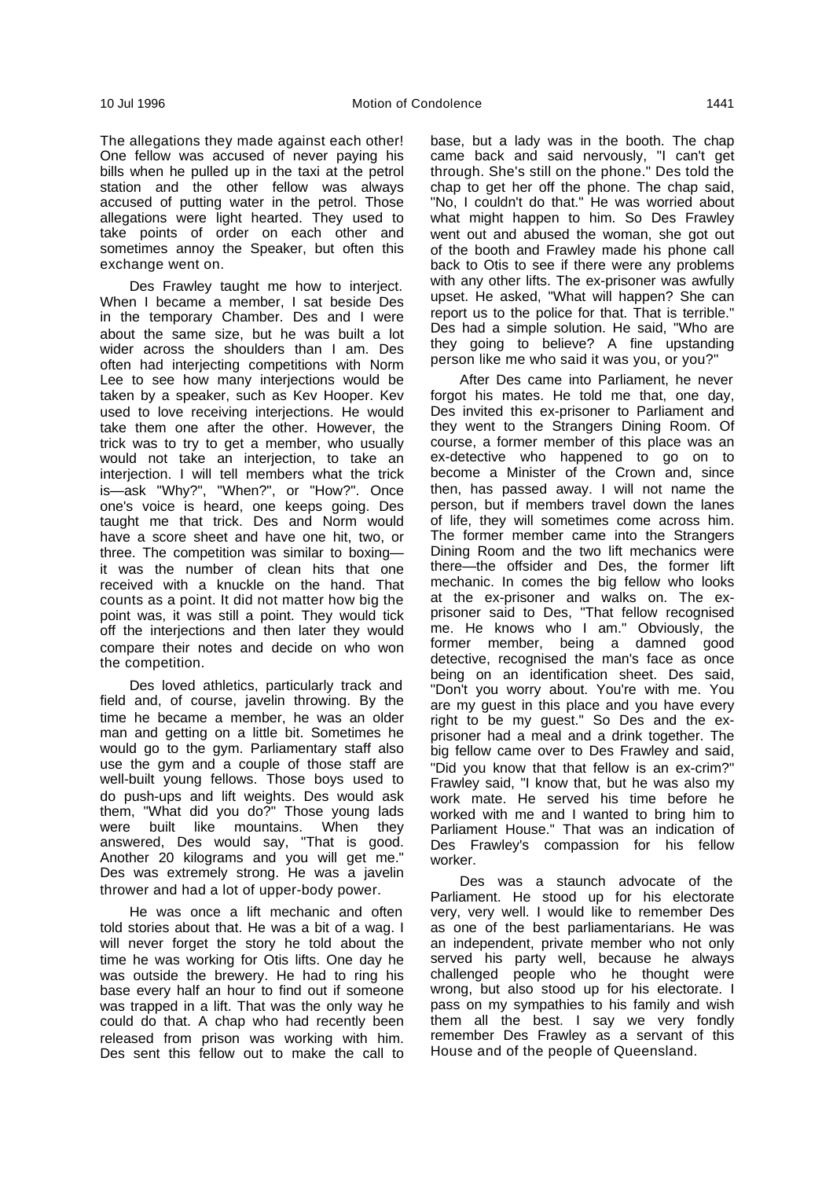The allegations they made against each other! One fellow was accused of never paying his bills when he pulled up in the taxi at the petrol station and the other fellow was always accused of putting water in the petrol. Those allegations were light hearted. They used to take points of order on each other and sometimes annoy the Speaker, but often this exchange went on.

Des Frawley taught me how to interject. When I became a member, I sat beside Des in the temporary Chamber. Des and I were about the same size, but he was built a lot wider across the shoulders than I am. Des often had interjecting competitions with Norm Lee to see how many interjections would be taken by a speaker, such as Kev Hooper. Kev used to love receiving interjections. He would take them one after the other. However, the trick was to try to get a member, who usually would not take an interjection, to take an interjection. I will tell members what the trick is—ask "Why?", "When?", or "How?". Once one's voice is heard, one keeps going. Des taught me that trick. Des and Norm would have a score sheet and have one hit, two, or three. The competition was similar to boxing it was the number of clean hits that one received with a knuckle on the hand. That counts as a point. It did not matter how big the point was, it was still a point. They would tick off the interjections and then later they would compare their notes and decide on who won the competition.

Des loved athletics, particularly track and field and, of course, javelin throwing. By the time he became a member, he was an older man and getting on a little bit. Sometimes he would go to the gym. Parliamentary staff also use the gym and a couple of those staff are well-built young fellows. Those boys used to do push-ups and lift weights. Des would ask them, "What did you do?" Those young lads were built like mountains. When they answered, Des would say, "That is good. Another 20 kilograms and you will get me." Des was extremely strong. He was a javelin thrower and had a lot of upper-body power.

He was once a lift mechanic and often told stories about that. He was a bit of a wag. I will never forget the story he told about the time he was working for Otis lifts. One day he was outside the brewery. He had to ring his base every half an hour to find out if someone was trapped in a lift. That was the only way he could do that. A chap who had recently been released from prison was working with him. Des sent this fellow out to make the call to base, but a lady was in the booth. The chap came back and said nervously, "I can't get through. She's still on the phone." Des told the chap to get her off the phone. The chap said, "No, I couldn't do that." He was worried about what might happen to him. So Des Frawley went out and abused the woman, she got out of the booth and Frawley made his phone call back to Otis to see if there were any problems with any other lifts. The ex-prisoner was awfully upset. He asked, "What will happen? She can report us to the police for that. That is terrible." Des had a simple solution. He said, "Who are they going to believe? A fine upstanding person like me who said it was you, or you?"

After Des came into Parliament, he never forgot his mates. He told me that, one day, Des invited this ex-prisoner to Parliament and they went to the Strangers Dining Room. Of course, a former member of this place was an ex-detective who happened to go on to become a Minister of the Crown and, since then, has passed away. I will not name the person, but if members travel down the lanes of life, they will sometimes come across him. The former member came into the Strangers Dining Room and the two lift mechanics were there—the offsider and Des, the former lift mechanic. In comes the big fellow who looks at the ex-prisoner and walks on. The exprisoner said to Des, "That fellow recognised me. He knows who I am." Obviously, the former member, being a damned good detective, recognised the man's face as once being on an identification sheet. Des said, "Don't you worry about. You're with me. You are my guest in this place and you have every right to be my guest." So Des and the exprisoner had a meal and a drink together. The big fellow came over to Des Frawley and said, "Did you know that that fellow is an ex-crim?" Frawley said, "I know that, but he was also my work mate. He served his time before he worked with me and I wanted to bring him to Parliament House." That was an indication of Des Frawley's compassion for his fellow worker.

Des was a staunch advocate of the Parliament. He stood up for his electorate very, very well. I would like to remember Des as one of the best parliamentarians. He was an independent, private member who not only served his party well, because he always challenged people who he thought were wrong, but also stood up for his electorate. I pass on my sympathies to his family and wish them all the best. I say we very fondly remember Des Frawley as a servant of this House and of the people of Queensland.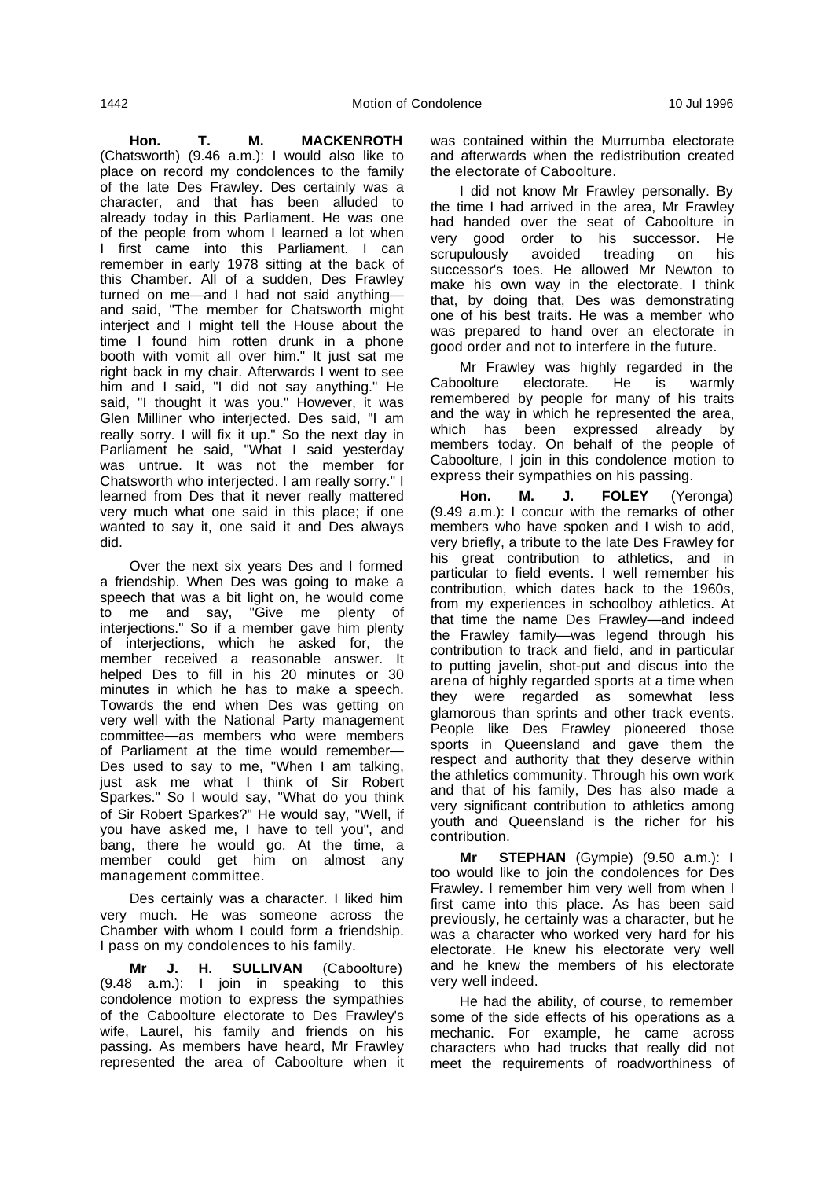**Hon. T. M. MACKENROTH** (Chatsworth) (9.46 a.m.): I would also like to place on record my condolences to the family of the late Des Frawley. Des certainly was a character, and that has been alluded to already today in this Parliament. He was one of the people from whom I learned a lot when I first came into this Parliament. I can remember in early 1978 sitting at the back of this Chamber. All of a sudden, Des Frawley turned on me—and I had not said anything and said, "The member for Chatsworth might interject and I might tell the House about the time I found him rotten drunk in a phone booth with vomit all over him." It just sat me right back in my chair. Afterwards I went to see him and I said, "I did not say anything." He said, "I thought it was you." However, it was Glen Milliner who interjected. Des said, "I am really sorry. I will fix it up." So the next day in Parliament he said, "What I said yesterday was untrue. It was not the member for Chatsworth who interjected. I am really sorry." I learned from Des that it never really mattered very much what one said in this place; if one wanted to say it, one said it and Des always did.

Over the next six years Des and I formed a friendship. When Des was going to make a speech that was a bit light on, he would come to me and say, "Give me plenty of interjections." So if a member gave him plenty of interjections, which he asked for, the member received a reasonable answer. It helped Des to fill in his 20 minutes or 30 minutes in which he has to make a speech. Towards the end when Des was getting on very well with the National Party management committee—as members who were members of Parliament at the time would remember— Des used to say to me, "When I am talking, just ask me what I think of Sir Robert Sparkes." So I would say, "What do you think of Sir Robert Sparkes?" He would say, "Well, if you have asked me, I have to tell you", and bang, there he would go. At the time, a member could get him on almost any management committee.

Des certainly was a character. I liked him very much. He was someone across the Chamber with whom I could form a friendship. I pass on my condolences to his family.

**Mr J. H. SULLIVAN** (Caboolture) (9.48 a.m.): I join in speaking to this condolence motion to express the sympathies of the Caboolture electorate to Des Frawley's wife, Laurel, his family and friends on his passing. As members have heard, Mr Frawley represented the area of Caboolture when it

was contained within the Murrumba electorate and afterwards when the redistribution created the electorate of Caboolture.

I did not know Mr Frawley personally. By the time I had arrived in the area, Mr Frawley had handed over the seat of Caboolture in very good order to his successor. He<br>scrupulously avoided treading on his scrupulously avoided treading on his successor's toes. He allowed Mr Newton to make his own way in the electorate. I think that, by doing that, Des was demonstrating one of his best traits. He was a member who was prepared to hand over an electorate in good order and not to interfere in the future.

Mr Frawley was highly regarded in the<br>polture electorate. He is warmly Caboolture electorate. He is warmly remembered by people for many of his traits and the way in which he represented the area, which has been expressed already by members today. On behalf of the people of Caboolture, I join in this condolence motion to express their sympathies on his passing.

**Hon. M. J. FOLEY** (Yeronga) (9.49 a.m.): I concur with the remarks of other members who have spoken and I wish to add, very briefly, a tribute to the late Des Frawley for his great contribution to athletics, and in particular to field events. I well remember his contribution, which dates back to the 1960s, from my experiences in schoolboy athletics. At that time the name Des Frawley—and indeed the Frawley family—was legend through his contribution to track and field, and in particular to putting javelin, shot-put and discus into the arena of highly regarded sports at a time when they were regarded as somewhat less glamorous than sprints and other track events. People like Des Frawley pioneered those sports in Queensland and gave them the respect and authority that they deserve within the athletics community. Through his own work and that of his family, Des has also made a very significant contribution to athletics among youth and Queensland is the richer for his contribution.

**Mr STEPHAN** (Gympie) (9.50 a.m.): I too would like to join the condolences for Des Frawley. I remember him very well from when I first came into this place. As has been said previously, he certainly was a character, but he was a character who worked very hard for his electorate. He knew his electorate very well and he knew the members of his electorate very well indeed.

He had the ability, of course, to remember some of the side effects of his operations as a mechanic. For example, he came across characters who had trucks that really did not meet the requirements of roadworthiness of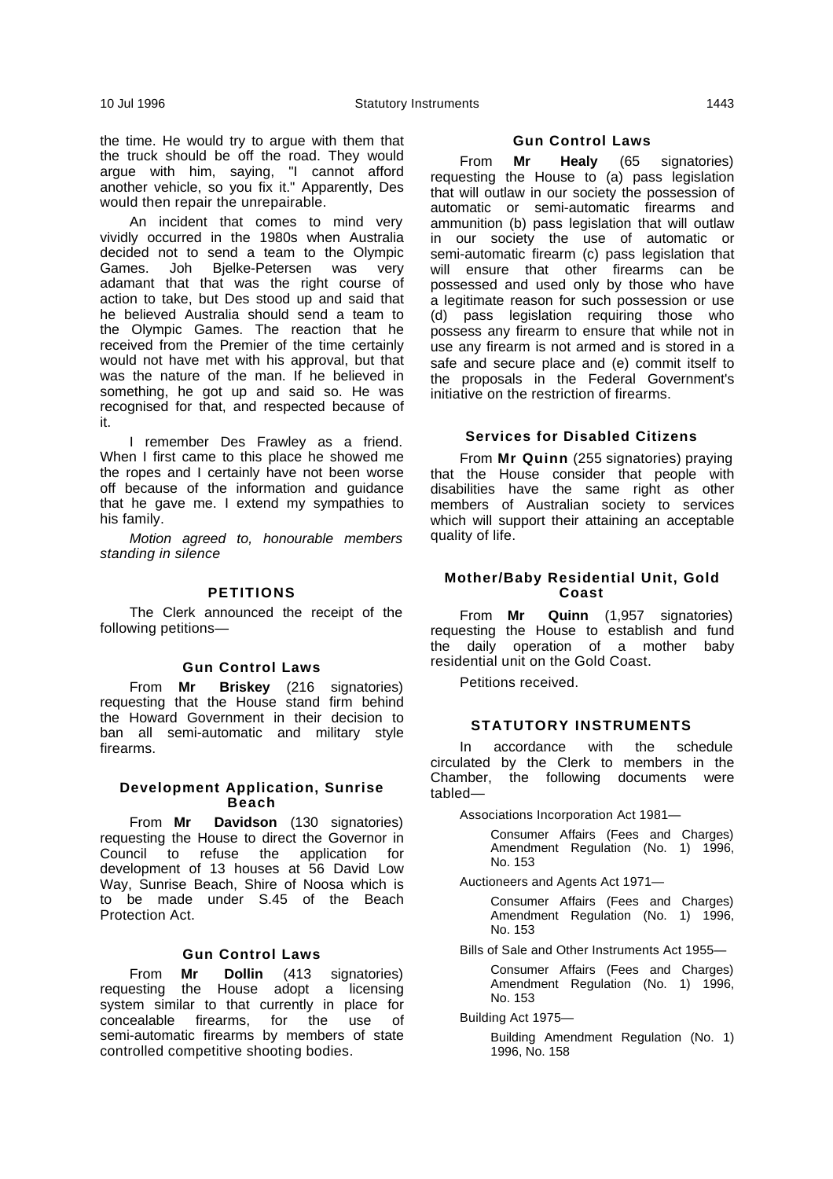the time. He would try to argue with them that the truck should be off the road. They would argue with him, saying, "I cannot afford another vehicle, so you fix it." Apparently, Des would then repair the unrepairable.

An incident that comes to mind very vividly occurred in the 1980s when Australia decided not to send a team to the Olympic Games. Joh Bjelke-Petersen was very adamant that that was the right course of action to take, but Des stood up and said that he believed Australia should send a team to the Olympic Games. The reaction that he received from the Premier of the time certainly would not have met with his approval, but that was the nature of the man. If he believed in something, he got up and said so. He was recognised for that, and respected because of it.

I remember Des Frawley as a friend. When I first came to this place he showed me the ropes and I certainly have not been worse off because of the information and guidance that he gave me. I extend my sympathies to his family.

Motion agreed to, honourable members standing in silence

#### **PETITIONS**

The Clerk announced the receipt of the following petitions—

#### **Gun Control Laws**

From **Mr Briskey** (216 signatories) requesting that the House stand firm behind the Howard Government in their decision to ban all semi-automatic and military style firearms.

# **Development Application, Sunrise Beach**

From **Mr Davidson** (130 signatories) requesting the House to direct the Governor in Council to refuse the application for development of 13 houses at 56 David Low Way, Sunrise Beach, Shire of Noosa which is to be made under S.45 of the Beach Protection Act.

#### **Gun Control Laws**

From **Mr Dollin** (413 signatories) requesting the House adopt a licensing system similar to that currently in place for concealable firearms, for the use of semi-automatic firearms by members of state controlled competitive shooting bodies.

#### **Gun Control Laws**

From **Mr Healy** (65 signatories) requesting the House to (a) pass legislation that will outlaw in our society the possession of automatic or semi-automatic firearms and ammunition (b) pass legislation that will outlaw in our society the use of automatic or semi-automatic firearm (c) pass legislation that will ensure that other firearms can be possessed and used only by those who have a legitimate reason for such possession or use (d) pass legislation requiring those who possess any firearm to ensure that while not in use any firearm is not armed and is stored in a safe and secure place and (e) commit itself to the proposals in the Federal Government's initiative on the restriction of firearms.

# **Services for Disabled Citizens**

From **Mr Quinn** (255 signatories) praying that the House consider that people with disabilities have the same right as other members of Australian society to services which will support their attaining an acceptable quality of life.

#### **Mother/Baby Residential Unit, Gold Coast**

From **Mr Quinn** (1,957 signatories) requesting the House to establish and fund the daily operation of a mother baby residential unit on the Gold Coast.

Petitions received.

#### **STATUTORY INSTRUMENTS**

In accordance with the schedule circulated by the Clerk to members in the Chamber, the following documents were tabled—

Associations Incorporation Act 1981—

Consumer Affairs (Fees and Charges) Amendment Regulation (No. 1) 1996, No. 153

Auctioneers and Agents Act 1971—

Consumer Affairs (Fees and Charges) Amendment Regulation (No. 1) 1996, No. 153

Bills of Sale and Other Instruments Act 1955—

Consumer Affairs (Fees and Charges) Amendment Regulation (No. 1) 1996, No. 153

Building Act 1975—

Building Amendment Regulation (No. 1) 1996, No. 158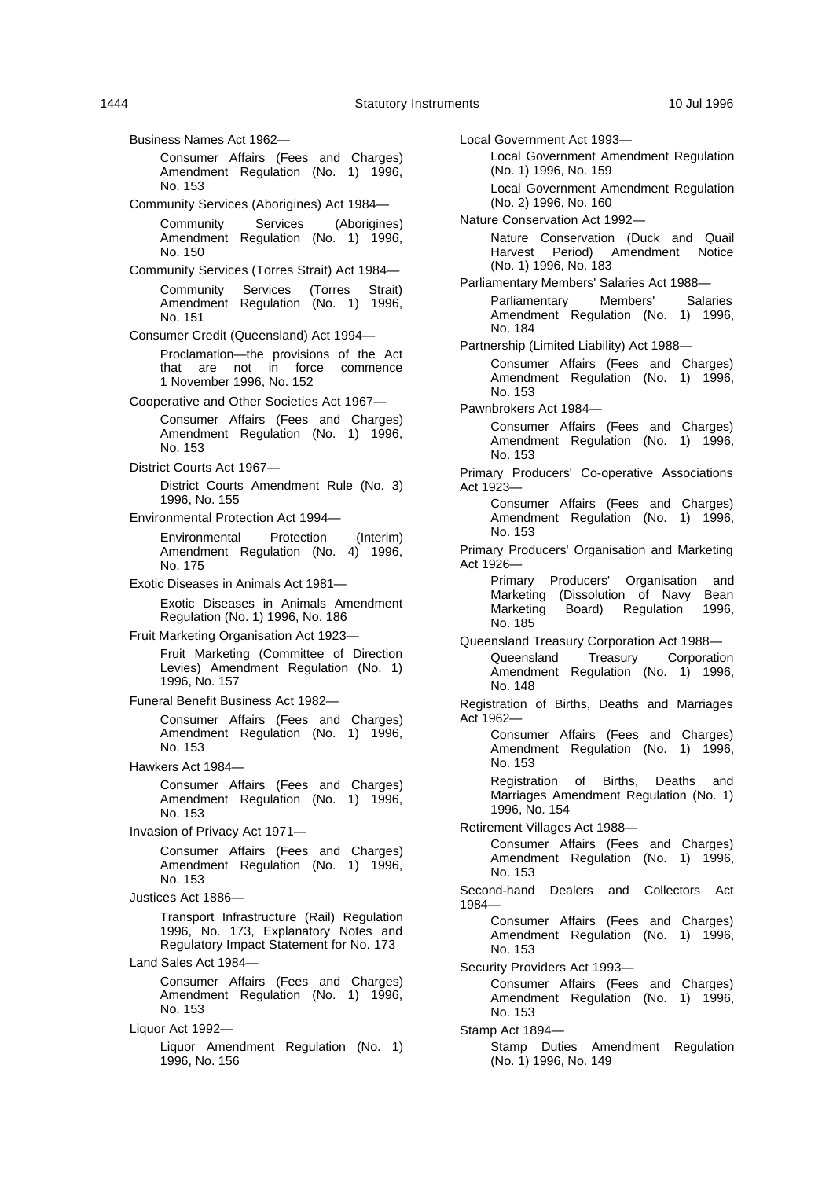Business Names Act 1962— Consumer Affairs (Fees and Charges) Amendment Regulation (No. 1) 1996, No. 153 Community Services (Aborigines) Act 1984— Community Services (Aborigines) Amendment Regulation (No. 1) 1996, No. 150 Community Services (Torres Strait) Act 1984— Community Services (Torres Strait) Amendment Regulation (No. 1) 1996, No. 151 Consumer Credit (Queensland) Act 1994— Proclamation—the provisions of the Act that are not in force commence 1 November 1996, No. 152 Cooperative and Other Societies Act 1967— Consumer Affairs (Fees and Charges) Amendment Regulation (No. 1) 1996, No. 153 District Courts Act 1967— District Courts Amendment Rule (No. 3) 1996, No. 155 Environmental Protection Act 1994— Environmental Protection (Interim) Amendment Regulation (No. 4) 1996, No. 175 Exotic Diseases in Animals Act 1981— Exotic Diseases in Animals Amendment Regulation (No. 1) 1996, No. 186 Fruit Marketing Organisation Act 1923— Fruit Marketing (Committee of Direction Levies) Amendment Regulation (No. 1) 1996, No. 157 Funeral Benefit Business Act 1982— Consumer Affairs (Fees and Charges) Amendment Regulation (No. 1) 1996, No. 153 Hawkers Act 1984— Consumer Affairs (Fees and Charges) Amendment Regulation (No. 1) 1996, No. 153 Invasion of Privacy Act 1971— Consumer Affairs (Fees and Charges) Amendment Regulation (No. 1) 1996, No. 153 Justices Act 1886— Transport Infrastructure (Rail) Regulation 1996, No. 173, Explanatory Notes and Regulatory Impact Statement for No. 173 Land Sales Act 1984— Consumer Affairs (Fees and Charges) Amendment Regulation (No. 1) 1996, No. 153 Liquor Act 1992— Liquor Amendment Regulation (No. 1) 1996, No. 156

Local Government Act 1993— Local Government Amendment Regulation (No. 1) 1996, No. 159 Local Government Amendment Regulation (No. 2) 1996, No. 160 Nature Conservation Act 1992— Nature Conservation (Duck and Quail Harvest Period) Amendment Notice (No. 1) 1996, No. 183 Parliamentary Members' Salaries Act 1988— Parliamentary Members' Salaries Amendment Regulation (No. 1) 1996, No. 184 Partnership (Limited Liability) Act 1988— Consumer Affairs (Fees and Charges) Amendment Regulation (No. 1) 1996, No. 153 Pawnbrokers Act 1984— Consumer Affairs (Fees and Charges) Amendment Regulation (No. 1) 1996, No. 153 Primary Producers' Co-operative Associations Act 1923— Consumer Affairs (Fees and Charges) Amendment Regulation (No. 1) 1996, No. 153 Primary Producers' Organisation and Marketing Act 1926— Primary Producers' Organisation and Marketing (Dissolution of Navy Bean<br>Marketing Board) Regulation 1996, Regulation 1996, No. 185 Queensland Treasury Corporation Act 1988— Queensland Treasury Corporation Amendment Regulation (No. 1) 1996, No. 148 Registration of Births, Deaths and Marriages Act 1962— Consumer Affairs (Fees and Charges) Amendment Regulation (No. 1) 1996, No. 153 Registration of Births, Deaths and Marriages Amendment Regulation (No. 1) 1996, No. 154 Retirement Villages Act 1988— Consumer Affairs (Fees and Charges) Amendment Regulation (No. 1) 1996, No. 153 Second-hand Dealers and Collectors Act 1984— Consumer Affairs (Fees and Charges) Amendment Regulation (No. 1) 1996, No. 153 Security Providers Act 1993— Consumer Affairs (Fees and Charges) Amendment Regulation (No. 1) 1996, No. 153 Stamp Act 1894— Stamp Duties Amendment Regulation (No. 1) 1996, No. 149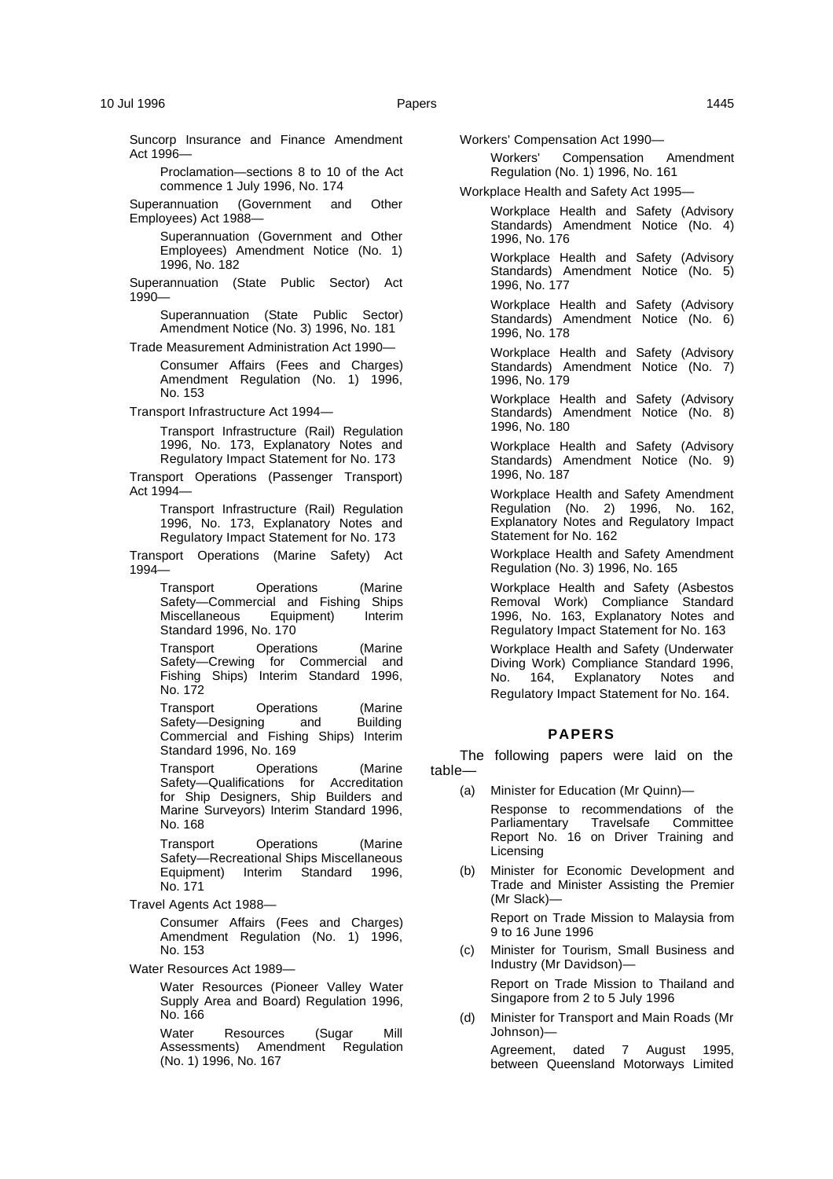Proclamation—sections 8 to 10 of the Act commence 1 July 1996, No. 174

Superannuation (Government and Other Employees) Act 1988—

> Superannuation (Government and Other Employees) Amendment Notice (No. 1) 1996, No. 182

Superannuation (State Public Sector) Act 1990—

Superannuation (State Public Sector) Amendment Notice (No. 3) 1996, No. 181

Trade Measurement Administration Act 1990—

Consumer Affairs (Fees and Charges) Amendment Regulation (No. 1) 1996, No. 153

Transport Infrastructure Act 1994—

Transport Infrastructure (Rail) Regulation 1996, No. 173, Explanatory Notes and Regulatory Impact Statement for No. 173

Transport Operations (Passenger Transport) Act 1994—

> Transport Infrastructure (Rail) Regulation 1996, No. 173, Explanatory Notes and Regulatory Impact Statement for No. 173

Transport Operations (Marine Safety) Act 1994—

> Transport Operations (Marine Safety—Commercial and Fishing Ships Miscellaneous Equipment) Interim Standard 1996, No. 170

> Transport Operations (Marine Safety—Crewing for Commercial and Fishing Ships) Interim Standard 1996, No. 172

> Transport Operations (Marine Safety—Designing and Building Commercial and Fishing Ships) Interim Standard 1996, No. 169

> Transport Operations (Marine Safety—Qualifications for Accreditation for Ship Designers, Ship Builders and Marine Surveyors) Interim Standard 1996, No. 168

> Transport Operations (Marine Safety—Recreational Ships Miscellaneous Equipment) Interim Standard 1996, No. 171

Travel Agents Act 1988—

Consumer Affairs (Fees and Charges) Amendment Regulation (No. 1) 1996, No. 153

Water Resources Act 1989—

Water Resources (Pioneer Valley Water Supply Area and Board) Regulation 1996, No. 166

Water Resources (Sugar Mill Assessments) Amendment Regulation (No. 1) 1996, No. 167

Workers' Compensation Act 1990—

Workers' Compensation Amendment Regulation (No. 1) 1996, No. 161

Workplace Health and Safety Act 1995—

Workplace Health and Safety (Advisory Standards) Amendment Notice (No. 4) 1996, No. 176

Workplace Health and Safety (Advisory Standards) Amendment Notice (No. 5) 1996, No. 177

Workplace Health and Safety (Advisory Standards) Amendment Notice (No. 6) 1996, No. 178

Workplace Health and Safety (Advisory Standards) Amendment Notice (No. 7) 1996, No. 179

Workplace Health and Safety (Advisory Standards) Amendment Notice (No. 8) 1996, No. 180

Workplace Health and Safety (Advisory Standards) Amendment Notice (No. 9) 1996, No. 187

Workplace Health and Safety Amendment Regulation (No. 2) 1996, No. 162, Explanatory Notes and Regulatory Impact Statement for No. 162

Workplace Health and Safety Amendment Regulation (No. 3) 1996, No. 165

Workplace Health and Safety (Asbestos Removal Work) Compliance Standard 1996, No. 163, Explanatory Notes and Regulatory Impact Statement for No. 163

Workplace Health and Safety (Underwater Diving Work) Compliance Standard 1996, No. 164, Explanatory Notes and Regulatory Impact Statement for No. 164.

# **PAPERS**

The following papers were laid on the table—

(a) Minister for Education (Mr Quinn)—

Response to recommendations of the<br>Parliamentary Travelsafe Committee Parliamentary Report No. 16 on Driver Training and Licensing

(b) Minister for Economic Development and Trade and Minister Assisting the Premier (Mr Slack)—

> Report on Trade Mission to Malaysia from 9 to 16 June 1996

(c) Minister for Tourism, Small Business and Industry (Mr Davidson)—

> Report on Trade Mission to Thailand and Singapore from 2 to 5 July 1996

(d) Minister for Transport and Main Roads (Mr Johnson)—

> Agreement, dated 7 August 1995, between Queensland Motorways Limited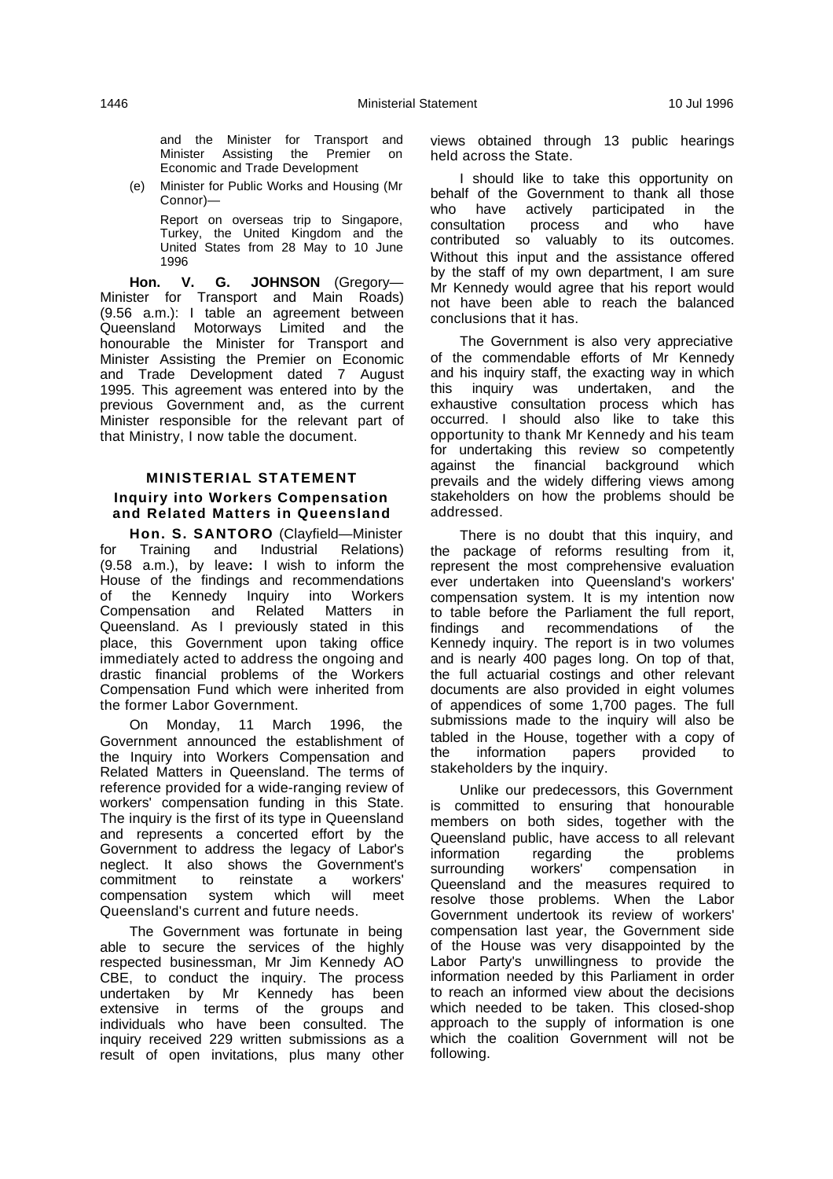and the Minister for Transport and Minister Assisting the Premier on Economic and Trade Development

(e) Minister for Public Works and Housing (Mr Connor)—

> Report on overseas trip to Singapore, Turkey, the United Kingdom and the United States from 28 May to 10 June 1996

**Hon. V. G. JOHNSON** (Gregory— Minister for Transport and Main Roads) (9.56 a.m.): I table an agreement between Queensland Motorways Limited and the honourable the Minister for Transport and Minister Assisting the Premier on Economic and Trade Development dated 7 August 1995. This agreement was entered into by the previous Government and, as the current Minister responsible for the relevant part of that Ministry, I now table the document.

# **MINISTERIAL STATEMENT Inquiry into Workers Compensation and Related Matters in Queensland**

**Hon. S. SANTORO** (Clayfield—Minister for Training and Industrial Relations) (9.58 a.m.), by leave**:** I wish to inform the House of the findings and recommendations of the Kennedy Inquiry into Workers Compensation and Related Matters in Queensland. As I previously stated in this place, this Government upon taking office immediately acted to address the ongoing and drastic financial problems of the Workers Compensation Fund which were inherited from the former Labor Government.

On Monday, 11 March 1996, the Government announced the establishment of the Inquiry into Workers Compensation and Related Matters in Queensland. The terms of reference provided for a wide-ranging review of workers' compensation funding in this State. The inquiry is the first of its type in Queensland and represents a concerted effort by the Government to address the legacy of Labor's neglect. It also shows the Government's commitment to reinstate a workers' compensation system which will meet Queensland's current and future needs.

The Government was fortunate in being able to secure the services of the highly respected businessman, Mr Jim Kennedy AO CBE, to conduct the inquiry. The process undertaken by Mr Kennedy has been extensive in terms of the groups and individuals who have been consulted. The inquiry received 229 written submissions as a result of open invitations, plus many other

views obtained through 13 public hearings held across the State.

I should like to take this opportunity on behalf of the Government to thank all those who have actively participated in the consultation process and who have contributed so valuably to its outcomes. Without this input and the assistance offered by the staff of my own department, I am sure Mr Kennedy would agree that his report would not have been able to reach the balanced conclusions that it has.

The Government is also very appreciative of the commendable efforts of Mr Kennedy and his inquiry staff, the exacting way in which this inquiry was undertaken, and the exhaustive consultation process which has occurred. I should also like to take this opportunity to thank Mr Kennedy and his team for undertaking this review so competently against the financial background which prevails and the widely differing views among stakeholders on how the problems should be addressed.

There is no doubt that this inquiry, and the package of reforms resulting from it, represent the most comprehensive evaluation ever undertaken into Queensland's workers' compensation system. It is my intention now to table before the Parliament the full report, findings and recommendations of the Kennedy inquiry. The report is in two volumes and is nearly 400 pages long. On top of that, the full actuarial costings and other relevant documents are also provided in eight volumes of appendices of some 1,700 pages. The full submissions made to the inquiry will also be tabled in the House, together with a copy of the information papers provided to stakeholders by the inquiry.

Unlike our predecessors, this Government is committed to ensuring that honourable members on both sides, together with the Queensland public, have access to all relevant<br>information regarding the problems information regarding the<br>surrounding workers' compe surrounding workers' compensation in Queensland and the measures required to resolve those problems. When the Labor Government undertook its review of workers' compensation last year, the Government side of the House was very disappointed by the Labor Party's unwillingness to provide the information needed by this Parliament in order to reach an informed view about the decisions which needed to be taken. This closed-shop approach to the supply of information is one which the coalition Government will not be following.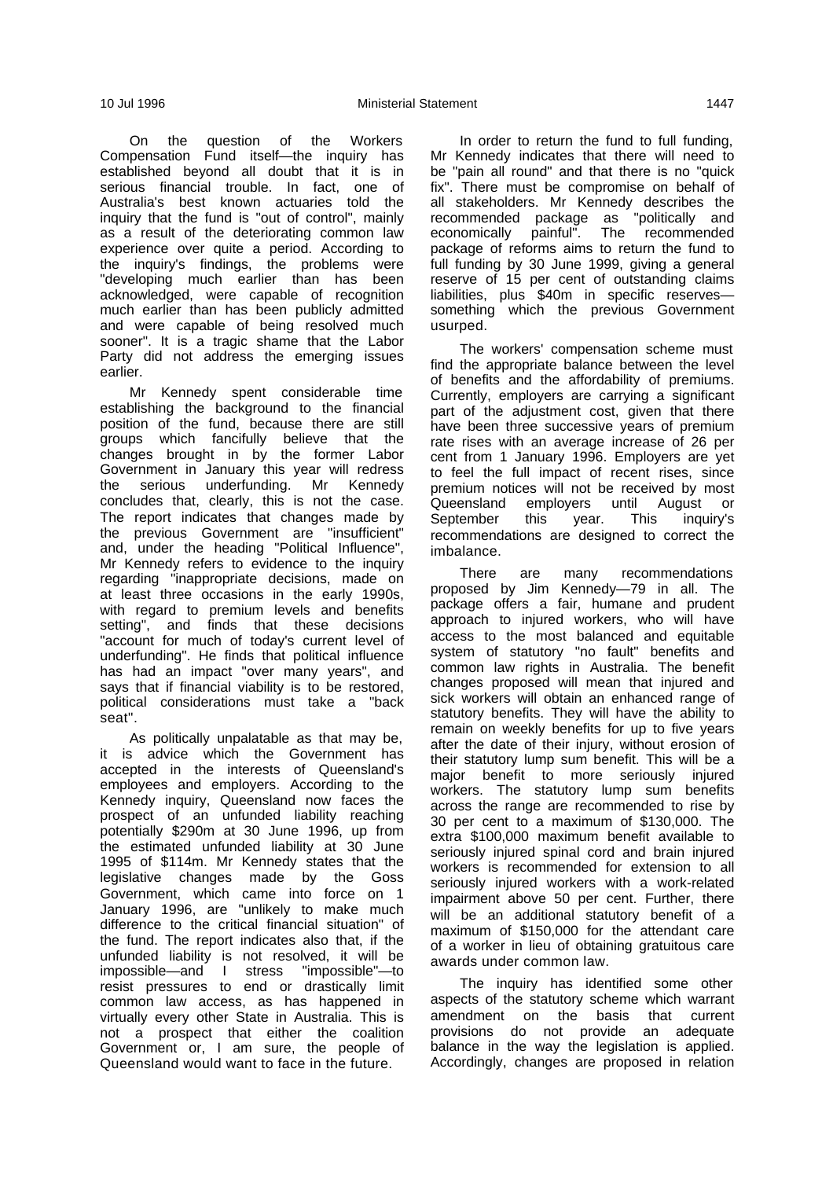On the question of the Workers Compensation Fund itself-the inquiry has established beyond all doubt that it is in serious financial trouble. In fact, one of Australia's best known actuaries told the inquiry that the fund is "out of control", mainly as a result of the deteriorating common law experience over quite a period. According to the inquiry's findings, the problems were "developing much earlier than has been acknowledged, were capable of recognition much earlier than has been publicly admitted and were capable of being resolved much sooner". It is a tragic shame that the Labor Party did not address the emerging issues earlier.

Mr Kennedy spent considerable time establishing the background to the financial position of the fund, because there are still groups which fancifully believe that the changes brought in by the former Labor Government in January this year will redress the serious underfunding. Mr Kennedy concludes that, clearly, this is not the case. The report indicates that changes made by the previous Government are "insufficient" and, under the heading "Political Influence", Mr Kennedy refers to evidence to the inquiry regarding "inappropriate decisions, made on at least three occasions in the early 1990s, with regard to premium levels and benefits setting", and finds that these decisions "account for much of today's current level of underfunding". He finds that political influence has had an impact "over many years", and says that if financial viability is to be restored, political considerations must take a "back seat".

As politically unpalatable as that may be, it is advice which the Government has accepted in the interests of Queensland's employees and employers. According to the Kennedy inquiry, Queensland now faces the prospect of an unfunded liability reaching potentially \$290m at 30 June 1996, up from the estimated unfunded liability at 30 June 1995 of \$114m. Mr Kennedy states that the legislative changes made by the Goss Government, which came into force on 1 January 1996, are "unlikely to make much difference to the critical financial situation" of the fund. The report indicates also that, if the unfunded liability is not resolved, it will be impossible—and I stress "impossible"—to resist pressures to end or drastically limit common law access, as has happened in virtually every other State in Australia. This is not a prospect that either the coalition Government or, I am sure, the people of Queensland would want to face in the future.

In order to return the fund to full funding, Mr Kennedy indicates that there will need to be "pain all round" and that there is no "quick fix". There must be compromise on behalf of all stakeholders. Mr Kennedy describes the recommended package as "politically and economically painful". The recommended package of reforms aims to return the fund to full funding by 30 June 1999, giving a general reserve of 15 per cent of outstanding claims liabilities, plus \$40m in specific reserves something which the previous Government usurped.

The workers' compensation scheme must find the appropriate balance between the level of benefits and the affordability of premiums. Currently, employers are carrying a significant part of the adjustment cost, given that there have been three successive years of premium rate rises with an average increase of 26 per cent from 1 January 1996. Employers are yet to feel the full impact of recent rises, since premium notices will not be received by most<br>Queensland employers until August or employers until August or September this year. This inquiry's recommendations are designed to correct the imbalance.

There are many recommendations proposed by Jim Kennedy—79 in all. The package offers a fair, humane and prudent approach to injured workers, who will have access to the most balanced and equitable system of statutory "no fault" benefits and common law rights in Australia. The benefit changes proposed will mean that injured and sick workers will obtain an enhanced range of statutory benefits. They will have the ability to remain on weekly benefits for up to five years after the date of their injury, without erosion of their statutory lump sum benefit. This will be a major benefit to more seriously injured workers. The statutory lump sum benefits across the range are recommended to rise by 30 per cent to a maximum of \$130,000. The extra \$100,000 maximum benefit available to seriously injured spinal cord and brain injured workers is recommended for extension to all seriously injured workers with a work-related impairment above 50 per cent. Further, there will be an additional statutory benefit of a maximum of \$150,000 for the attendant care of a worker in lieu of obtaining gratuitous care awards under common law.

The inquiry has identified some other aspects of the statutory scheme which warrant amendment on the basis that current provisions do not provide an adequate balance in the way the legislation is applied. Accordingly, changes are proposed in relation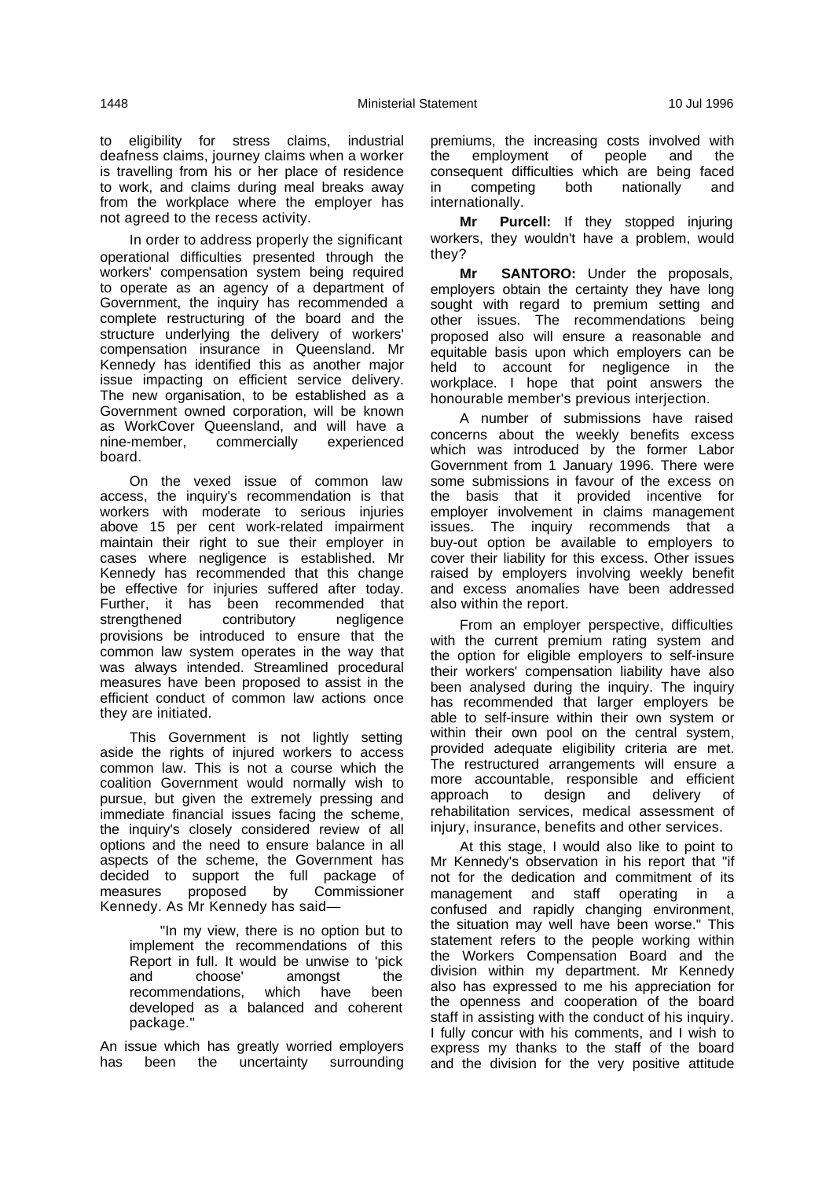to eligibility for stress claims, industrial deafness claims, journey claims when a worker is travelling from his or her place of residence to work, and claims during meal breaks away from the workplace where the employer has not agreed to the recess activity.

In order to address properly the significant operational difficulties presented through the workers' compensation system being required to operate as an agency of a department of Government, the inquiry has recommended a complete restructuring of the board and the structure underlying the delivery of workers' compensation insurance in Queensland. Mr Kennedy has identified this as another major issue impacting on efficient service delivery. The new organisation, to be established as a Government owned corporation, will be known as WorkCover Queensland, and will have a<br>nine-member. commercially experienced commercially board.

On the vexed issue of common law access, the inquiry's recommendation is that workers with moderate to serious injuries above 15 per cent work-related impairment maintain their right to sue their employer in cases where negligence is established. Mr Kennedy has recommended that this change be effective for injuries suffered after today. Further, it has been recommended that strengthened contributory negligence provisions be introduced to ensure that the common law system operates in the way that was always intended. Streamlined procedural measures have been proposed to assist in the efficient conduct of common law actions once they are initiated.

This Government is not lightly setting aside the rights of injured workers to access common law. This is not a course which the coalition Government would normally wish to pursue, but given the extremely pressing and immediate financial issues facing the scheme, the inquiry's closely considered review of all options and the need to ensure balance in all aspects of the scheme, the Government has decided to support the full package of measures proposed by Commissioner Kennedy. As Mr Kennedy has said—

"In my view, there is no option but to implement the recommendations of this Report in full. It would be unwise to 'pick and choose' amongst the<br>recommendations, which have been recommendations, which have developed as a balanced and coherent package."

An issue which has greatly worried employers has been the uncertainty surrounding

premiums, the increasing costs involved with the employment of people and the consequent difficulties which are being faced in competing both nationally and internationally.

**Mr Purcell:** If they stopped injuring workers, they wouldn't have a problem, would they?

**Mr SANTORO:** Under the proposals, employers obtain the certainty they have long sought with regard to premium setting and other issues. The recommendations being proposed also will ensure a reasonable and equitable basis upon which employers can be held to account for negligence in the workplace. I hope that point answers the honourable member's previous interjection.

A number of submissions have raised concerns about the weekly benefits excess which was introduced by the former Labor Government from 1 January 1996. There were some submissions in favour of the excess on the basis that it provided incentive for employer involvement in claims management issues. The inquiry recommends that a buy-out option be available to employers to cover their liability for this excess. Other issues raised by employers involving weekly benefit and excess anomalies have been addressed also within the report.

From an employer perspective, difficulties with the current premium rating system and the option for eligible employers to self-insure their workers' compensation liability have also been analysed during the inquiry. The inquiry has recommended that larger employers be able to self-insure within their own system or within their own pool on the central system, provided adequate eligibility criteria are met. The restructured arrangements will ensure a more accountable, responsible and efficient approach to design and delivery of rehabilitation services, medical assessment of injury, insurance, benefits and other services.

At this stage, I would also like to point to Mr Kennedy's observation in his report that "if not for the dedication and commitment of its management and staff operating in a confused and rapidly changing environment, the situation may well have been worse." This statement refers to the people working within the Workers Compensation Board and the division within my department. Mr Kennedy also has expressed to me his appreciation for the openness and cooperation of the board staff in assisting with the conduct of his inquiry. I fully concur with his comments, and I wish to express my thanks to the staff of the board and the division for the very positive attitude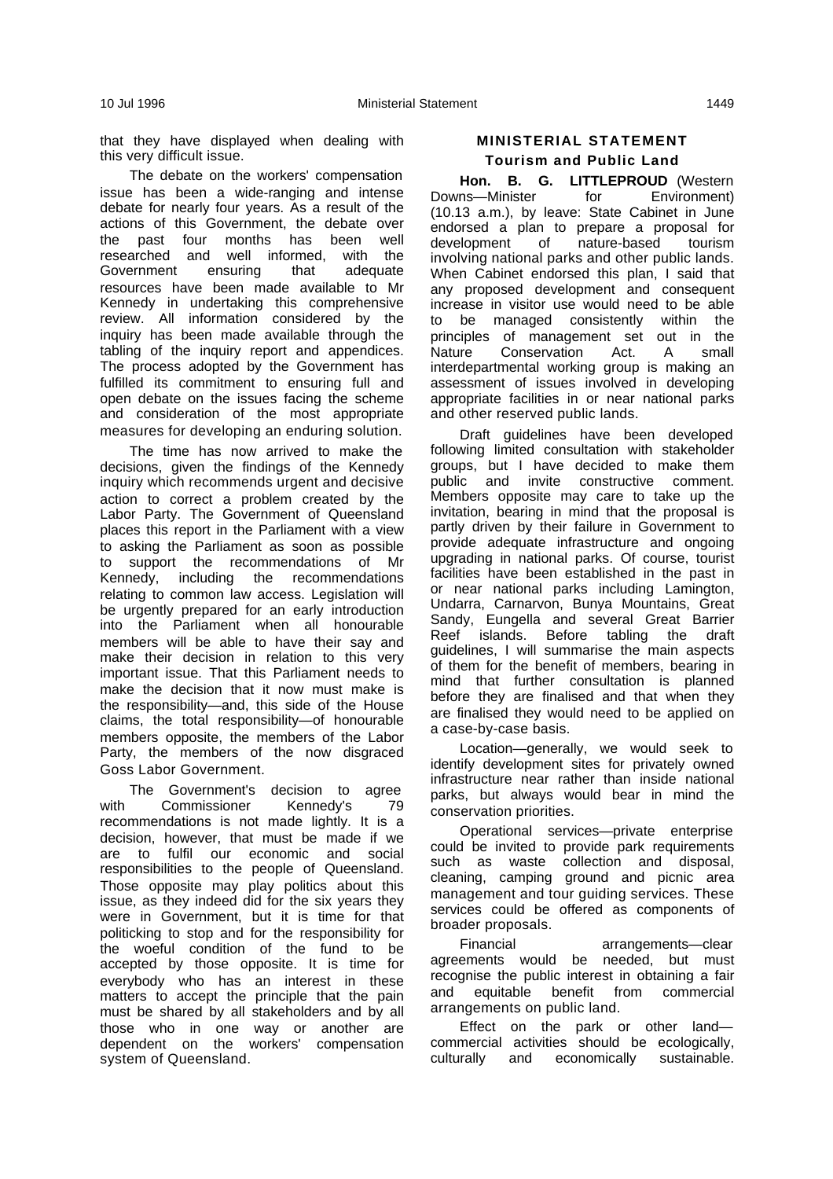that they have displayed when dealing with this very difficult issue.

The debate on the workers' compensation issue has been a wide-ranging and intense debate for nearly four years. As a result of the actions of this Government, the debate over the past four months has been well researched and well informed, with the Government ensuring that adequate resources have been made available to Mr Kennedy in undertaking this comprehensive review. All information considered by the inquiry has been made available through the tabling of the inquiry report and appendices. The process adopted by the Government has fulfilled its commitment to ensuring full and open debate on the issues facing the scheme and consideration of the most appropriate measures for developing an enduring solution.

The time has now arrived to make the decisions, given the findings of the Kennedy inquiry which recommends urgent and decisive action to correct a problem created by the Labor Party. The Government of Queensland places this report in the Parliament with a view to asking the Parliament as soon as possible to support the recommendations of Mr Kennedy, including the recommendations relating to common law access. Legislation will be urgently prepared for an early introduction into the Parliament when all honourable members will be able to have their say and make their decision in relation to this very important issue. That this Parliament needs to make the decision that it now must make is the responsibility—and, this side of the House claims, the total responsibility—of honourable members opposite, the members of the Labor Party, the members of the now disgraced Goss Labor Government.

The Government's decision to agree<br>Commissioner Kennedy's 79 with Commissioner Kennedy's 79 recommendations is not made lightly. It is a decision, however, that must be made if we are to fulfil our economic and social responsibilities to the people of Queensland. Those opposite may play politics about this issue, as they indeed did for the six years they were in Government, but it is time for that politicking to stop and for the responsibility for the woeful condition of the fund to be accepted by those opposite. It is time for everybody who has an interest in these matters to accept the principle that the pain must be shared by all stakeholders and by all those who in one way or another are dependent on the workers' compensation system of Queensland.

# **MINISTERIAL STATEMENT Tourism and Public Land**

**Hon. B. G. LITTLEPROUD** (Western Downs—Minister for Environment) (10.13 a.m.), by leave: State Cabinet in June endorsed a plan to prepare a proposal for development of nature-based tourism involving national parks and other public lands. When Cabinet endorsed this plan, I said that any proposed development and consequent increase in visitor use would need to be able to be managed consistently within the principles of management set out in the Nature Conservation Act. A small interdepartmental working group is making an assessment of issues involved in developing appropriate facilities in or near national parks and other reserved public lands.

Draft guidelines have been developed following limited consultation with stakeholder groups, but I have decided to make them public and invite constructive comment. Members opposite may care to take up the invitation, bearing in mind that the proposal is partly driven by their failure in Government to provide adequate infrastructure and ongoing upgrading in national parks. Of course, tourist facilities have been established in the past in or near national parks including Lamington, Undarra, Carnarvon, Bunya Mountains, Great Sandy, Eungella and several Great Barrier Reef islands. Before tabling the draft guidelines, I will summarise the main aspects of them for the benefit of members, bearing in mind that further consultation is planned before they are finalised and that when they are finalised they would need to be applied on a case-by-case basis.

Location—generally, we would seek to identify development sites for privately owned infrastructure near rather than inside national parks, but always would bear in mind the conservation priorities.

Operational services—private enterprise could be invited to provide park requirements such as waste collection and disposal, cleaning, camping ground and picnic area management and tour guiding services. These services could be offered as components of broader proposals.

Financial arrangements—clear agreements would be needed, but must recognise the public interest in obtaining a fair and equitable benefit from commercial arrangements on public land.

Effect on the park or other land commercial activities should be ecologically, culturally and economically sustainable.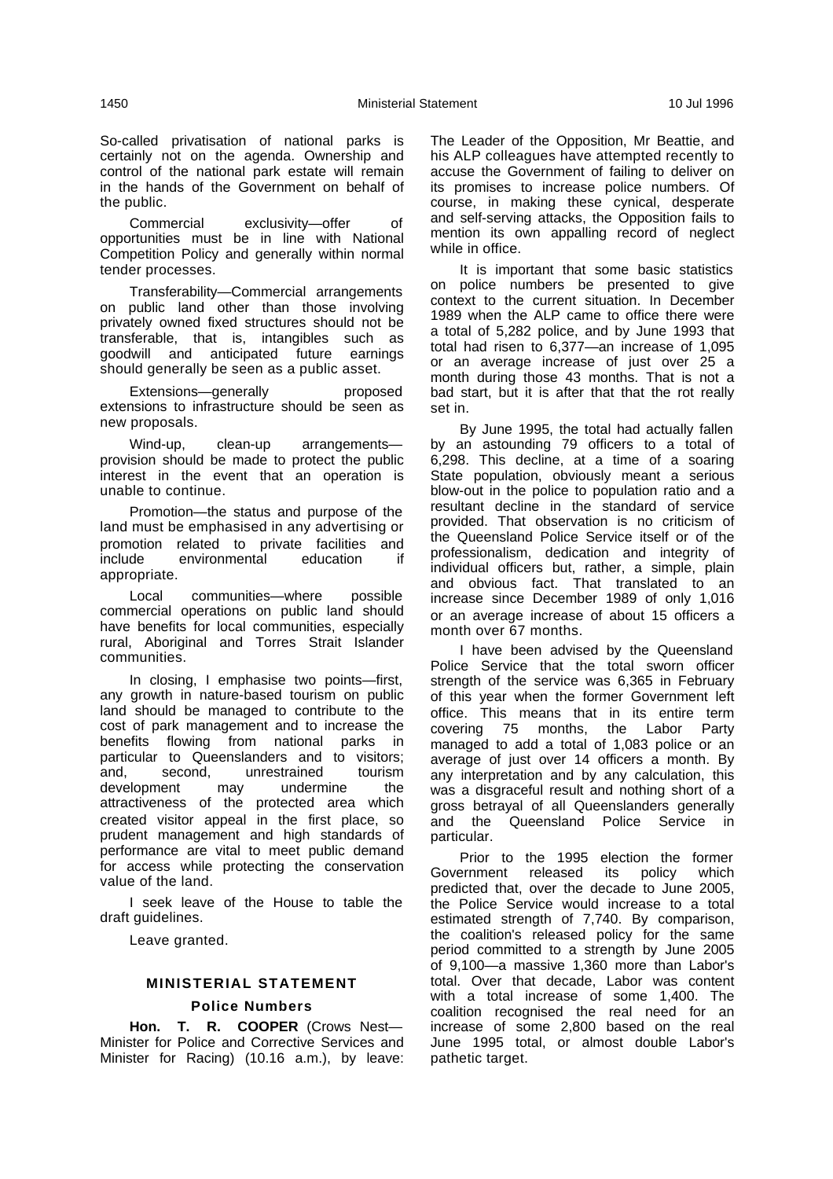So-called privatisation of national parks is certainly not on the agenda. Ownership and control of the national park estate will remain in the hands of the Government on behalf of the public.

Commercial exclusivity—offer of opportunities must be in line with National Competition Policy and generally within normal tender processes.

Transferability—Commercial arrangements on public land other than those involving privately owned fixed structures should not be transferable, that is, intangibles such as goodwill and anticipated future earnings should generally be seen as a public asset.

Extensions—generally proposed extensions to infrastructure should be seen as new proposals.

Wind-up, clean-up arrangements provision should be made to protect the public interest in the event that an operation is unable to continue.

Promotion—the status and purpose of the land must be emphasised in any advertising or promotion related to private facilities and<br>include environmental education if environmental appropriate.

Local communities—where possible commercial operations on public land should have benefits for local communities, especially rural, Aboriginal and Torres Strait Islander communities.

In closing, I emphasise two points—first, any growth in nature-based tourism on public land should be managed to contribute to the cost of park management and to increase the benefits flowing from national parks in particular to Queenslanders and to visitors;<br>and, second, unrestrained tourism and, second, unrestrained development may undermine the attractiveness of the protected area which created visitor appeal in the first place, so prudent management and high standards of performance are vital to meet public demand for access while protecting the conservation value of the land.

I seek leave of the House to table the draft guidelines.

Leave granted.

# **MINISTERIAL STATEMENT**

# **Police Numbers**

**Hon. T. R. COOPER** (Crows Nest— Minister for Police and Corrective Services and Minister for Racing) (10.16 a.m.), by leave:

The Leader of the Opposition, Mr Beattie, and his ALP colleagues have attempted recently to accuse the Government of failing to deliver on its promises to increase police numbers. Of course, in making these cynical, desperate and self-serving attacks, the Opposition fails to mention its own appalling record of neglect while in office.

It is important that some basic statistics on police numbers be presented to give context to the current situation. In December 1989 when the ALP came to office there were a total of 5,282 police, and by June 1993 that total had risen to 6,377—an increase of 1,095 or an average increase of just over 25 a month during those 43 months. That is not a bad start, but it is after that that the rot really set in.

By June 1995, the total had actually fallen by an astounding 79 officers to a total of 6,298. This decline, at a time of a soaring State population, obviously meant a serious blow-out in the police to population ratio and a resultant decline in the standard of service provided. That observation is no criticism of the Queensland Police Service itself or of the professionalism, dedication and integrity of individual officers but, rather, a simple, plain and obvious fact. That translated to an increase since December 1989 of only 1,016 or an average increase of about 15 officers a month over 67 months.

I have been advised by the Queensland Police Service that the total sworn officer strength of the service was 6,365 in February of this year when the former Government left office. This means that in its entire term covering 75 months, the Labor Party managed to add a total of 1,083 police or an average of just over 14 officers a month. By any interpretation and by any calculation, this was a disgraceful result and nothing short of a gross betrayal of all Queenslanders generally and the Queensland Police Service in particular.

Prior to the 1995 election the former Government released its policy which predicted that, over the decade to June 2005, the Police Service would increase to a total estimated strength of 7,740. By comparison, the coalition's released policy for the same period committed to a strength by June 2005 of 9,100—a massive 1,360 more than Labor's total. Over that decade, Labor was content with a total increase of some 1,400. The coalition recognised the real need for an increase of some 2,800 based on the real June 1995 total, or almost double Labor's pathetic target.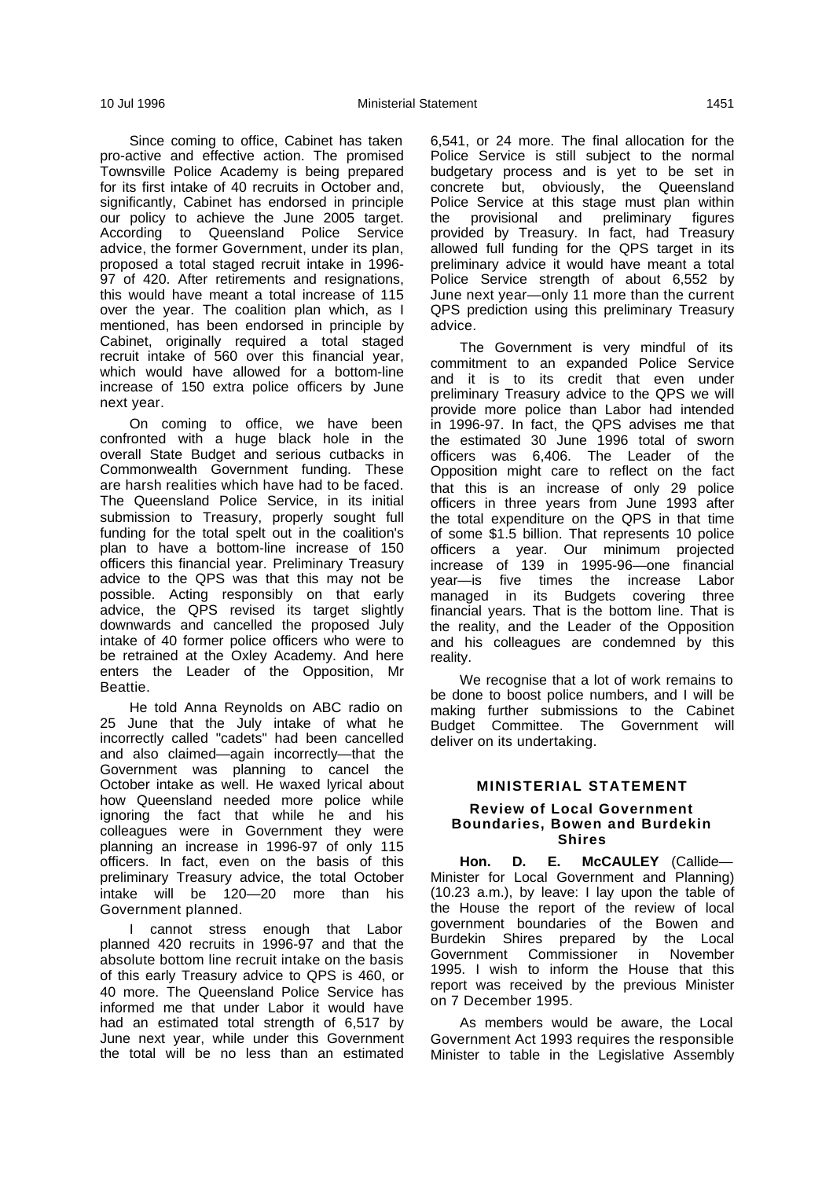Since coming to office, Cabinet has taken pro-active and effective action. The promised Townsville Police Academy is being prepared for its first intake of 40 recruits in October and, significantly, Cabinet has endorsed in principle our policy to achieve the June 2005 target. According to Queensland Police Service advice, the former Government, under its plan, proposed a total staged recruit intake in 1996- 97 of 420. After retirements and resignations, this would have meant a total increase of 115 over the year. The coalition plan which, as I mentioned, has been endorsed in principle by Cabinet, originally required a total staged recruit intake of 560 over this financial year, which would have allowed for a bottom-line increase of 150 extra police officers by June next year.

On coming to office, we have been confronted with a huge black hole in the overall State Budget and serious cutbacks in Commonwealth Government funding. These are harsh realities which have had to be faced. The Queensland Police Service, in its initial submission to Treasury, properly sought full funding for the total spelt out in the coalition's plan to have a bottom-line increase of 150 officers this financial year. Preliminary Treasury advice to the QPS was that this may not be possible. Acting responsibly on that early advice, the QPS revised its target slightly downwards and cancelled the proposed July intake of 40 former police officers who were to be retrained at the Oxley Academy. And here enters the Leader of the Opposition, Mr Beattie.

He told Anna Reynolds on ABC radio on 25 June that the July intake of what he incorrectly called "cadets" had been cancelled and also claimed—again incorrectly—that the Government was planning to cancel the October intake as well. He waxed lyrical about how Queensland needed more police while ignoring the fact that while he and his colleagues were in Government they were planning an increase in 1996-97 of only 115 officers. In fact, even on the basis of this preliminary Treasury advice, the total October intake will be 120—20 more than his Government planned.

I cannot stress enough that Labor planned 420 recruits in 1996-97 and that the absolute bottom line recruit intake on the basis of this early Treasury advice to QPS is 460, or 40 more. The Queensland Police Service has informed me that under Labor it would have had an estimated total strength of 6,517 by June next year, while under this Government the total will be no less than an estimated

6,541, or 24 more. The final allocation for the Police Service is still subject to the normal budgetary process and is yet to be set in concrete but, obviously, the Queensland Police Service at this stage must plan within the provisional and preliminary figures provided by Treasury. In fact, had Treasury allowed full funding for the QPS target in its preliminary advice it would have meant a total Police Service strength of about 6,552 by June next year—only 11 more than the current QPS prediction using this preliminary Treasury advice.

The Government is very mindful of its commitment to an expanded Police Service and it is to its credit that even under preliminary Treasury advice to the QPS we will provide more police than Labor had intended in 1996-97. In fact, the QPS advises me that the estimated 30 June 1996 total of sworn officers was 6,406. The Leader of the Opposition might care to reflect on the fact that this is an increase of only 29 police officers in three years from June 1993 after the total expenditure on the QPS in that time of some \$1.5 billion. That represents 10 police officers a year. Our minimum projected increase of 139 in 1995-96—one financial year—is five times the increase Labor managed in its Budgets covering three financial years. That is the bottom line. That is the reality, and the Leader of the Opposition and his colleagues are condemned by this reality.

We recognise that a lot of work remains to be done to boost police numbers, and I will be making further submissions to the Cabinet Budget Committee. The Government will deliver on its undertaking.

#### **MINISTERIAL STATEMENT**

#### **Review of Local Government Boundaries, Bowen and Burdekin Shires**

**Hon. D. E. McCAULEY** (Callide— Minister for Local Government and Planning) (10.23 a.m.), by leave: I lay upon the table of the House the report of the review of local government boundaries of the Bowen and Burdekin Shires prepared by the Local Government Commissioner in November 1995. I wish to inform the House that this report was received by the previous Minister on 7 December 1995.

As members would be aware, the Local Government Act 1993 requires the responsible Minister to table in the Legislative Assembly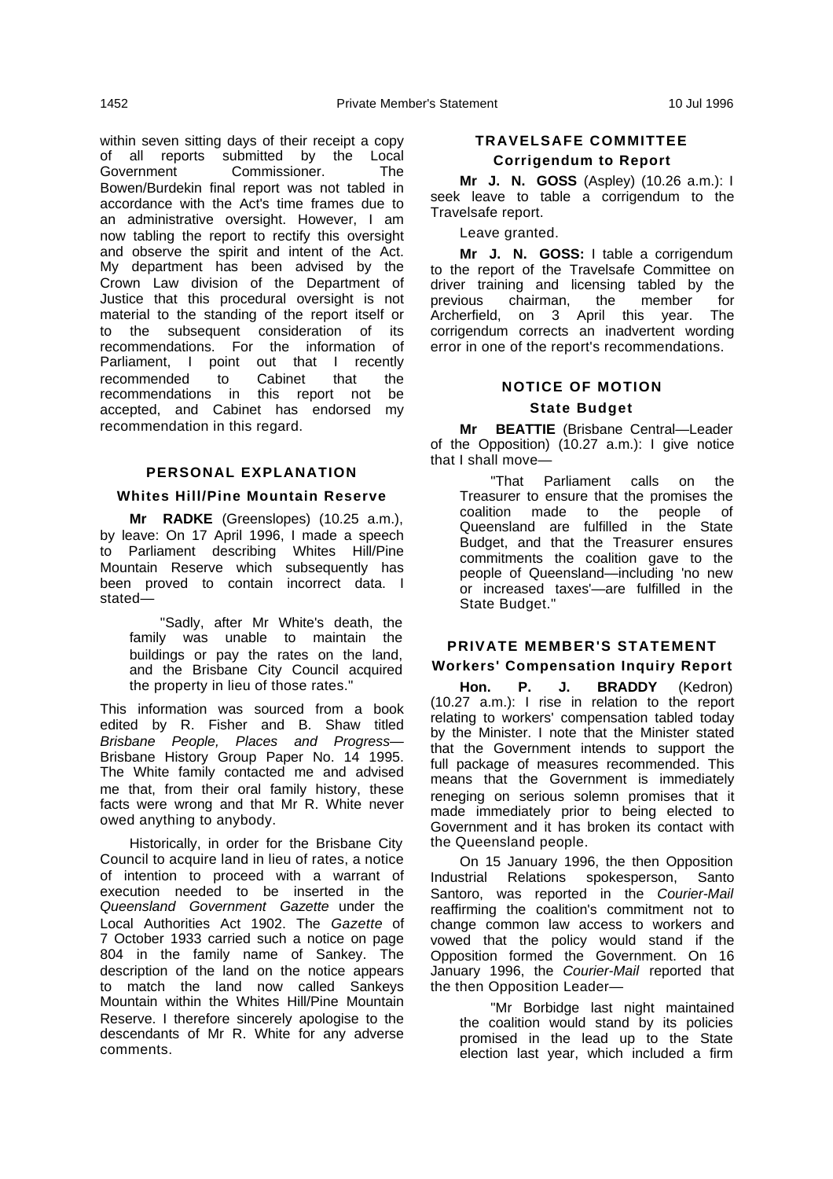within seven sitting days of their receipt a copy of all reports submitted by the Local Government Commissioner. The Bowen/Burdekin final report was not tabled in accordance with the Act's time frames due to an administrative oversight. However, I am now tabling the report to rectify this oversight and observe the spirit and intent of the Act. My department has been advised by the Crown Law division of the Department of Justice that this procedural oversight is not material to the standing of the report itself or to the subsequent consideration of its recommendations. For the information of Parliament, I point out that I recently recommended to Cabinet that the recommendations in this report not be accepted, and Cabinet has endorsed my recommendation in this regard.

# **PERSONAL EXPLANATION**

#### **Whites Hill/Pine Mountain Reserve**

**Mr RADKE** (Greenslopes) (10.25 a.m.), by leave: On 17 April 1996, I made a speech to Parliament describing Whites Hill/Pine Mountain Reserve which subsequently has been proved to contain incorrect data. I stated—

"Sadly, after Mr White's death, the family was unable to maintain the buildings or pay the rates on the land, and the Brisbane City Council acquired the property in lieu of those rates."

This information was sourced from a book edited by R. Fisher and B. Shaw titled Brisbane People, Places and Progress— Brisbane History Group Paper No. 14 1995. The White family contacted me and advised me that, from their oral family history, these facts were wrong and that Mr R. White never owed anything to anybody.

Historically, in order for the Brisbane City Council to acquire land in lieu of rates, a notice of intention to proceed with a warrant of execution needed to be inserted in the Queensland Government Gazette under the Local Authorities Act 1902. The Gazette of 7 October 1933 carried such a notice on page 804 in the family name of Sankey. The description of the land on the notice appears to match the land now called Sankeys Mountain within the Whites Hill/Pine Mountain Reserve. I therefore sincerely apologise to the descendants of Mr R. White for any adverse comments.

# **TRAVELSAFE COMMITTEE Corrigendum to Report**

**Mr J. N. GOSS** (Aspley) (10.26 a.m.): I seek leave to table a corrigendum to the Travelsafe report.

Leave granted.

**Mr J. N. GOSS:** I table a corrigendum to the report of the Travelsafe Committee on driver training and licensing tabled by the<br>previous chairman, the member for chairman, the member for Archerfield, on 3 April this year. The corrigendum corrects an inadvertent wording error in one of the report's recommendations.

#### **NOTICE OF MOTION**

# **State Budget**

**Mr BEATTIE** (Brisbane Central—Leader of the Opposition) (10.27 a.m.): I give notice that I shall move—

"That Parliament calls on the Treasurer to ensure that the promises the coalition made to the people of Queensland are fulfilled in the State Budget, and that the Treasurer ensures commitments the coalition gave to the people of Queensland—including 'no new or increased taxes'—are fulfilled in the State Budget."

# **PRIVATE MEMBER'S STATEMENT**

# **Workers' Compensation Inquiry Report**

**Hon. P. J. BRADDY** (Kedron) (10.27 a.m.): I rise in relation to the report relating to workers' compensation tabled today by the Minister. I note that the Minister stated that the Government intends to support the full package of measures recommended. This means that the Government is immediately reneging on serious solemn promises that it made immediately prior to being elected to Government and it has broken its contact with the Queensland people.

On 15 January 1996, the then Opposition Industrial Relations spokesperson, Santo Santoro, was reported in the Courier-Mail reaffirming the coalition's commitment not to change common law access to workers and vowed that the policy would stand if the Opposition formed the Government. On 16 January 1996, the Courier-Mail reported that the then Opposition Leader—

"Mr Borbidge last night maintained the coalition would stand by its policies promised in the lead up to the State election last year, which included a firm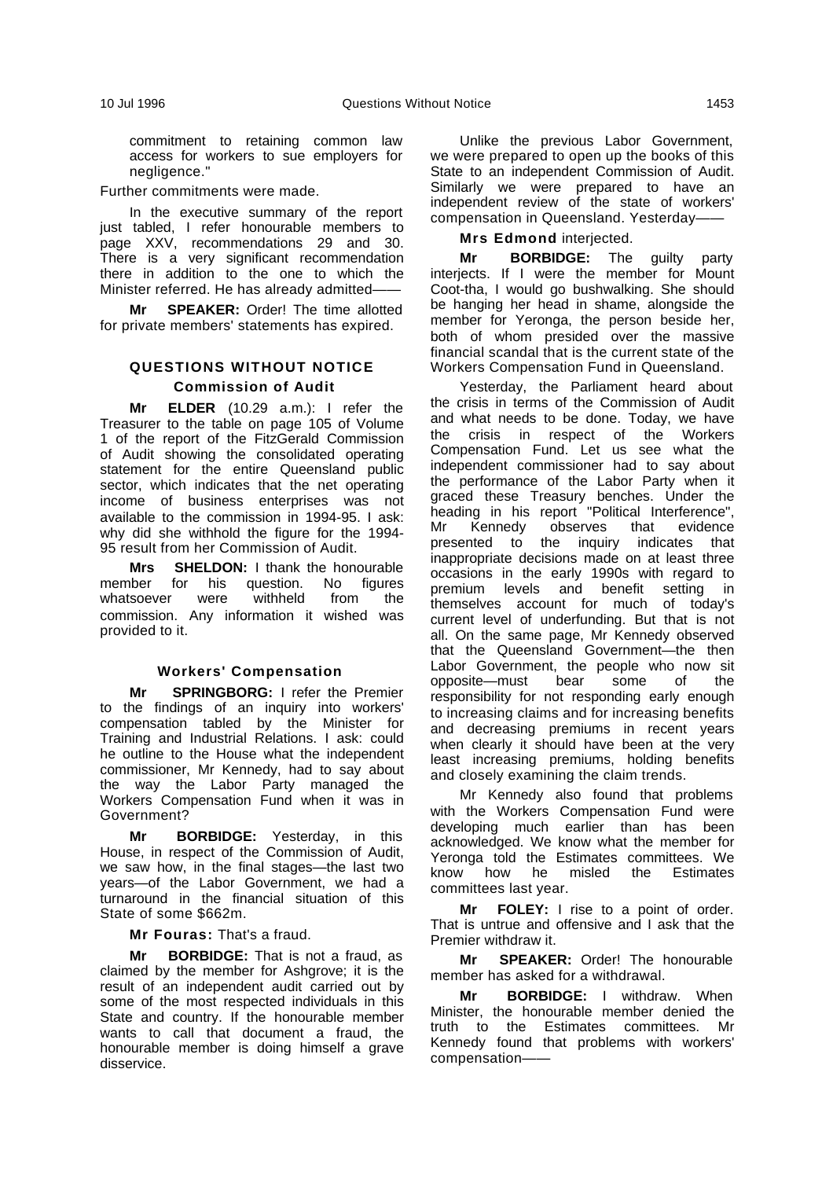commitment to retaining common law access for workers to sue employers for negligence."

Further commitments were made.

In the executive summary of the report just tabled, I refer honourable members to page XXV, recommendations 29 and 30. There is a very significant recommendation there in addition to the one to which the Minister referred. He has already admitted——

**Mr SPEAKER:** Order! The time allotted for private members' statements has expired.

# **QUESTIONS WITHOUT NOTICE Commission of Audit**

**Mr ELDER** (10.29 a.m.): I refer the Treasurer to the table on page 105 of Volume 1 of the report of the FitzGerald Commission of Audit showing the consolidated operating statement for the entire Queensland public sector, which indicates that the net operating income of business enterprises was not available to the commission in 1994-95. I ask: why did she withhold the figure for the 1994- 95 result from her Commission of Audit.

**Mrs SHELDON:** I thank the honourable<br>member for his question. No figures for his question. whatsoever were withheld from the commission. Any information it wished was provided to it.

#### **Workers' Compensation**

**Mr SPRINGBORG:** I refer the Premier to the findings of an inquiry into workers' compensation tabled by the Minister for Training and Industrial Relations. I ask: could he outline to the House what the independent commissioner, Mr Kennedy, had to say about the way the Labor Party managed the Workers Compensation Fund when it was in Government?

**Mr BORBIDGE:** Yesterday, in this House, in respect of the Commission of Audit, we saw how, in the final stages—the last two years—of the Labor Government, we had a turnaround in the financial situation of this State of some \$662m.

**Mr Fouras:** That's a fraud.

**Mr BORBIDGE:** That is not a fraud, as claimed by the member for Ashgrove; it is the result of an independent audit carried out by some of the most respected individuals in this State and country. If the honourable member wants to call that document a fraud, the honourable member is doing himself a grave disservice.

Unlike the previous Labor Government, we were prepared to open up the books of this State to an independent Commission of Audit. Similarly we were prepared to have an independent review of the state of workers' compensation in Queensland. Yesterday-

# **Mrs Edmond** interjected.

**Mr BORBIDGE:** The guilty party interjects. If I were the member for Mount Coot-tha, I would go bushwalking. She should be hanging her head in shame, alongside the member for Yeronga, the person beside her, both of whom presided over the massive financial scandal that is the current state of the Workers Compensation Fund in Queensland.

Yesterday, the Parliament heard about the crisis in terms of the Commission of Audit and what needs to be done. Today, we have the crisis in respect of the Workers Compensation Fund. Let us see what the independent commissioner had to say about the performance of the Labor Party when it graced these Treasury benches. Under the heading in his report "Political Interference", Mr Kennedy observes that evidence<br>presented to the inguiry indicates that the inquiry indicates that inappropriate decisions made on at least three occasions in the early 1990s with regard to premium levels and benefit setting in themselves account for much of today's current level of underfunding. But that is not all. On the same page, Mr Kennedy observed that the Queensland Government—the then Labor Government, the people who now sit opposite—must bear some of the responsibility for not responding early enough to increasing claims and for increasing benefits and decreasing premiums in recent years when clearly it should have been at the very least increasing premiums, holding benefits and closely examining the claim trends.

Mr Kennedy also found that problems with the Workers Compensation Fund were developing much earlier than has been acknowledged. We know what the member for Yeronga told the Estimates committees. We know how he misled the Estimates committees last year.

**Mr FOLEY:** I rise to a point of order. That is untrue and offensive and I ask that the Premier withdraw it.

**Mr SPEAKER:** Order! The honourable member has asked for a withdrawal.

**Mr BORBIDGE:** I withdraw. When Minister, the honourable member denied the truth to the Estimates committees. Mr Kennedy found that problems with workers' compensation-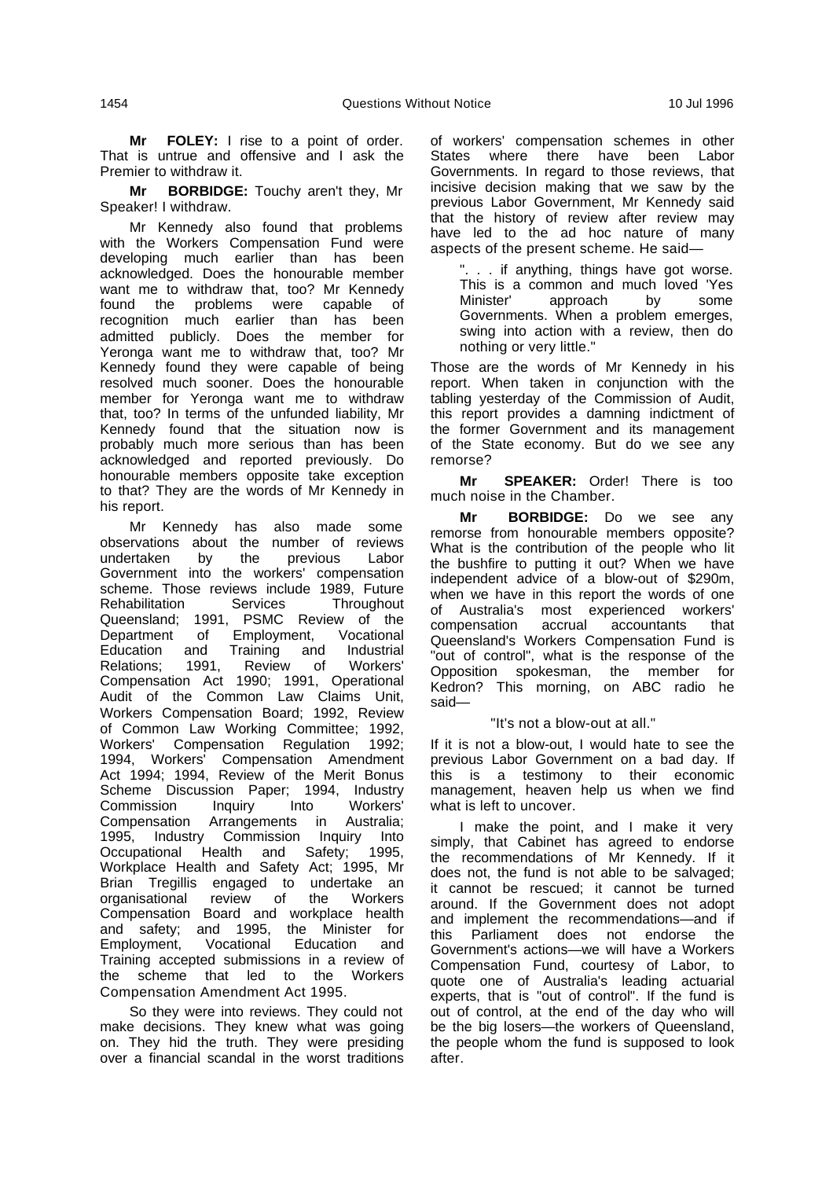**Mr FOLEY:** I rise to a point of order. That is untrue and offensive and I ask the Premier to withdraw it.

**Mr BORBIDGE:** Touchy aren't they, Mr Speaker! I withdraw.

Mr Kennedy also found that problems with the Workers Compensation Fund were developing much earlier than has been acknowledged. Does the honourable member want me to withdraw that, too? Mr Kennedy found the problems were capable of recognition much earlier than has been admitted publicly. Does the member for Yeronga want me to withdraw that, too? Mr Kennedy found they were capable of being resolved much sooner. Does the honourable member for Yeronga want me to withdraw that, too? In terms of the unfunded liability, Mr Kennedy found that the situation now is probably much more serious than has been acknowledged and reported previously. Do honourable members opposite take exception to that? They are the words of Mr Kennedy in his report.

Mr Kennedy has also made some observations about the number of reviews<br>undertaken by the previous Labor undertaken Government into the workers' compensation scheme. Those reviews include 1989, Future Rehabilitation Services Throughout Queensland; 1991, PSMC Review of the Department of Employment, Vocational<br>Education and Training and Industrial Education and Training and Industrial Relations; 1991, Review of Workers' Compensation Act 1990; 1991, Operational Audit of the Common Law Claims Unit, Workers Compensation Board; 1992, Review of Common Law Working Committee; 1992, Workers' Compensation Regulation 1992; 1994, Workers' Compensation Amendment Act 1994: 1994. Review of the Merit Bonus Scheme Discussion Paper; 1994, Industry<br>Commission Inquiry Into Workers' Commission Compensation Arrangements in Australia; Industry Commission Inquiry Into Occupational Health and Safety; 1995, Workplace Health and Safety Act; 1995, Mr Brian Tregillis engaged to undertake an<br>organisational review of the Workers organisational review of the Compensation Board and workplace health and safety; and 1995, the Minister for Employment, Vocational Training accepted submissions in a review of the scheme that led to the Workers Compensation Amendment Act 1995.

So they were into reviews. They could not make decisions. They knew what was going on. They hid the truth. They were presiding over a financial scandal in the worst traditions of workers' compensation schemes in other States where there have been Labor Governments. In regard to those reviews, that incisive decision making that we saw by the previous Labor Government, Mr Kennedy said that the history of review after review may have led to the ad hoc nature of many aspects of the present scheme. He said—

". . . if anything, things have got worse. This is a common and much loved 'Yes<br>Minister' approach by some approach Governments. When a problem emerges, swing into action with a review, then do nothing or very little."

Those are the words of Mr Kennedy in his report. When taken in conjunction with the tabling yesterday of the Commission of Audit, this report provides a damning indictment of the former Government and its management of the State economy. But do we see any remorse?

**Mr SPEAKER:** Order! There is too much noise in the Chamber.

**Mr BORBIDGE:** Do we see any remorse from honourable members opposite? What is the contribution of the people who lit the bushfire to putting it out? When we have independent advice of a blow-out of \$290m, when we have in this report the words of one of Australia's most experienced workers' compensation accrual accountants that Queensland's Workers Compensation Fund is "out of control", what is the response of the Opposition spokesman, the member for Kedron? This morning, on ABC radio he said—

"It's not a blow-out at all."

If it is not a blow-out, I would hate to see the previous Labor Government on a bad day. If this is a testimony to their economic management, heaven help us when we find what is left to uncover.

I make the point, and I make it very simply, that Cabinet has agreed to endorse the recommendations of Mr Kennedy. If it does not, the fund is not able to be salvaged; it cannot be rescued; it cannot be turned around. If the Government does not adopt and implement the recommendations—and if this Parliament does not endorse the Government's actions—we will have a Workers Compensation Fund, courtesy of Labor, to quote one of Australia's leading actuarial experts, that is "out of control". If the fund is out of control, at the end of the day who will be the big losers—the workers of Queensland, the people whom the fund is supposed to look after.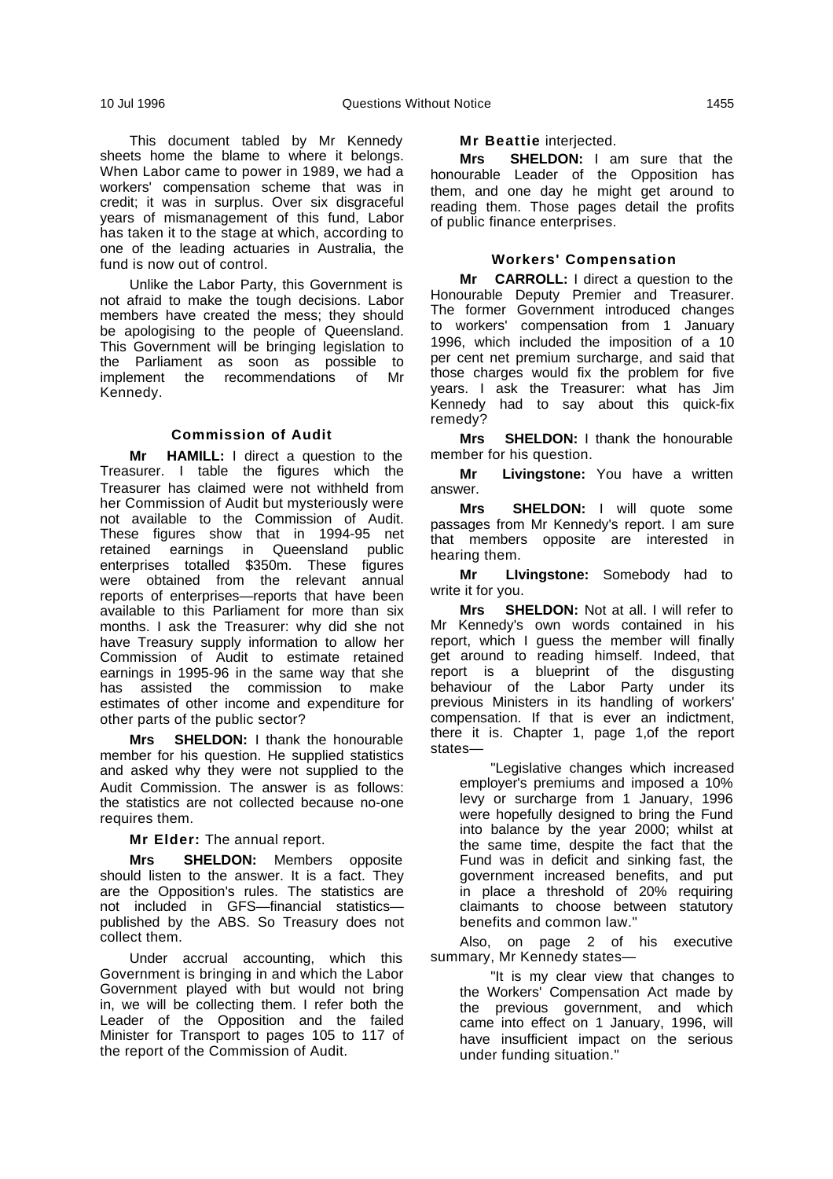This document tabled by Mr Kennedy sheets home the blame to where it belongs. When Labor came to power in 1989, we had a workers' compensation scheme that was in credit; it was in surplus. Over six disgraceful years of mismanagement of this fund, Labor has taken it to the stage at which, according to one of the leading actuaries in Australia, the fund is now out of control.

Unlike the Labor Party, this Government is not afraid to make the tough decisions. Labor members have created the mess; they should be apologising to the people of Queensland. This Government will be bringing legislation to the Parliament as soon as possible to implement the recommendations of Mr Kennedy.

#### **Commission of Audit**

**Mr HAMILL:** I direct a question to the Treasurer. I table the figures which the Treasurer has claimed were not withheld from her Commission of Audit but mysteriously were not available to the Commission of Audit. These figures show that in 1994-95 net retained earnings in Queensland public enterprises totalled \$350m. These figures were obtained from the relevant annual reports of enterprises—reports that have been available to this Parliament for more than six months. I ask the Treasurer: why did she not have Treasury supply information to allow her Commission of Audit to estimate retained earnings in 1995-96 in the same way that she has assisted the commission to make estimates of other income and expenditure for other parts of the public sector?

**Mrs SHELDON:** I thank the honourable member for his question. He supplied statistics and asked why they were not supplied to the Audit Commission. The answer is as follows: the statistics are not collected because no-one requires them.

**Mr Elder:** The annual report.

**Mrs SHELDON:** Members opposite should listen to the answer. It is a fact. They are the Opposition's rules. The statistics are not included in GFS—financial statistics published by the ABS. So Treasury does not collect them.

Under accrual accounting, which this Government is bringing in and which the Labor Government played with but would not bring in, we will be collecting them. I refer both the Leader of the Opposition and the failed Minister for Transport to pages 105 to 117 of the report of the Commission of Audit.

#### **Mr Beattie** interjected.

**Mrs SHELDON:** I am sure that the honourable Leader of the Opposition has them, and one day he might get around to reading them. Those pages detail the profits of public finance enterprises.

#### **Workers' Compensation**

**Mr CARROLL:** I direct a question to the Honourable Deputy Premier and Treasurer. The former Government introduced changes to workers' compensation from 1 January 1996, which included the imposition of a 10 per cent net premium surcharge, and said that those charges would fix the problem for five years. I ask the Treasurer: what has Jim Kennedy had to say about this quick-fix remedy?

**Mrs SHELDON:** I thank the honourable member for his question.

**Mr Livingstone:** You have a written answer.

**Mrs SHELDON:** I will quote some passages from Mr Kennedy's report. I am sure that members opposite are interested in hearing them.

**Mr LIvingstone:** Somebody had to write it for you.

**Mrs SHELDON:** Not at all. I will refer to Mr Kennedy's own words contained in his report, which I guess the member will finally get around to reading himself. Indeed, that report is a blueprint of the disgusting behaviour of the Labor Party under its previous Ministers in its handling of workers' compensation. If that is ever an indictment, there it is. Chapter 1, page 1,of the report states—

"Legislative changes which increased employer's premiums and imposed a 10% levy or surcharge from 1 January, 1996 were hopefully designed to bring the Fund into balance by the year 2000; whilst at the same time, despite the fact that the Fund was in deficit and sinking fast, the government increased benefits, and put in place a threshold of 20% requiring claimants to choose between statutory benefits and common law."

Also, on page 2 of his executive summary, Mr Kennedy states—

"It is my clear view that changes to the Workers' Compensation Act made by the previous government, and which came into effect on 1 January, 1996, will have insufficient impact on the serious under funding situation."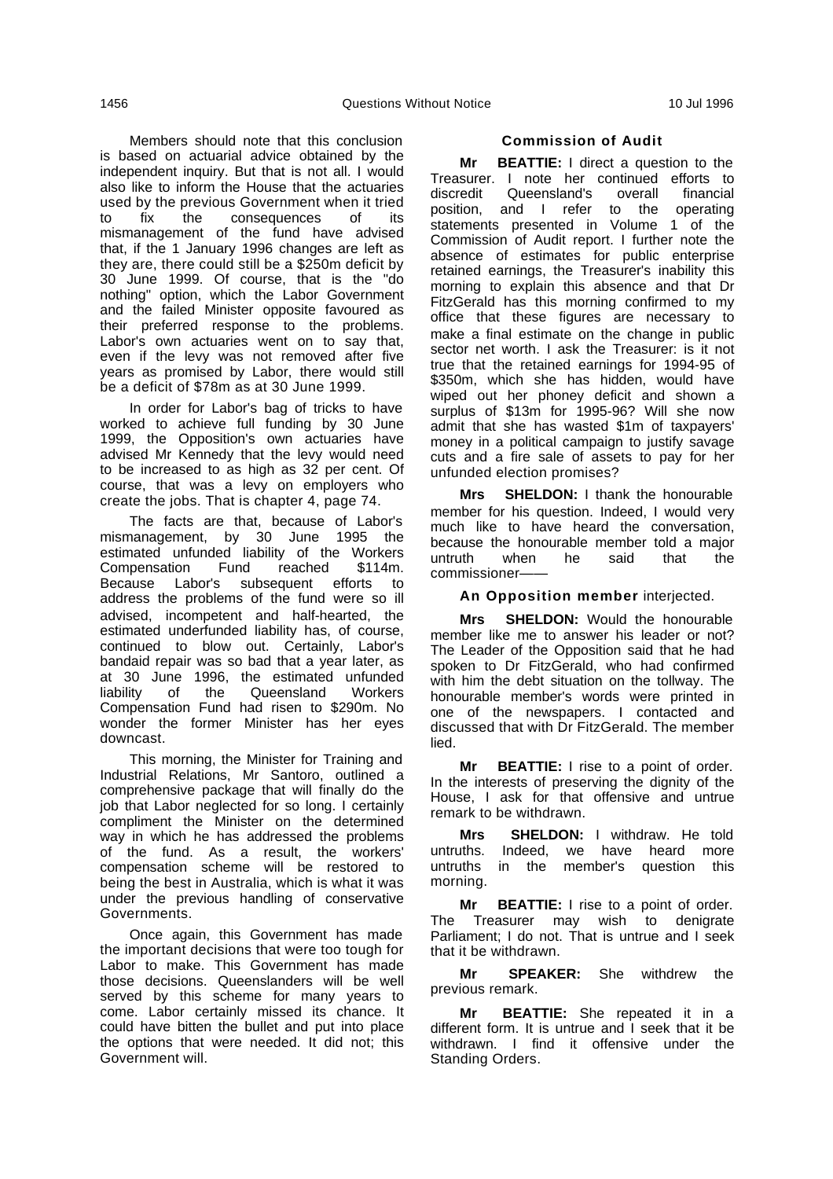Members should note that this conclusion is based on actuarial advice obtained by the independent inquiry. But that is not all. I would also like to inform the House that the actuaries used by the previous Government when it tried to fix the consequences of its mismanagement of the fund have advised that, if the 1 January 1996 changes are left as they are, there could still be a \$250m deficit by 30 June 1999. Of course, that is the "do nothing" option, which the Labor Government and the failed Minister opposite favoured as their preferred response to the problems. Labor's own actuaries went on to say that, even if the levy was not removed after five years as promised by Labor, there would still be a deficit of \$78m as at 30 June 1999.

In order for Labor's bag of tricks to have worked to achieve full funding by 30 June 1999, the Opposition's own actuaries have advised Mr Kennedy that the levy would need to be increased to as high as 32 per cent. Of course, that was a levy on employers who create the jobs. That is chapter 4, page 74.

The facts are that, because of Labor's mismanagement, by 30 June 1995 the estimated unfunded liability of the Workers<br>Compensation Fund reached \$114m. Compensation Because Labor's subsequent efforts to address the problems of the fund were so ill advised, incompetent and half-hearted, the estimated underfunded liability has, of course, continued to blow out. Certainly, Labor's bandaid repair was so bad that a year later, as at 30 June 1996, the estimated unfunded liability of the Queensland Workers Compensation Fund had risen to \$290m. No wonder the former Minister has her eyes downcast.

This morning, the Minister for Training and Industrial Relations, Mr Santoro, outlined a comprehensive package that will finally do the job that Labor neglected for so long. I certainly compliment the Minister on the determined way in which he has addressed the problems of the fund. As a result, the workers' compensation scheme will be restored to being the best in Australia, which is what it was under the previous handling of conservative Governments.

Once again, this Government has made the important decisions that were too tough for Labor to make. This Government has made those decisions. Queenslanders will be well served by this scheme for many years to come. Labor certainly missed its chance. It could have bitten the bullet and put into place the options that were needed. It did not; this Government will.

#### **Commission of Audit**

**Mr BEATTIE:** I direct a question to the Treasurer. I note her continued efforts to Queensland's overall position, and I refer to the operating statements presented in Volume 1 of the Commission of Audit report. I further note the absence of estimates for public enterprise retained earnings, the Treasurer's inability this morning to explain this absence and that Dr FitzGerald has this morning confirmed to my office that these figures are necessary to make a final estimate on the change in public sector net worth. I ask the Treasurer: is it not true that the retained earnings for 1994-95 of \$350m, which she has hidden, would have wiped out her phoney deficit and shown a surplus of \$13m for 1995-96? Will she now admit that she has wasted \$1m of taxpayers' money in a political campaign to justify savage cuts and a fire sale of assets to pay for her unfunded election promises?

**Mrs SHELDON:** I thank the honourable member for his question. Indeed, I would very much like to have heard the conversation, because the honourable member told a major<br>untruth when be said that the untruth commissioner——

**An Opposition member** interjected.

**Mrs SHELDON:** Would the honourable member like me to answer his leader or not? The Leader of the Opposition said that he had spoken to Dr FitzGerald, who had confirmed with him the debt situation on the tollway. The honourable member's words were printed in one of the newspapers. I contacted and discussed that with Dr FitzGerald. The member lied.

**Mr BEATTIE:** I rise to a point of order. In the interests of preserving the dignity of the House, I ask for that offensive and untrue remark to be withdrawn.

**Mrs SHELDON:** I withdraw. He told untruths. Indeed, we have heard more untruths in the member's question this morning.

**Mr BEATTIE:** I rise to a point of order. The Treasurer may wish to denigrate Parliament; I do not. That is untrue and I seek that it be withdrawn.

**Mr SPEAKER:** She withdrew the previous remark.

**Mr BEATTIE:** She repeated it in a different form. It is untrue and I seek that it be withdrawn. I find it offensive under the Standing Orders.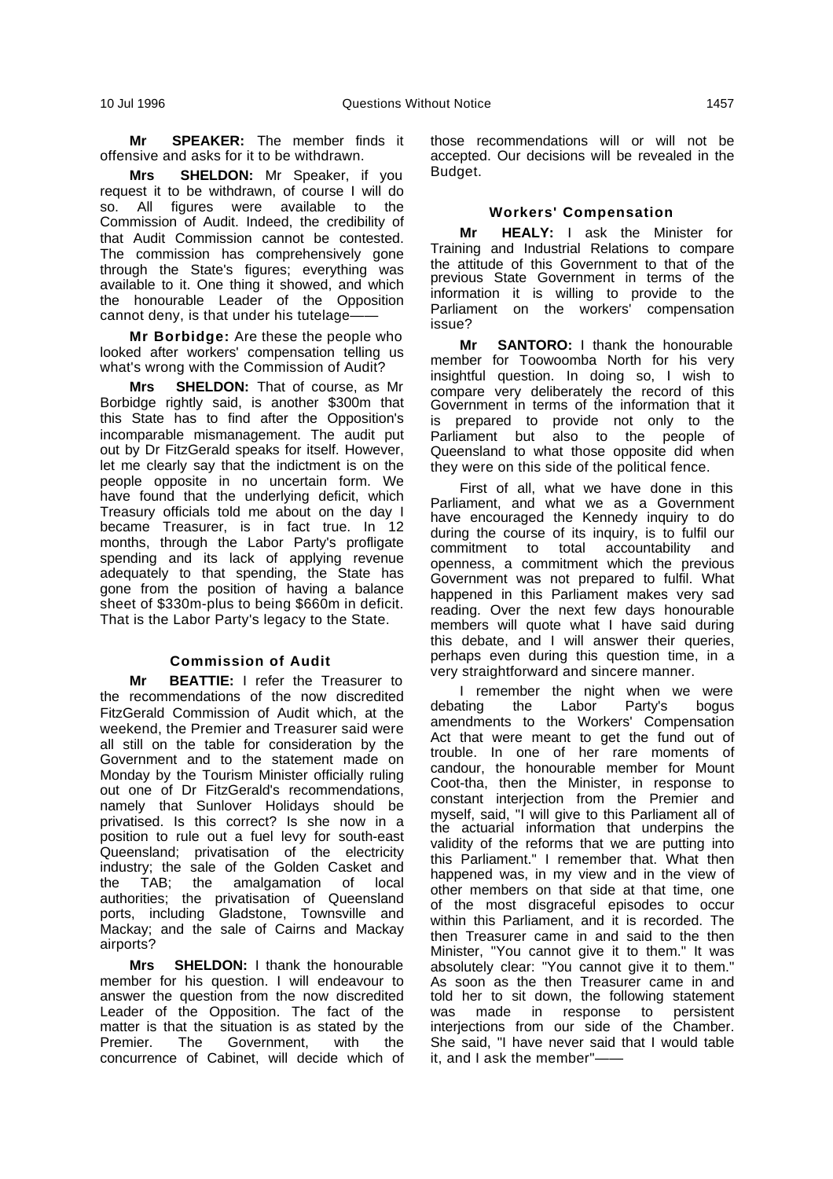**Mr SPEAKER:** The member finds it offensive and asks for it to be withdrawn.

**Mrs SHELDON:** Mr Speaker, if you request it to be withdrawn, of course I will do so. All figures were available to the Commission of Audit. Indeed, the credibility of that Audit Commission cannot be contested. The commission has comprehensively gone through the State's figures; everything was available to it. One thing it showed, and which the honourable Leader of the Opposition cannot deny, is that under his tutelage-

**Mr Borbidge:** Are these the people who looked after workers' compensation telling us what's wrong with the Commission of Audit?

**Mrs SHELDON:** That of course, as Mr Borbidge rightly said, is another \$300m that this State has to find after the Opposition's incomparable mismanagement. The audit put out by Dr FitzGerald speaks for itself. However, let me clearly say that the indictment is on the people opposite in no uncertain form. We have found that the underlying deficit, which Treasury officials told me about on the day I became Treasurer, is in fact true. In 12 months, through the Labor Party's profligate spending and its lack of applying revenue adequately to that spending, the State has gone from the position of having a balance sheet of \$330m-plus to being \$660m in deficit. That is the Labor Party's legacy to the State.

# **Commission of Audit**

**Mr BEATTIE:** I refer the Treasurer to the recommendations of the now discredited FitzGerald Commission of Audit which, at the weekend, the Premier and Treasurer said were all still on the table for consideration by the Government and to the statement made on Monday by the Tourism Minister officially ruling out one of Dr FitzGerald's recommendations, namely that Sunlover Holidays should be privatised. Is this correct? Is she now in a position to rule out a fuel levy for south-east Queensland; privatisation of the electricity industry; the sale of the Golden Casket and the TAB; the amalgamation of local authorities; the privatisation of Queensland ports, including Gladstone, Townsville and Mackay; and the sale of Cairns and Mackay airports?

**Mrs SHELDON:** I thank the honourable member for his question. I will endeavour to answer the question from the now discredited Leader of the Opposition. The fact of the matter is that the situation is as stated by the Premier. The Government, with the concurrence of Cabinet, will decide which of

those recommendations will or will not be accepted. Our decisions will be revealed in the Budget.

#### **Workers' Compensation**

**Mr HEALY:** I ask the Minister for Training and Industrial Relations to compare the attitude of this Government to that of the previous State Government in terms of the information it is willing to provide to the Parliament on the workers' compensation issue?

**Mr SANTORO:** I thank the honourable member for Toowoomba North for his very insightful question. In doing so, I wish to compare very deliberately the record of this Government in terms of the information that it is prepared to provide not only to the Parliament but also to the people of Queensland to what those opposite did when they were on this side of the political fence.

First of all, what we have done in this Parliament, and what we as a Government have encouraged the Kennedy inquiry to do during the course of its inquiry, is to fulfil our commitment to total accountability and openness, a commitment which the previous Government was not prepared to fulfil. What happened in this Parliament makes very sad reading. Over the next few days honourable members will quote what I have said during this debate, and I will answer their queries, perhaps even during this question time, in a very straightforward and sincere manner.

I remember the night when we were debating the Labor Party's bogus amendments to the Workers' Compensation Act that were meant to get the fund out of trouble. In one of her rare moments of candour, the honourable member for Mount Coot-tha, then the Minister, in response to constant interjection from the Premier and myself, said, "I will give to this Parliament all of the actuarial information that underpins the validity of the reforms that we are putting into this Parliament." I remember that. What then happened was, in my view and in the view of other members on that side at that time, one of the most disgraceful episodes to occur within this Parliament, and it is recorded. The then Treasurer came in and said to the then Minister, "You cannot give it to them." It was absolutely clear: "You cannot give it to them." As soon as the then Treasurer came in and told her to sit down, the following statement<br>was made in response to persistent  $was$  made in response to interjections from our side of the Chamber. She said, "I have never said that I would table it, and I ask the member"——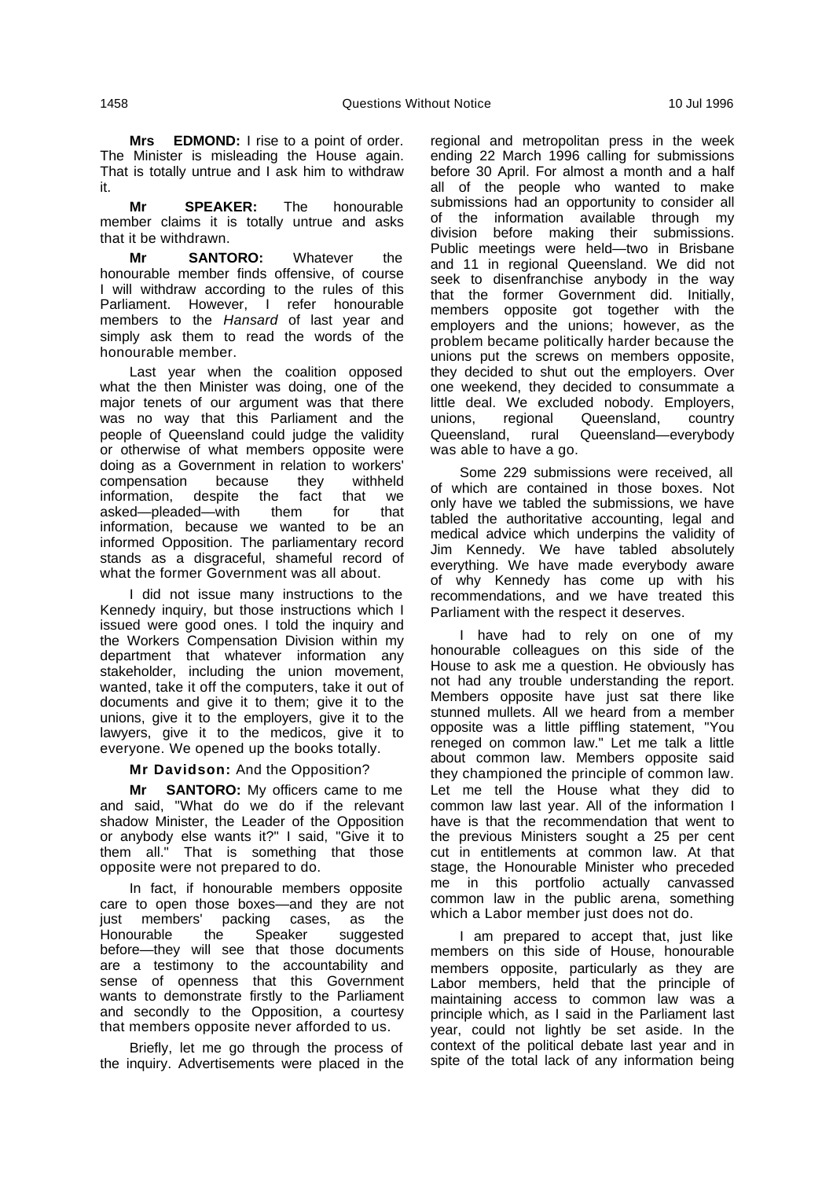**Mrs EDMOND:** I rise to a point of order. The Minister is misleading the House again. That is totally untrue and I ask him to withdraw it.

**Mr SPEAKER:** The honourable member claims it is totally untrue and asks that it be withdrawn.

**Mr SANTORO:** Whatever the honourable member finds offensive, of course I will withdraw according to the rules of this Parliament. However, I refer honourable members to the Hansard of last year and simply ask them to read the words of the honourable member.

Last year when the coalition opposed what the then Minister was doing, one of the major tenets of our argument was that there was no way that this Parliament and the people of Queensland could judge the validity or otherwise of what members opposite were doing as a Government in relation to workers' compensation because they withheld<br>information, despite the fact that we despite the fact that we<br>led—with them for that asked—pleaded—with information, because we wanted to be an informed Opposition. The parliamentary record stands as a disgraceful, shameful record of what the former Government was all about.

I did not issue many instructions to the Kennedy inquiry, but those instructions which I issued were good ones. I told the inquiry and the Workers Compensation Division within my department that whatever information any stakeholder, including the union movement, wanted, take it off the computers, take it out of documents and give it to them; give it to the unions, give it to the employers, give it to the lawyers, give it to the medicos, give it to everyone. We opened up the books totally.

**Mr Davidson:** And the Opposition?

**Mr SANTORO:** My officers came to me and said, "What do we do if the relevant shadow Minister, the Leader of the Opposition or anybody else wants it?" I said, "Give it to them all." That is something that those opposite were not prepared to do.

In fact, if honourable members opposite care to open those boxes—and they are not just members' packing cases, as the Honourable the Speaker suggested before—they will see that those documents are a testimony to the accountability and sense of openness that this Government wants to demonstrate firstly to the Parliament and secondly to the Opposition, a courtesy that members opposite never afforded to us.

Briefly, let me go through the process of the inquiry. Advertisements were placed in the regional and metropolitan press in the week ending 22 March 1996 calling for submissions before 30 April. For almost a month and a half all of the people who wanted to make submissions had an opportunity to consider all of the information available through my division before making their submissions. Public meetings were held—two in Brisbane and 11 in regional Queensland. We did not seek to disenfranchise anybody in the way that the former Government did. Initially, members opposite got together with the employers and the unions; however, as the problem became politically harder because the unions put the screws on members opposite, they decided to shut out the employers. Over one weekend, they decided to consummate a little deal. We excluded nobody. Employers, unions, regional Queensland, country Queensland, rural Queensland—everybody was able to have a go.

Some 229 submissions were received, all of which are contained in those boxes. Not only have we tabled the submissions, we have tabled the authoritative accounting, legal and medical advice which underpins the validity of Jim Kennedy. We have tabled absolutely everything. We have made everybody aware of why Kennedy has come up with his recommendations, and we have treated this Parliament with the respect it deserves.

I have had to rely on one of my honourable colleagues on this side of the House to ask me a question. He obviously has not had any trouble understanding the report. Members opposite have just sat there like stunned mullets. All we heard from a member opposite was a little piffling statement, "You reneged on common law." Let me talk a little about common law. Members opposite said they championed the principle of common law. Let me tell the House what they did to common law last year. All of the information I have is that the recommendation that went to the previous Ministers sought a 25 per cent cut in entitlements at common law. At that stage, the Honourable Minister who preceded me in this portfolio actually canvassed common law in the public arena, something which a Labor member just does not do.

I am prepared to accept that, just like members on this side of House, honourable members opposite, particularly as they are Labor members, held that the principle of maintaining access to common law was a principle which, as I said in the Parliament last year, could not lightly be set aside. In the context of the political debate last year and in spite of the total lack of any information being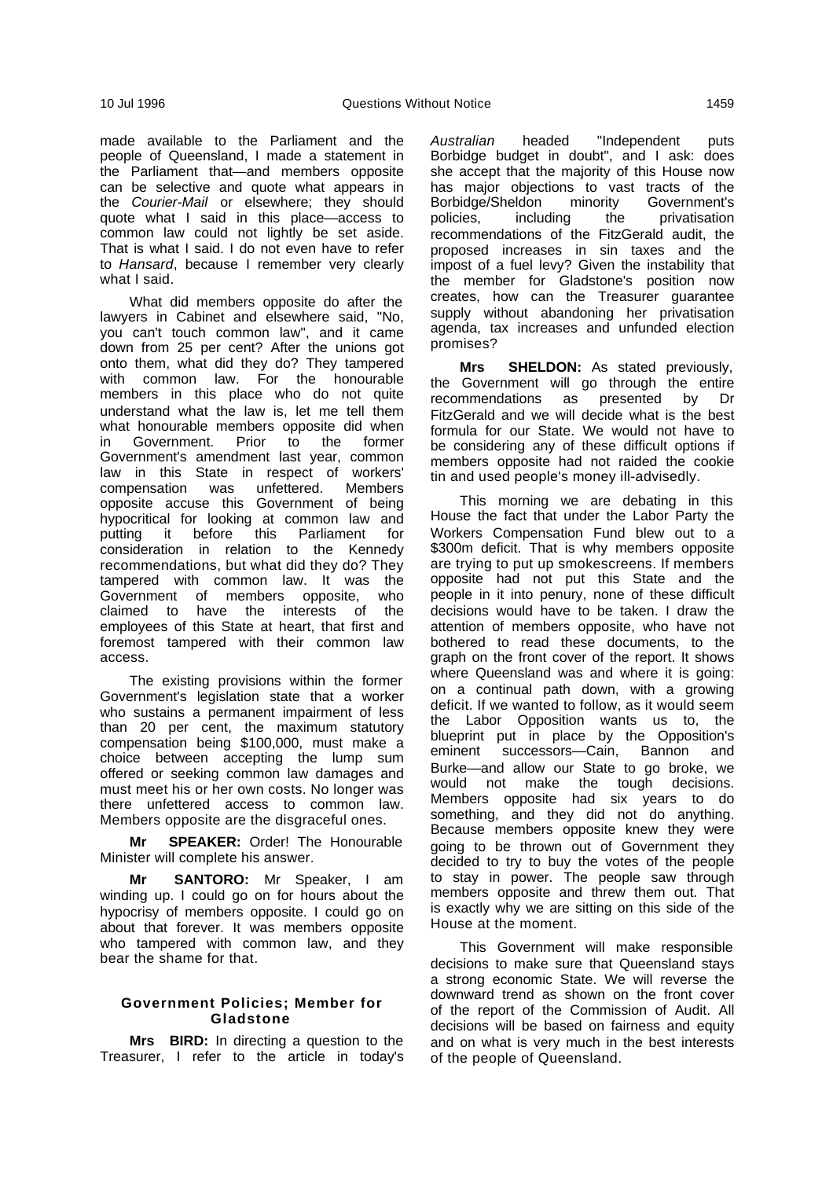made available to the Parliament and the people of Queensland, I made a statement in the Parliament that—and members opposite can be selective and quote what appears in the Courier-Mail or elsewhere; they should quote what I said in this place—access to common law could not lightly be set aside. That is what I said. I do not even have to refer to Hansard, because I remember very clearly what I said.

What did members opposite do after the lawyers in Cabinet and elsewhere said, "No, you can't touch common law", and it came down from 25 per cent? After the unions got onto them, what did they do? They tampered with common law. For the honourable members in this place who do not quite understand what the law is, let me tell them what honourable members opposite did when<br>in Government Prior to the former in Government. Prior to Government's amendment last year, common law in this State in respect of workers' compensation was unfettered. Members opposite accuse this Government of being hypocritical for looking at common law and putting it before this Parliament for consideration in relation to the Kennedy recommendations, but what did they do? They tampered with common law. It was the Government of members opposite, who claimed to have the interests of the employees of this State at heart, that first and foremost tampered with their common law access.

The existing provisions within the former Government's legislation state that a worker who sustains a permanent impairment of less than 20 per cent, the maximum statutory compensation being \$100,000, must make a choice between accepting the lump sum offered or seeking common law damages and must meet his or her own costs. No longer was there unfettered access to common law. Members opposite are the disgraceful ones.

**Mr SPEAKER:** Order! The Honourable Minister will complete his answer.

**Mr SANTORO:** Mr Speaker, I am winding up. I could go on for hours about the hypocrisy of members opposite. I could go on about that forever. It was members opposite who tampered with common law, and they bear the shame for that.

# **Government Policies; Member for Gladstone**

**Mrs BIRD:** In directing a question to the Treasurer, I refer to the article in today's

Australian headed "Independent puts Borbidge budget in doubt", and I ask: does she accept that the majority of this House now has major objections to vast tracts of the<br>Borbidge/Sheldon minority Government's Borbidge/Sheldon minority Government's policies, including the privatisation recommendations of the FitzGerald audit, the proposed increases in sin taxes and the impost of a fuel levy? Given the instability that the member for Gladstone's position now creates, how can the Treasurer guarantee supply without abandoning her privatisation agenda, tax increases and unfunded election promises?

**Mrs SHELDON:** As stated previously, the Government will go through the entire<br>recommendations as presented by Dr recommendations as presented by Dr FitzGerald and we will decide what is the best formula for our State. We would not have to be considering any of these difficult options if members opposite had not raided the cookie tin and used people's money ill-advisedly.

This morning we are debating in this House the fact that under the Labor Party the Workers Compensation Fund blew out to a \$300m deficit. That is why members opposite are trying to put up smokescreens. If members opposite had not put this State and the people in it into penury, none of these difficult decisions would have to be taken. I draw the attention of members opposite, who have not bothered to read these documents, to the graph on the front cover of the report. It shows where Queensland was and where it is going: on a continual path down, with a growing deficit. If we wanted to follow, as it would seem the Labor Opposition wants us to, the blueprint put in place by the Opposition's eminent successors—Cain, Bannon and Burke—and allow our State to go broke, we would not make the tough decisions. Members opposite had six years to do something, and they did not do anything. Because members opposite knew they were going to be thrown out of Government they decided to try to buy the votes of the people to stay in power. The people saw through members opposite and threw them out. That is exactly why we are sitting on this side of the House at the moment.

This Government will make responsible decisions to make sure that Queensland stays a strong economic State. We will reverse the downward trend as shown on the front cover of the report of the Commission of Audit. All decisions will be based on fairness and equity and on what is very much in the best interests of the people of Queensland.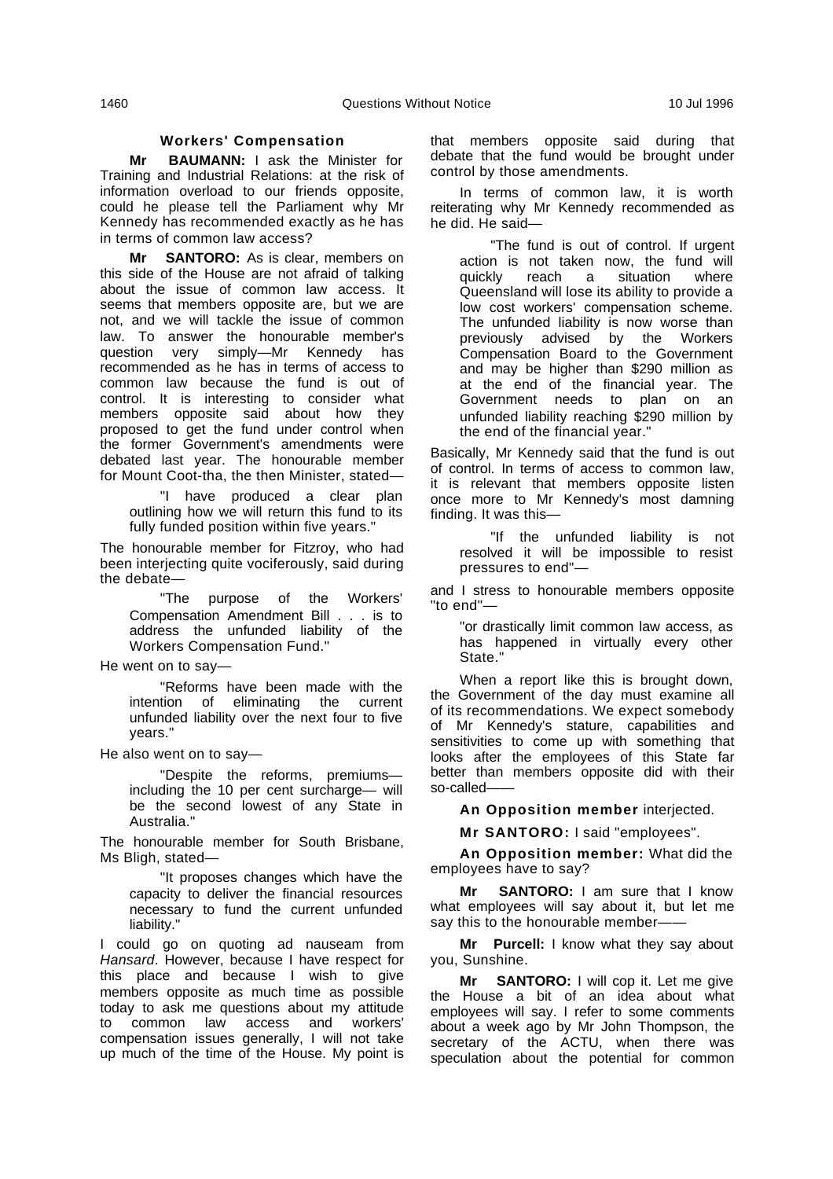#### **Workers' Compensation**

**Mr BAUMANN:** I ask the Minister for Training and Industrial Relations: at the risk of information overload to our friends opposite, could he please tell the Parliament why Mr Kennedy has recommended exactly as he has in terms of common law access?

**Mr SANTORO:** As is clear, members on this side of the House are not afraid of talking about the issue of common law access. It seems that members opposite are, but we are not, and we will tackle the issue of common law. To answer the honourable member's question very simply—Mr Kennedy has recommended as he has in terms of access to common law because the fund is out of control. It is interesting to consider what members opposite said about how they proposed to get the fund under control when the former Government's amendments were debated last year. The honourable member for Mount Coot-tha, the then Minister, stated—

have produced a clear plan outlining how we will return this fund to its fully funded position within five years."

The honourable member for Fitzroy, who had been interjecting quite vociferously, said during the debate—

"The purpose of the Workers' Compensation Amendment Bill . . . is to address the unfunded liability of the Workers Compensation Fund."

He went on to say—

"Reforms have been made with the intention of eliminating the current unfunded liability over the next four to five years."

He also went on to say—

"Despite the reforms, premiums including the 10 per cent surcharge— will be the second lowest of any State in Australia."

The honourable member for South Brisbane, Ms Bligh, stated—

"It proposes changes which have the capacity to deliver the financial resources necessary to fund the current unfunded liability."

I could go on quoting ad nauseam from Hansard. However, because I have respect for this place and because I wish to give members opposite as much time as possible today to ask me questions about my attitude to common law access and workers' compensation issues generally, I will not take up much of the time of the House. My point is that members opposite said during that debate that the fund would be brought under control by those amendments.

In terms of common law, it is worth reiterating why Mr Kennedy recommended as he did. He said—

"The fund is out of control. If urgent action is not taken now, the fund will<br>quickly reach a situation where quickly reach a situation where Queensland will lose its ability to provide a low cost workers' compensation scheme. The unfunded liability is now worse than previously advised by the Workers Compensation Board to the Government and may be higher than \$290 million as at the end of the financial year. The Government needs to plan on an unfunded liability reaching \$290 million by the end of the financial year."

Basically, Mr Kennedy said that the fund is out of control. In terms of access to common law, it is relevant that members opposite listen once more to Mr Kennedy's most damning finding. It was this—

"If the unfunded liability is not resolved it will be impossible to resist pressures to end"—

and I stress to honourable members opposite "to end"—

"or drastically limit common law access, as has happened in virtually every other State."

When a report like this is brought down, the Government of the day must examine all of its recommendations. We expect somebody of Mr Kennedy's stature, capabilities and sensitivities to come up with something that looks after the employees of this State far better than members opposite did with their so-called-

**An Opposition member** interjected.

**Mr SANTORO:** I said "employees".

**An Opposition member:** What did the employees have to say?

**Mr SANTORO:** I am sure that I know what employees will say about it, but let me say this to the honourable member-

**Mr Purcell:** I know what they say about you, Sunshine.

**Mr SANTORO:** I will cop it. Let me give the House a bit of an idea about what employees will say. I refer to some comments about a week ago by Mr John Thompson, the secretary of the ACTU, when there was speculation about the potential for common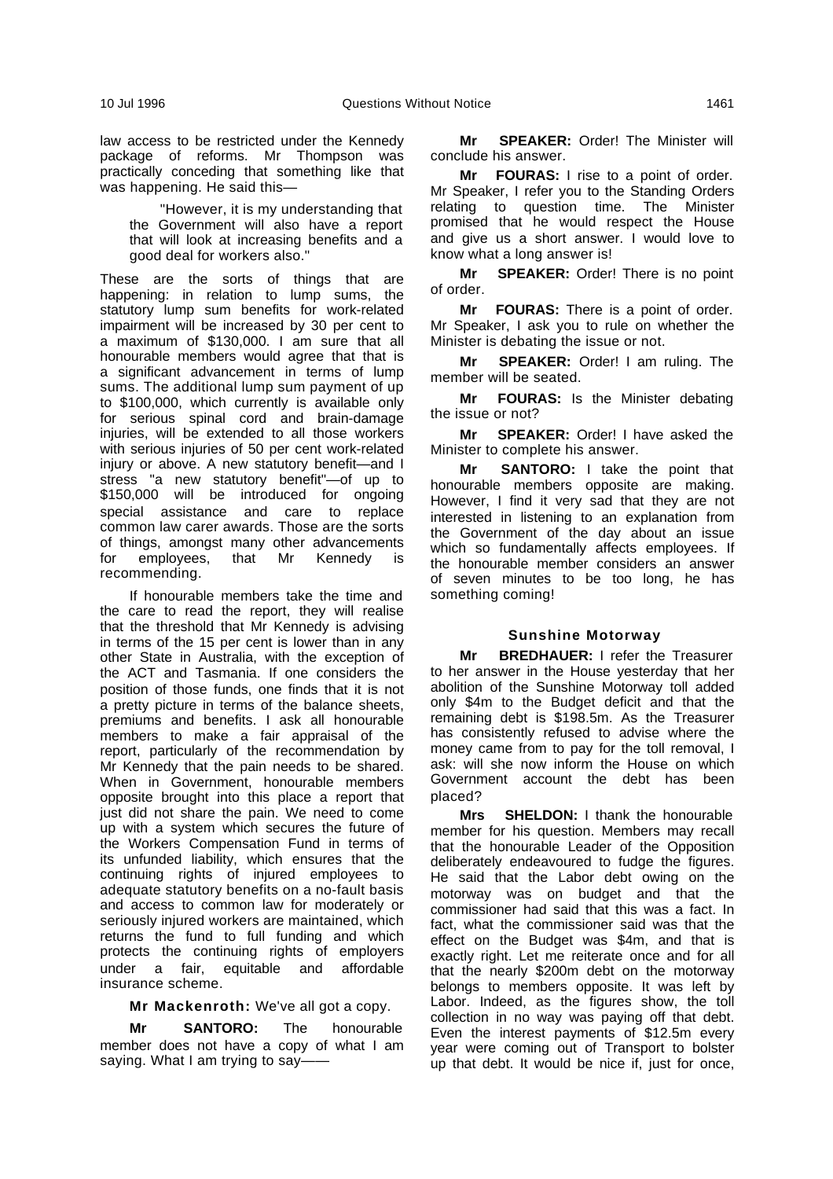law access to be restricted under the Kennedy package of reforms. Mr Thompson was practically conceding that something like that was happening. He said this—

"However, it is my understanding that the Government will also have a report that will look at increasing benefits and a good deal for workers also."

These are the sorts of things that are happening: in relation to lump sums, the statutory lump sum benefits for work-related impairment will be increased by 30 per cent to a maximum of \$130,000. I am sure that all honourable members would agree that that is a significant advancement in terms of lump sums. The additional lump sum payment of up to \$100,000, which currently is available only for serious spinal cord and brain-damage injuries, will be extended to all those workers with serious injuries of 50 per cent work-related injury or above. A new statutory benefit—and I stress "a new statutory benefit"—of up to \$150,000 will be introduced for ongoing special assistance and care to replace common law carer awards. Those are the sorts of things, amongst many other advancements<br>for employees, that Mr Kennedy is for employees, that Mr Kennedy is recommending.

If honourable members take the time and the care to read the report, they will realise that the threshold that Mr Kennedy is advising in terms of the 15 per cent is lower than in any other State in Australia, with the exception of the ACT and Tasmania. If one considers the position of those funds, one finds that it is not a pretty picture in terms of the balance sheets, premiums and benefits. I ask all honourable members to make a fair appraisal of the report, particularly of the recommendation by Mr Kennedy that the pain needs to be shared. When in Government, honourable members opposite brought into this place a report that just did not share the pain. We need to come up with a system which secures the future of the Workers Compensation Fund in terms of its unfunded liability, which ensures that the continuing rights of injured employees to adequate statutory benefits on a no-fault basis and access to common law for moderately or seriously injured workers are maintained, which returns the fund to full funding and which protects the continuing rights of employers under a fair, equitable and affordable insurance scheme.

**Mr Mackenroth:** We've all got a copy.

**Mr SANTORO:** The honourable member does not have a copy of what I am saying. What I am trying to say——

**Mr SPEAKER:** Order! The Minister will conclude his answer.

**Mr FOURAS:** I rise to a point of order. Mr Speaker, I refer you to the Standing Orders relating to question time. The Minister promised that he would respect the House and give us a short answer. I would love to know what a long answer is!

**Mr SPEAKER:** Order! There is no point of order.

**Mr FOURAS:** There is a point of order. Mr Speaker, I ask you to rule on whether the Minister is debating the issue or not.

**Mr SPEAKER:** Order! I am ruling. The member will be seated.

**Mr FOURAS:** Is the Minister debating the issue or not?

**Mr SPEAKER:** Order! I have asked the Minister to complete his answer.

**Mr SANTORO:** I take the point that honourable members opposite are making. However, I find it very sad that they are not interested in listening to an explanation from the Government of the day about an issue which so fundamentally affects employees. If the honourable member considers an answer of seven minutes to be too long, he has something coming!

# **Sunshine Motorway**

**Mr BREDHAUER:** I refer the Treasurer to her answer in the House yesterday that her abolition of the Sunshine Motorway toll added only \$4m to the Budget deficit and that the remaining debt is \$198.5m. As the Treasurer has consistently refused to advise where the money came from to pay for the toll removal, I ask: will she now inform the House on which Government account the debt has been placed?

**Mrs SHELDON:** I thank the honourable member for his question. Members may recall that the honourable Leader of the Opposition deliberately endeavoured to fudge the figures. He said that the Labor debt owing on the motorway was on budget and that the commissioner had said that this was a fact. In fact, what the commissioner said was that the effect on the Budget was \$4m, and that is exactly right. Let me reiterate once and for all that the nearly \$200m debt on the motorway belongs to members opposite. It was left by Labor. Indeed, as the figures show, the toll collection in no way was paying off that debt. Even the interest payments of \$12.5m every year were coming out of Transport to bolster up that debt. It would be nice if, just for once,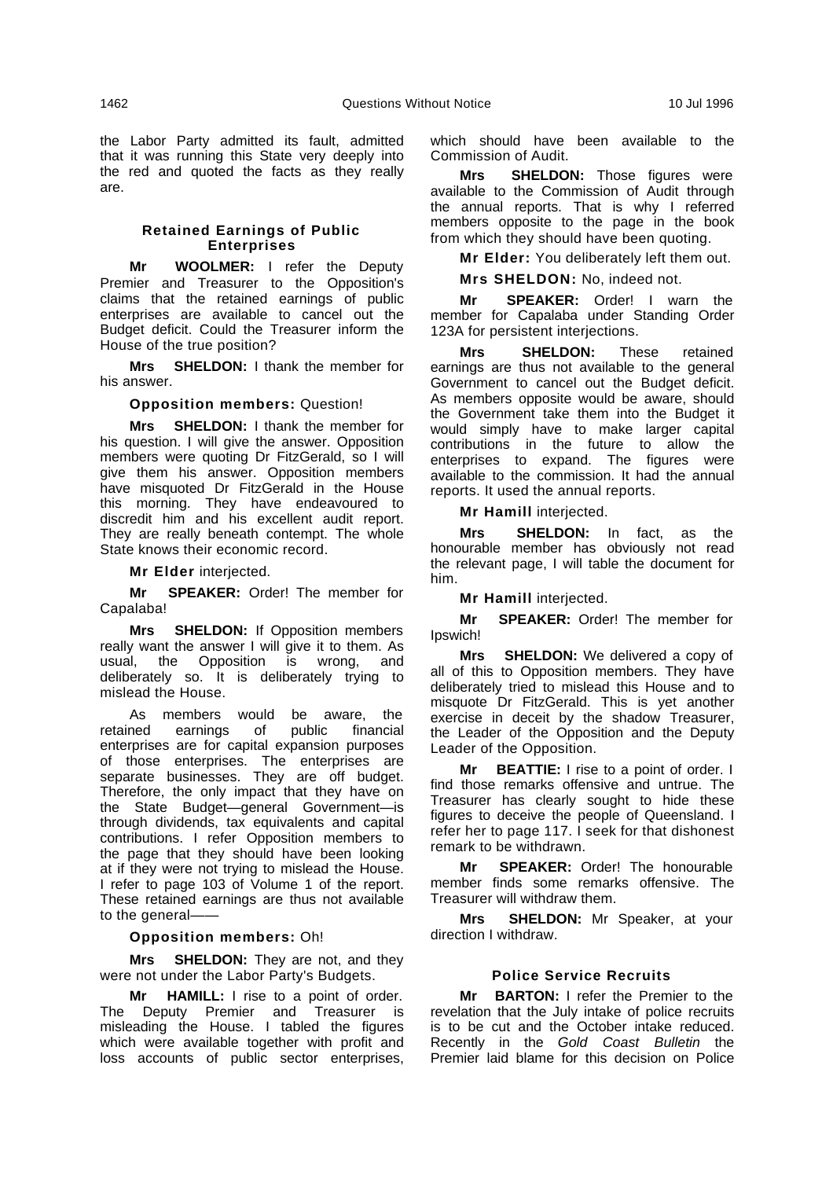the Labor Party admitted its fault, admitted that it was running this State very deeply into the red and quoted the facts as they really are.

# **Retained Earnings of Public Enterprises**

**Mr WOOLMER:** I refer the Deputy Premier and Treasurer to the Opposition's claims that the retained earnings of public enterprises are available to cancel out the Budget deficit. Could the Treasurer inform the House of the true position?

**Mrs SHELDON:** I thank the member for his answer.

**Opposition members:** Question!

**Mrs SHELDON:** I thank the member for his question. I will give the answer. Opposition members were quoting Dr FitzGerald, so I will give them his answer. Opposition members have misquoted Dr FitzGerald in the House this morning. They have endeavoured to discredit him and his excellent audit report. They are really beneath contempt. The whole State knows their economic record.

**Mr Elder** interjected.

**Mr SPEAKER:** Order! The member for Capalaba!

**Mrs SHELDON:** If Opposition members really want the answer I will give it to them. As usual, the Opposition is wrong, and deliberately so. It is deliberately trying to mislead the House.

As members would be aware, the retained earnings of public financial enterprises are for capital expansion purposes of those enterprises. The enterprises are separate businesses. They are off budget. Therefore, the only impact that they have on the State Budget—general Government—is through dividends, tax equivalents and capital contributions. I refer Opposition members to the page that they should have been looking at if they were not trying to mislead the House. I refer to page 103 of Volume 1 of the report. These retained earnings are thus not available to the general-

#### **Opposition members:** Oh!

**Mrs SHELDON:** They are not, and they were not under the Labor Party's Budgets.

**Mr HAMILL:** I rise to a point of order. The Deputy Premier and Treasurer is misleading the House. I tabled the figures which were available together with profit and loss accounts of public sector enterprises, which should have been available to the Commission of Audit.

**Mrs SHELDON:** Those figures were available to the Commission of Audit through the annual reports. That is why I referred members opposite to the page in the book from which they should have been quoting.

**Mr Elder:** You deliberately left them out.

**Mrs SHELDON:** No, indeed not.

**Mr SPEAKER:** Order! I warn the member for Capalaba under Standing Order 123A for persistent interjections.

**Mrs SHELDON:** These retained earnings are thus not available to the general Government to cancel out the Budget deficit. As members opposite would be aware, should the Government take them into the Budget it would simply have to make larger capital contributions in the future to allow the enterprises to expand. The figures were available to the commission. It had the annual reports. It used the annual reports.

**Mr Hamill** interjected.

**Mrs SHELDON:** In fact, as the honourable member has obviously not read the relevant page, I will table the document for him.

**Mr Hamill** interjected.

**Mr SPEAKER:** Order! The member for Ipswich!

**Mrs SHELDON:** We delivered a copy of all of this to Opposition members. They have deliberately tried to mislead this House and to misquote Dr FitzGerald. This is yet another exercise in deceit by the shadow Treasurer, the Leader of the Opposition and the Deputy Leader of the Opposition.

**Mr BEATTIE:** I rise to a point of order. I find those remarks offensive and untrue. The Treasurer has clearly sought to hide these figures to deceive the people of Queensland. I refer her to page 117. I seek for that dishonest remark to be withdrawn.

**Mr SPEAKER:** Order! The honourable member finds some remarks offensive. The Treasurer will withdraw them.

**Mrs SHELDON:** Mr Speaker, at your direction I withdraw.

#### **Police Service Recruits**

**Mr BARTON:** I refer the Premier to the revelation that the July intake of police recruits is to be cut and the October intake reduced. Recently in the Gold Coast Bulletin the Premier laid blame for this decision on Police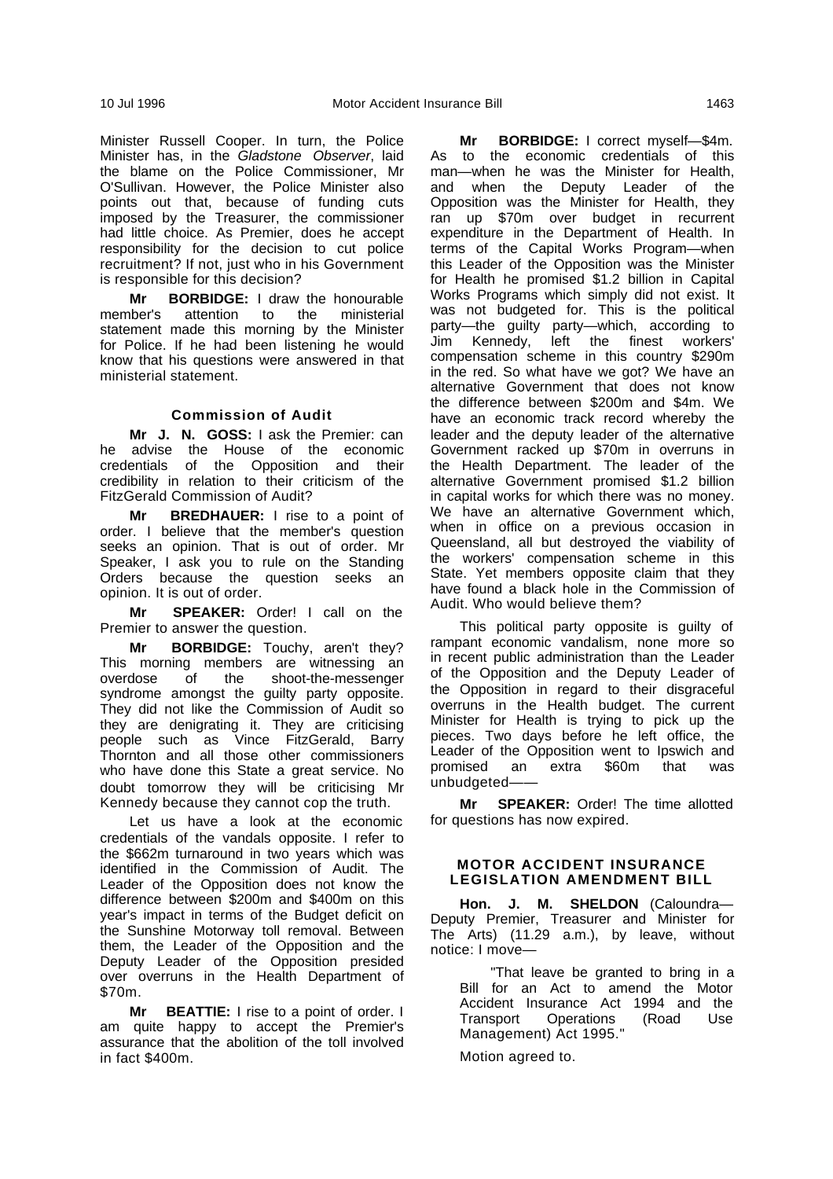Minister Russell Cooper. In turn, the Police Minister has, in the Gladstone Observer, laid the blame on the Police Commissioner, Mr O'Sullivan. However, the Police Minister also points out that, because of funding cuts imposed by the Treasurer, the commissioner had little choice. As Premier, does he accept responsibility for the decision to cut police recruitment? If not, just who in his Government is responsible for this decision?

**Mr BORBIDGE:** I draw the honourable member's attention to the ministerial statement made this morning by the Minister for Police. If he had been listening he would know that his questions were answered in that ministerial statement.

# **Commission of Audit**

**Mr J. N. GOSS:** I ask the Premier: can he advise the House of the economic credentials of the Opposition and their credibility in relation to their criticism of the FitzGerald Commission of Audit?

**Mr BREDHAUER:** I rise to a point of order. I believe that the member's question seeks an opinion. That is out of order. Mr Speaker, I ask you to rule on the Standing Orders because the question seeks an opinion. It is out of order.

**Mr SPEAKER:** Order! I call on the Premier to answer the question.

**Mr BORBIDGE:** Touchy, aren't they? This morning members are witnessing an overdose of the shoot-the-messenger syndrome amongst the guilty party opposite. They did not like the Commission of Audit so they are denigrating it. They are criticising people such as Vince FitzGerald, Barry Thornton and all those other commissioners who have done this State a great service. No doubt tomorrow they will be criticising Mr Kennedy because they cannot cop the truth.

Let us have a look at the economic credentials of the vandals opposite. I refer to the \$662m turnaround in two years which was identified in the Commission of Audit. The Leader of the Opposition does not know the difference between \$200m and \$400m on this year's impact in terms of the Budget deficit on the Sunshine Motorway toll removal. Between them, the Leader of the Opposition and the Deputy Leader of the Opposition presided over overruns in the Health Department of \$70m.

**Mr BEATTIE:** I rise to a point of order. I am quite happy to accept the Premier's assurance that the abolition of the toll involved in fact \$400m.

**Mr BORBIDGE:** I correct myself—\$4m. As to the economic credentials of this man—when he was the Minister for Health, and when the Deputy Leader of the Opposition was the Minister for Health, they ran up \$70m over budget in recurrent expenditure in the Department of Health. In terms of the Capital Works Program—when this Leader of the Opposition was the Minister for Health he promised \$1.2 billion in Capital Works Programs which simply did not exist. It was not budgeted for. This is the political party—the guilty party—which, according to Jim Kennedy, left the finest workers' compensation scheme in this country \$290m in the red. So what have we got? We have an alternative Government that does not know the difference between \$200m and \$4m. We have an economic track record whereby the leader and the deputy leader of the alternative Government racked up \$70m in overruns in the Health Department. The leader of the alternative Government promised \$1.2 billion in capital works for which there was no money. We have an alternative Government which, when in office on a previous occasion in Queensland, all but destroyed the viability of the workers' compensation scheme in this State. Yet members opposite claim that they have found a black hole in the Commission of Audit. Who would believe them?

This political party opposite is guilty of rampant economic vandalism, none more so in recent public administration than the Leader of the Opposition and the Deputy Leader of the Opposition in regard to their disgraceful overruns in the Health budget. The current Minister for Health is trying to pick up the pieces. Two days before he left office, the Leader of the Opposition went to Ipswich and promised an extra \$60m that was unbudgeted——

**Mr SPEAKER:** Order! The time allotted for questions has now expired.

# **MOTOR ACCIDENT INSURANCE LEGISLATION AMENDMENT BILL**

**Hon. J. M. SHELDON** (Caloundra— Deputy Premier, Treasurer and Minister for The Arts) (11.29 a.m.), by leave, without notice: I move—

"That leave be granted to bring in a Bill for an Act to amend the Motor Accident Insurance Act 1994 and the Transport Operations (Road Use Management) Act 1995."

Motion agreed to.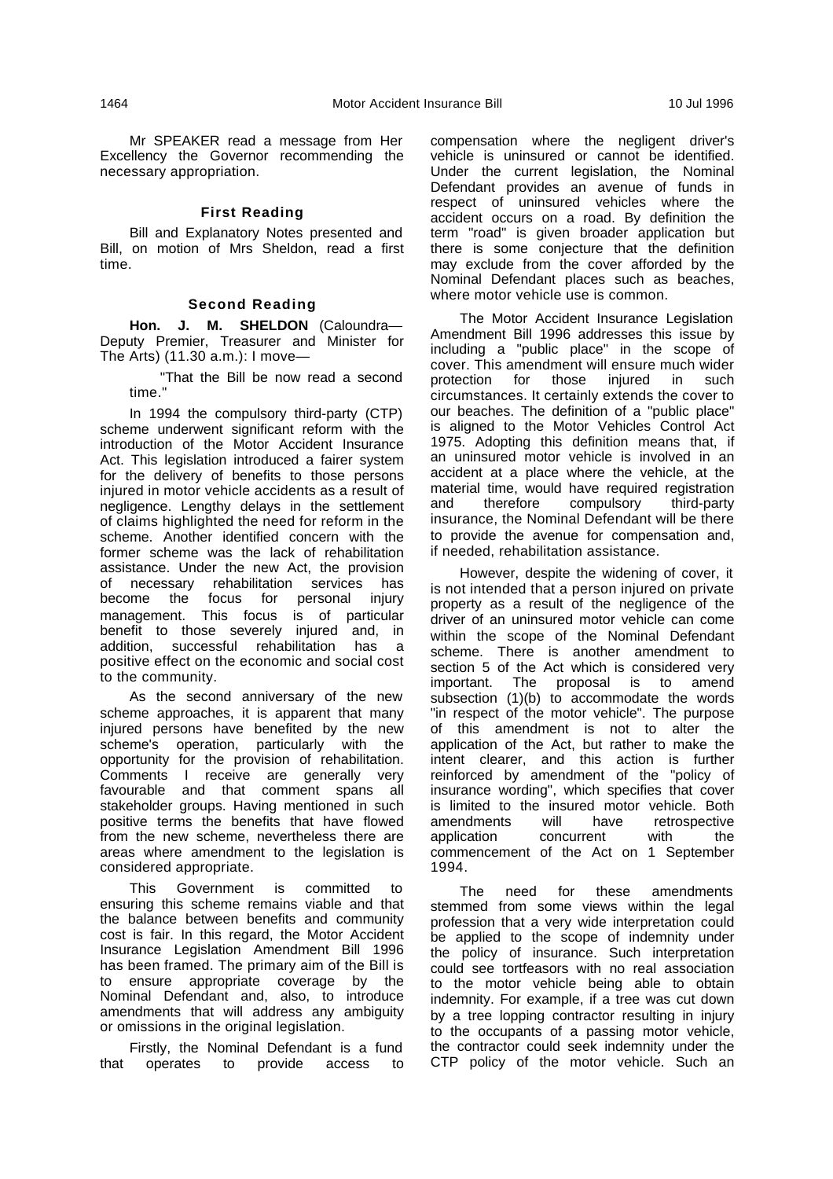Mr SPEAKER read a message from Her Excellency the Governor recommending the necessary appropriation.

# **First Reading**

Bill and Explanatory Notes presented and Bill, on motion of Mrs Sheldon, read a first time.

#### **Second Reading**

**Hon. J. M. SHELDON** (Caloundra— Deputy Premier, Treasurer and Minister for The Arts) (11.30 a.m.): I move—

"That the Bill be now read a second time."

In 1994 the compulsory third-party (CTP) scheme underwent significant reform with the introduction of the Motor Accident Insurance Act. This legislation introduced a fairer system for the delivery of benefits to those persons injured in motor vehicle accidents as a result of negligence. Lengthy delays in the settlement of claims highlighted the need for reform in the scheme. Another identified concern with the former scheme was the lack of rehabilitation assistance. Under the new Act, the provision of necessary rehabilitation services has<br>become the focus for personal injury become the focus for management. This focus is of particular benefit to those severely injured and, in addition, successful rehabilitation has a positive effect on the economic and social cost to the community.

As the second anniversary of the new scheme approaches, it is apparent that many injured persons have benefited by the new scheme's operation, particularly with the opportunity for the provision of rehabilitation. Comments I receive are generally very favourable and that comment spans all stakeholder groups. Having mentioned in such positive terms the benefits that have flowed from the new scheme, nevertheless there are areas where amendment to the legislation is considered appropriate.

This Government is committed to ensuring this scheme remains viable and that the balance between benefits and community cost is fair. In this regard, the Motor Accident Insurance Legislation Amendment Bill 1996 has been framed. The primary aim of the Bill is to ensure appropriate coverage by the Nominal Defendant and, also, to introduce amendments that will address any ambiguity or omissions in the original legislation.

Firstly, the Nominal Defendant is a fund that operates to provide access to compensation where the negligent driver's vehicle is uninsured or cannot be identified. Under the current legislation, the Nominal Defendant provides an avenue of funds in respect of uninsured vehicles where the accident occurs on a road. By definition the term "road" is given broader application but there is some conjecture that the definition may exclude from the cover afforded by the Nominal Defendant places such as beaches, where motor vehicle use is common.

The Motor Accident Insurance Legislation Amendment Bill 1996 addresses this issue by including a "public place" in the scope of cover. This amendment will ensure much wider protection for those injured in such circumstances. It certainly extends the cover to our beaches. The definition of a "public place" is aligned to the Motor Vehicles Control Act 1975. Adopting this definition means that, if an uninsured motor vehicle is involved in an accident at a place where the vehicle, at the material time, would have required registration and therefore compulsory third-party insurance, the Nominal Defendant will be there to provide the avenue for compensation and, if needed, rehabilitation assistance.

However, despite the widening of cover, it is not intended that a person injured on private property as a result of the negligence of the driver of an uninsured motor vehicle can come within the scope of the Nominal Defendant scheme. There is another amendment to section 5 of the Act which is considered very important. The proposal is to amend subsection (1)(b) to accommodate the words "in respect of the motor vehicle". The purpose of this amendment is not to alter the application of the Act, but rather to make the intent clearer, and this action is further reinforced by amendment of the "policy of insurance wording", which specifies that cover is limited to the insured motor vehicle. Both amendments will have retrospective application concurrent with the commencement of the Act on 1 September 1994.

The need for these amendments stemmed from some views within the legal profession that a very wide interpretation could be applied to the scope of indemnity under the policy of insurance. Such interpretation could see tortfeasors with no real association to the motor vehicle being able to obtain indemnity. For example, if a tree was cut down by a tree lopping contractor resulting in injury to the occupants of a passing motor vehicle, the contractor could seek indemnity under the CTP policy of the motor vehicle. Such an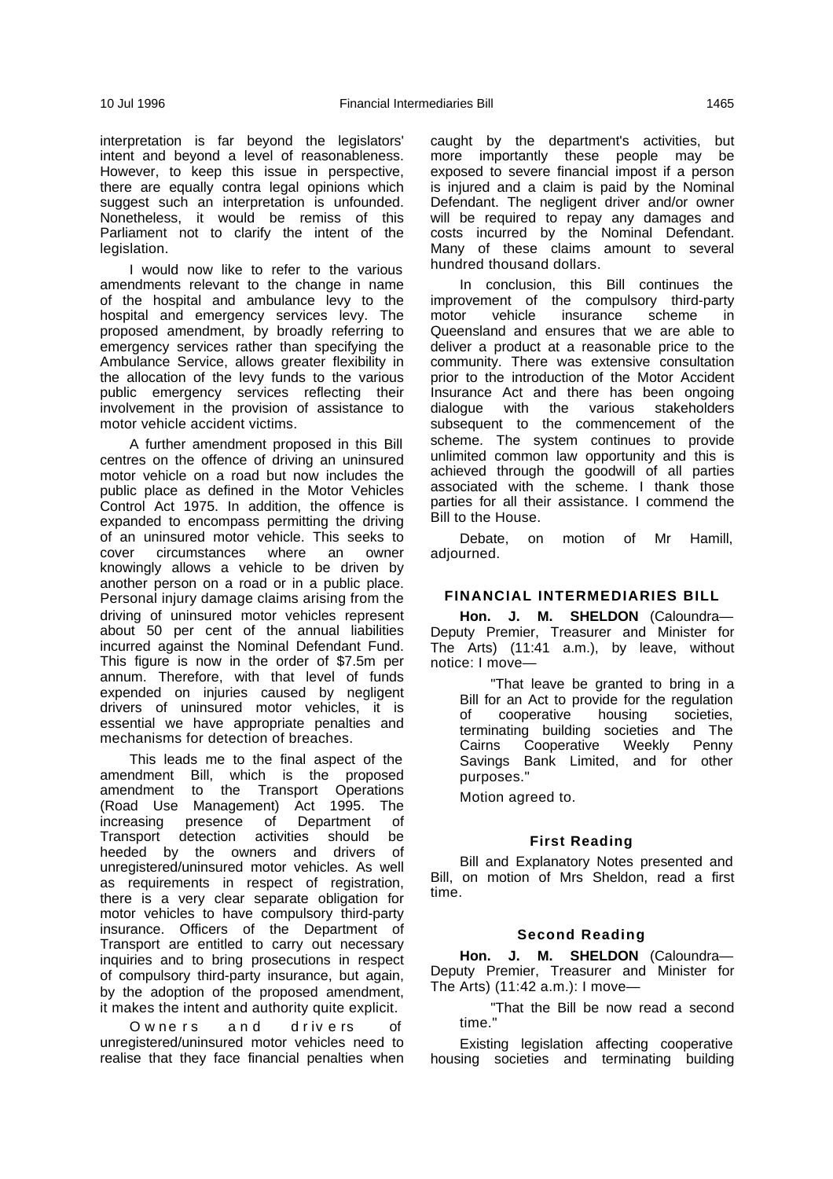interpretation is far beyond the legislators' intent and beyond a level of reasonableness. However, to keep this issue in perspective, there are equally contra legal opinions which suggest such an interpretation is unfounded. Nonetheless, it would be remiss of this Parliament not to clarify the intent of the legislation.

I would now like to refer to the various amendments relevant to the change in name of the hospital and ambulance levy to the hospital and emergency services levy. The proposed amendment, by broadly referring to emergency services rather than specifying the Ambulance Service, allows greater flexibility in the allocation of the levy funds to the various public emergency services reflecting their involvement in the provision of assistance to motor vehicle accident victims.

A further amendment proposed in this Bill centres on the offence of driving an uninsured motor vehicle on a road but now includes the public place as defined in the Motor Vehicles Control Act 1975. In addition, the offence is expanded to encompass permitting the driving of an uninsured motor vehicle. This seeks to<br>cover circumstances where an owner cover circumstances where an owner knowingly allows a vehicle to be driven by another person on a road or in a public place. Personal injury damage claims arising from the driving of uninsured motor vehicles represent about 50 per cent of the annual liabilities incurred against the Nominal Defendant Fund. This figure is now in the order of \$7.5m per annum. Therefore, with that level of funds expended on injuries caused by negligent drivers of uninsured motor vehicles, it is essential we have appropriate penalties and mechanisms for detection of breaches.

This leads me to the final aspect of the amendment Bill, which is the proposed amendment to the Transport Operations (Road Use Management) Act 1995. The increasing presence of Department of Transport detection activities should be heeded by the owners and drivers of unregistered/uninsured motor vehicles. As well as requirements in respect of registration, there is a very clear separate obligation for motor vehicles to have compulsory third-party insurance. Officers of the Department of Transport are entitled to carry out necessary inquiries and to bring prosecutions in respect of compulsory third-party insurance, but again, by the adoption of the proposed amendment, it makes the intent and authority quite explicit.

O w ne rs and drivers of unregistered/uninsured motor vehicles need to realise that they face financial penalties when caught by the department's activities, but more importantly these people may be exposed to severe financial impost if a person is injured and a claim is paid by the Nominal Defendant. The negligent driver and/or owner will be required to repay any damages and costs incurred by the Nominal Defendant. Many of these claims amount to several hundred thousand dollars.

In conclusion, this Bill continues the improvement of the compulsory third-party<br>motor vehicle insurance scheme in insurance scheme in Queensland and ensures that we are able to deliver a product at a reasonable price to the community. There was extensive consultation prior to the introduction of the Motor Accident Insurance Act and there has been ongoing dialogue with the various stakeholders subsequent to the commencement of the scheme. The system continues to provide unlimited common law opportunity and this is achieved through the goodwill of all parties associated with the scheme. I thank those parties for all their assistance. I commend the Bill to the House.

Debate, on motion of Mr Hamill, adjourned.

# **FINANCIAL INTERMEDIARIES BILL**

**Hon. J. M. SHELDON** (Caloundra— Deputy Premier, Treasurer and Minister for The Arts) (11:41 a.m.), by leave, without notice: I move—

"That leave be granted to bring in a Bill for an Act to provide for the regulation of cooperative housing societies, terminating building societies and The Cairns Cooperative Weekly Penny Savings Bank Limited, and for other purposes."

Motion agreed to.

#### **First Reading**

Bill and Explanatory Notes presented and Bill, on motion of Mrs Sheldon, read a first time.

#### **Second Reading**

**Hon. J. M. SHELDON** (Caloundra— Deputy Premier, Treasurer and Minister for The Arts) (11:42 a.m.): I move—

"That the Bill be now read a second time."

Existing legislation affecting cooperative housing societies and terminating building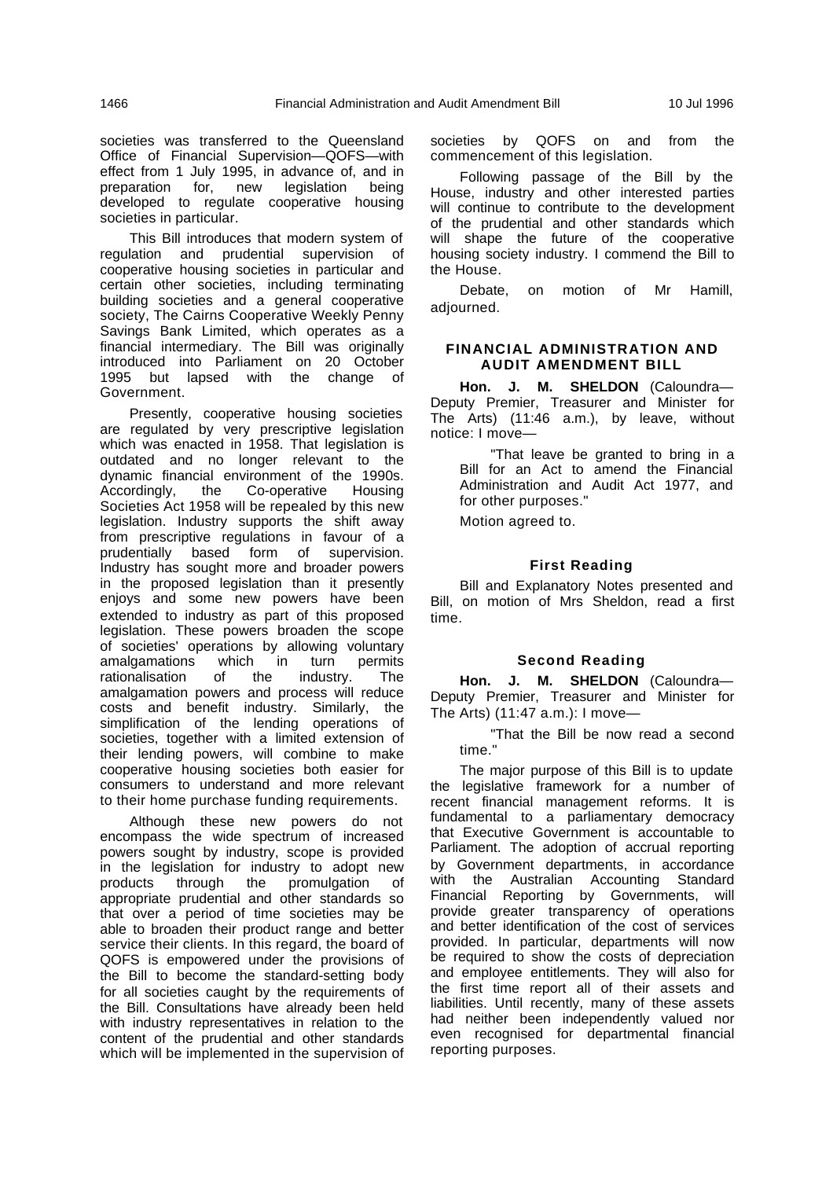societies was transferred to the Queensland Office of Financial Supervision—QOFS—with effect from 1 July 1995, in advance of, and in preparation for, new legislation being developed to regulate cooperative housing societies in particular.

This Bill introduces that modern system of regulation and prudential supervision of cooperative housing societies in particular and certain other societies, including terminating building societies and a general cooperative society, The Cairns Cooperative Weekly Penny Savings Bank Limited, which operates as a financial intermediary. The Bill was originally introduced into Parliament on 20 October 1995 but lapsed with the change of Government.

Presently, cooperative housing societies are regulated by very prescriptive legislation which was enacted in 1958. That legislation is outdated and no longer relevant to the dynamic financial environment of the 1990s. Accordingly, the Co-operative Housing Societies Act 1958 will be repealed by this new legislation. Industry supports the shift away from prescriptive regulations in favour of a prudentially based form of supervision. Industry has sought more and broader powers in the proposed legislation than it presently enjoys and some new powers have been extended to industry as part of this proposed legislation. These powers broaden the scope of societies' operations by allowing voluntary<br>amalgamations which in turn permits amalgamations which in turn permits rationalisation of the industry. The amalgamation powers and process will reduce costs and benefit industry. Similarly, the simplification of the lending operations of societies, together with a limited extension of their lending powers, will combine to make cooperative housing societies both easier for consumers to understand and more relevant to their home purchase funding requirements.

Although these new powers do not encompass the wide spectrum of increased powers sought by industry, scope is provided in the legislation for industry to adopt new products through the promulgation of appropriate prudential and other standards so that over a period of time societies may be able to broaden their product range and better service their clients. In this regard, the board of QOFS is empowered under the provisions of the Bill to become the standard-setting body for all societies caught by the requirements of the Bill. Consultations have already been held with industry representatives in relation to the content of the prudential and other standards which will be implemented in the supervision of

societies by QOFS on and from the commencement of this legislation.

Following passage of the Bill by the House, industry and other interested parties will continue to contribute to the development of the prudential and other standards which will shape the future of the cooperative housing society industry. I commend the Bill to the House.

Debate, on motion of Mr Hamill, adjourned.

#### **FINANCIAL ADMINISTRATION AND AUDIT AMENDMENT BILL**

**Hon. J. M. SHELDON** (Caloundra— Deputy Premier, Treasurer and Minister for The Arts) (11:46 a.m.), by leave, without notice: I move—

"That leave be granted to bring in a Bill for an Act to amend the Financial Administration and Audit Act 1977, and for other purposes."

Motion agreed to.

#### **First Reading**

Bill and Explanatory Notes presented and Bill, on motion of Mrs Sheldon, read a first time.

#### **Second Reading**

**Hon. J. M. SHELDON** (Caloundra— Deputy Premier, Treasurer and Minister for The Arts) (11:47 a.m.): I move—

"That the Bill be now read a second time."

The major purpose of this Bill is to update the legislative framework for a number of recent financial management reforms. It is fundamental to a parliamentary democracy that Executive Government is accountable to Parliament. The adoption of accrual reporting by Government departments, in accordance with the Australian Accounting Standard Financial Reporting by Governments, will provide greater transparency of operations and better identification of the cost of services provided. In particular, departments will now be required to show the costs of depreciation and employee entitlements. They will also for the first time report all of their assets and liabilities. Until recently, many of these assets had neither been independently valued nor even recognised for departmental financial reporting purposes.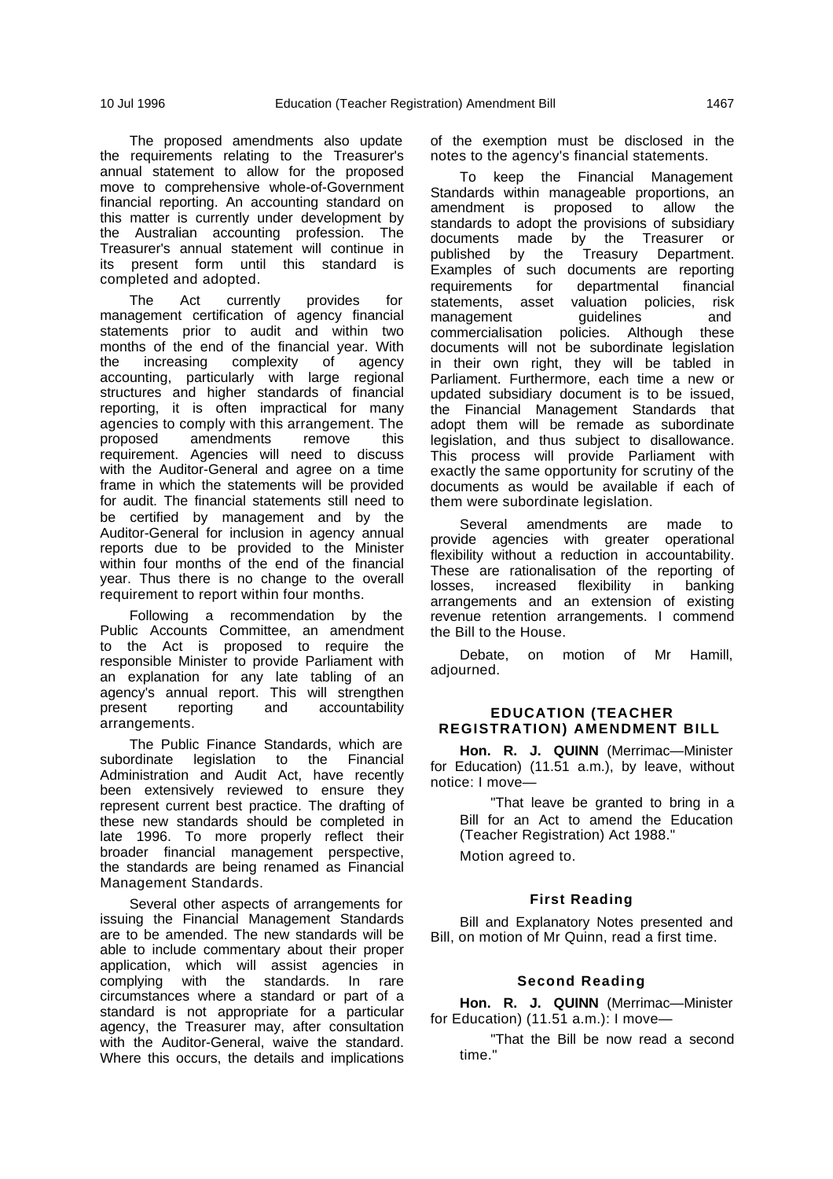The proposed amendments also update the requirements relating to the Treasurer's annual statement to allow for the proposed move to comprehensive whole-of-Government financial reporting. An accounting standard on this matter is currently under development by the Australian accounting profession. The Treasurer's annual statement will continue in its present form until this standard is completed and adopted.

The Act currently provides for management certification of agency financial statements prior to audit and within two months of the end of the financial year. With<br>the increasing complexity of agency the increasing complexity of agency accounting, particularly with large regional structures and higher standards of financial reporting, it is often impractical for many agencies to comply with this arrangement. The proposed amendments remove this requirement. Agencies will need to discuss with the Auditor-General and agree on a time frame in which the statements will be provided for audit. The financial statements still need to be certified by management and by the Auditor-General for inclusion in agency annual reports due to be provided to the Minister within four months of the end of the financial year. Thus there is no change to the overall requirement to report within four months.

Following a recommendation by the Public Accounts Committee, an amendment to the Act is proposed to require the responsible Minister to provide Parliament with an explanation for any late tabling of an agency's annual report. This will strengthen present reporting and accountability arrangements.

The Public Finance Standards, which are subordinate legislation to the Financial Administration and Audit Act, have recently been extensively reviewed to ensure they represent current best practice. The drafting of these new standards should be completed in late 1996. To more properly reflect their broader financial management perspective, the standards are being renamed as Financial Management Standards.

Several other aspects of arrangements for issuing the Financial Management Standards are to be amended. The new standards will be able to include commentary about their proper application, which will assist agencies in complying with the standards. In rare circumstances where a standard or part of a standard is not appropriate for a particular agency, the Treasurer may, after consultation with the Auditor-General, waive the standard. Where this occurs, the details and implications of the exemption must be disclosed in the notes to the agency's financial statements.

To keep the Financial Management Standards within manageable proportions, an amendment is proposed to allow the standards to adopt the provisions of subsidiary documents made by the Treasurer or published by the Treasury Department. Examples of such documents are reporting requirements for departmental financial statements, asset valuation policies, risk management quidelines and commercialisation policies. Although these documents will not be subordinate legislation in their own right, they will be tabled in Parliament. Furthermore, each time a new or updated subsidiary document is to be issued, the Financial Management Standards that adopt them will be remade as subordinate legislation, and thus subject to disallowance. This process will provide Parliament with exactly the same opportunity for scrutiny of the documents as would be available if each of them were subordinate legislation.

Several amendments are made to provide agencies with greater operational flexibility without a reduction in accountability. These are rationalisation of the reporting of losses, increased flexibility in banking arrangements and an extension of existing revenue retention arrangements. I commend the Bill to the House.

Debate, on motion of Mr Hamill, adjourned.

#### **EDUCATION (TEACHER REGISTRATION) AMENDMENT BILL**

**Hon. R. J. QUINN** (Merrimac—Minister for Education) (11.51 a.m.), by leave, without notice: I move—

"That leave be granted to bring in a Bill for an Act to amend the Education (Teacher Registration) Act 1988."

Motion agreed to.

# **First Reading**

Bill and Explanatory Notes presented and Bill, on motion of Mr Quinn, read a first time.

#### **Second Reading**

**Hon. R. J. QUINN** (Merrimac—Minister for Education) (11.51 a.m.): I move—

"That the Bill be now read a second time."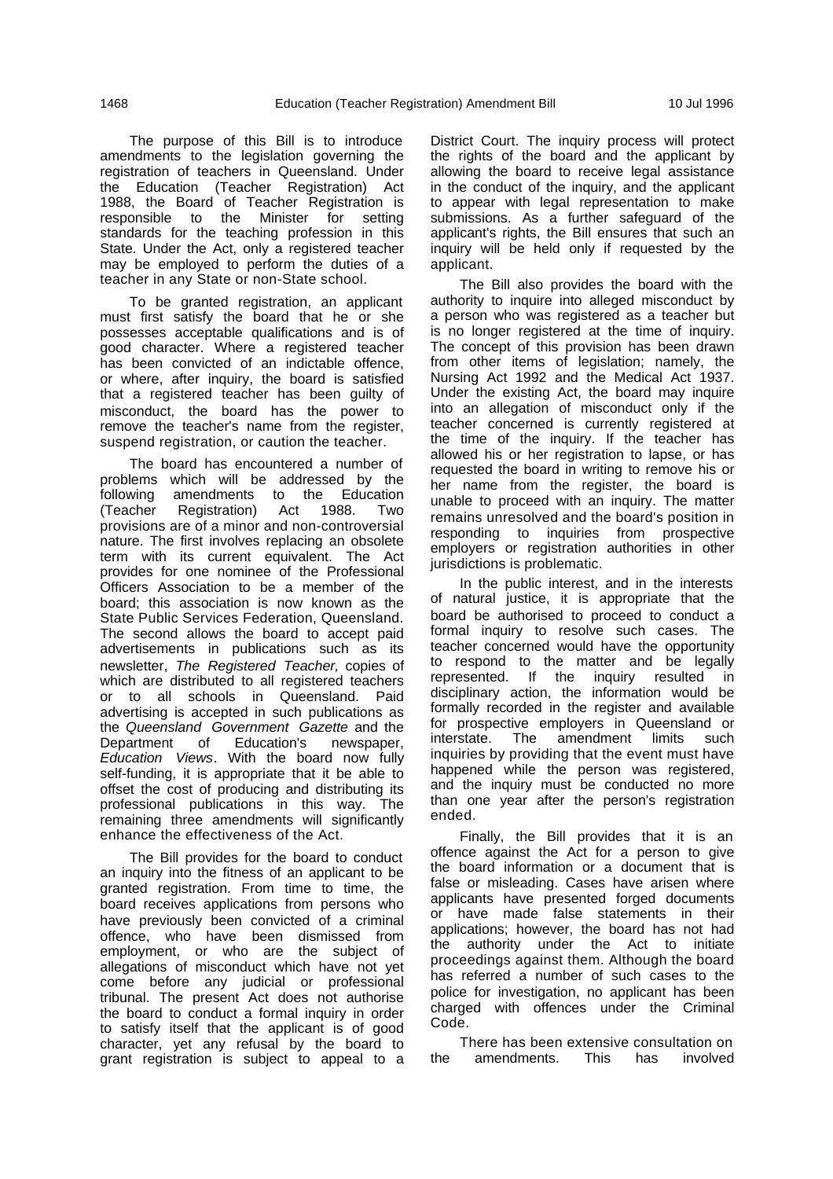The purpose of this Bill is to introduce amendments to the legislation governing the registration of teachers in Queensland. Under the Education (Teacher Registration) Act 1988, the Board of Teacher Registration is responsible to the Minister for setting standards for the teaching profession in this State. Under the Act, only a registered teacher may be employed to perform the duties of a teacher in any State or non-State school.

To be granted registration, an applicant must first satisfy the board that he or she possesses acceptable qualifications and is of good character. Where a registered teacher has been convicted of an indictable offence, or where, after inquiry, the board is satisfied that a registered teacher has been guilty of misconduct, the board has the power to remove the teacher's name from the register, suspend registration, or caution the teacher.

The board has encountered a number of problems which will be addressed by the following amendments to the Education (Teacher Registration) Act 1988. Two provisions are of a minor and non-controversial nature. The first involves replacing an obsolete term with its current equivalent. The Act provides for one nominee of the Professional Officers Association to be a member of the board; this association is now known as the State Public Services Federation, Queensland. The second allows the board to accept paid advertisements in publications such as its newsletter, The Registered Teacher, copies of which are distributed to all registered teachers or to all schools in Queensland. Paid advertising is accepted in such publications as the Queensland Government Gazette and the<br>Department of Education's newspaper, Department of Education's newspaper, Education Views. With the board now fully self-funding, it is appropriate that it be able to offset the cost of producing and distributing its professional publications in this way. The remaining three amendments will significantly enhance the effectiveness of the Act.

The Bill provides for the board to conduct an inquiry into the fitness of an applicant to be granted registration. From time to time, the board receives applications from persons who have previously been convicted of a criminal offence, who have been dismissed from employment, or who are the subject of allegations of misconduct which have not yet come before any judicial or professional tribunal. The present Act does not authorise the board to conduct a formal inquiry in order to satisfy itself that the applicant is of good character, yet any refusal by the board to grant registration is subject to appeal to a

District Court. The inquiry process will protect the rights of the board and the applicant by allowing the board to receive legal assistance in the conduct of the inquiry, and the applicant to appear with legal representation to make submissions. As a further safeguard of the applicant's rights, the Bill ensures that such an inquiry will be held only if requested by the applicant.

The Bill also provides the board with the authority to inquire into alleged misconduct by a person who was registered as a teacher but is no longer registered at the time of inquiry. The concept of this provision has been drawn from other items of legislation; namely, the Nursing Act 1992 and the Medical Act 1937. Under the existing Act, the board may inquire into an allegation of misconduct only if the teacher concerned is currently registered at the time of the inquiry. If the teacher has allowed his or her registration to lapse, or has requested the board in writing to remove his or her name from the register, the board is unable to proceed with an inquiry. The matter remains unresolved and the board's position in responding to inquiries from prospective employers or registration authorities in other jurisdictions is problematic.

In the public interest, and in the interests of natural justice, it is appropriate that the board be authorised to proceed to conduct a formal inquiry to resolve such cases. The teacher concerned would have the opportunity to respond to the matter and be legally represented. If the inquiry resulted in disciplinary action, the information would be formally recorded in the register and available for prospective employers in Queensland or interstate. The amendment limits such inquiries by providing that the event must have happened while the person was registered, and the inquiry must be conducted no more than one year after the person's registration ended.

Finally, the Bill provides that it is an offence against the Act for a person to give the board information or a document that is false or misleading. Cases have arisen where applicants have presented forged documents or have made false statements in their applications; however, the board has not had the authority under the Act to initiate proceedings against them. Although the board has referred a number of such cases to the police for investigation, no applicant has been charged with offences under the Criminal Code.

There has been extensive consultation on the amendments. This has involved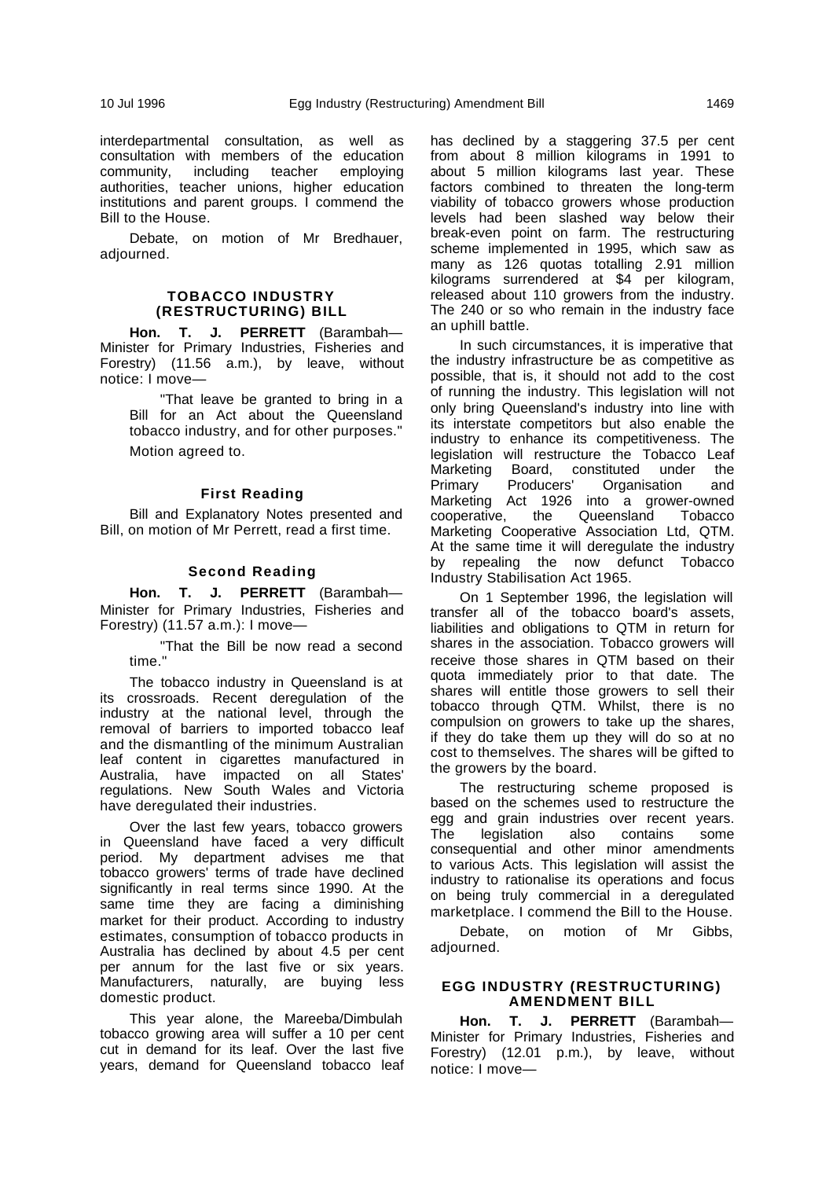interdepartmental consultation, as well as consultation with members of the education community, including teacher employing authorities, teacher unions, higher education institutions and parent groups. I commend the Bill to the House.

Debate, on motion of Mr Bredhauer, adjourned.

#### **TOBACCO INDUSTRY (RESTRUCTURING) BILL**

**Hon. T. J. PERRETT** (Barambah— Minister for Primary Industries, Fisheries and Forestry) (11.56 a.m.), by leave, without notice: I move—

"That leave be granted to bring in a Bill for an Act about the Queensland tobacco industry, and for other purposes." Motion agreed to.

#### **First Reading**

Bill and Explanatory Notes presented and Bill, on motion of Mr Perrett, read a first time.

#### **Second Reading**

**Hon. T. J. PERRETT** (Barambah— Minister for Primary Industries, Fisheries and Forestry) (11.57 a.m.): I move—

"That the Bill be now read a second time."

The tobacco industry in Queensland is at its crossroads. Recent deregulation of the industry at the national level, through the removal of barriers to imported tobacco leaf and the dismantling of the minimum Australian leaf content in cigarettes manufactured in Australia, have impacted on all States' regulations. New South Wales and Victoria have deregulated their industries.

Over the last few years, tobacco growers in Queensland have faced a very difficult period. My department advises me that tobacco growers' terms of trade have declined significantly in real terms since 1990. At the same time they are facing a diminishing market for their product. According to industry estimates, consumption of tobacco products in Australia has declined by about 4.5 per cent per annum for the last five or six years. Manufacturers, naturally, are buying less domestic product.

This year alone, the Mareeba/Dimbulah tobacco growing area will suffer a 10 per cent cut in demand for its leaf. Over the last five years, demand for Queensland tobacco leaf

has declined by a staggering 37.5 per cent from about 8 million kilograms in 1991 to about 5 million kilograms last year. These factors combined to threaten the long-term viability of tobacco growers whose production levels had been slashed way below their break-even point on farm. The restructuring scheme implemented in 1995, which saw as many as 126 quotas totalling 2.91 million kilograms surrendered at \$4 per kilogram, released about 110 growers from the industry. The 240 or so who remain in the industry face an uphill battle.

In such circumstances, it is imperative that the industry infrastructure be as competitive as possible, that is, it should not add to the cost of running the industry. This legislation will not only bring Queensland's industry into line with its interstate competitors but also enable the industry to enhance its competitiveness. The legislation will restructure the Tobacco Leaf Marketing Board, constituted under the<br>Primary Producers' Organisation and Primary Producers' Organisation and Marketing Act 1926 into a grower-owned<br>cooperative. the Queensland Tobacco cooperative, the Queensland Tobacco Marketing Cooperative Association Ltd, QTM. At the same time it will deregulate the industry by repealing the now defunct Tobacco Industry Stabilisation Act 1965.

On 1 September 1996, the legislation will transfer all of the tobacco board's assets, liabilities and obligations to QTM in return for shares in the association. Tobacco growers will receive those shares in QTM based on their quota immediately prior to that date. The shares will entitle those growers to sell their tobacco through QTM. Whilst, there is no compulsion on growers to take up the shares, if they do take them up they will do so at no cost to themselves. The shares will be gifted to the growers by the board.

The restructuring scheme proposed is based on the schemes used to restructure the egg and grain industries over recent years. The legislation also contains some consequential and other minor amendments to various Acts. This legislation will assist the industry to rationalise its operations and focus on being truly commercial in a deregulated marketplace. I commend the Bill to the House.

Debate, on motion of Mr Gibbs, adjourned.

#### **EGG INDUSTRY (RESTRUCTURING) AMENDMENT BILL**

**Hon. T. J. PERRETT** (Barambah— Minister for Primary Industries, Fisheries and Forestry) (12.01 p.m.), by leave, without notice: I move—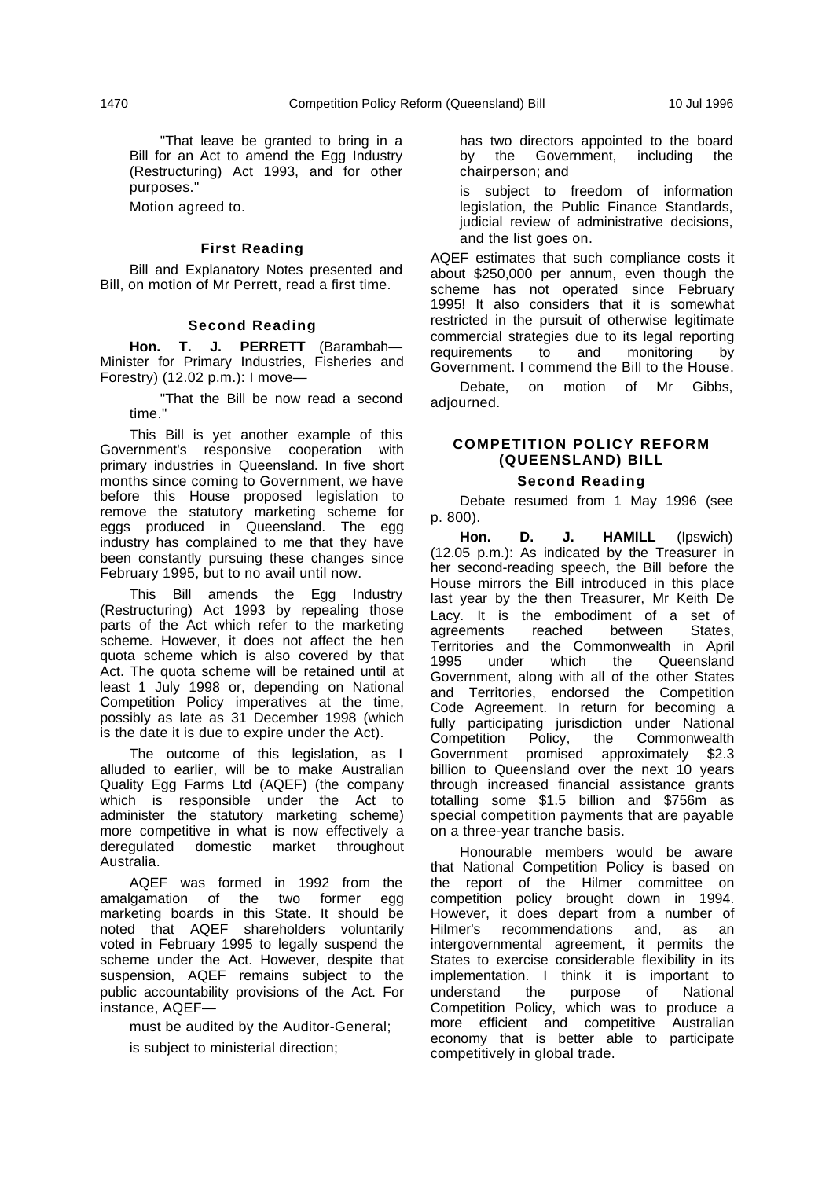"That leave be granted to bring in a Bill for an Act to amend the Egg Industry (Restructuring) Act 1993, and for other purposes."

Motion agreed to.

#### **First Reading**

Bill and Explanatory Notes presented and Bill, on motion of Mr Perrett, read a first time.

#### **Second Reading**

**Hon. T. J. PERRETT** (Barambah— Minister for Primary Industries, Fisheries and Forestry) (12.02 p.m.): I move—

"That the Bill be now read a second time."

This Bill is yet another example of this Government's responsive cooperation with primary industries in Queensland. In five short months since coming to Government, we have before this House proposed legislation to remove the statutory marketing scheme for eggs produced in Queensland. The egg industry has complained to me that they have been constantly pursuing these changes since February 1995, but to no avail until now.

This Bill amends the Egg Industry (Restructuring) Act 1993 by repealing those parts of the Act which refer to the marketing scheme. However, it does not affect the hen quota scheme which is also covered by that Act. The quota scheme will be retained until at least 1 July 1998 or, depending on National Competition Policy imperatives at the time, possibly as late as 31 December 1998 (which is the date it is due to expire under the Act).

The outcome of this legislation, as I alluded to earlier, will be to make Australian Quality Egg Farms Ltd (AQEF) (the company which is responsible under the Act to administer the statutory marketing scheme) more competitive in what is now effectively a deregulated domestic market throughout Australia.

AQEF was formed in 1992 from the amalgamation of the two former egg marketing boards in this State. It should be noted that AQEF shareholders voluntarily voted in February 1995 to legally suspend the scheme under the Act. However, despite that suspension, AQEF remains subject to the public accountability provisions of the Act. For instance, AQEF—

must be audited by the Auditor-General;

is subject to ministerial direction;

has two directors appointed to the board by the Government, including the chairperson; and

is subject to freedom of information legislation, the Public Finance Standards, judicial review of administrative decisions, and the list goes on.

AQEF estimates that such compliance costs it about \$250,000 per annum, even though the scheme has not operated since February 1995! It also considers that it is somewhat restricted in the pursuit of otherwise legitimate commercial strategies due to its legal reporting requirements to and monitoring by Government. I commend the Bill to the House.

Debate, on motion of Mr Gibbs, adjourned.

# **COMPETITION POLICY REFORM (QUEENSLAND) BILL**

#### **Second Reading**

Debate resumed from 1 May 1996 (see p. 800).

**Hon. D. J. HAMILL** (Ipswich) (12.05 p.m.): As indicated by the Treasurer in her second-reading speech, the Bill before the House mirrors the Bill introduced in this place last year by the then Treasurer, Mr Keith De Lacy. It is the embodiment of a set of agreements reached between States, agreements reached between Territories and the Commonwealth in April 1995 under which the Queensland Government, along with all of the other States and Territories, endorsed the Competition Code Agreement. In return for becoming a fully participating jurisdiction under National Competition Policy, the Commonwealth Government promised approximately \$2.3 billion to Queensland over the next 10 years through increased financial assistance grants totalling some \$1.5 billion and \$756m as special competition payments that are payable on a three-year tranche basis.

Honourable members would be aware that National Competition Policy is based on the report of the Hilmer committee on competition policy brought down in 1994. However, it does depart from a number of Hilmer's recommendations and, as an intergovernmental agreement, it permits the States to exercise considerable flexibility in its implementation. I think it is important to understand the purpose of National Competition Policy, which was to produce a more efficient and competitive Australian economy that is better able to participate competitively in global trade.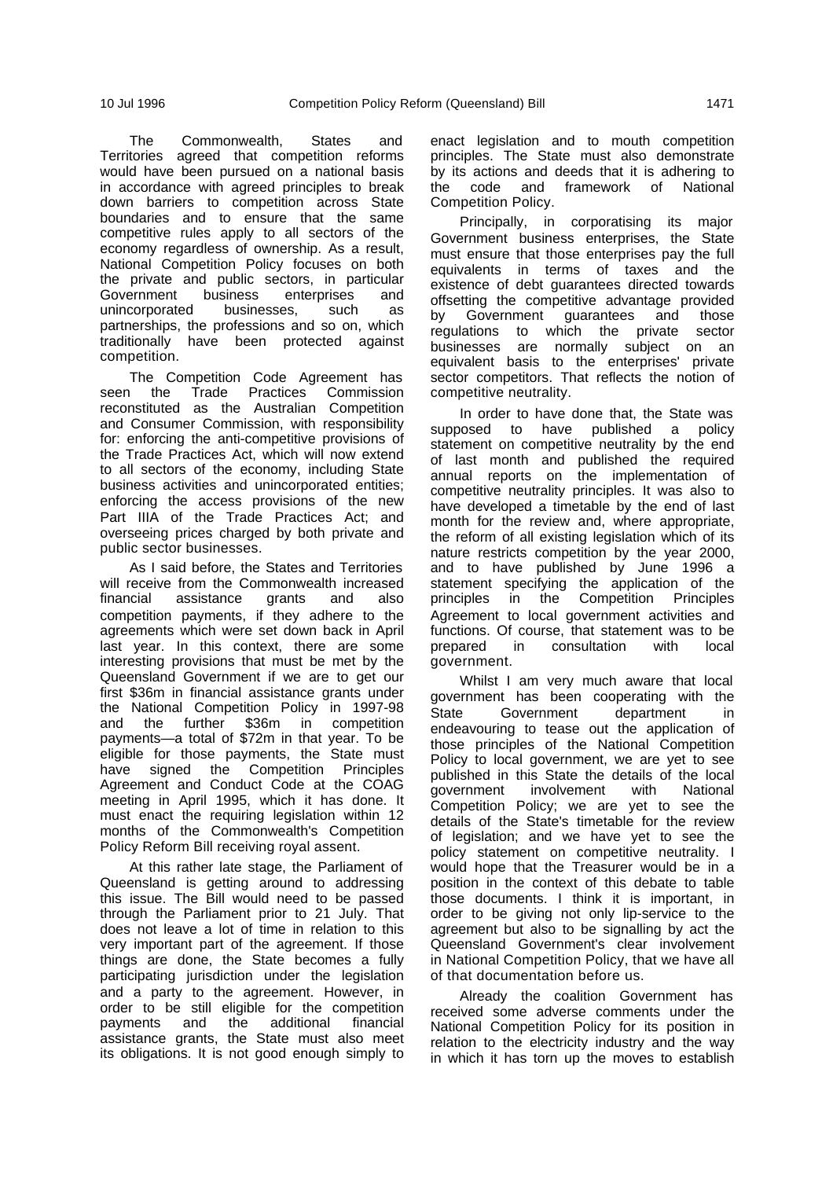The Commonwealth, States and Territories agreed that competition reforms would have been pursued on a national basis in accordance with agreed principles to break down barriers to competition across State boundaries and to ensure that the same competitive rules apply to all sectors of the economy regardless of ownership. As a result, National Competition Policy focuses on both the private and public sectors, in particular Government business enterprises and unincorporated businesses, such as partnerships, the professions and so on, which traditionally have been protected against competition.

The Competition Code Agreement has seen the Trade Practices Commission reconstituted as the Australian Competition and Consumer Commission, with responsibility for: enforcing the anti-competitive provisions of the Trade Practices Act, which will now extend to all sectors of the economy, including State business activities and unincorporated entities; enforcing the access provisions of the new Part IIIA of the Trade Practices Act; and overseeing prices charged by both private and public sector businesses.

As I said before, the States and Territories will receive from the Commonwealth increased<br>financial assistance grants and also financial assistance grants and also competition payments, if they adhere to the agreements which were set down back in April last year. In this context, there are some interesting provisions that must be met by the Queensland Government if we are to get our first \$36m in financial assistance grants under the National Competition Policy in 1997-98<br>and the further \$36m in competition and the further \$36m in competition payments—a total of \$72m in that year. To be eligible for those payments, the State must have signed the Competition Principles Agreement and Conduct Code at the COAG meeting in April 1995, which it has done. It must enact the requiring legislation within 12 months of the Commonwealth's Competition Policy Reform Bill receiving royal assent.

At this rather late stage, the Parliament of Queensland is getting around to addressing this issue. The Bill would need to be passed through the Parliament prior to 21 July. That does not leave a lot of time in relation to this very important part of the agreement. If those things are done, the State becomes a fully participating jurisdiction under the legislation and a party to the agreement. However, in order to be still eligible for the competition payments and the additional financial assistance grants, the State must also meet its obligations. It is not good enough simply to

enact legislation and to mouth competition principles. The State must also demonstrate by its actions and deeds that it is adhering to the code and framework of National Competition Policy.

Principally, in corporatising its major Government business enterprises, the State must ensure that those enterprises pay the full equivalents in terms of taxes and the existence of debt guarantees directed towards offsetting the competitive advantage provided<br>by Government quarantees and those by Government guarantees regulations to which the private sector businesses are normally subject on an equivalent basis to the enterprises' private sector competitors. That reflects the notion of competitive neutrality.

In order to have done that, the State was supposed to have published a policy statement on competitive neutrality by the end of last month and published the required annual reports on the implementation of competitive neutrality principles. It was also to have developed a timetable by the end of last month for the review and, where appropriate, the reform of all existing legislation which of its nature restricts competition by the year 2000, and to have published by June 1996 a statement specifying the application of the principles in the Competition Principles Agreement to local government activities and functions. Of course, that statement was to be prepared in consultation with local prepared in consultation with local government.

Whilst I am very much aware that local government has been cooperating with the State Government department in endeavouring to tease out the application of those principles of the National Competition Policy to local government, we are yet to see published in this State the details of the local government involvement with National Competition Policy; we are yet to see the details of the State's timetable for the review of legislation; and we have yet to see the policy statement on competitive neutrality. I would hope that the Treasurer would be in a position in the context of this debate to table those documents. I think it is important, in order to be giving not only lip-service to the agreement but also to be signalling by act the Queensland Government's clear involvement in National Competition Policy, that we have all of that documentation before us.

Already the coalition Government has received some adverse comments under the National Competition Policy for its position in relation to the electricity industry and the way in which it has torn up the moves to establish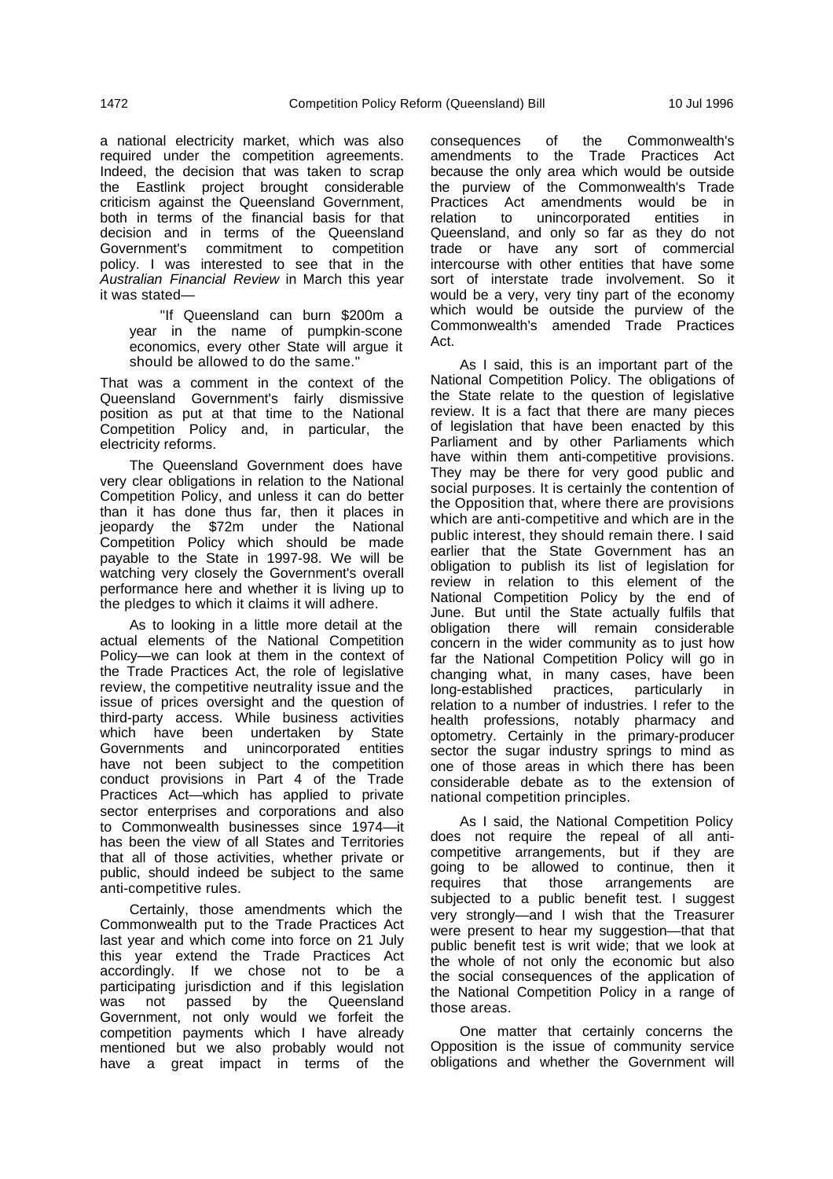Indeed, the decision that was taken to scrap the Eastlink project brought considerable criticism against the Queensland Government, both in terms of the financial basis for that decision and in terms of the Queensland Government's commitment to competition policy. I was interested to see that in the Australian Financial Review in March this year it was stated—

"If Queensland can burn \$200m a year in the name of pumpkin-scone economics, every other State will argue it should be allowed to do the same."

That was a comment in the context of the Queensland Government's fairly dismissive position as put at that time to the National Competition Policy and, in particular, the electricity reforms.

The Queensland Government does have very clear obligations in relation to the National Competition Policy, and unless it can do better than it has done thus far, then it places in jeopardy the \$72m under the National Competition Policy which should be made payable to the State in 1997-98. We will be watching very closely the Government's overall performance here and whether it is living up to the pledges to which it claims it will adhere.

As to looking in a little more detail at the actual elements of the National Competition Policy—we can look at them in the context of the Trade Practices Act, the role of legislative review, the competitive neutrality issue and the issue of prices oversight and the question of third-party access. While business activities which have been undertaken by State Governments and unincorporated entities have not been subject to the competition conduct provisions in Part 4 of the Trade Practices Act—which has applied to private sector enterprises and corporations and also to Commonwealth businesses since 1974—it has been the view of all States and Territories that all of those activities, whether private or public, should indeed be subject to the same anti-competitive rules.

Certainly, those amendments which the Commonwealth put to the Trade Practices Act last year and which come into force on 21 July this year extend the Trade Practices Act accordingly. If we chose not to be a participating jurisdiction and if this legislation was not passed by the Queensland Government, not only would we forfeit the competition payments which I have already mentioned but we also probably would not have a great impact in terms of the

consequences of the Commonwealth's amendments to the Trade Practices Act because the only area which would be outside the purview of the Commonwealth's Trade Practices Act amendments would be in relation to unincorporated entities in Queensland, and only so far as they do not trade or have any sort of commercial intercourse with other entities that have some sort of interstate trade involvement. So it would be a very, very tiny part of the economy which would be outside the purview of the Commonwealth's amended Trade Practices Act.

As I said, this is an important part of the National Competition Policy. The obligations of the State relate to the question of legislative review. It is a fact that there are many pieces of legislation that have been enacted by this Parliament and by other Parliaments which have within them anti-competitive provisions. They may be there for very good public and social purposes. It is certainly the contention of the Opposition that, where there are provisions which are anti-competitive and which are in the public interest, they should remain there. I said earlier that the State Government has an obligation to publish its list of legislation for review in relation to this element of the National Competition Policy by the end of June. But until the State actually fulfils that obligation there will remain considerable concern in the wider community as to just how far the National Competition Policy will go in changing what, in many cases, have been long-established practices, particularly in relation to a number of industries. I refer to the health professions, notably pharmacy and optometry. Certainly in the primary-producer sector the sugar industry springs to mind as one of those areas in which there has been considerable debate as to the extension of national competition principles.

As I said, the National Competition Policy does not require the repeal of all anticompetitive arrangements, but if they are going to be allowed to continue, then it requires that those arrangements are subjected to a public benefit test. I suggest very strongly—and I wish that the Treasurer were present to hear my suggestion—that that public benefit test is writ wide; that we look at the whole of not only the economic but also the social consequences of the application of the National Competition Policy in a range of those areas.

One matter that certainly concerns the Opposition is the issue of community service obligations and whether the Government will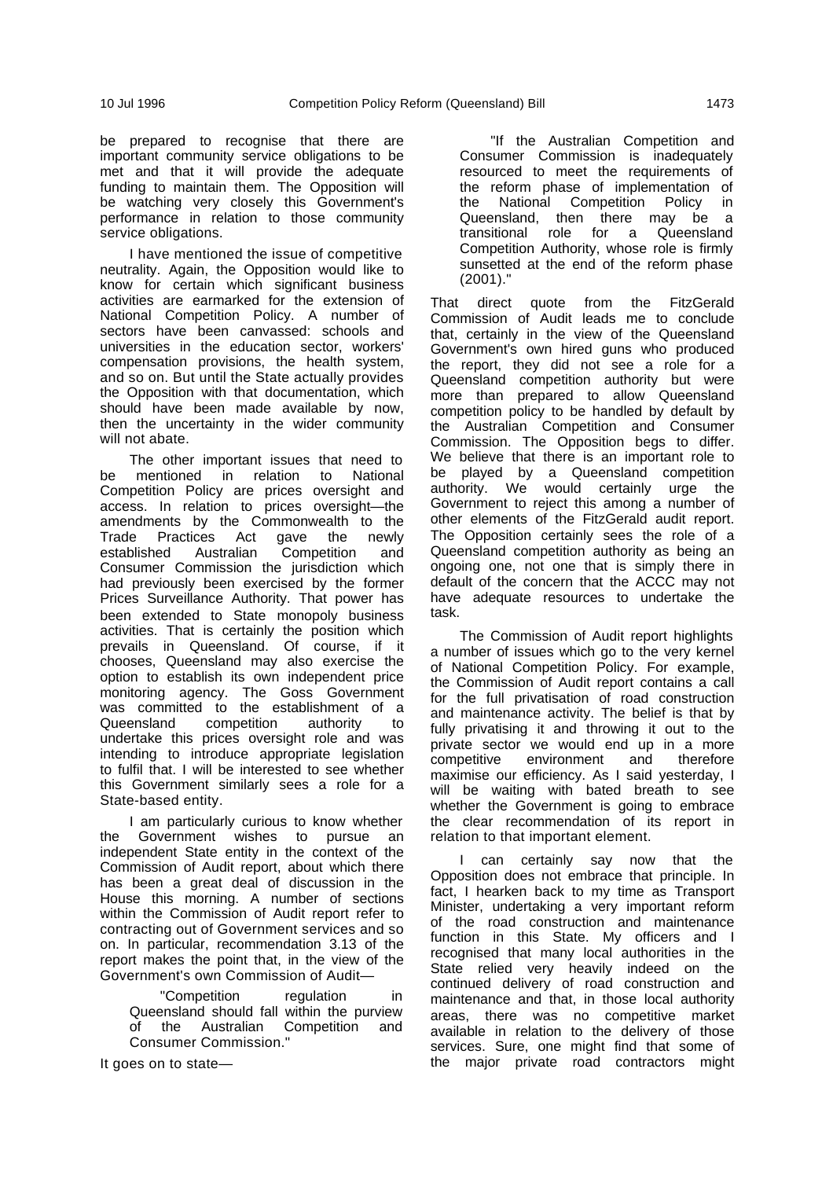be prepared to recognise that there are important community service obligations to be met and that it will provide the adequate funding to maintain them. The Opposition will be watching very closely this Government's performance in relation to those community service obligations.

I have mentioned the issue of competitive neutrality. Again, the Opposition would like to know for certain which significant business activities are earmarked for the extension of National Competition Policy. A number of sectors have been canvassed: schools and universities in the education sector, workers' compensation provisions, the health system, and so on. But until the State actually provides the Opposition with that documentation, which should have been made available by now, then the uncertainty in the wider community will not abate.

The other important issues that need to be mentioned in relation to National Competition Policy are prices oversight and access. In relation to prices oversight—the amendments by the Commonwealth to the<br>Trade Practices Act gave the newly Trade Practices Act gave the newly established Australian Competition and Consumer Commission the jurisdiction which had previously been exercised by the former Prices Surveillance Authority. That power has been extended to State monopoly business activities. That is certainly the position which prevails in Queensland. Of course, if it chooses, Queensland may also exercise the option to establish its own independent price monitoring agency. The Goss Government was committed to the establishment of a Queensland competition authority to undertake this prices oversight role and was intending to introduce appropriate legislation to fulfil that. I will be interested to see whether this Government similarly sees a role for a State-based entity.

I am particularly curious to know whether the Government wishes to pursue an independent State entity in the context of the Commission of Audit report, about which there has been a great deal of discussion in the House this morning. A number of sections within the Commission of Audit report refer to contracting out of Government services and so on. In particular, recommendation 3.13 of the report makes the point that, in the view of the Government's own Commission of Audit—

"Competition regulation in Queensland should fall within the purview of the Australian Competition and Consumer Commission."

It goes on to state—

"If the Australian Competition and Consumer Commission is inadequately resourced to meet the requirements of the reform phase of implementation of the National Competition Policy in Queensland, then there may be a transitional role for a Queensland Competition Authority, whose role is firmly sunsetted at the end of the reform phase (2001)."

That direct quote from the FitzGerald Commission of Audit leads me to conclude that, certainly in the view of the Queensland Government's own hired guns who produced the report, they did not see a role for a Queensland competition authority but were more than prepared to allow Queensland competition policy to be handled by default by the Australian Competition and Consumer Commission. The Opposition begs to differ. We believe that there is an important role to be played by a Queensland competition authority. We would certainly urge the Government to reject this among a number of other elements of the FitzGerald audit report. The Opposition certainly sees the role of a Queensland competition authority as being an ongoing one, not one that is simply there in default of the concern that the ACCC may not have adequate resources to undertake the task.

The Commission of Audit report highlights a number of issues which go to the very kernel of National Competition Policy. For example, the Commission of Audit report contains a call for the full privatisation of road construction and maintenance activity. The belief is that by fully privatising it and throwing it out to the private sector we would end up in a more<br>competitive environment and therefore environment and therefore maximise our efficiency. As I said yesterday, I will be waiting with bated breath to see whether the Government is going to embrace the clear recommendation of its report in relation to that important element.

can certainly say now that the Opposition does not embrace that principle. In fact, I hearken back to my time as Transport Minister, undertaking a very important reform of the road construction and maintenance function in this State. My officers and I recognised that many local authorities in the State relied very heavily indeed on the continued delivery of road construction and maintenance and that, in those local authority areas, there was no competitive market available in relation to the delivery of those services. Sure, one might find that some of the major private road contractors might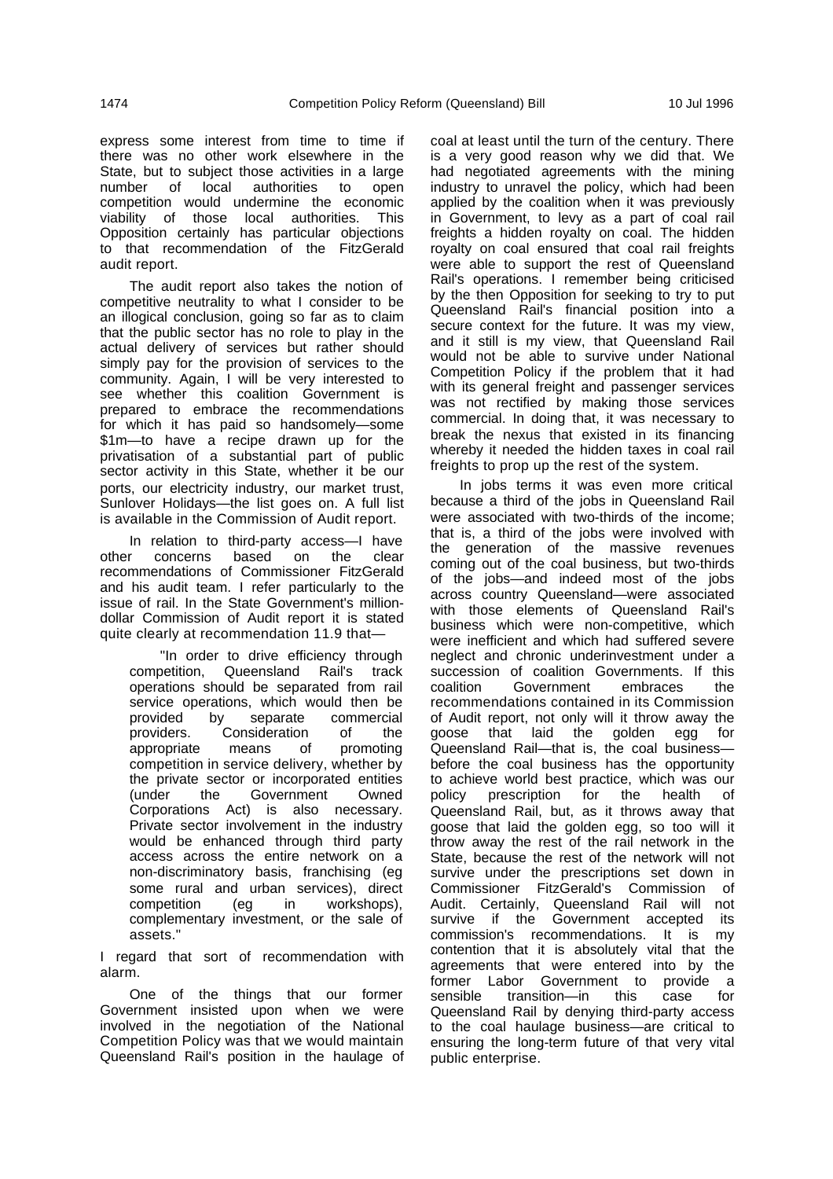express some interest from time to time if there was no other work elsewhere in the State, but to subject those activities in a large number of local authorities to open competition would undermine the economic viability of those local authorities. This Opposition certainly has particular objections to that recommendation of the FitzGerald audit report.

The audit report also takes the notion of competitive neutrality to what I consider to be an illogical conclusion, going so far as to claim that the public sector has no role to play in the actual delivery of services but rather should simply pay for the provision of services to the community. Again, I will be very interested to see whether this coalition Government is prepared to embrace the recommendations for which it has paid so handsomely—some \$1m—to have a recipe drawn up for the privatisation of a substantial part of public sector activity in this State, whether it be our ports, our electricity industry, our market trust, Sunlover Holidays—the list goes on. A full list is available in the Commission of Audit report.

In relation to third-party access—I have other concerns based on the clear recommendations of Commissioner FitzGerald and his audit team. I refer particularly to the issue of rail. In the State Government's milliondollar Commission of Audit report it is stated quite clearly at recommendation 11.9 that—

"In order to drive efficiency through competition, Queensland Rail's track operations should be separated from rail service operations, which would then be provided by separate commercial providers. Consideration of the appropriate means of promoting competition in service delivery, whether by the private sector or incorporated entities<br>
(under the Government Owned the Government Owned Corporations Act) is also necessary. Private sector involvement in the industry would be enhanced through third party access across the entire network on a non-discriminatory basis, franchising (eg some rural and urban services), direct competition (eg in workshops), complementary investment, or the sale of assets."

I regard that sort of recommendation with alarm.

One of the things that our former Government insisted upon when we were involved in the negotiation of the National Competition Policy was that we would maintain Queensland Rail's position in the haulage of coal at least until the turn of the century. There is a very good reason why we did that. We had negotiated agreements with the mining industry to unravel the policy, which had been applied by the coalition when it was previously in Government, to levy as a part of coal rail freights a hidden royalty on coal. The hidden royalty on coal ensured that coal rail freights were able to support the rest of Queensland Rail's operations. I remember being criticised by the then Opposition for seeking to try to put Queensland Rail's financial position into a secure context for the future. It was my view, and it still is my view, that Queensland Rail would not be able to survive under National Competition Policy if the problem that it had with its general freight and passenger services was not rectified by making those services commercial. In doing that, it was necessary to break the nexus that existed in its financing whereby it needed the hidden taxes in coal rail freights to prop up the rest of the system.

In jobs terms it was even more critical because a third of the jobs in Queensland Rail were associated with two-thirds of the income; that is, a third of the jobs were involved with the generation of the massive revenues coming out of the coal business, but two-thirds of the jobs—and indeed most of the jobs across country Queensland—were associated with those elements of Queensland Rail's business which were non-competitive, which were inefficient and which had suffered severe neglect and chronic underinvestment under a succession of coalition Governments. If this coalition Government embraces the recommendations contained in its Commission of Audit report, not only will it throw away the goose that laid the golden egg for Queensland Rail—that is, the coal business before the coal business has the opportunity to achieve world best practice, which was our policy prescription for the health of Queensland Rail, but, as it throws away that goose that laid the golden egg, so too will it throw away the rest of the rail network in the State, because the rest of the network will not survive under the prescriptions set down in Commissioner FitzGerald's Commission of Audit. Certainly, Queensland Rail will not survive if the Government accepted its commission's recommendations. It is my contention that it is absolutely vital that the agreements that were entered into by the former Labor Government to provide a sensible transition—in this case for Queensland Rail by denying third-party access to the coal haulage business—are critical to ensuring the long-term future of that very vital public enterprise.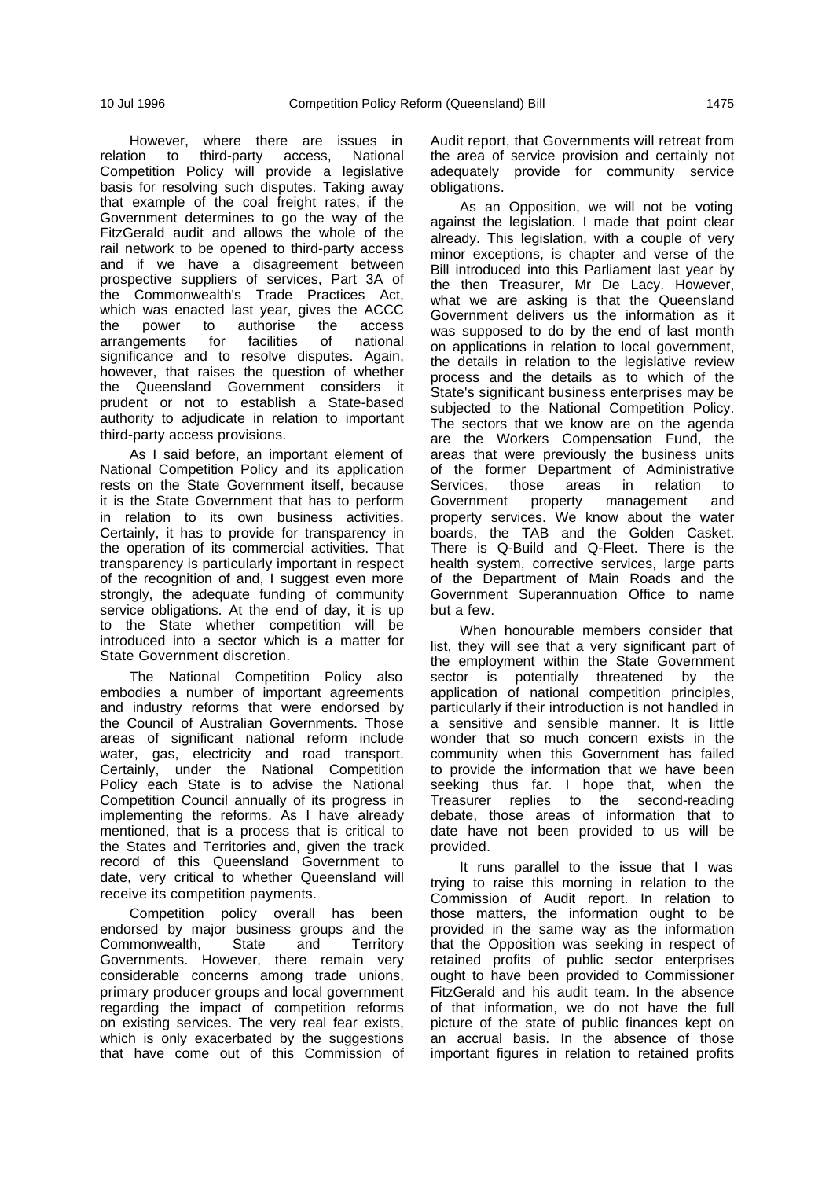However, where there are issues in relation to third-party access, National Competition Policy will provide a legislative basis for resolving such disputes. Taking away that example of the coal freight rates, if the Government determines to go the way of the FitzGerald audit and allows the whole of the rail network to be opened to third-party access and if we have a disagreement between prospective suppliers of services, Part 3A of the Commonwealth's Trade Practices Act, which was enacted last year, gives the ACCC the power to authorise the access arrangements for facilities of national significance and to resolve disputes. Again, however, that raises the question of whether the Queensland Government considers it prudent or not to establish a State-based authority to adjudicate in relation to important third-party access provisions.

As I said before, an important element of National Competition Policy and its application rests on the State Government itself, because it is the State Government that has to perform in relation to its own business activities. Certainly, it has to provide for transparency in the operation of its commercial activities. That transparency is particularly important in respect of the recognition of and, I suggest even more strongly, the adequate funding of community service obligations. At the end of day, it is up to the State whether competition will be introduced into a sector which is a matter for State Government discretion.

The National Competition Policy also embodies a number of important agreements and industry reforms that were endorsed by the Council of Australian Governments. Those areas of significant national reform include water, gas, electricity and road transport. Certainly, under the National Competition Policy each State is to advise the National Competition Council annually of its progress in implementing the reforms. As I have already mentioned, that is a process that is critical to the States and Territories and, given the track record of this Queensland Government to date, very critical to whether Queensland will receive its competition payments.

Competition policy overall has been endorsed by major business groups and the<br>Commonwealth. State and Territory Commonwealth, State and Territory Governments. However, there remain very considerable concerns among trade unions, primary producer groups and local government regarding the impact of competition reforms on existing services. The very real fear exists, which is only exacerbated by the suggestions that have come out of this Commission of

Audit report, that Governments will retreat from the area of service provision and certainly not adequately provide for community service obligations.

As an Opposition, we will not be voting against the legislation. I made that point clear already. This legislation, with a couple of very minor exceptions, is chapter and verse of the Bill introduced into this Parliament last year by the then Treasurer, Mr De Lacy. However, what we are asking is that the Queensland Government delivers us the information as it was supposed to do by the end of last month on applications in relation to local government, the details in relation to the legislative review process and the details as to which of the State's significant business enterprises may be subjected to the National Competition Policy. The sectors that we know are on the agenda are the Workers Compensation Fund, the areas that were previously the business units of the former Department of Administrative Services, those areas in relation to Government property management and property services. We know about the water boards, the TAB and the Golden Casket. There is Q-Build and Q-Fleet. There is the health system, corrective services, large parts of the Department of Main Roads and the Government Superannuation Office to name but a few.

When honourable members consider that list, they will see that a very significant part of the employment within the State Government sector is potentially threatened by the application of national competition principles, particularly if their introduction is not handled in a sensitive and sensible manner. It is little wonder that so much concern exists in the community when this Government has failed to provide the information that we have been seeking thus far. I hope that, when the Treasurer replies to the second-reading debate, those areas of information that to date have not been provided to us will be provided.

It runs parallel to the issue that I was trying to raise this morning in relation to the Commission of Audit report. In relation to those matters, the information ought to be provided in the same way as the information that the Opposition was seeking in respect of retained profits of public sector enterprises ought to have been provided to Commissioner FitzGerald and his audit team. In the absence of that information, we do not have the full picture of the state of public finances kept on an accrual basis. In the absence of those important figures in relation to retained profits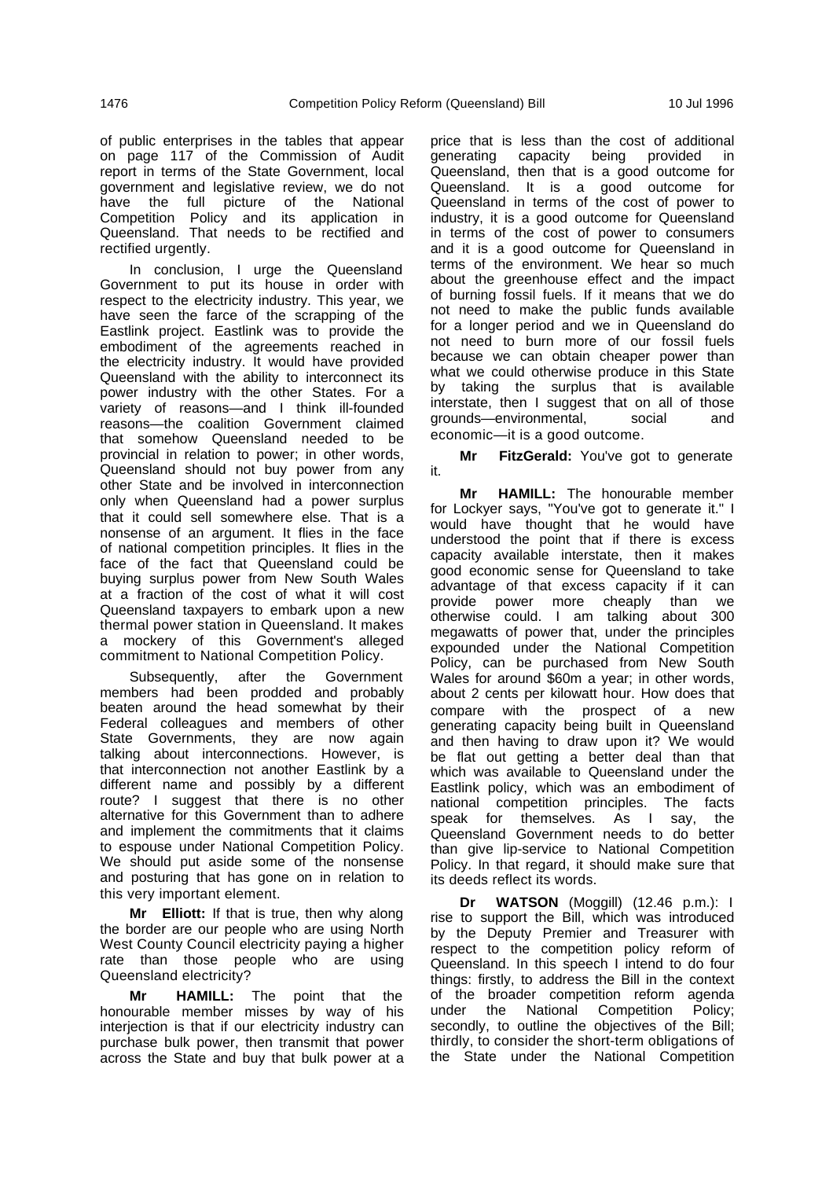of public enterprises in the tables that appear on page 117 of the Commission of Audit report in terms of the State Government, local government and legislative review, we do not have the full picture of the National Competition Policy and its application in Queensland. That needs to be rectified and rectified urgently.

In conclusion, I urge the Queensland Government to put its house in order with respect to the electricity industry. This year, we have seen the farce of the scrapping of the Eastlink project. Eastlink was to provide the embodiment of the agreements reached in the electricity industry. It would have provided Queensland with the ability to interconnect its power industry with the other States. For a variety of reasons—and I think ill-founded reasons—the coalition Government claimed that somehow Queensland needed to be provincial in relation to power; in other words, Queensland should not buy power from any other State and be involved in interconnection only when Queensland had a power surplus that it could sell somewhere else. That is a nonsense of an argument. It flies in the face of national competition principles. It flies in the face of the fact that Queensland could be buying surplus power from New South Wales at a fraction of the cost of what it will cost Queensland taxpayers to embark upon a new thermal power station in Queensland. It makes a mockery of this Government's alleged commitment to National Competition Policy.

Subsequently, after the Government members had been prodded and probably beaten around the head somewhat by their Federal colleagues and members of other State Governments, they are now again talking about interconnections. However, is that interconnection not another Eastlink by a different name and possibly by a different route? I suggest that there is no other alternative for this Government than to adhere and implement the commitments that it claims to espouse under National Competition Policy. We should put aside some of the nonsense and posturing that has gone on in relation to this very important element.

**Mr Elliott:** If that is true, then why along the border are our people who are using North West County Council electricity paying a higher rate than those people who are using Queensland electricity?

**Mr HAMILL:** The point that the honourable member misses by way of his interjection is that if our electricity industry can purchase bulk power, then transmit that power across the State and buy that bulk power at a price that is less than the cost of additional generating capacity being provided in Queensland, then that is a good outcome for Queensland. It is a good outcome for Queensland in terms of the cost of power to industry, it is a good outcome for Queensland in terms of the cost of power to consumers and it is a good outcome for Queensland in terms of the environment. We hear so much about the greenhouse effect and the impact of burning fossil fuels. If it means that we do not need to make the public funds available for a longer period and we in Queensland do not need to burn more of our fossil fuels because we can obtain cheaper power than what we could otherwise produce in this State by taking the surplus that is available interstate, then I suggest that on all of those grounds—environmental, social and economic—it is a good outcome.

**Mr FitzGerald:** You've got to generate it.

**Mr HAMILL:** The honourable member for Lockyer says, "You've got to generate it." I would have thought that he would have understood the point that if there is excess capacity available interstate, then it makes good economic sense for Queensland to take advantage of that excess capacity if it can provide power more cheaply than we otherwise could. I am talking about 300 megawatts of power that, under the principles expounded under the National Competition Policy, can be purchased from New South Wales for around \$60m a year; in other words, about 2 cents per kilowatt hour. How does that compare with the prospect of a new generating capacity being built in Queensland and then having to draw upon it? We would be flat out getting a better deal than that which was available to Queensland under the Eastlink policy, which was an embodiment of national competition principles. The facts<br>speak for themselves. As I sav. the speak for themselves. As I say, Queensland Government needs to do better than give lip-service to National Competition Policy. In that regard, it should make sure that its deeds reflect its words.

**Dr WATSON** (Moggill) (12.46 p.m.): I rise to support the Bill, which was introduced by the Deputy Premier and Treasurer with respect to the competition policy reform of Queensland. In this speech I intend to do four things: firstly, to address the Bill in the context of the broader competition reform agenda under the National Competition Policy; secondly, to outline the objectives of the Bill: thirdly, to consider the short-term obligations of the State under the National Competition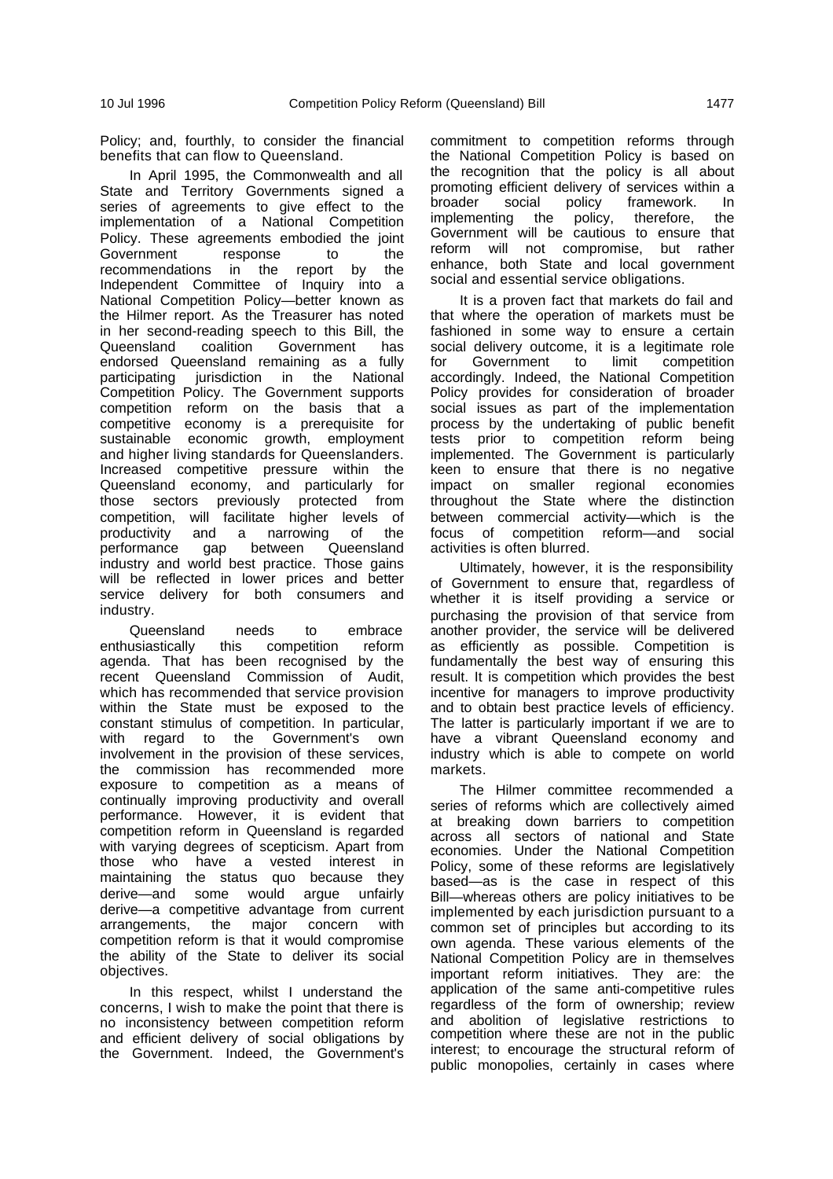Policy; and, fourthly, to consider the financial benefits that can flow to Queensland.

In April 1995, the Commonwealth and all State and Territory Governments signed a series of agreements to give effect to the implementation of a National Competition Policy. These agreements embodied the joint Government response to the recommendations in the report by the Independent Committee of Inquiry into a National Competition Policy—better known as the Hilmer report. As the Treasurer has noted in her second-reading speech to this Bill, the Queensland coalition Government has endorsed Queensland remaining as a fully participating jurisdiction in the National Competition Policy. The Government supports competition reform on the basis that a competitive economy is a prerequisite for sustainable economic growth, employment and higher living standards for Queenslanders. Increased competitive pressure within the Queensland economy, and particularly for those sectors previously protected from competition, will facilitate higher levels of productivity and a narrowing of the<br>performance gap between Queensland performance gap between industry and world best practice. Those gains will be reflected in lower prices and better service delivery for both consumers and industry.

Queensland needs to embrace<br>usiastically this competition reform enthusiastically this competition reform agenda. That has been recognised by the recent Queensland Commission of Audit, which has recommended that service provision within the State must be exposed to the constant stimulus of competition. In particular, with regard to the Government's own involvement in the provision of these services, the commission has recommended more exposure to competition as a means of continually improving productivity and overall performance. However, it is evident that competition reform in Queensland is regarded with varying degrees of scepticism. Apart from those who have a vested interest in maintaining the status quo because they derive—and some would argue unfairly derive—a competitive advantage from current arrangements, the major concern with competition reform is that it would compromise the ability of the State to deliver its social objectives.

In this respect, whilst I understand the concerns, I wish to make the point that there is no inconsistency between competition reform and efficient delivery of social obligations by the Government. Indeed, the Government's

commitment to competition reforms through the National Competition Policy is based on the recognition that the policy is all about promoting efficient delivery of services within a broader social policy framework. In implementing the policy, therefore, the Government will be cautious to ensure that reform will not compromise, but rather enhance, both State and local government social and essential service obligations.

It is a proven fact that markets do fail and that where the operation of markets must be fashioned in some way to ensure a certain social delivery outcome, it is a legitimate role<br>for Government to limit competition for Government to accordingly. Indeed, the National Competition Policy provides for consideration of broader social issues as part of the implementation process by the undertaking of public benefit tests prior to competition reform being implemented. The Government is particularly keen to ensure that there is no negative impact on smaller regional economies throughout the State where the distinction between commercial activity—which is the focus of competition reform—and social activities is often blurred.

Ultimately, however, it is the responsibility of Government to ensure that, regardless of whether it is itself providing a service or purchasing the provision of that service from another provider, the service will be delivered as efficiently as possible. Competition is fundamentally the best way of ensuring this result. It is competition which provides the best incentive for managers to improve productivity and to obtain best practice levels of efficiency. The latter is particularly important if we are to have a vibrant Queensland economy and industry which is able to compete on world markets.

The Hilmer committee recommended a series of reforms which are collectively aimed at breaking down barriers to competition across all sectors of national and State economies. Under the National Competition Policy, some of these reforms are legislatively based—as is the case in respect of this Bill—whereas others are policy initiatives to be implemented by each jurisdiction pursuant to a common set of principles but according to its own agenda. These various elements of the National Competition Policy are in themselves important reform initiatives. They are: the application of the same anti-competitive rules regardless of the form of ownership; review and abolition of legislative restrictions to competition where these are not in the public interest; to encourage the structural reform of public monopolies, certainly in cases where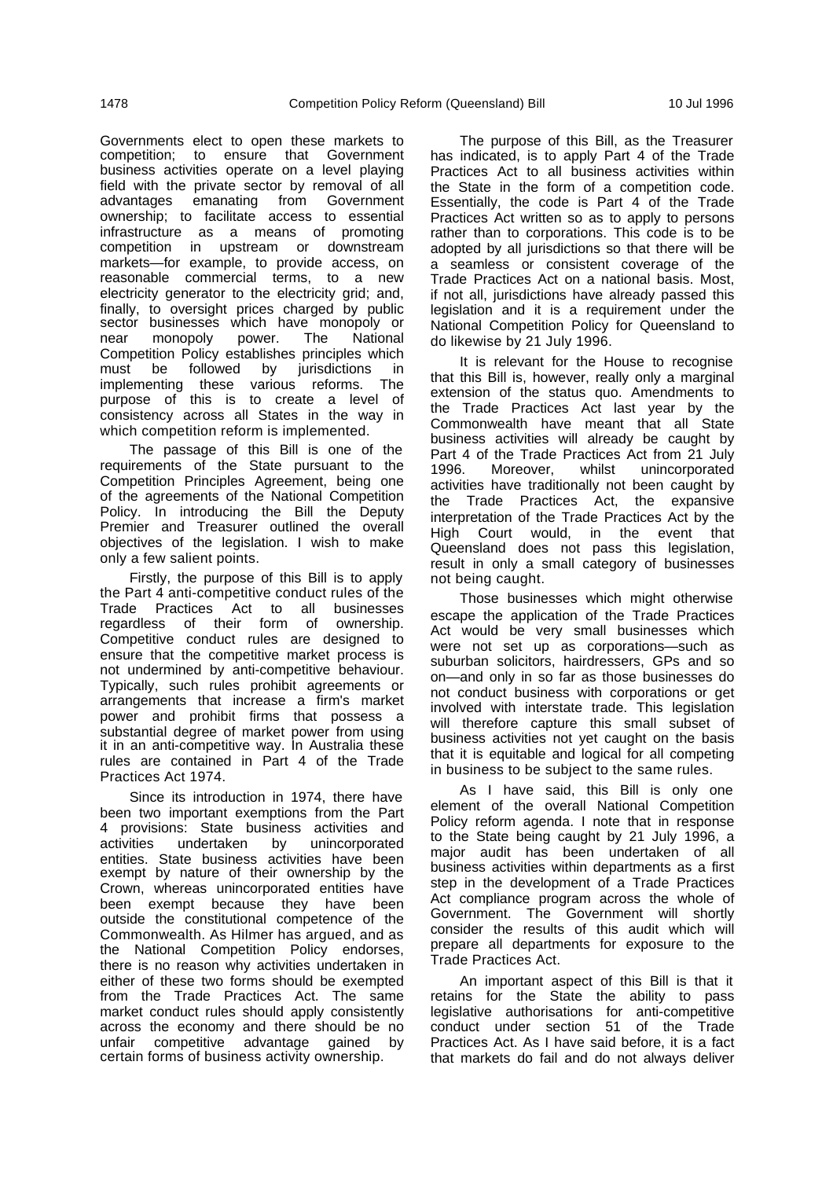Governments elect to open these markets to competition; to ensure that Government business activities operate on a level playing field with the private sector by removal of all advantages emanating from Government ownership; to facilitate access to essential infrastructure as a means of promoting competition in upstream or downstream markets—for example, to provide access, on reasonable commercial terms, to a new electricity generator to the electricity grid; and, finally, to oversight prices charged by public sector businesses which have monopoly or near monopoly power. The National Competition Policy establishes principles which must be followed by jurisdictions in implementing these various reforms. The purpose of this is to create a level of consistency across all States in the way in which competition reform is implemented.

The passage of this Bill is one of the requirements of the State pursuant to the Competition Principles Agreement, being one of the agreements of the National Competition Policy. In introducing the Bill the Deputy Premier and Treasurer outlined the overall objectives of the legislation. I wish to make only a few salient points.

Firstly, the purpose of this Bill is to apply the Part 4 anti-competitive conduct rules of the Trade Practices Act to all businesses regardless of their form of ownership. Competitive conduct rules are designed to ensure that the competitive market process is not undermined by anti-competitive behaviour. Typically, such rules prohibit agreements or arrangements that increase a firm's market power and prohibit firms that possess a substantial degree of market power from using it in an anti-competitive way. In Australia these rules are contained in Part 4 of the Trade Practices Act 1974.

Since its introduction in 1974, there have been two important exemptions from the Part 4 provisions: State business activities and activities undertaken by unincorporated entities. State business activities have been exempt by nature of their ownership by the Crown, whereas unincorporated entities have been exempt because they have been outside the constitutional competence of the Commonwealth. As Hilmer has argued, and as the National Competition Policy endorses, there is no reason why activities undertaken in either of these two forms should be exempted from the Trade Practices Act. The same market conduct rules should apply consistently across the economy and there should be no unfair competitive advantage gained by certain forms of business activity ownership.

The purpose of this Bill, as the Treasurer has indicated, is to apply Part 4 of the Trade Practices Act to all business activities within the State in the form of a competition code. Essentially, the code is Part 4 of the Trade Practices Act written so as to apply to persons rather than to corporations. This code is to be adopted by all jurisdictions so that there will be a seamless or consistent coverage of the Trade Practices Act on a national basis. Most, if not all, jurisdictions have already passed this legislation and it is a requirement under the National Competition Policy for Queensland to do likewise by 21 July 1996.

It is relevant for the House to recognise that this Bill is, however, really only a marginal extension of the status quo. Amendments to the Trade Practices Act last year by the Commonwealth have meant that all State business activities will already be caught by Part 4 of the Trade Practices Act from 21 July<br>1996. Moreover, whilst unincorporated whilst unincorporated activities have traditionally not been caught by the Trade Practices Act, the expansive interpretation of the Trade Practices Act by the High Court would, in the event that Queensland does not pass this legislation, result in only a small category of businesses not being caught.

Those businesses which might otherwise escape the application of the Trade Practices Act would be very small businesses which were not set up as corporations—such as suburban solicitors, hairdressers, GPs and so on—and only in so far as those businesses do not conduct business with corporations or get involved with interstate trade. This legislation will therefore capture this small subset of business activities not yet caught on the basis that it is equitable and logical for all competing in business to be subject to the same rules.

As I have said, this Bill is only one element of the overall National Competition Policy reform agenda. I note that in response to the State being caught by 21 July 1996, a major audit has been undertaken of all business activities within departments as a first step in the development of a Trade Practices Act compliance program across the whole of Government. The Government will shortly consider the results of this audit which will prepare all departments for exposure to the Trade Practices Act.

An important aspect of this Bill is that it retains for the State the ability to pass legislative authorisations for anti-competitive conduct under section 51 of the Trade Practices Act. As I have said before, it is a fact that markets do fail and do not always deliver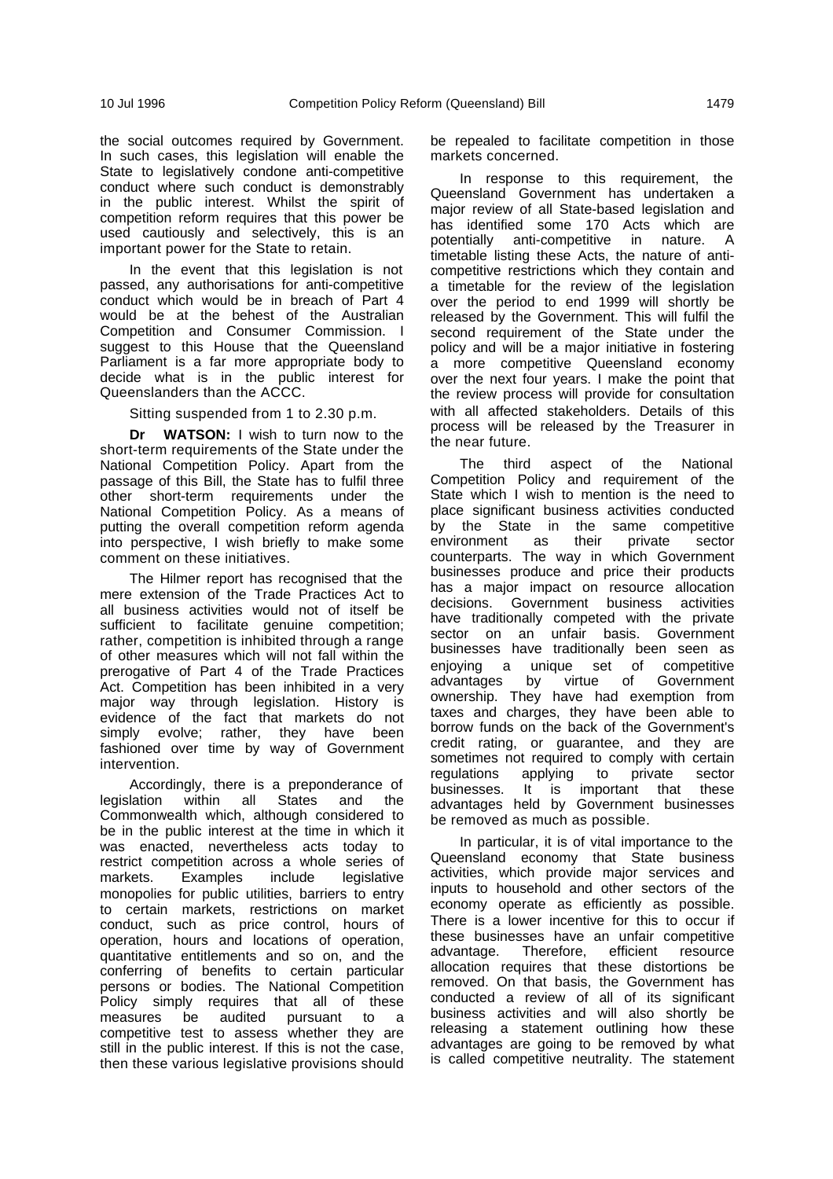the social outcomes required by Government. In such cases, this legislation will enable the State to legislatively condone anti-competitive conduct where such conduct is demonstrably in the public interest. Whilst the spirit of competition reform requires that this power be used cautiously and selectively, this is an important power for the State to retain.

In the event that this legislation is not passed, any authorisations for anti-competitive conduct which would be in breach of Part 4 would be at the behest of the Australian Competition and Consumer Commission. I suggest to this House that the Queensland Parliament is a far more appropriate body to decide what is in the public interest for Queenslanders than the ACCC.

Sitting suspended from 1 to 2.30 p.m.

**Dr WATSON:** I wish to turn now to the short-term requirements of the State under the National Competition Policy. Apart from the passage of this Bill, the State has to fulfil three other short-term requirements under National Competition Policy. As a means of putting the overall competition reform agenda into perspective, I wish briefly to make some comment on these initiatives.

The Hilmer report has recognised that the mere extension of the Trade Practices Act to all business activities would not of itself be sufficient to facilitate genuine competition; rather, competition is inhibited through a range of other measures which will not fall within the prerogative of Part 4 of the Trade Practices Act. Competition has been inhibited in a very major way through legislation. History is evidence of the fact that markets do not simply evolve; rather, they have been fashioned over time by way of Government intervention.

Accordingly, there is a preponderance of legislation within all States and the Commonwealth which, although considered to be in the public interest at the time in which it was enacted, nevertheless acts today to restrict competition across a whole series of<br>markets. Examples include legislative markets. Examples monopolies for public utilities, barriers to entry to certain markets, restrictions on market conduct, such as price control, hours of operation, hours and locations of operation, quantitative entitlements and so on, and the conferring of benefits to certain particular persons or bodies. The National Competition Policy simply requires that all of these measures be audited pursuant to a competitive test to assess whether they are still in the public interest. If this is not the case, then these various legislative provisions should be repealed to facilitate competition in those markets concerned.

In response to this requirement, the Queensland Government has undertaken a major review of all State-based legislation and has identified some 170 Acts which are potentially anti-competitive in nature. A timetable listing these Acts, the nature of anticompetitive restrictions which they contain and a timetable for the review of the legislation over the period to end 1999 will shortly be released by the Government. This will fulfil the second requirement of the State under the policy and will be a major initiative in fostering a more competitive Queensland economy over the next four years. I make the point that the review process will provide for consultation with all affected stakeholders. Details of this process will be released by the Treasurer in the near future.

The third aspect of the National Competition Policy and requirement of the State which I wish to mention is the need to place significant business activities conducted by the State in the same competitive environment as their private sector counterparts. The way in which Government businesses produce and price their products has a major impact on resource allocation decisions. Government business activities have traditionally competed with the private sector on an unfair basis. Government businesses have traditionally been seen as enjoying a unique set of competitive advantages by virtue of Government ownership. They have had exemption from taxes and charges, they have been able to borrow funds on the back of the Government's credit rating, or guarantee, and they are sometimes not required to comply with certain<br>regulations applying to private sector regulations applying to private sector businesses. It is important that these advantages held by Government businesses be removed as much as possible.

In particular, it is of vital importance to the Queensland economy that State business activities, which provide major services and inputs to household and other sectors of the economy operate as efficiently as possible. There is a lower incentive for this to occur if these businesses have an unfair competitive advantage. Therefore, efficient resource allocation requires that these distortions be removed. On that basis, the Government has conducted a review of all of its significant business activities and will also shortly be releasing a statement outlining how these advantages are going to be removed by what is called competitive neutrality. The statement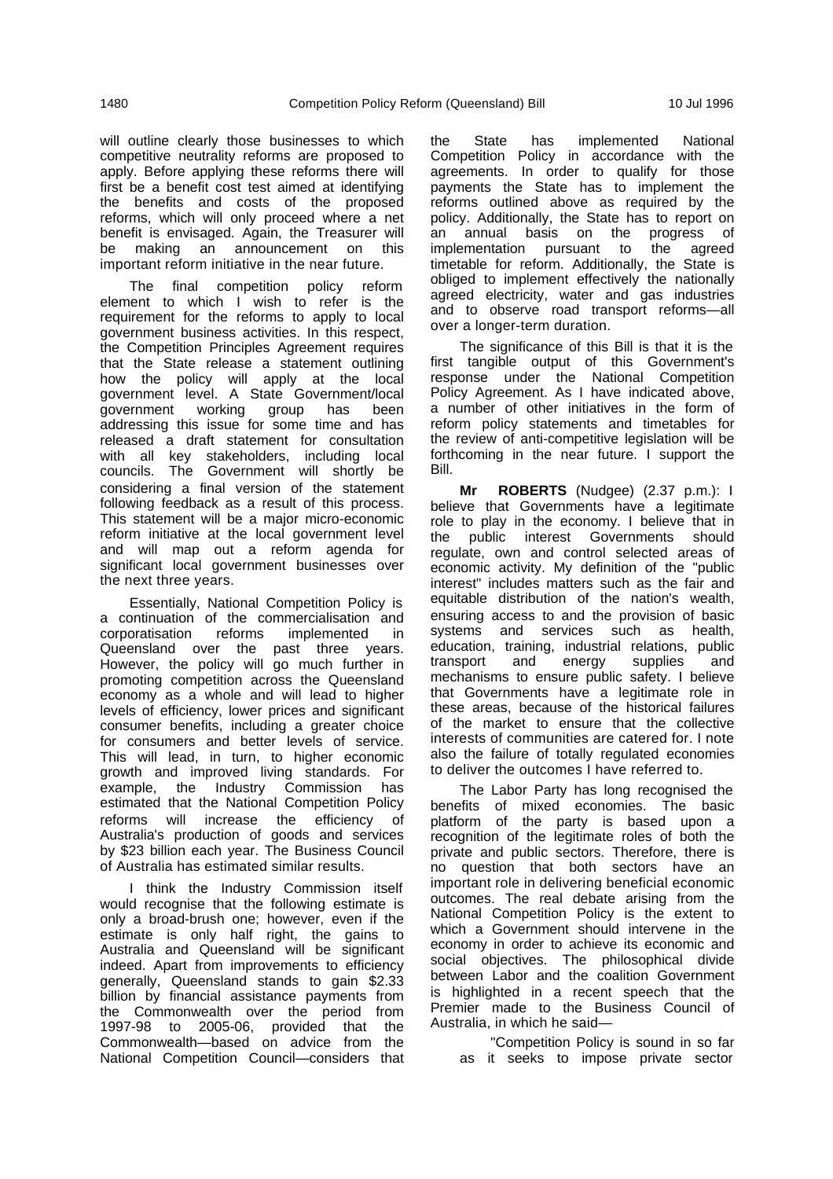will outline clearly those businesses to which competitive neutrality reforms are proposed to apply. Before applying these reforms there will first be a benefit cost test aimed at identifying the benefits and costs of the proposed reforms, which will only proceed where a net benefit is envisaged. Again, the Treasurer will be making an announcement on this important reform initiative in the near future.

The final competition policy reform element to which I wish to refer is the requirement for the reforms to apply to local government business activities. In this respect, the Competition Principles Agreement requires that the State release a statement outlining how the policy will apply at the local government level. A State Government/local government working group has been addressing this issue for some time and has released a draft statement for consultation with all key stakeholders, including local councils. The Government will shortly be considering a final version of the statement following feedback as a result of this process. This statement will be a major micro-economic reform initiative at the local government level and will map out a reform agenda for significant local government businesses over the next three years.

Essentially, National Competition Policy is a continuation of the commercialisation and<br>corporatisation reforms implemented in corporatisation reforms implemented in Queensland over the past three years. However, the policy will go much further in promoting competition across the Queensland economy as a whole and will lead to higher levels of efficiency, lower prices and significant consumer benefits, including a greater choice for consumers and better levels of service. This will lead, in turn, to higher economic growth and improved living standards. For example, the Industry Commission has estimated that the National Competition Policy reforms will increase the efficiency of Australia's production of goods and services by \$23 billion each year. The Business Council of Australia has estimated similar results.

I think the Industry Commission itself would recognise that the following estimate is only a broad-brush one; however, even if the estimate is only half right, the gains to Australia and Queensland will be significant indeed. Apart from improvements to efficiency generally, Queensland stands to gain \$2.33 billion by financial assistance payments from the Commonwealth over the period from 1997-98 to 2005-06, provided that the Commonwealth—based on advice from the National Competition Council—considers that

the State has implemented National Competition Policy in accordance with the agreements. In order to qualify for those payments the State has to implement the reforms outlined above as required by the policy. Additionally, the State has to report on an annual basis on the progress of implementation pursuant to the agreed timetable for reform. Additionally, the State is obliged to implement effectively the nationally agreed electricity, water and gas industries and to observe road transport reforms—all over a longer-term duration.

The significance of this Bill is that it is the first tangible output of this Government's response under the National Competition Policy Agreement. As I have indicated above, a number of other initiatives in the form of reform policy statements and timetables for the review of anti-competitive legislation will be forthcoming in the near future. I support the Bill.

**Mr ROBERTS** (Nudgee) (2.37 p.m.): I believe that Governments have a legitimate role to play in the economy. I believe that in the public interest Governments should regulate, own and control selected areas of economic activity. My definition of the "public interest" includes matters such as the fair and equitable distribution of the nation's wealth, ensuring access to and the provision of basic systems and services such as health, education, training, industrial relations, public transport and energy supplies and mechanisms to ensure public safety. I believe that Governments have a legitimate role in these areas, because of the historical failures of the market to ensure that the collective interests of communities are catered for. I note also the failure of totally regulated economies to deliver the outcomes I have referred to.

The Labor Party has long recognised the benefits of mixed economies. The basic platform of the party is based upon a recognition of the legitimate roles of both the private and public sectors. Therefore, there is no question that both sectors have an important role in delivering beneficial economic outcomes. The real debate arising from the National Competition Policy is the extent to which a Government should intervene in the economy in order to achieve its economic and social objectives. The philosophical divide between Labor and the coalition Government is highlighted in a recent speech that the Premier made to the Business Council of Australia, in which he said—

"Competition Policy is sound in so far as it seeks to impose private sector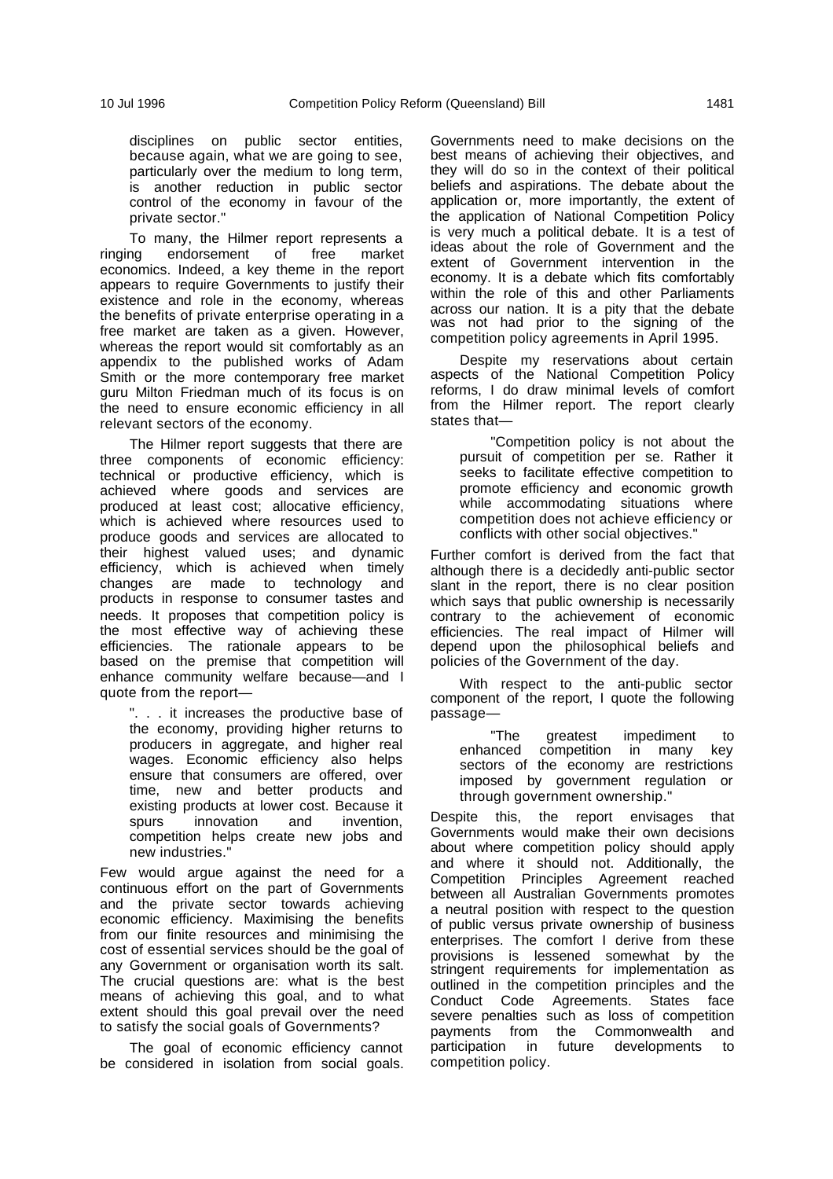disciplines on public sector entities, because again, what we are going to see, particularly over the medium to long term, is another reduction in public sector control of the economy in favour of the private sector."

To many, the Hilmer report represents a ringing endorsement of free market economics. Indeed, a key theme in the report appears to require Governments to justify their existence and role in the economy, whereas the benefits of private enterprise operating in a free market are taken as a given. However, whereas the report would sit comfortably as an appendix to the published works of Adam Smith or the more contemporary free market guru Milton Friedman much of its focus is on the need to ensure economic efficiency in all relevant sectors of the economy.

The Hilmer report suggests that there are three components of economic efficiency: technical or productive efficiency, which is achieved where goods and services are produced at least cost; allocative efficiency, which is achieved where resources used to produce goods and services are allocated to their highest valued uses; and dynamic efficiency, which is achieved when timely changes are made to technology and products in response to consumer tastes and needs. It proposes that competition policy is the most effective way of achieving these efficiencies. The rationale appears to be based on the premise that competition will enhance community welfare because—and I quote from the report—

". . . it increases the productive base of the economy, providing higher returns to producers in aggregate, and higher real wages. Economic efficiency also helps ensure that consumers are offered, over time, new and better products and existing products at lower cost. Because it spurs innovation and invention. competition helps create new jobs and new industries."

Few would argue against the need for a continuous effort on the part of Governments and the private sector towards achieving economic efficiency. Maximising the benefits from our finite resources and minimising the cost of essential services should be the goal of any Government or organisation worth its salt. The crucial questions are: what is the best means of achieving this goal, and to what extent should this goal prevail over the need to satisfy the social goals of Governments?

The goal of economic efficiency cannot be considered in isolation from social goals. Governments need to make decisions on the best means of achieving their objectives, and they will do so in the context of their political beliefs and aspirations. The debate about the application or, more importantly, the extent of the application of National Competition Policy is very much a political debate. It is a test of ideas about the role of Government and the extent of Government intervention in the economy. It is a debate which fits comfortably within the role of this and other Parliaments across our nation. It is a pity that the debate was not had prior to the signing of the competition policy agreements in April 1995.

Despite my reservations about certain aspects of the National Competition Policy reforms, I do draw minimal levels of comfort from the Hilmer report. The report clearly states that—

"Competition policy is not about the pursuit of competition per se. Rather it seeks to facilitate effective competition to promote efficiency and economic growth while accommodating situations where competition does not achieve efficiency or conflicts with other social objectives."

Further comfort is derived from the fact that although there is a decidedly anti-public sector slant in the report, there is no clear position which says that public ownership is necessarily contrary to the achievement of economic efficiencies. The real impact of Hilmer will depend upon the philosophical beliefs and policies of the Government of the day.

With respect to the anti-public sector component of the report, I quote the following passage—

The greatest impediment to<br>enhanced competition in many key competition in many sectors of the economy are restrictions imposed by government regulation or through government ownership."

Despite this, the report envisages that Governments would make their own decisions about where competition policy should apply and where it should not. Additionally, the Competition Principles Agreement reached between all Australian Governments promotes a neutral position with respect to the question of public versus private ownership of business enterprises. The comfort I derive from these provisions is lessened somewhat by the stringent requirements for implementation as outlined in the competition principles and the Conduct Code Agreements. States face severe penalties such as loss of competition payments from the Commonwealth and participation in future developments to competition policy.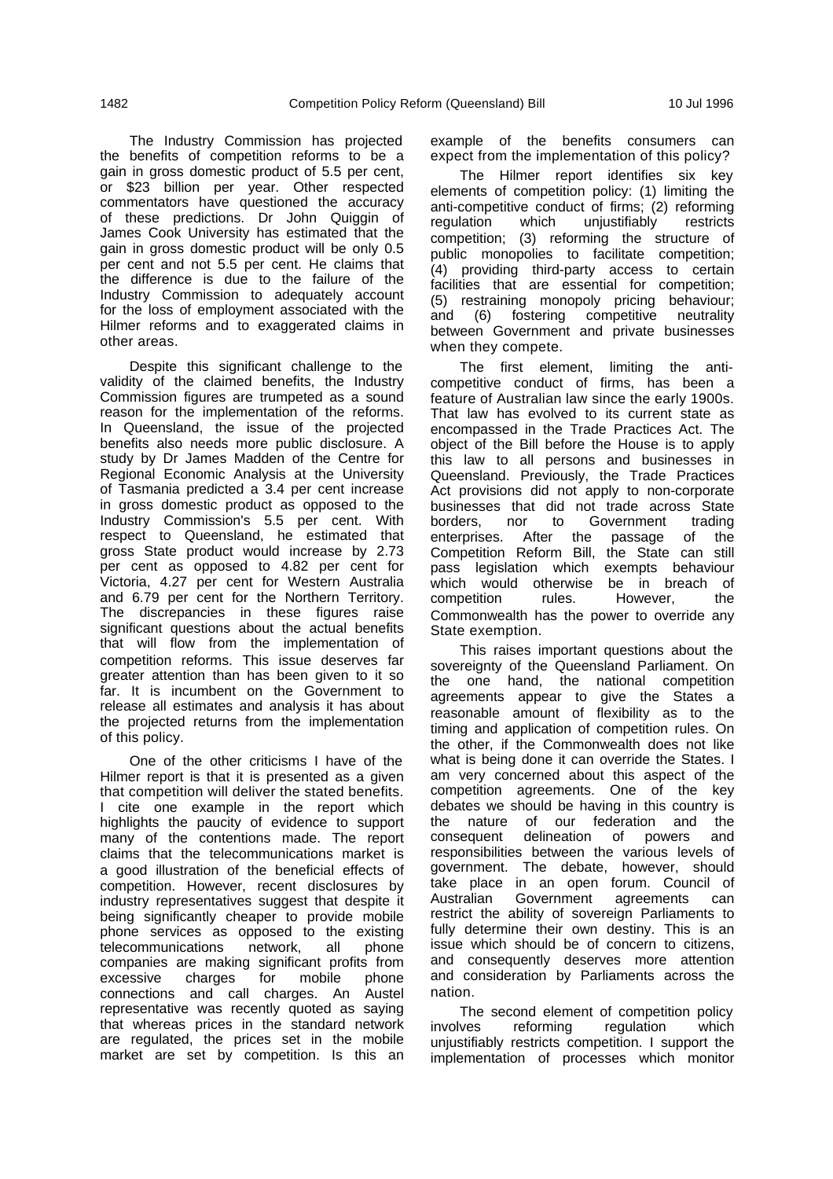The Industry Commission has projected the benefits of competition reforms to be a gain in gross domestic product of 5.5 per cent, or \$23 billion per year. Other respected commentators have questioned the accuracy of these predictions. Dr John Quiggin of James Cook University has estimated that the gain in gross domestic product will be only 0.5 per cent and not 5.5 per cent. He claims that the difference is due to the failure of the Industry Commission to adequately account for the loss of employment associated with the Hilmer reforms and to exaggerated claims in other areas.

Despite this significant challenge to the validity of the claimed benefits, the Industry Commission figures are trumpeted as a sound reason for the implementation of the reforms. In Queensland, the issue of the projected benefits also needs more public disclosure. A study by Dr James Madden of the Centre for Regional Economic Analysis at the University of Tasmania predicted a 3.4 per cent increase in gross domestic product as opposed to the Industry Commission's 5.5 per cent. With respect to Queensland, he estimated that gross State product would increase by 2.73 per cent as opposed to 4.82 per cent for Victoria, 4.27 per cent for Western Australia and 6.79 per cent for the Northern Territory. The discrepancies in these figures raise significant questions about the actual benefits that will flow from the implementation of competition reforms. This issue deserves far greater attention than has been given to it so far. It is incumbent on the Government to release all estimates and analysis it has about the projected returns from the implementation of this policy.

One of the other criticisms I have of the Hilmer report is that it is presented as a given that competition will deliver the stated benefits. I cite one example in the report which highlights the paucity of evidence to support many of the contentions made. The report claims that the telecommunications market is a good illustration of the beneficial effects of competition. However, recent disclosures by industry representatives suggest that despite it being significantly cheaper to provide mobile phone services as opposed to the existing telecommunications network, all phone companies are making significant profits from excessive charges for mobile connections and call charges. An Austel representative was recently quoted as saying that whereas prices in the standard network are regulated, the prices set in the mobile market are set by competition. Is this an

example of the benefits consumers can expect from the implementation of this policy?

The Hilmer report identifies six key elements of competition policy: (1) limiting the anti-competitive conduct of firms; (2) reforming regulation which unjustifiably restricts competition; (3) reforming the structure of public monopolies to facilitate competition; (4) providing third-party access to certain facilities that are essential for competition; (5) restraining monopoly pricing behaviour;<br>and (6) fostering competitive neutrality (6) fostering competitive neutrality between Government and private businesses when they compete.

The first element, limiting the anticompetitive conduct of firms, has been a feature of Australian law since the early 1900s. That law has evolved to its current state as encompassed in the Trade Practices Act. The object of the Bill before the House is to apply this law to all persons and businesses in Queensland. Previously, the Trade Practices Act provisions did not apply to non-corporate businesses that did not trade across State borders, nor to Government trading enterprises. After the passage of the Competition Reform Bill, the State can still pass legislation which exempts behaviour which would otherwise be in breach of competition rules. However, the Commonwealth has the power to override any State exemption.

This raises important questions about the sovereignty of the Queensland Parliament. On the one hand, the national competition agreements appear to give the States a reasonable amount of flexibility as to the timing and application of competition rules. On the other, if the Commonwealth does not like what is being done it can override the States. I am very concerned about this aspect of the competition agreements. One of the key debates we should be having in this country is the nature of our federation and the consequent delineation of powers and responsibilities between the various levels of government. The debate, however, should take place in an open forum. Council of Australian Government agreements can restrict the ability of sovereign Parliaments to fully determine their own destiny. This is an issue which should be of concern to citizens, and consequently deserves more attention and consideration by Parliaments across the nation.

The second element of competition policy involves reforming regulation which unjustifiably restricts competition. I support the implementation of processes which monitor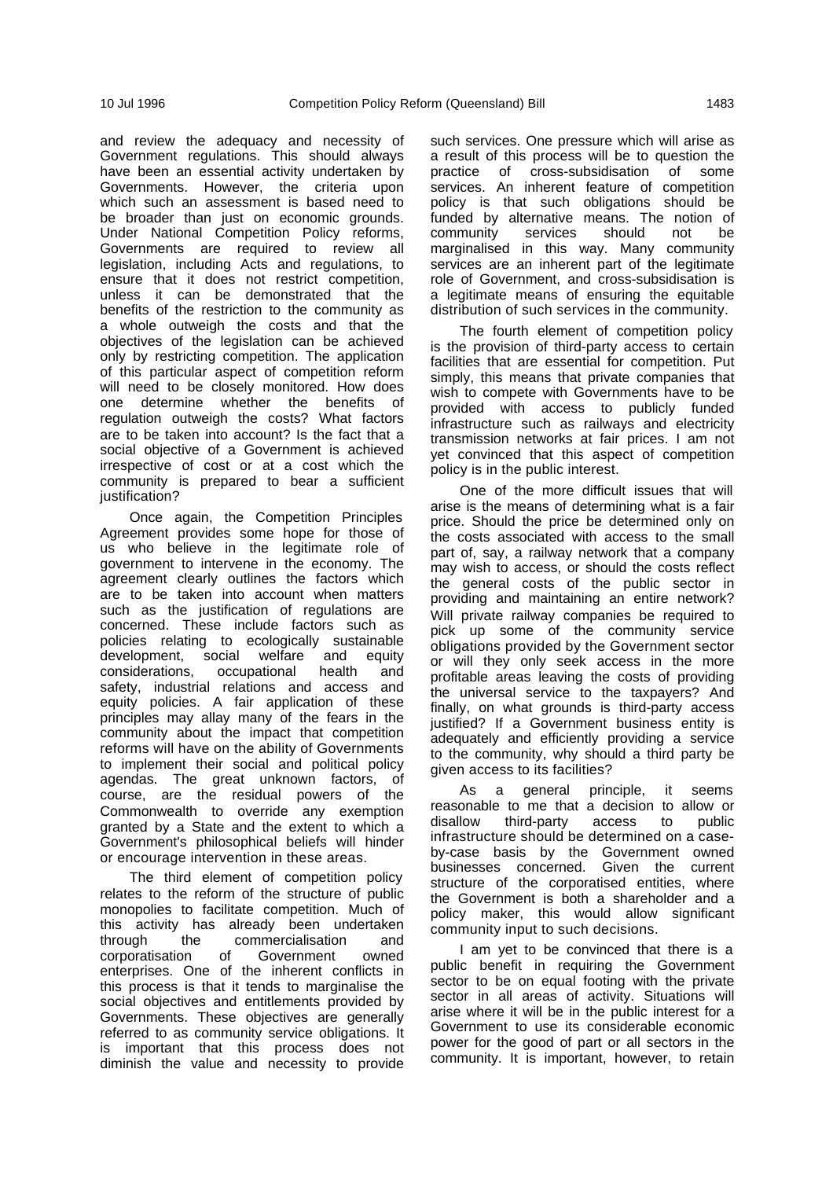and review the adequacy and necessity of Government regulations. This should always have been an essential activity undertaken by Governments. However, the criteria upon which such an assessment is based need to be broader than just on economic grounds. Under National Competition Policy reforms, Governments are required to review all legislation, including Acts and regulations, to ensure that it does not restrict competition, unless it can be demonstrated that the benefits of the restriction to the community as a whole outweigh the costs and that the objectives of the legislation can be achieved only by restricting competition. The application of this particular aspect of competition reform will need to be closely monitored. How does one determine whether the benefits of regulation outweigh the costs? What factors are to be taken into account? Is the fact that a social objective of a Government is achieved irrespective of cost or at a cost which the community is prepared to bear a sufficient justification?

Once again, the Competition Principles Agreement provides some hope for those of us who believe in the legitimate role of government to intervene in the economy. The agreement clearly outlines the factors which are to be taken into account when matters such as the justification of regulations are concerned. These include factors such as policies relating to ecologically sustainable development, social welfare and equity considerations, occupational health and safety, industrial relations and access and equity policies. A fair application of these principles may allay many of the fears in the community about the impact that competition reforms will have on the ability of Governments to implement their social and political policy agendas. The great unknown factors, of course, are the residual powers of the Commonwealth to override any exemption granted by a State and the extent to which a Government's philosophical beliefs will hinder or encourage intervention in these areas.

The third element of competition policy relates to the reform of the structure of public monopolies to facilitate competition. Much of this activity has already been undertaken<br>through the commercialisation and through the commercialisation and corporatisation of Government owned enterprises. One of the inherent conflicts in this process is that it tends to marginalise the social objectives and entitlements provided by Governments. These objectives are generally referred to as community service obligations. It is important that this process does not diminish the value and necessity to provide such services. One pressure which will arise as a result of this process will be to question the practice of cross-subsidisation of some services. An inherent feature of competition policy is that such obligations should be funded by alternative means. The notion of community services should not be marginalised in this way. Many community services are an inherent part of the legitimate role of Government, and cross-subsidisation is a legitimate means of ensuring the equitable distribution of such services in the community.

The fourth element of competition policy is the provision of third-party access to certain facilities that are essential for competition. Put simply, this means that private companies that wish to compete with Governments have to be provided with access to publicly funded infrastructure such as railways and electricity transmission networks at fair prices. I am not yet convinced that this aspect of competition policy is in the public interest.

One of the more difficult issues that will arise is the means of determining what is a fair price. Should the price be determined only on the costs associated with access to the small part of, say, a railway network that a company may wish to access, or should the costs reflect the general costs of the public sector in providing and maintaining an entire network? Will private railway companies be required to pick up some of the community service obligations provided by the Government sector or will they only seek access in the more profitable areas leaving the costs of providing the universal service to the taxpayers? And finally, on what grounds is third-party access justified? If a Government business entity is adequately and efficiently providing a service to the community, why should a third party be given access to its facilities?

As a general principle, it seems reasonable to me that a decision to allow or disallow third-party access to public infrastructure should be determined on a caseby-case basis by the Government owned businesses concerned. Given the current structure of the corporatised entities, where the Government is both a shareholder and a policy maker, this would allow significant community input to such decisions.

I am yet to be convinced that there is a public benefit in requiring the Government sector to be on equal footing with the private sector in all areas of activity. Situations will arise where it will be in the public interest for a Government to use its considerable economic power for the good of part or all sectors in the community. It is important, however, to retain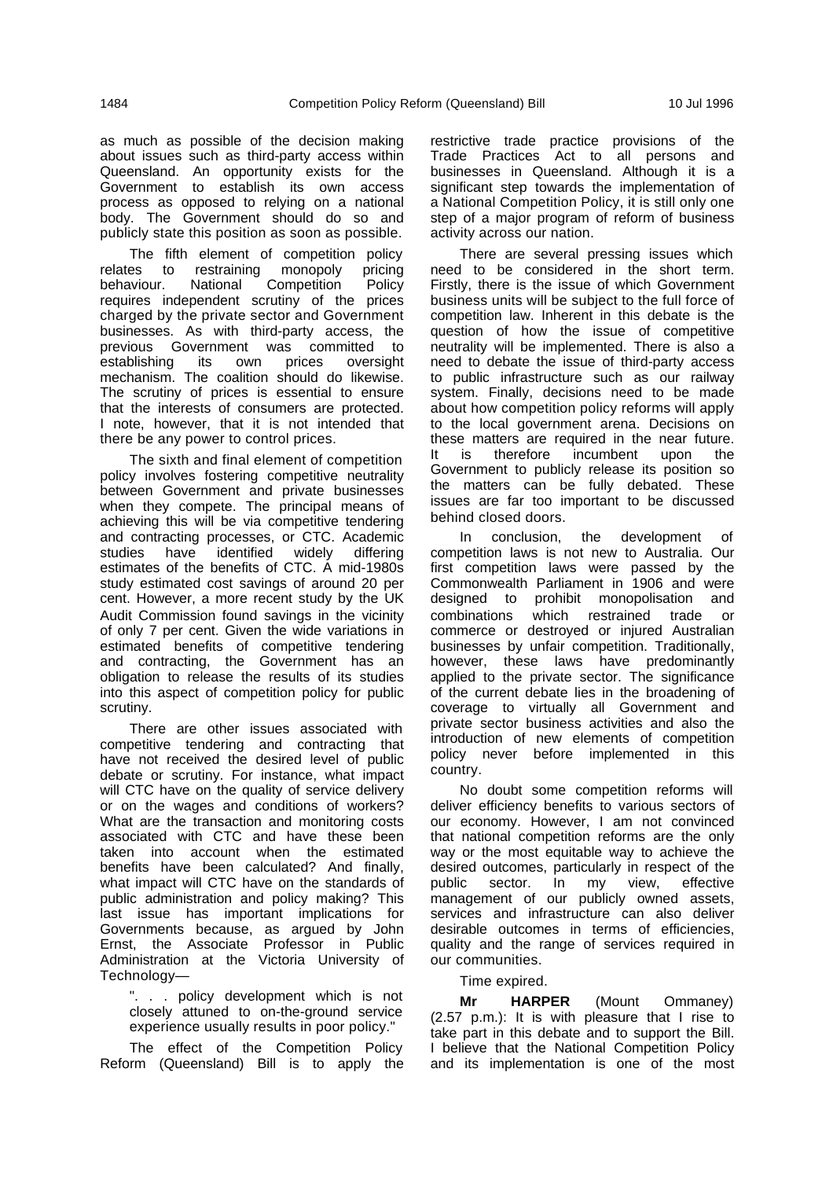as much as possible of the decision making about issues such as third-party access within Queensland. An opportunity exists for the Government to establish its own access process as opposed to relying on a national body. The Government should do so and publicly state this position as soon as possible.

The fifth element of competition policy relates to restraining monopoly pricing behaviour. National Competition Policy requires independent scrutiny of the prices charged by the private sector and Government businesses. As with third-party access, the previous Government was committed to<br>establishing its own prices oversight establishing its own prices oversight mechanism. The coalition should do likewise. The scrutiny of prices is essential to ensure that the interests of consumers are protected. I note, however, that it is not intended that there be any power to control prices.

The sixth and final element of competition policy involves fostering competitive neutrality between Government and private businesses when they compete. The principal means of achieving this will be via competitive tendering and contracting processes, or CTC. Academic studies have identified widely differing estimates of the benefits of CTC. A mid-1980s study estimated cost savings of around 20 per cent. However, a more recent study by the UK Audit Commission found savings in the vicinity of only 7 per cent. Given the wide variations in estimated benefits of competitive tendering and contracting, the Government has an obligation to release the results of its studies into this aspect of competition policy for public scrutiny.

There are other issues associated with competitive tendering and contracting that have not received the desired level of public debate or scrutiny. For instance, what impact will CTC have on the quality of service delivery or on the wages and conditions of workers? What are the transaction and monitoring costs associated with CTC and have these been taken into account when the estimated benefits have been calculated? And finally, what impact will CTC have on the standards of public administration and policy making? This last issue has important implications for Governments because, as argued by John Ernst, the Associate Professor in Public Administration at the Victoria University of Technology—

". . . policy development which is not closely attuned to on-the-ground service experience usually results in poor policy."

The effect of the Competition Policy Reform (Queensland) Bill is to apply the

restrictive trade practice provisions of the Trade Practices Act to all persons and businesses in Queensland. Although it is a significant step towards the implementation of a National Competition Policy, it is still only one step of a major program of reform of business activity across our nation.

There are several pressing issues which need to be considered in the short term. Firstly, there is the issue of which Government business units will be subject to the full force of competition law. Inherent in this debate is the question of how the issue of competitive neutrality will be implemented. There is also a need to debate the issue of third-party access to public infrastructure such as our railway system. Finally, decisions need to be made about how competition policy reforms will apply to the local government arena. Decisions on these matters are required in the near future. It is therefore incumbent upon the Government to publicly release its position so the matters can be fully debated. These issues are far too important to be discussed behind closed doors.

In conclusion, the development of competition laws is not new to Australia. Our first competition laws were passed by the Commonwealth Parliament in 1906 and were designed to prohibit monopolisation and combinations which restrained trade or commerce or destroyed or injured Australian businesses by unfair competition. Traditionally, however, these laws have predominantly applied to the private sector. The significance of the current debate lies in the broadening of coverage to virtually all Government and private sector business activities and also the introduction of new elements of competition policy never before implemented in this country.

No doubt some competition reforms will deliver efficiency benefits to various sectors of our economy. However, I am not convinced that national competition reforms are the only way or the most equitable way to achieve the desired outcomes, particularly in respect of the public sector. In my view, effective management of our publicly owned assets, services and infrastructure can also deliver desirable outcomes in terms of efficiencies, quality and the range of services required in our communities.

### Time expired.

**Mr HARPER** (Mount Ommaney) (2.57 p.m.): It is with pleasure that I rise to take part in this debate and to support the Bill. I believe that the National Competition Policy and its implementation is one of the most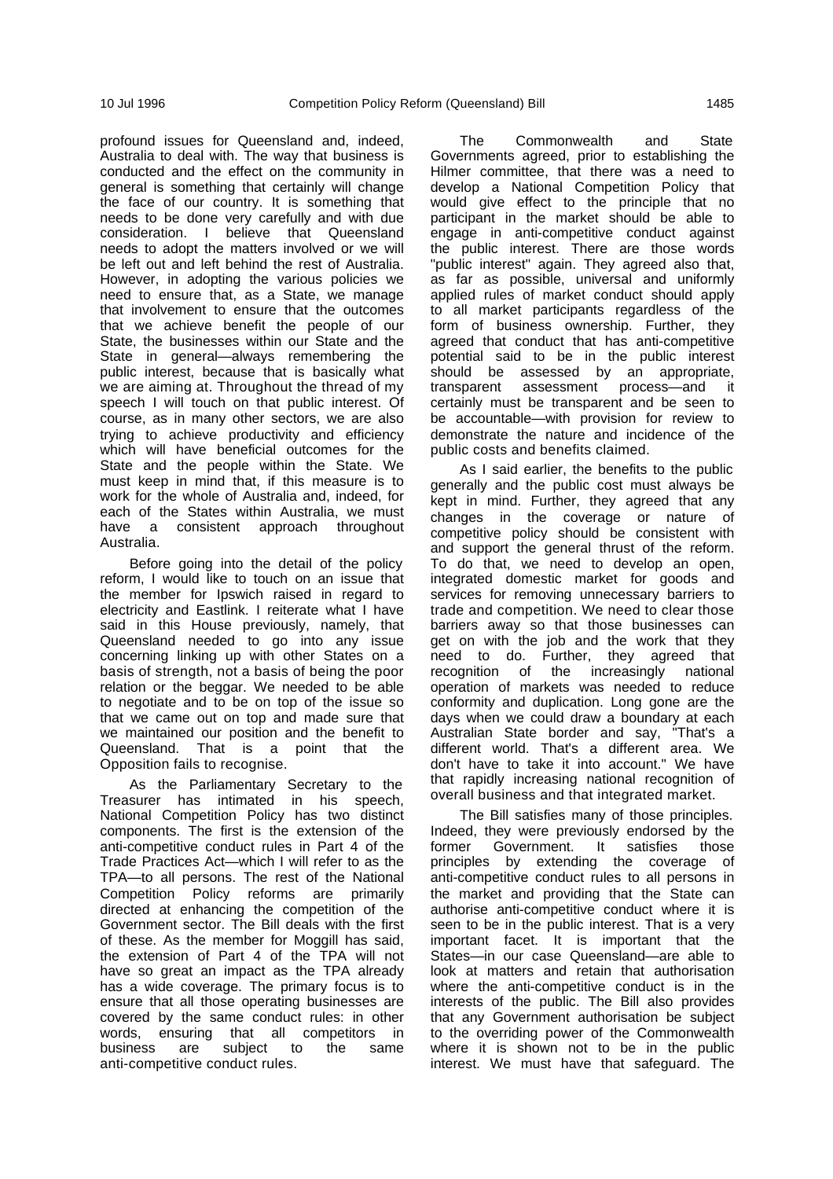profound issues for Queensland and, indeed, Australia to deal with. The way that business is conducted and the effect on the community in general is something that certainly will change the face of our country. It is something that needs to be done very carefully and with due consideration. I believe that Queensland needs to adopt the matters involved or we will be left out and left behind the rest of Australia. However, in adopting the various policies we need to ensure that, as a State, we manage that involvement to ensure that the outcomes that we achieve benefit the people of our State, the businesses within our State and the State in general—always remembering the public interest, because that is basically what we are aiming at. Throughout the thread of my speech I will touch on that public interest. Of course, as in many other sectors, we are also trying to achieve productivity and efficiency which will have beneficial outcomes for the State and the people within the State. We must keep in mind that, if this measure is to work for the whole of Australia and, indeed, for each of the States within Australia, we must have a consistent approach throughout Australia.

Before going into the detail of the policy reform, I would like to touch on an issue that the member for Ipswich raised in regard to electricity and Eastlink. I reiterate what I have said in this House previously, namely, that Queensland needed to go into any issue concerning linking up with other States on a basis of strength, not a basis of being the poor relation or the beggar. We needed to be able to negotiate and to be on top of the issue so that we came out on top and made sure that we maintained our position and the benefit to Queensland. That is a point that the Opposition fails to recognise.

As the Parliamentary Secretary to the Treasurer has intimated in his speech, National Competition Policy has two distinct components. The first is the extension of the anti-competitive conduct rules in Part 4 of the Trade Practices Act—which I will refer to as the TPA—to all persons. The rest of the National Competition Policy reforms are primarily directed at enhancing the competition of the Government sector. The Bill deals with the first of these. As the member for Moggill has said, the extension of Part 4 of the TPA will not have so great an impact as the TPA already has a wide coverage. The primary focus is to ensure that all those operating businesses are covered by the same conduct rules: in other words, ensuring that all competitors in business are subject to the same anti-competitive conduct rules.

The Commonwealth and State Governments agreed, prior to establishing the Hilmer committee, that there was a need to develop a National Competition Policy that would give effect to the principle that no participant in the market should be able to engage in anti-competitive conduct against the public interest. There are those words "public interest" again. They agreed also that, as far as possible, universal and uniformly applied rules of market conduct should apply to all market participants regardless of the form of business ownership. Further, they agreed that conduct that has anti-competitive potential said to be in the public interest should be assessed by an appropriate,<br>transparent assessment process-and it assessment process—and it certainly must be transparent and be seen to be accountable—with provision for review to demonstrate the nature and incidence of the public costs and benefits claimed.

As I said earlier, the benefits to the public generally and the public cost must always be kept in mind. Further, they agreed that any changes in the coverage or nature of competitive policy should be consistent with and support the general thrust of the reform. To do that, we need to develop an open, integrated domestic market for goods and services for removing unnecessary barriers to trade and competition. We need to clear those barriers away so that those businesses can get on with the job and the work that they need to do. Further, they agreed that recognition of the increasingly national operation of markets was needed to reduce conformity and duplication. Long gone are the days when we could draw a boundary at each Australian State border and say, "That's a different world. That's a different area. We don't have to take it into account." We have that rapidly increasing national recognition of overall business and that integrated market.

The Bill satisfies many of those principles. Indeed, they were previously endorsed by the former Government. It satisfies those principles by extending the coverage of anti-competitive conduct rules to all persons in the market and providing that the State can authorise anti-competitive conduct where it is seen to be in the public interest. That is a very important facet. It is important that the States—in our case Queensland—are able to look at matters and retain that authorisation where the anti-competitive conduct is in the interests of the public. The Bill also provides that any Government authorisation be subject to the overriding power of the Commonwealth where it is shown not to be in the public interest. We must have that safeguard. The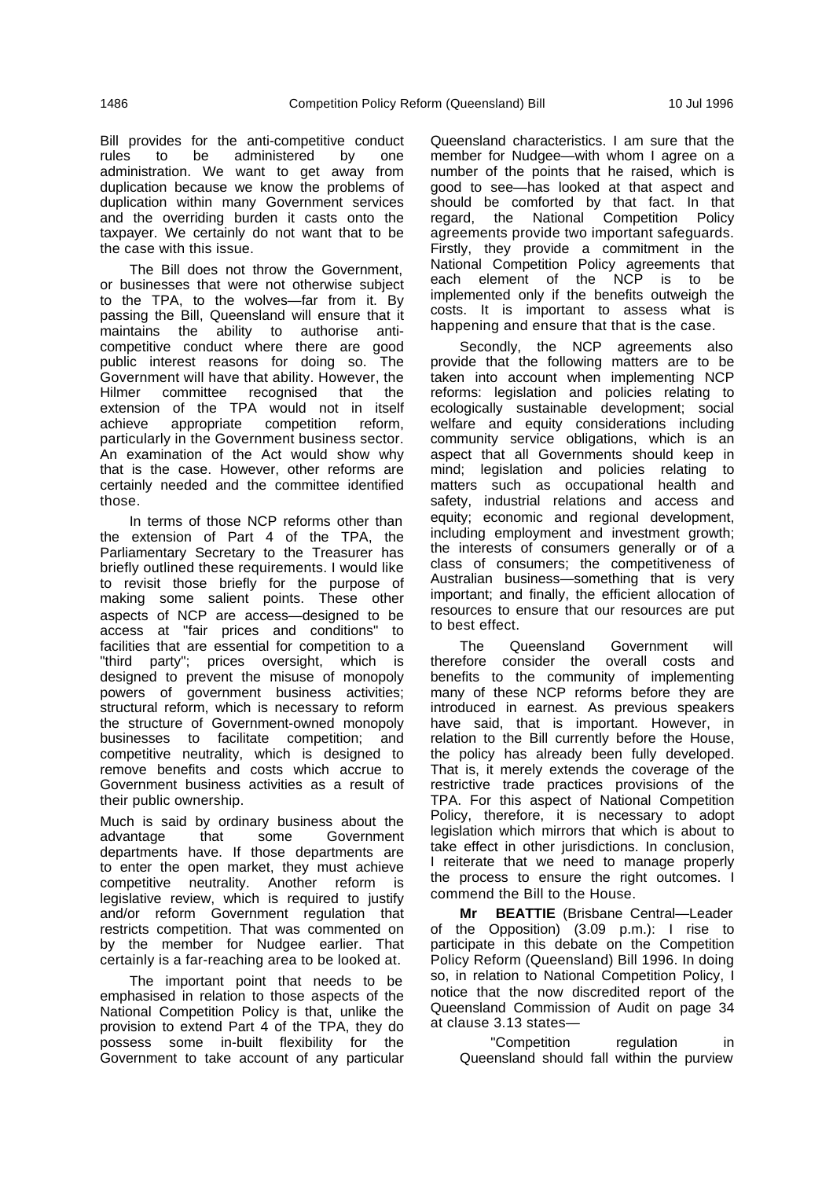Bill provides for the anti-competitive conduct rules to be administered by one administration. We want to get away from duplication because we know the problems of duplication within many Government services and the overriding burden it casts onto the taxpayer. We certainly do not want that to be the case with this issue.

The Bill does not throw the Government, or businesses that were not otherwise subject to the TPA, to the wolves—far from it. By passing the Bill, Queensland will ensure that it maintains the ability to authorise anticompetitive conduct where there are good public interest reasons for doing so. The Government will have that ability. However, the Hilmer committee recognised that the extension of the TPA would not in itself achieve appropriate competition reform, particularly in the Government business sector. An examination of the Act would show why that is the case. However, other reforms are certainly needed and the committee identified those.

In terms of those NCP reforms other than the extension of Part 4 of the TPA, the Parliamentary Secretary to the Treasurer has briefly outlined these requirements. I would like to revisit those briefly for the purpose of making some salient points. These other aspects of NCP are access—designed to be access at "fair prices and conditions" to facilities that are essential for competition to a "third party"; prices oversight, which is designed to prevent the misuse of monopoly powers of government business activities; structural reform, which is necessary to reform the structure of Government-owned monopoly businesses to facilitate competition; and competitive neutrality, which is designed to remove benefits and costs which accrue to Government business activities as a result of their public ownership.

Much is said by ordinary business about the advantage that some Government departments have. If those departments are to enter the open market, they must achieve competitive neutrality. Another reform is legislative review, which is required to justify and/or reform Government regulation that restricts competition. That was commented on by the member for Nudgee earlier. That certainly is a far-reaching area to be looked at.

The important point that needs to be emphasised in relation to those aspects of the National Competition Policy is that, unlike the provision to extend Part 4 of the TPA, they do possess some in-built flexibility for the Government to take account of any particular Queensland characteristics. I am sure that the member for Nudgee—with whom I agree on a number of the points that he raised, which is good to see—has looked at that aspect and should be comforted by that fact. In that regard, the National Competition Policy agreements provide two important safeguards. Firstly, they provide a commitment in the National Competition Policy agreements that each element of the NCP is to be implemented only if the benefits outweigh the costs. It is important to assess what is happening and ensure that that is the case.

Secondly, the NCP agreements also provide that the following matters are to be taken into account when implementing NCP reforms: legislation and policies relating to ecologically sustainable development; social welfare and equity considerations including community service obligations, which is an aspect that all Governments should keep in mind; legislation and policies relating to matters such as occupational health and safety, industrial relations and access and equity; economic and regional development, including employment and investment growth; the interests of consumers generally or of a class of consumers; the competitiveness of Australian business—something that is very important; and finally, the efficient allocation of resources to ensure that our resources are put to best effect.

The Queensland Government will therefore consider the overall costs and benefits to the community of implementing many of these NCP reforms before they are introduced in earnest. As previous speakers have said, that is important. However, in relation to the Bill currently before the House, the policy has already been fully developed. That is, it merely extends the coverage of the restrictive trade practices provisions of the TPA. For this aspect of National Competition Policy, therefore, it is necessary to adopt legislation which mirrors that which is about to take effect in other jurisdictions. In conclusion, I reiterate that we need to manage properly the process to ensure the right outcomes. I commend the Bill to the House.

**Mr BEATTIE** (Brisbane Central—Leader of the Opposition) (3.09 p.m.): I rise to participate in this debate on the Competition Policy Reform (Queensland) Bill 1996. In doing so, in relation to National Competition Policy, I notice that the now discredited report of the Queensland Commission of Audit on page 34 at clause 3.13 states—

"Competition regulation in Queensland should fall within the purview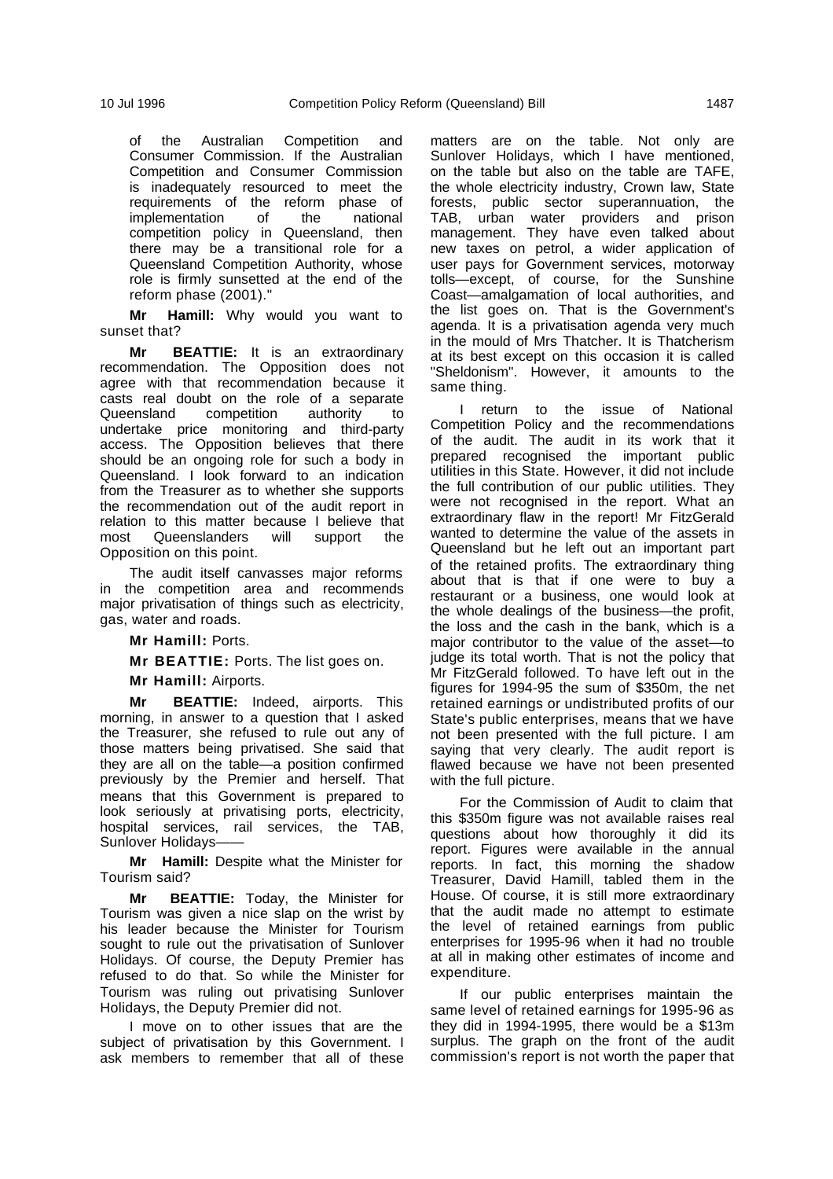of the Australian Competition and Consumer Commission. If the Australian Competition and Consumer Commission is inadequately resourced to meet the requirements of the reform phase of implementation of the national competition policy in Queensland, then there may be a transitional role for a Queensland Competition Authority, whose role is firmly sunsetted at the end of the reform phase (2001)."

**Mr Hamill:** Why would you want to sunset that?

**Mr BEATTIE:** It is an extraordinary recommendation. The Opposition does not agree with that recommendation because it casts real doubt on the role of a separate<br>Queensland competition authority to Queensland competition authority to undertake price monitoring and third-party access. The Opposition believes that there should be an ongoing role for such a body in Queensland. I look forward to an indication from the Treasurer as to whether she supports the recommendation out of the audit report in relation to this matter because I believe that most Queenslanders will support the Opposition on this point.

The audit itself canvasses major reforms in the competition area and recommends major privatisation of things such as electricity, gas, water and roads.

**Mr Hamill:** Ports.

**Mr BEATTIE:** Ports. The list goes on.

**Mr Hamill:** Airports.

**Mr BEATTIE:** Indeed, airports. This morning, in answer to a question that I asked the Treasurer, she refused to rule out any of those matters being privatised. She said that they are all on the table—a position confirmed previously by the Premier and herself. That means that this Government is prepared to look seriously at privatising ports, electricity, hospital services, rail services, the TAB, Sunlover Holidays-

**Mr Hamill:** Despite what the Minister for Tourism said?

**Mr BEATTIE:** Today, the Minister for Tourism was given a nice slap on the wrist by his leader because the Minister for Tourism sought to rule out the privatisation of Sunlover Holidays. Of course, the Deputy Premier has refused to do that. So while the Minister for Tourism was ruling out privatising Sunlover Holidays, the Deputy Premier did not.

I move on to other issues that are the subject of privatisation by this Government. I ask members to remember that all of these

matters are on the table. Not only are Sunlover Holidays, which I have mentioned, on the table but also on the table are TAFE, the whole electricity industry, Crown law, State forests, public sector superannuation, the TAB, urban water providers and prison management. They have even talked about new taxes on petrol, a wider application of user pays for Government services, motorway tolls—except, of course, for the Sunshine Coast—amalgamation of local authorities, and the list goes on. That is the Government's agenda. It is a privatisation agenda very much in the mould of Mrs Thatcher. It is Thatcherism at its best except on this occasion it is called "Sheldonism". However, it amounts to the same thing.

I return to the issue of National Competition Policy and the recommendations of the audit. The audit in its work that it prepared recognised the important public utilities in this State. However, it did not include the full contribution of our public utilities. They were not recognised in the report. What an extraordinary flaw in the report! Mr FitzGerald wanted to determine the value of the assets in Queensland but he left out an important part of the retained profits. The extraordinary thing about that is that if one were to buy a restaurant or a business, one would look at the whole dealings of the business—the profit, the loss and the cash in the bank, which is a major contributor to the value of the asset—to judge its total worth. That is not the policy that Mr FitzGerald followed. To have left out in the figures for 1994-95 the sum of \$350m, the net retained earnings or undistributed profits of our State's public enterprises, means that we have not been presented with the full picture. I am saying that very clearly. The audit report is flawed because we have not been presented with the full picture.

For the Commission of Audit to claim that this \$350m figure was not available raises real questions about how thoroughly it did its report. Figures were available in the annual reports. In fact, this morning the shadow Treasurer, David Hamill, tabled them in the House. Of course, it is still more extraordinary that the audit made no attempt to estimate the level of retained earnings from public enterprises for 1995-96 when it had no trouble at all in making other estimates of income and expenditure.

If our public enterprises maintain the same level of retained earnings for 1995-96 as they did in 1994-1995, there would be a \$13m surplus. The graph on the front of the audit commission's report is not worth the paper that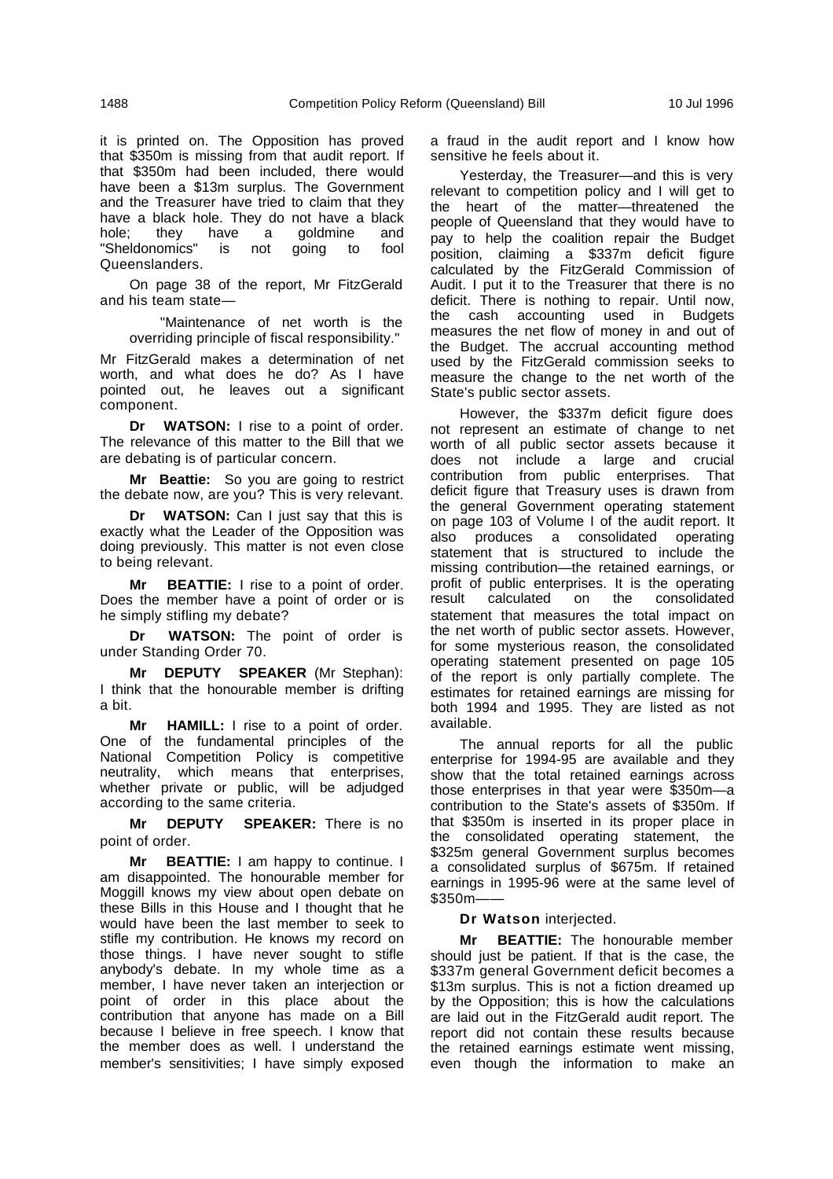it is printed on. The Opposition has proved that \$350m is missing from that audit report. If that \$350m had been included, there would have been a \$13m surplus. The Government and the Treasurer have tried to claim that they have a black hole. They do not have a black hole; they have a goldmine and "Sheldonomics" is not going to fool Queenslanders.

On page 38 of the report, Mr FitzGerald and his team state—

"Maintenance of net worth is the overriding principle of fiscal responsibility."

Mr FitzGerald makes a determination of net worth, and what does he do? As I have pointed out, he leaves out a significant component.

**Dr WATSON:** I rise to a point of order. The relevance of this matter to the Bill that we are debating is of particular concern.

**Mr Beattie:** So you are going to restrict the debate now, are you? This is very relevant.

**Dr WATSON:** Can I just say that this is exactly what the Leader of the Opposition was doing previously. This matter is not even close to being relevant.

**Mr BEATTIE:** I rise to a point of order. Does the member have a point of order or is he simply stifling my debate?

**Dr WATSON:** The point of order is under Standing Order 70.

**Mr DEPUTY SPEAKER** (Mr Stephan): I think that the honourable member is drifting a bit.

**Mr HAMILL:** I rise to a point of order. One of the fundamental principles of the National Competition Policy is competitive neutrality, which means that enterprises, whether private or public, will be adjudged according to the same criteria.

**Mr DEPUTY SPEAKER:** There is no point of order.

**Mr BEATTIE:** I am happy to continue. I am disappointed. The honourable member for Moggill knows my view about open debate on these Bills in this House and I thought that he would have been the last member to seek to stifle my contribution. He knows my record on those things. I have never sought to stifle anybody's debate. In my whole time as a member, I have never taken an interjection or point of order in this place about the contribution that anyone has made on a Bill because I believe in free speech. I know that the member does as well. I understand the member's sensitivities; I have simply exposed a fraud in the audit report and I know how sensitive he feels about it.

Yesterday, the Treasurer—and this is very relevant to competition policy and I will get to the heart of the matter—threatened the people of Queensland that they would have to pay to help the coalition repair the Budget position, claiming a \$337m deficit figure calculated by the FitzGerald Commission of Audit. I put it to the Treasurer that there is no deficit. There is nothing to repair. Until now, the cash accounting used in Budgets measures the net flow of money in and out of the Budget. The accrual accounting method used by the FitzGerald commission seeks to measure the change to the net worth of the State's public sector assets.

However, the \$337m deficit figure does not represent an estimate of change to net worth of all public sector assets because it does not include a large and crucial contribution from public enterprises. That deficit figure that Treasury uses is drawn from the general Government operating statement on page 103 of Volume I of the audit report. It also produces a consolidated operating statement that is structured to include the missing contribution—the retained earnings, or profit of public enterprises. It is the operating result calculated on the consolidated statement that measures the total impact on the net worth of public sector assets. However, for some mysterious reason, the consolidated operating statement presented on page 105 of the report is only partially complete. The estimates for retained earnings are missing for both 1994 and 1995. They are listed as not available.

The annual reports for all the public enterprise for 1994-95 are available and they show that the total retained earnings across those enterprises in that year were \$350m—a contribution to the State's assets of \$350m. If that \$350m is inserted in its proper place in the consolidated operating statement, the \$325m general Government surplus becomes a consolidated surplus of \$675m. If retained earnings in 1995-96 were at the same level of \$350m——

## **Dr Watson** interjected.

**Mr BEATTIE:** The honourable member should just be patient. If that is the case, the \$337m general Government deficit becomes a \$13m surplus. This is not a fiction dreamed up by the Opposition; this is how the calculations are laid out in the FitzGerald audit report. The report did not contain these results because the retained earnings estimate went missing, even though the information to make an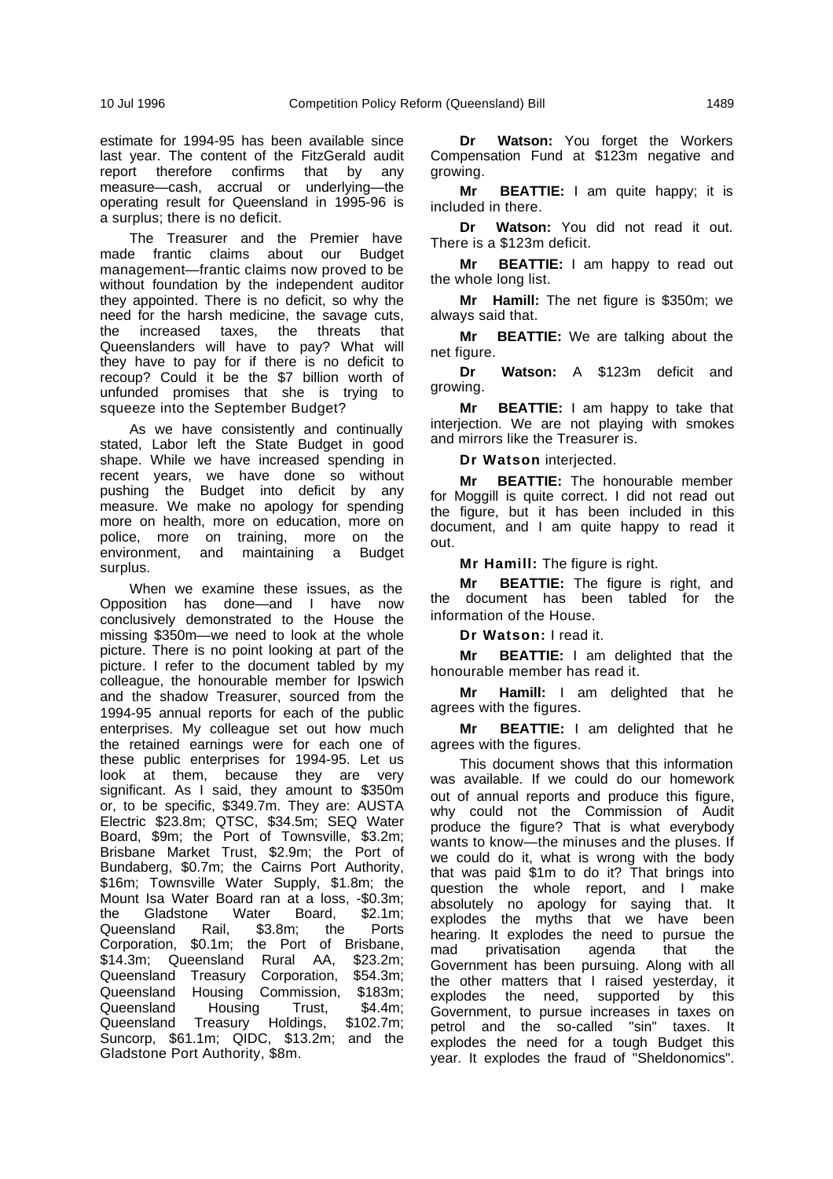estimate for 1994-95 has been available since last year. The content of the FitzGerald audit report therefore confirms that by any measure—cash, accrual or underlying—the operating result for Queensland in 1995-96 is a surplus; there is no deficit.

The Treasurer and the Premier have made frantic claims about our Budget management—frantic claims now proved to be without foundation by the independent auditor they appointed. There is no deficit, so why the need for the harsh medicine, the savage cuts, the increased taxes, the threats that Queenslanders will have to pay? What will they have to pay for if there is no deficit to recoup? Could it be the \$7 billion worth of unfunded promises that she is trying to squeeze into the September Budget?

As we have consistently and continually stated, Labor left the State Budget in good shape. While we have increased spending in recent years, we have done so without pushing the Budget into deficit by any measure. We make no apology for spending more on health, more on education, more on police, more on training, more on the environment, and maintaining a Budget surplus.

When we examine these issues, as the Opposition has done—and I have now conclusively demonstrated to the House the missing \$350m—we need to look at the whole picture. There is no point looking at part of the picture. I refer to the document tabled by my colleague, the honourable member for Ipswich and the shadow Treasurer, sourced from the 1994-95 annual reports for each of the public enterprises. My colleague set out how much the retained earnings were for each one of these public enterprises for 1994-95. Let us look at them, because they are very significant. As I said, they amount to \$350m or, to be specific, \$349.7m. They are: AUSTA Electric \$23.8m; QTSC, \$34.5m; SEQ Water Board, \$9m; the Port of Townsville, \$3.2m; Brisbane Market Trust, \$2.9m; the Port of Bundaberg, \$0.7m; the Cairns Port Authority, \$16m; Townsville Water Supply, \$1.8m; the Mount Isa Water Board ran at a loss, -\$0.3m;<br>the Gladstone Water Board. \$2.1m: the Gladstone Water Board, \$2.1m; Queensland Rail, \$3.8m; the Ports Corporation, \$0.1m; the Port of Brisbane, \$14.3m; Queensland Rural AA, \$23.2m; Queensland Treasury Corporation, \$54.3m; Queensland Housing Commission, \$183m;<br>Queensland Housing Trust. \$4.4m: Queensland Queensland Treasury Holdings, \$102.7m; Suncorp, \$61.1m; QIDC, \$13.2m; and the Gladstone Port Authority, \$8m.

**Dr Watson:** You forget the Workers Compensation Fund at \$123m negative and growing.

**Mr BEATTIE:** I am quite happy; it is included in there.

**Dr Watson:** You did not read it out. There is a \$123m deficit.

**Mr BEATTIE:** I am happy to read out the whole long list.

**Mr Hamill:** The net figure is \$350m; we always said that.

**Mr BEATTIE:** We are talking about the net figure.

**Dr Watson:** A \$123m deficit and growing.

**Mr BEATTIE:** I am happy to take that interjection. We are not playing with smokes and mirrors like the Treasurer is.

**Dr Watson** interjected.

**Mr BEATTIE:** The honourable member for Moggill is quite correct. I did not read out the figure, but it has been included in this document, and I am quite happy to read it out.

**Mr Hamill:** The figure is right.

**Mr BEATTIE:** The figure is right, and the document has been tabled for the information of the House.

**Dr Watson:** I read it.

**Mr BEATTIE:** I am delighted that the honourable member has read it.

**Mr Hamill:** I am delighted that he agrees with the figures.

**Mr BEATTIE:** I am delighted that he agrees with the figures.

This document shows that this information was available. If we could do our homework out of annual reports and produce this figure, why could not the Commission of Audit produce the figure? That is what everybody wants to know—the minuses and the pluses. If we could do it, what is wrong with the body that was paid \$1m to do it? That brings into question the whole report, and I make absolutely no apology for saying that. It explodes the myths that we have been hearing. It explodes the need to pursue the mad privatisation agenda that the Government has been pursuing. Along with all the other matters that I raised yesterday, it explodes the need, supported by this Government, to pursue increases in taxes on petrol and the so-called "sin" taxes. It explodes the need for a tough Budget this year. It explodes the fraud of "Sheldonomics".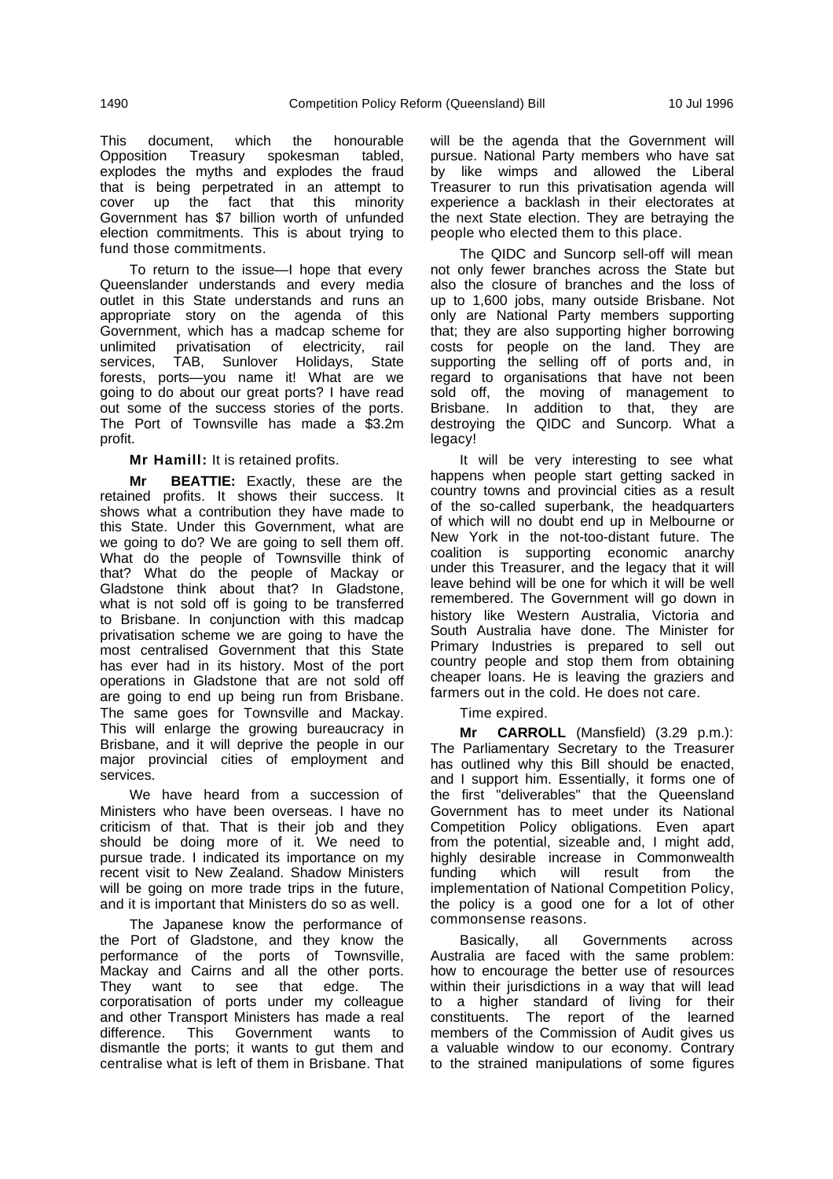This document, which the honourable<br>Opposition Treasury spokesman tabled, Opposition Treasury spokesman tabled, explodes the myths and explodes the fraud that is being perpetrated in an attempt to cover up the fact that this minority Government has \$7 billion worth of unfunded election commitments. This is about trying to fund those commitments.

To return to the issue—I hope that every Queenslander understands and every media outlet in this State understands and runs an appropriate story on the agenda of this Government, which has a madcap scheme for unlimited privatisation of electricity, rail<br>services. TAB. Sunlover Holidavs. State TAB, Sunlover Holidays, State forests, ports—you name it! What are we going to do about our great ports? I have read out some of the success stories of the ports. The Port of Townsville has made a \$3.2m profit.

**Mr Hamill:** It is retained profits.

**Mr BEATTIE:** Exactly, these are the retained profits. It shows their success. It shows what a contribution they have made to this State. Under this Government, what are we going to do? We are going to sell them off. What do the people of Townsville think of that? What do the people of Mackay or Gladstone think about that? In Gladstone, what is not sold off is going to be transferred to Brisbane. In conjunction with this madcap privatisation scheme we are going to have the most centralised Government that this State has ever had in its history. Most of the port operations in Gladstone that are not sold off are going to end up being run from Brisbane. The same goes for Townsville and Mackay. This will enlarge the growing bureaucracy in Brisbane, and it will deprive the people in our major provincial cities of employment and services.

We have heard from a succession of Ministers who have been overseas. I have no criticism of that. That is their job and they should be doing more of it. We need to pursue trade. I indicated its importance on my recent visit to New Zealand. Shadow Ministers will be going on more trade trips in the future, and it is important that Ministers do so as well.

The Japanese know the performance of the Port of Gladstone, and they know the performance of the ports of Townsville, Mackay and Cairns and all the other ports. They want to see that edge. The corporatisation of ports under my colleague and other Transport Ministers has made a real difference. This Government wants to dismantle the ports; it wants to gut them and centralise what is left of them in Brisbane. That will be the agenda that the Government will pursue. National Party members who have sat by like wimps and allowed the Liberal Treasurer to run this privatisation agenda will experience a backlash in their electorates at the next State election. They are betraying the people who elected them to this place.

The QIDC and Suncorp sell-off will mean not only fewer branches across the State but also the closure of branches and the loss of up to 1,600 jobs, many outside Brisbane. Not only are National Party members supporting that; they are also supporting higher borrowing costs for people on the land. They are supporting the selling off of ports and, in regard to organisations that have not been sold off, the moving of management to Brisbane. In addition to that, they are destroying the QIDC and Suncorp. What a legacy!

It will be very interesting to see what happens when people start getting sacked in country towns and provincial cities as a result of the so-called superbank, the headquarters of which will no doubt end up in Melbourne or New York in the not-too-distant future. The coalition is supporting economic anarchy under this Treasurer, and the legacy that it will leave behind will be one for which it will be well remembered. The Government will go down in history like Western Australia, Victoria and South Australia have done. The Minister for Primary Industries is prepared to sell out country people and stop them from obtaining cheaper loans. He is leaving the graziers and farmers out in the cold. He does not care.

Time expired.

**Mr CARROLL** (Mansfield) (3.29 p.m.): The Parliamentary Secretary to the Treasurer has outlined why this Bill should be enacted, and I support him. Essentially, it forms one of the first "deliverables" that the Queensland Government has to meet under its National Competition Policy obligations. Even apart from the potential, sizeable and, I might add, highly desirable increase in Commonwealth funding which will result from the implementation of National Competition Policy, the policy is a good one for a lot of other commonsense reasons.

Basically, all Governments across Australia are faced with the same problem: how to encourage the better use of resources within their jurisdictions in a way that will lead to a higher standard of living for their constituents. The report of the learned members of the Commission of Audit gives us a valuable window to our economy. Contrary to the strained manipulations of some figures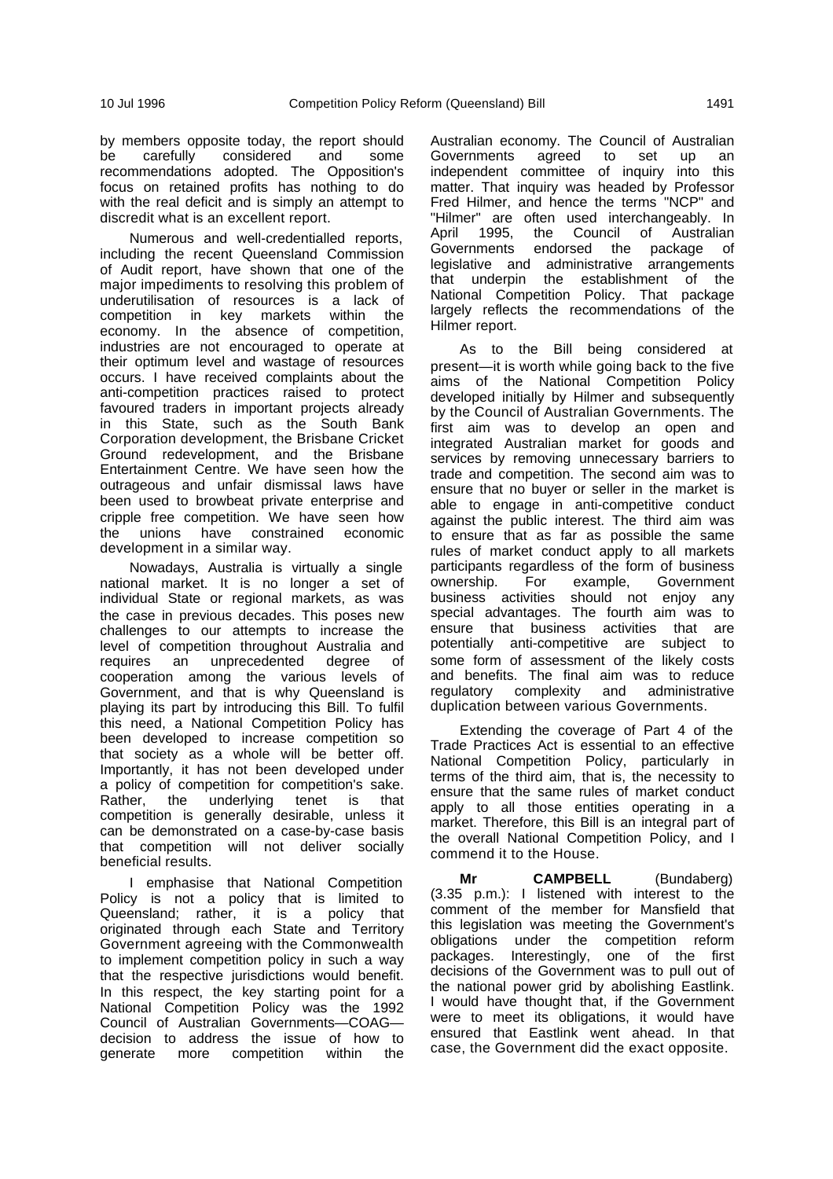by members opposite today, the report should be carefully considered and some recommendations adopted. The Opposition's focus on retained profits has nothing to do with the real deficit and is simply an attempt to discredit what is an excellent report.

Numerous and well-credentialled reports, including the recent Queensland Commission of Audit report, have shown that one of the major impediments to resolving this problem of underutilisation of resources is a lack of competition in key markets within economy. In the absence of competition, industries are not encouraged to operate at their optimum level and wastage of resources occurs. I have received complaints about the anti-competition practices raised to protect favoured traders in important projects already in this State, such as the South Bank Corporation development, the Brisbane Cricket Ground redevelopment, and the Brisbane Entertainment Centre. We have seen how the outrageous and unfair dismissal laws have been used to browbeat private enterprise and cripple free competition. We have seen how the unions have constrained economic development in a similar way.

Nowadays, Australia is virtually a single national market. It is no longer a set of individual State or regional markets, as was the case in previous decades. This poses new challenges to our attempts to increase the level of competition throughout Australia and requires an unprecedented degree of cooperation among the various levels of Government, and that is why Queensland is playing its part by introducing this Bill. To fulfil this need, a National Competition Policy has been developed to increase competition so that society as a whole will be better off. Importantly, it has not been developed under a policy of competition for competition's sake. Rather, the underlying tenet is that competition is generally desirable, unless it can be demonstrated on a case-by-case basis that competition will not deliver socially beneficial results.

I emphasise that National Competition Policy is not a policy that is limited to Queensland; rather, it is a policy that originated through each State and Territory Government agreeing with the Commonwealth to implement competition policy in such a way that the respective jurisdictions would benefit. In this respect, the key starting point for a National Competition Policy was the 1992 Council of Australian Governments—COAG decision to address the issue of how to generate more competition within the

Australian economy. The Council of Australian Governments agreed to set up an independent committee of inquiry into this matter. That inquiry was headed by Professor Fred Hilmer, and hence the terms "NCP" and "Hilmer" are often used interchangeably. In<br>April 1995. the Council of Australian April 1995, the Council of Australian Governments endorsed the package of legislative and administrative arrangements that underpin the establishment of the National Competition Policy. That package largely reflects the recommendations of the Hilmer report.

As to the Bill being considered at present—it is worth while going back to the five aims of the National Competition Policy developed initially by Hilmer and subsequently by the Council of Australian Governments. The first aim was to develop an open and integrated Australian market for goods and services by removing unnecessary barriers to trade and competition. The second aim was to ensure that no buyer or seller in the market is able to engage in anti-competitive conduct against the public interest. The third aim was to ensure that as far as possible the same rules of market conduct apply to all markets participants regardless of the form of business ownership. For example, Government business activities should not enjoy any special advantages. The fourth aim was to ensure that business activities that are potentially anti-competitive are subject to some form of assessment of the likely costs and benefits. The final aim was to reduce regulatory complexity and administrative duplication between various Governments.

Extending the coverage of Part 4 of the Trade Practices Act is essential to an effective National Competition Policy, particularly in terms of the third aim, that is, the necessity to ensure that the same rules of market conduct apply to all those entities operating in a market. Therefore, this Bill is an integral part of the overall National Competition Policy, and I commend it to the House.

**Mr CAMPBELL** (Bundaberg) (3.35 p.m.): I listened with interest to the comment of the member for Mansfield that this legislation was meeting the Government's obligations under the competition reform packages. Interestingly, one of the first decisions of the Government was to pull out of the national power grid by abolishing Eastlink. I would have thought that, if the Government were to meet its obligations, it would have ensured that Eastlink went ahead. In that case, the Government did the exact opposite.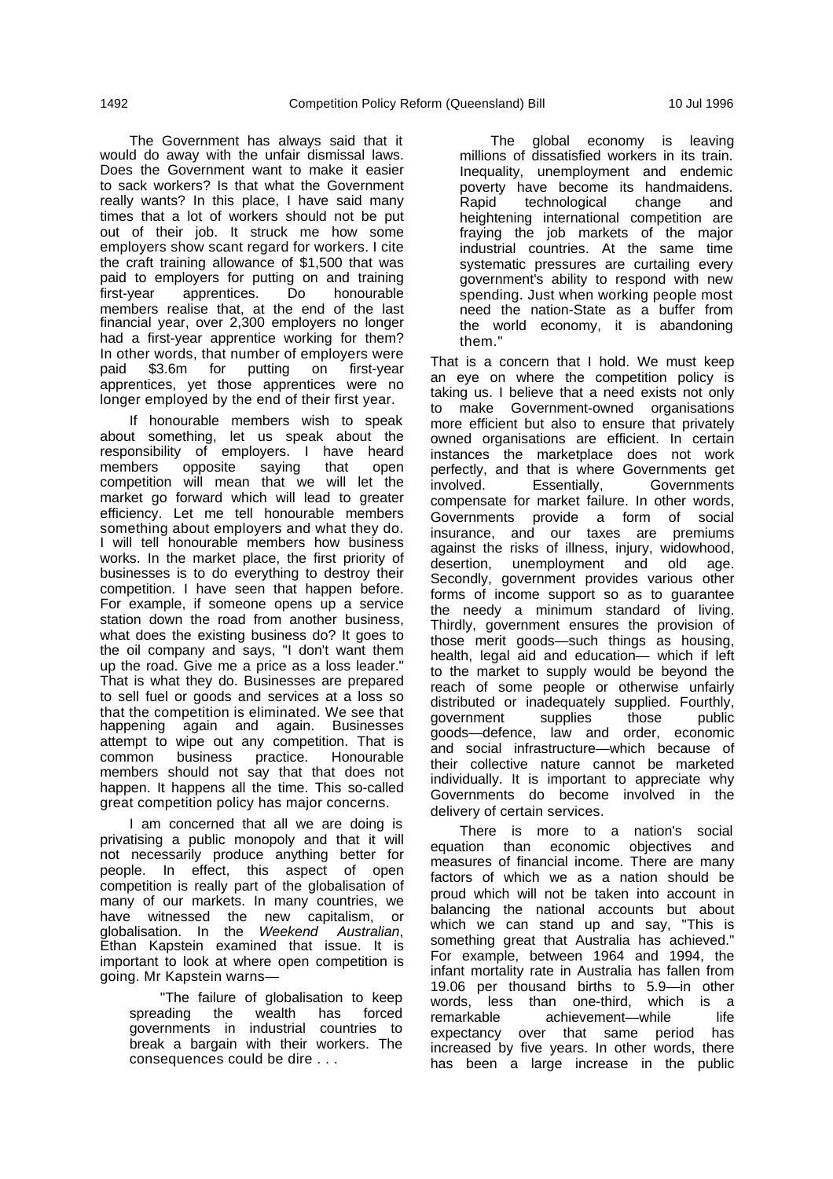The Government has always said that it would do away with the unfair dismissal laws. Does the Government want to make it easier to sack workers? Is that what the Government really wants? In this place, I have said many times that a lot of workers should not be put out of their job. It struck me how some employers show scant regard for workers. I cite the craft training allowance of \$1,500 that was paid to employers for putting on and training first-year apprentices. Do honourable members realise that, at the end of the last financial year, over 2,300 employers no longer had a first-year apprentice working for them? In other words, that number of employers were paid \$3.6m for putting on first-year apprentices, yet those apprentices were no longer employed by the end of their first year.

If honourable members wish to speak about something, let us speak about the responsibility of employers. I have heard members opposite saying that open competition will mean that we will let the market go forward which will lead to greater efficiency. Let me tell honourable members something about employers and what they do. I will tell honourable members how business works. In the market place, the first priority of businesses is to do everything to destroy their competition. I have seen that happen before. For example, if someone opens up a service station down the road from another business, what does the existing business do? It goes to the oil company and says, "I don't want them up the road. Give me a price as a loss leader." That is what they do. Businesses are prepared to sell fuel or goods and services at a loss so that the competition is eliminated. We see that happening again and again. Businesses attempt to wipe out any competition. That is common business practice. Honourable members should not say that that does not happen. It happens all the time. This so-called great competition policy has major concerns.

I am concerned that all we are doing is privatising a public monopoly and that it will not necessarily produce anything better for people. In effect, this aspect of open competition is really part of the globalisation of many of our markets. In many countries, we have witnessed the new capitalism, or globalisation. In the Weekend Australian, Ethan Kapstein examined that issue. It is important to look at where open competition is going. Mr Kapstein warns—

"The failure of globalisation to keep spreading the wealth has forced governments in industrial countries to break a bargain with their workers. The consequences could be dire . . .

The global economy is leaving millions of dissatisfied workers in its train. Inequality, unemployment and endemic poverty have become its handmaidens. Rapid technological change and heightening international competition are fraying the job markets of the major industrial countries. At the same time systematic pressures are curtailing every government's ability to respond with new spending. Just when working people most need the nation-State as a buffer from the world economy, it is abandoning them."

That is a concern that I hold. We must keep an eye on where the competition policy is taking us. I believe that a need exists not only to make Government-owned organisations more efficient but also to ensure that privately owned organisations are efficient. In certain instances the marketplace does not work perfectly, and that is where Governments get involved. Essentially, Governments compensate for market failure. In other words, Governments provide a form of social insurance, and our taxes are premiums against the risks of illness, injury, widowhood, desertion, unemployment and old age. Secondly, government provides various other forms of income support so as to guarantee the needy a minimum standard of living. Thirdly, government ensures the provision of those merit goods—such things as housing, health, legal aid and education— which if left to the market to supply would be beyond the reach of some people or otherwise unfairly distributed or inadequately supplied. Fourthly, government supplies those public goods—defence, law and order, economic and social infrastructure—which because of their collective nature cannot be marketed individually. It is important to appreciate why Governments do become involved in the delivery of certain services.

There is more to a nation's social equation than economic objectives and measures of financial income. There are many factors of which we as a nation should be proud which will not be taken into account in balancing the national accounts but about which we can stand up and say, "This is something great that Australia has achieved." For example, between 1964 and 1994, the infant mortality rate in Australia has fallen from 19.06 per thousand births to 5.9—in other words, less than one-third, which is a remarkable achievement—while life expectancy over that same period has increased by five years. In other words, there has been a large increase in the public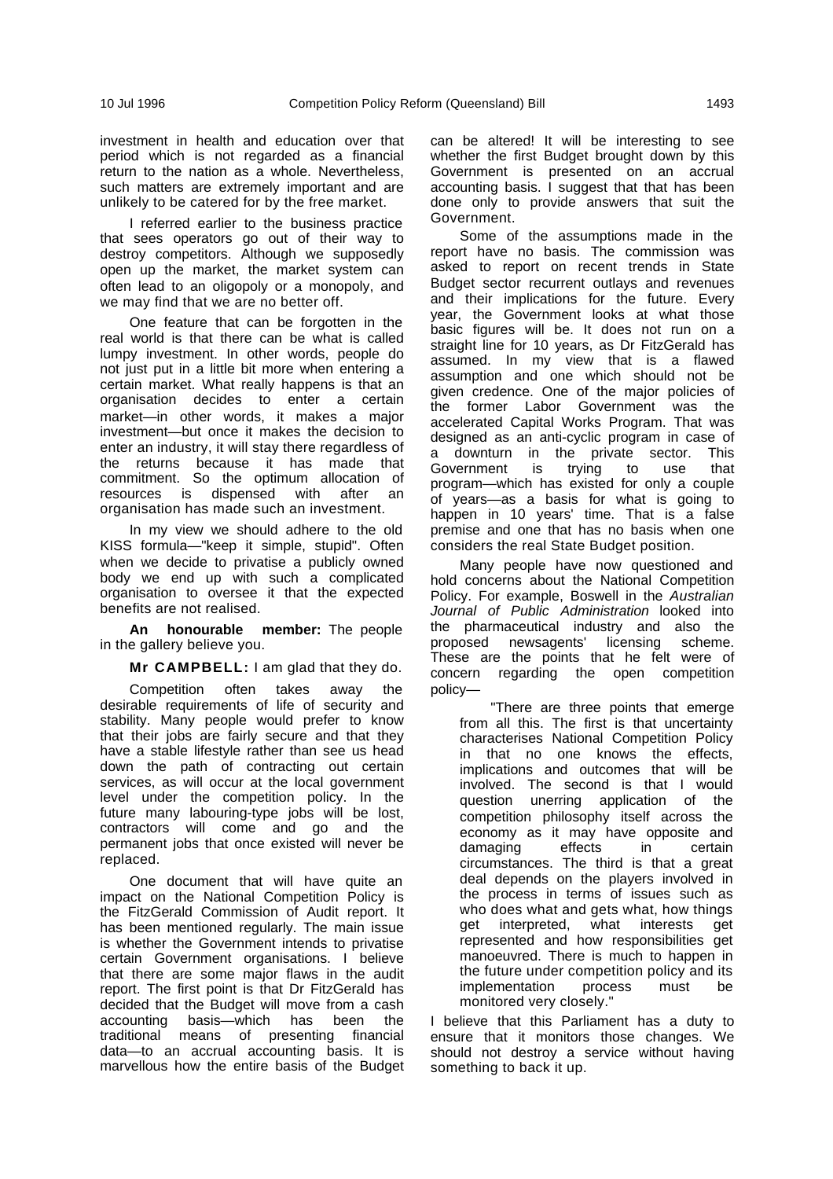investment in health and education over that period which is not regarded as a financial return to the nation as a whole. Nevertheless, such matters are extremely important and are unlikely to be catered for by the free market.

I referred earlier to the business practice that sees operators go out of their way to destroy competitors. Although we supposedly open up the market, the market system can often lead to an oligopoly or a monopoly, and we may find that we are no better off.

One feature that can be forgotten in the real world is that there can be what is called lumpy investment. In other words, people do not just put in a little bit more when entering a certain market. What really happens is that an organisation decides to enter a certain market—in other words, it makes a major investment—but once it makes the decision to enter an industry, it will stay there regardless of the returns because it has made that commitment. So the optimum allocation of resources is dispensed with after an organisation has made such an investment.

In my view we should adhere to the old KISS formula—"keep it simple, stupid". Often when we decide to privatise a publicly owned body we end up with such a complicated organisation to oversee it that the expected benefits are not realised.

**An honourable member:** The people in the gallery believe you.

**Mr CAMPBELL:** I am glad that they do.

Competition often takes away the desirable requirements of life of security and stability. Many people would prefer to know that their jobs are fairly secure and that they have a stable lifestyle rather than see us head down the path of contracting out certain services, as will occur at the local government level under the competition policy. In the future many labouring-type jobs will be lost, contractors will come and go and the permanent jobs that once existed will never be replaced.

One document that will have quite an impact on the National Competition Policy is the FitzGerald Commission of Audit report. It has been mentioned regularly. The main issue is whether the Government intends to privatise certain Government organisations. I believe that there are some major flaws in the audit report. The first point is that Dr FitzGerald has decided that the Budget will move from a cash accounting basis—which has been the traditional means of presenting financial data—to an accrual accounting basis. It is marvellous how the entire basis of the Budget can be altered! It will be interesting to see whether the first Budget brought down by this Government is presented on an accrual accounting basis. I suggest that that has been done only to provide answers that suit the Government.

Some of the assumptions made in the report have no basis. The commission was asked to report on recent trends in State Budget sector recurrent outlays and revenues and their implications for the future. Every year, the Government looks at what those basic figures will be. It does not run on a straight line for 10 years, as Dr FitzGerald has assumed. In my view that is a flawed assumption and one which should not be given credence. One of the major policies of the former Labor Government was the accelerated Capital Works Program. That was designed as an anti-cyclic program in case of a downturn in the private sector. This Government is trying to use that program—which has existed for only a couple of years—as a basis for what is going to happen in 10 years' time. That is a false premise and one that has no basis when one considers the real State Budget position.

Many people have now questioned and hold concerns about the National Competition Policy. For example, Boswell in the Australian Journal of Public Administration looked into the pharmaceutical industry and also the proposed newsagents' licensing scheme. These are the points that he felt were of concern regarding the open competition policy—

"There are three points that emerge from all this. The first is that uncertainty characterises National Competition Policy in that no one knows the effects, implications and outcomes that will be involved. The second is that I would question unerring application of the competition philosophy itself across the economy as it may have opposite and damaging effects in certain circumstances. The third is that a great deal depends on the players involved in the process in terms of issues such as who does what and gets what, how things get interpreted, what interests get represented and how responsibilities get manoeuvred. There is much to happen in the future under competition policy and its implementation process must be monitored very closely."

I believe that this Parliament has a duty to ensure that it monitors those changes. We should not destroy a service without having something to back it up.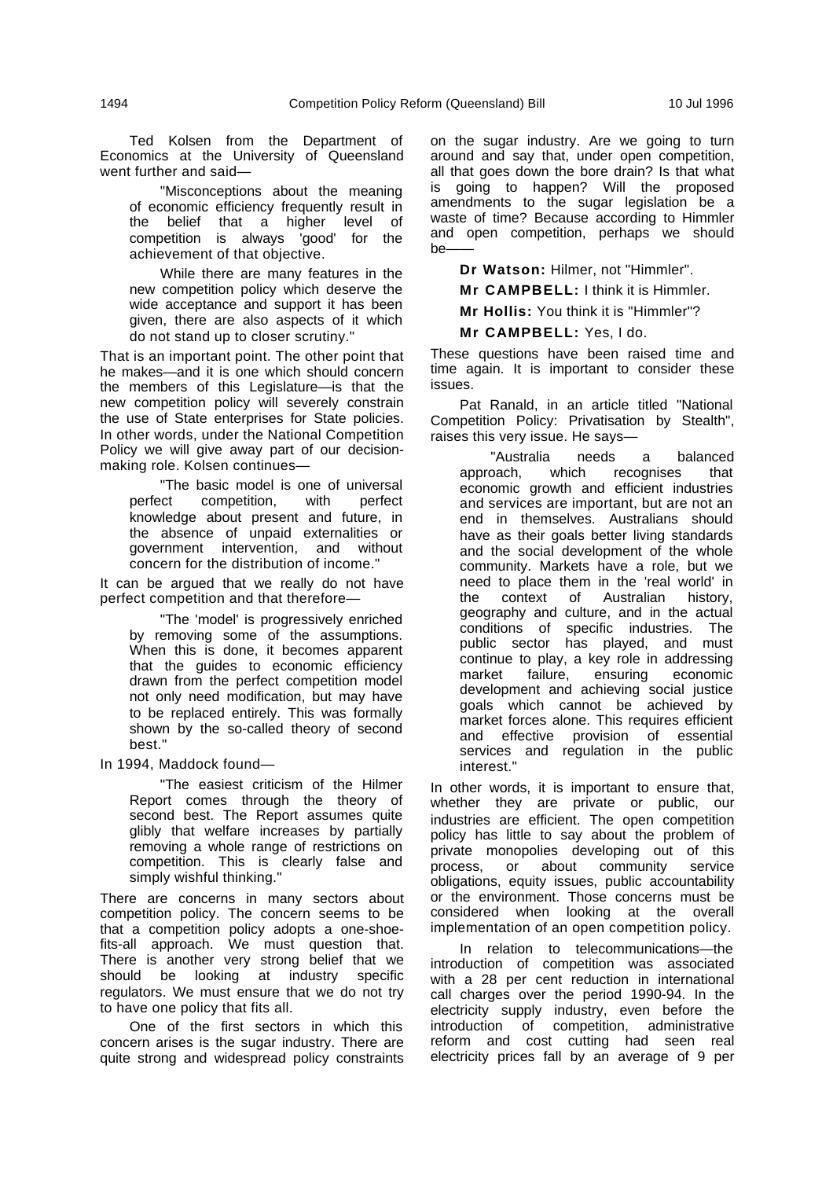Ted Kolsen from the Department of Economics at the University of Queensland went further and said—

"Misconceptions about the meaning of economic efficiency frequently result in the belief that a higher level of competition is always 'good' for the achievement of that objective.

While there are many features in the new competition policy which deserve the wide acceptance and support it has been given, there are also aspects of it which do not stand up to closer scrutiny."

That is an important point. The other point that he makes—and it is one which should concern the members of this Legislature—is that the new competition policy will severely constrain the use of State enterprises for State policies. In other words, under the National Competition Policy we will give away part of our decisionmaking role. Kolsen continues—

"The basic model is one of universal perfect competition, with perfect knowledge about present and future, in the absence of unpaid externalities or government intervention, and without concern for the distribution of income."

It can be argued that we really do not have perfect competition and that therefore—

"The 'model' is progressively enriched by removing some of the assumptions. When this is done, it becomes apparent that the guides to economic efficiency drawn from the perfect competition model not only need modification, but may have to be replaced entirely. This was formally shown by the so-called theory of second hest."

In 1994, Maddock found—

"The easiest criticism of the Hilmer Report comes through the theory of second best. The Report assumes quite glibly that welfare increases by partially removing a whole range of restrictions on competition. This is clearly false and simply wishful thinking."

There are concerns in many sectors about competition policy. The concern seems to be that a competition policy adopts a one-shoefits-all approach. We must question that. There is another very strong belief that we should be looking at industry specific regulators. We must ensure that we do not try to have one policy that fits all.

One of the first sectors in which this concern arises is the sugar industry. There are quite strong and widespread policy constraints on the sugar industry. Are we going to turn around and say that, under open competition, all that goes down the bore drain? Is that what is going to happen? Will the proposed amendments to the sugar legislation be a waste of time? Because according to Himmler and open competition, perhaps we should be——

**Dr Watson:** Hilmer, not "Himmler".

**Mr CAMPBELL:** I think it is Himmler.

**Mr Hollis:** You think it is "Himmler"?

**Mr CAMPBELL:** Yes, I do.

These questions have been raised time and time again. It is important to consider these issues.

Pat Ranald, in an article titled "National Competition Policy: Privatisation by Stealth", raises this very issue. He says—

"Australia needs a balanced approach, which recognises that economic growth and efficient industries and services are important, but are not an end in themselves. Australians should have as their goals better living standards and the social development of the whole community. Markets have a role, but we need to place them in the 'real world' in the context of Australian history, geography and culture, and in the actual conditions of specific industries. The public sector has played, and must continue to play, a key role in addressing market failure, ensuring economic development and achieving social justice goals which cannot be achieved by market forces alone. This requires efficient and effective provision of essential services and regulation in the public interest."

In other words, it is important to ensure that, whether they are private or public, our industries are efficient. The open competition policy has little to say about the problem of private monopolies developing out of this<br>process, or about community service process, or about community service obligations, equity issues, public accountability or the environment. Those concerns must be considered when looking at the overall implementation of an open competition policy.

In relation to telecommunications—the introduction of competition was associated with a 28 per cent reduction in international call charges over the period 1990-94. In the electricity supply industry, even before the introduction of competition, administrative reform and cost cutting had seen real electricity prices fall by an average of 9 per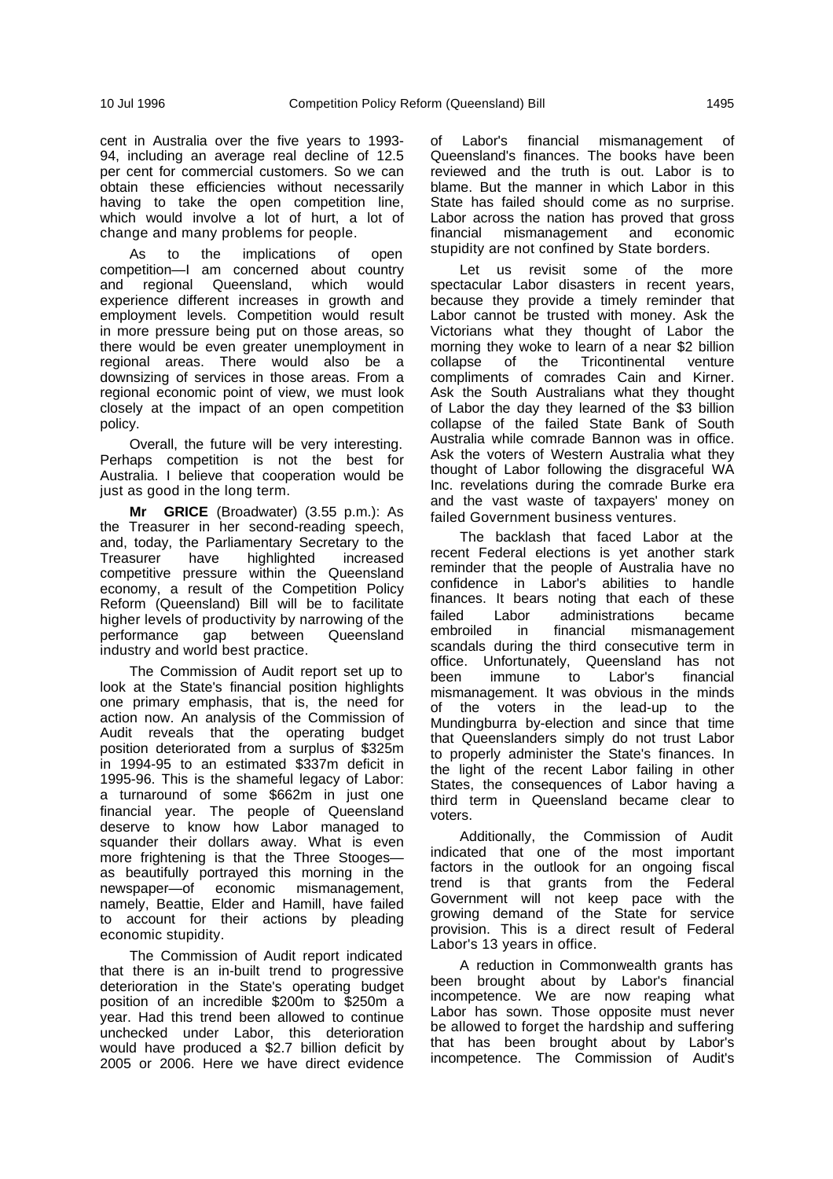cent in Australia over the five years to 1993- 94, including an average real decline of 12.5 per cent for commercial customers. So we can obtain these efficiencies without necessarily having to take the open competition line, which would involve a lot of hurt, a lot of change and many problems for people.

As to the implications of open competition—I am concerned about country and regional Queensland, which would experience different increases in growth and employment levels. Competition would result in more pressure being put on those areas, so there would be even greater unemployment in regional areas. There would also be a downsizing of services in those areas. From a regional economic point of view, we must look closely at the impact of an open competition policy.

Overall, the future will be very interesting. Perhaps competition is not the best for Australia. I believe that cooperation would be just as good in the long term.

**Mr GRICE** (Broadwater) (3.55 p.m.): As the Treasurer in her second-reading speech, and, today, the Parliamentary Secretary to the Treasurer have highlighted increased competitive pressure within the Queensland economy, a result of the Competition Policy Reform (Queensland) Bill will be to facilitate higher levels of productivity by narrowing of the performance gap between Queensland industry and world best practice.

The Commission of Audit report set up to look at the State's financial position highlights one primary emphasis, that is, the need for action now. An analysis of the Commission of Audit reveals that the operating budget position deteriorated from a surplus of \$325m in 1994-95 to an estimated \$337m deficit in 1995-96. This is the shameful legacy of Labor: a turnaround of some \$662m in just one financial year. The people of Queensland deserve to know how Labor managed to squander their dollars away. What is even more frightening is that the Three Stooges as beautifully portrayed this morning in the newspaper—of economic mismanagement, namely, Beattie, Elder and Hamill, have failed to account for their actions by pleading economic stupidity.

The Commission of Audit report indicated that there is an in-built trend to progressive deterioration in the State's operating budget position of an incredible \$200m to \$250m a year. Had this trend been allowed to continue unchecked under Labor, this deterioration would have produced a \$2.7 billion deficit by 2005 or 2006. Here we have direct evidence

of Labor's financial mismanagement of Queensland's finances. The books have been reviewed and the truth is out. Labor is to blame. But the manner in which Labor in this State has failed should come as no surprise. Labor across the nation has proved that gross financial mismanagement and economic stupidity are not confined by State borders.

Let us revisit some of the more spectacular Labor disasters in recent years, because they provide a timely reminder that Labor cannot be trusted with money. Ask the Victorians what they thought of Labor the morning they woke to learn of a near \$2 billion<br>collapse of the Tricontinental venture collapse of the Tricontinental venture compliments of comrades Cain and Kirner. Ask the South Australians what they thought of Labor the day they learned of the \$3 billion collapse of the failed State Bank of South Australia while comrade Bannon was in office. Ask the voters of Western Australia what they thought of Labor following the disgraceful WA Inc. revelations during the comrade Burke era and the vast waste of taxpayers' money on failed Government business ventures.

The backlash that faced Labor at the recent Federal elections is yet another stark reminder that the people of Australia have no confidence in Labor's abilities to handle finances. It bears noting that each of these failed Labor administrations became embroiled in financial mismanagement scandals during the third consecutive term in office. Unfortunately, Queensland has not been immune to Labor's financial mismanagement. It was obvious in the minds of the voters in the lead-up to the Mundingburra by-election and since that time that Queenslanders simply do not trust Labor to properly administer the State's finances. In the light of the recent Labor failing in other States, the consequences of Labor having a third term in Queensland became clear to voters.

Additionally, the Commission of Audit indicated that one of the most important factors in the outlook for an ongoing fiscal trend is that grants from the Federal Government will not keep pace with the growing demand of the State for service provision. This is a direct result of Federal Labor's 13 years in office.

A reduction in Commonwealth grants has been brought about by Labor's financial incompetence. We are now reaping what Labor has sown. Those opposite must never be allowed to forget the hardship and suffering that has been brought about by Labor's incompetence. The Commission of Audit's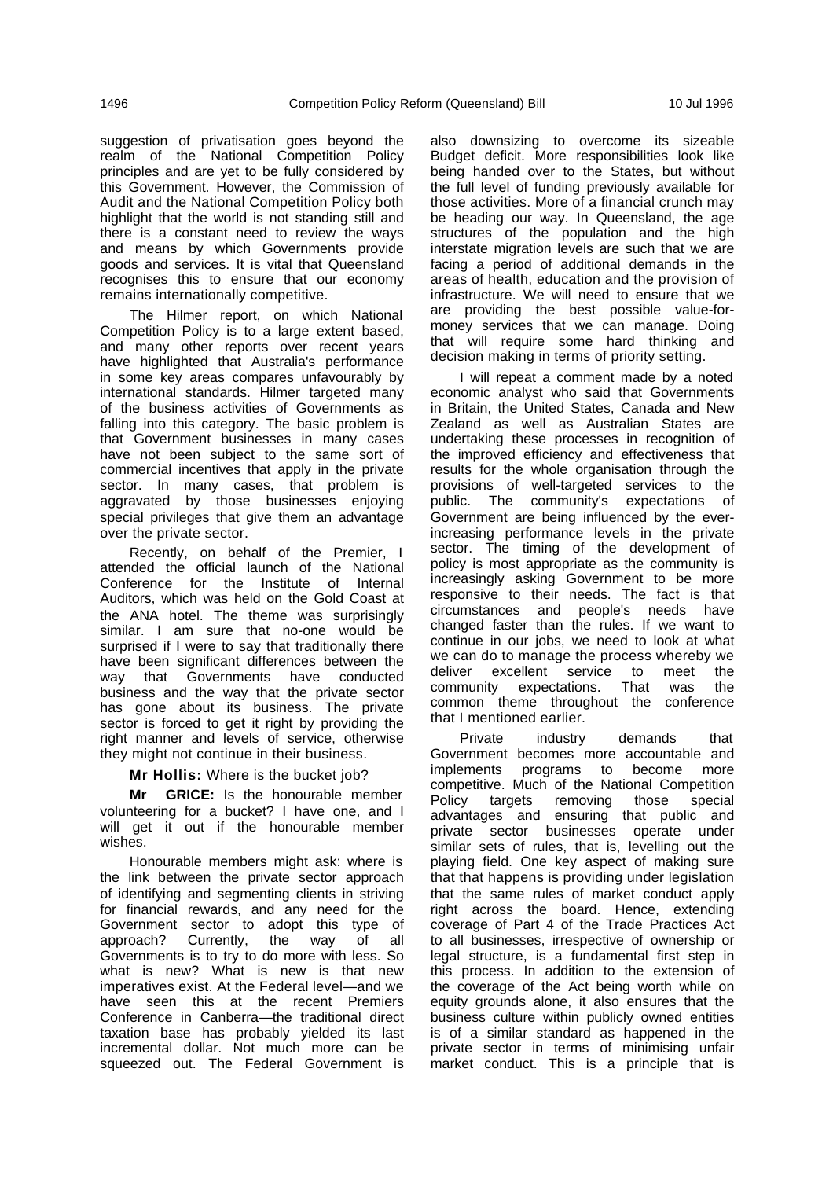suggestion of privatisation goes beyond the realm of the National Competition Policy principles and are yet to be fully considered by this Government. However, the Commission of Audit and the National Competition Policy both highlight that the world is not standing still and there is a constant need to review the ways and means by which Governments provide goods and services. It is vital that Queensland recognises this to ensure that our economy remains internationally competitive.

The Hilmer report, on which National Competition Policy is to a large extent based, and many other reports over recent years have highlighted that Australia's performance in some key areas compares unfavourably by international standards. Hilmer targeted many of the business activities of Governments as falling into this category. The basic problem is that Government businesses in many cases have not been subject to the same sort of commercial incentives that apply in the private sector. In many cases, that problem is aggravated by those businesses enjoying special privileges that give them an advantage over the private sector.

Recently, on behalf of the Premier, I attended the official launch of the National Conference for the Institute of Internal Auditors, which was held on the Gold Coast at the ANA hotel. The theme was surprisingly similar. I am sure that no-one would be surprised if I were to say that traditionally there have been significant differences between the way that Governments have conducted business and the way that the private sector has gone about its business. The private sector is forced to get it right by providing the right manner and levels of service, otherwise they might not continue in their business.

**Mr Hollis:** Where is the bucket job?

**Mr GRICE:** Is the honourable member volunteering for a bucket? I have one, and I will get it out if the honourable member wishes.

Honourable members might ask: where is the link between the private sector approach of identifying and segmenting clients in striving for financial rewards, and any need for the Government sector to adopt this type of approach? Currently, the way of all Governments is to try to do more with less. So what is new? What is new is that new imperatives exist. At the Federal level—and we have seen this at the recent Premiers Conference in Canberra—the traditional direct taxation base has probably yielded its last incremental dollar. Not much more can be squeezed out. The Federal Government is also downsizing to overcome its sizeable Budget deficit. More responsibilities look like being handed over to the States, but without the full level of funding previously available for those activities. More of a financial crunch may be heading our way. In Queensland, the age structures of the population and the high interstate migration levels are such that we are facing a period of additional demands in the areas of health, education and the provision of infrastructure. We will need to ensure that we are providing the best possible value-formoney services that we can manage. Doing that will require some hard thinking and decision making in terms of priority setting.

I will repeat a comment made by a noted economic analyst who said that Governments in Britain, the United States, Canada and New Zealand as well as Australian States are undertaking these processes in recognition of the improved efficiency and effectiveness that results for the whole organisation through the provisions of well-targeted services to the public. The community's expectations of Government are being influenced by the everincreasing performance levels in the private sector. The timing of the development of policy is most appropriate as the community is increasingly asking Government to be more responsive to their needs. The fact is that circumstances and people's needs have changed faster than the rules. If we want to continue in our jobs, we need to look at what we can do to manage the process whereby we deliver excellent service to meet the community expectations. That was the common theme throughout the conference that I mentioned earlier.

Private industry demands that Government becomes more accountable and implements programs to become more competitive. Much of the National Competition Policy targets removing those special advantages and ensuring that public and private sector businesses operate under similar sets of rules, that is, levelling out the playing field. One key aspect of making sure that that happens is providing under legislation that the same rules of market conduct apply right across the board. Hence, extending coverage of Part 4 of the Trade Practices Act to all businesses, irrespective of ownership or legal structure, is a fundamental first step in this process. In addition to the extension of the coverage of the Act being worth while on equity grounds alone, it also ensures that the business culture within publicly owned entities is of a similar standard as happened in the private sector in terms of minimising unfair market conduct. This is a principle that is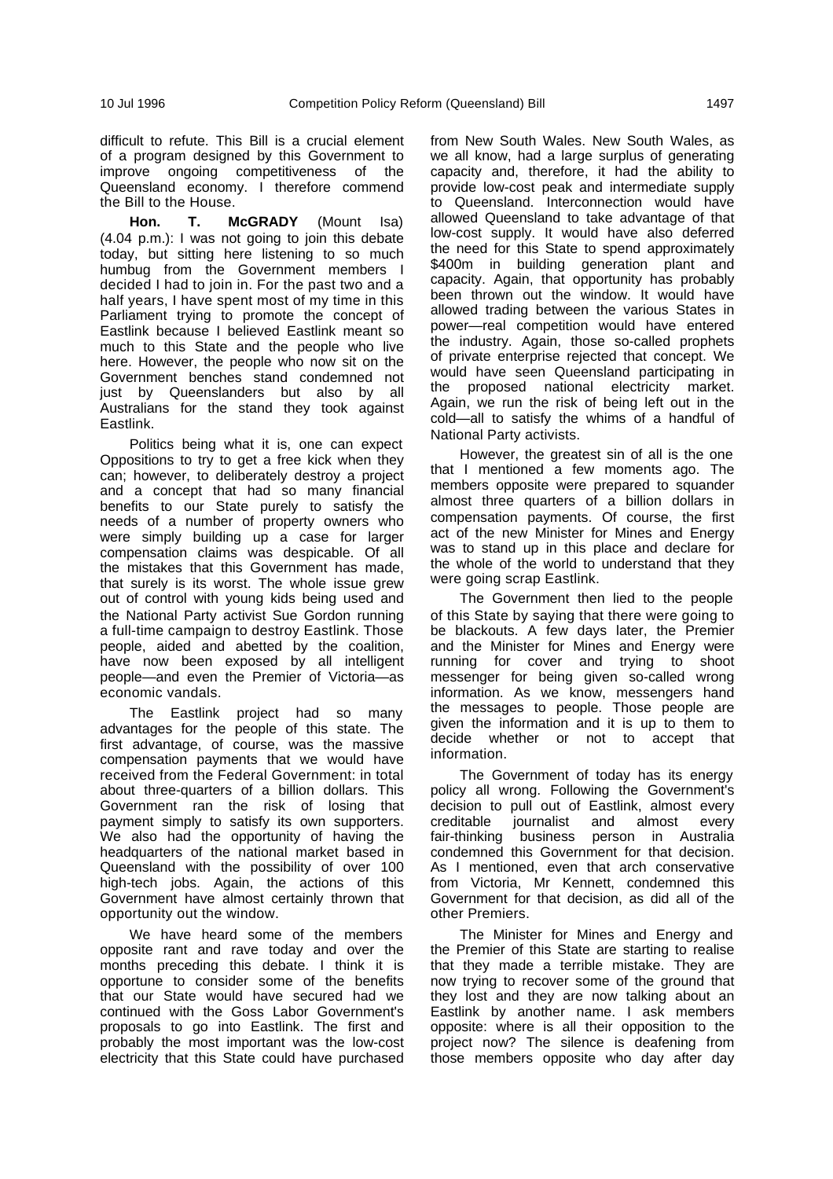difficult to refute. This Bill is a crucial element of a program designed by this Government to improve ongoing competitiveness of the Queensland economy. I therefore commend the Bill to the House.

**Hon. T. McGRADY** (Mount Isa) (4.04 p.m.): I was not going to join this debate today, but sitting here listening to so much humbug from the Government members I decided I had to join in. For the past two and a half years, I have spent most of my time in this Parliament trying to promote the concept of Eastlink because I believed Eastlink meant so much to this State and the people who live here. However, the people who now sit on the Government benches stand condemned not just by Queenslanders but also by all Australians for the stand they took against Eastlink.

Politics being what it is, one can expect Oppositions to try to get a free kick when they can; however, to deliberately destroy a project and a concept that had so many financial benefits to our State purely to satisfy the needs of a number of property owners who were simply building up a case for larger compensation claims was despicable. Of all the mistakes that this Government has made, that surely is its worst. The whole issue grew out of control with young kids being used and the National Party activist Sue Gordon running a full-time campaign to destroy Eastlink. Those people, aided and abetted by the coalition, have now been exposed by all intelligent people—and even the Premier of Victoria—as economic vandals.

The Eastlink project had so many advantages for the people of this state. The first advantage, of course, was the massive compensation payments that we would have received from the Federal Government: in total about three-quarters of a billion dollars. This Government ran the risk of losing that payment simply to satisfy its own supporters. We also had the opportunity of having the headquarters of the national market based in Queensland with the possibility of over 100 high-tech jobs. Again, the actions of this Government have almost certainly thrown that opportunity out the window.

We have heard some of the members opposite rant and rave today and over the months preceding this debate. I think it is opportune to consider some of the benefits that our State would have secured had we continued with the Goss Labor Government's proposals to go into Eastlink. The first and probably the most important was the low-cost electricity that this State could have purchased

from New South Wales. New South Wales, as we all know, had a large surplus of generating capacity and, therefore, it had the ability to provide low-cost peak and intermediate supply to Queensland. Interconnection would have allowed Queensland to take advantage of that low-cost supply. It would have also deferred the need for this State to spend approximately \$400m in building generation plant and capacity. Again, that opportunity has probably been thrown out the window. It would have allowed trading between the various States in power—real competition would have entered the industry. Again, those so-called prophets of private enterprise rejected that concept. We would have seen Queensland participating in the proposed national electricity market. Again, we run the risk of being left out in the cold—all to satisfy the whims of a handful of National Party activists.

However, the greatest sin of all is the one that I mentioned a few moments ago. The members opposite were prepared to squander almost three quarters of a billion dollars in compensation payments. Of course, the first act of the new Minister for Mines and Energy was to stand up in this place and declare for the whole of the world to understand that they were going scrap Eastlink.

The Government then lied to the people of this State by saying that there were going to be blackouts. A few days later, the Premier and the Minister for Mines and Energy were running for cover and trying to shoot messenger for being given so-called wrong information. As we know, messengers hand the messages to people. Those people are given the information and it is up to them to decide whether or not to accept that information.

The Government of today has its energy policy all wrong. Following the Government's decision to pull out of Eastlink, almost every creditable journalist and almost every fair-thinking business person in Australia condemned this Government for that decision. As I mentioned, even that arch conservative from Victoria, Mr Kennett, condemned this Government for that decision, as did all of the other Premiers.

The Minister for Mines and Energy and the Premier of this State are starting to realise that they made a terrible mistake. They are now trying to recover some of the ground that they lost and they are now talking about an Eastlink by another name. I ask members opposite: where is all their opposition to the project now? The silence is deafening from those members opposite who day after day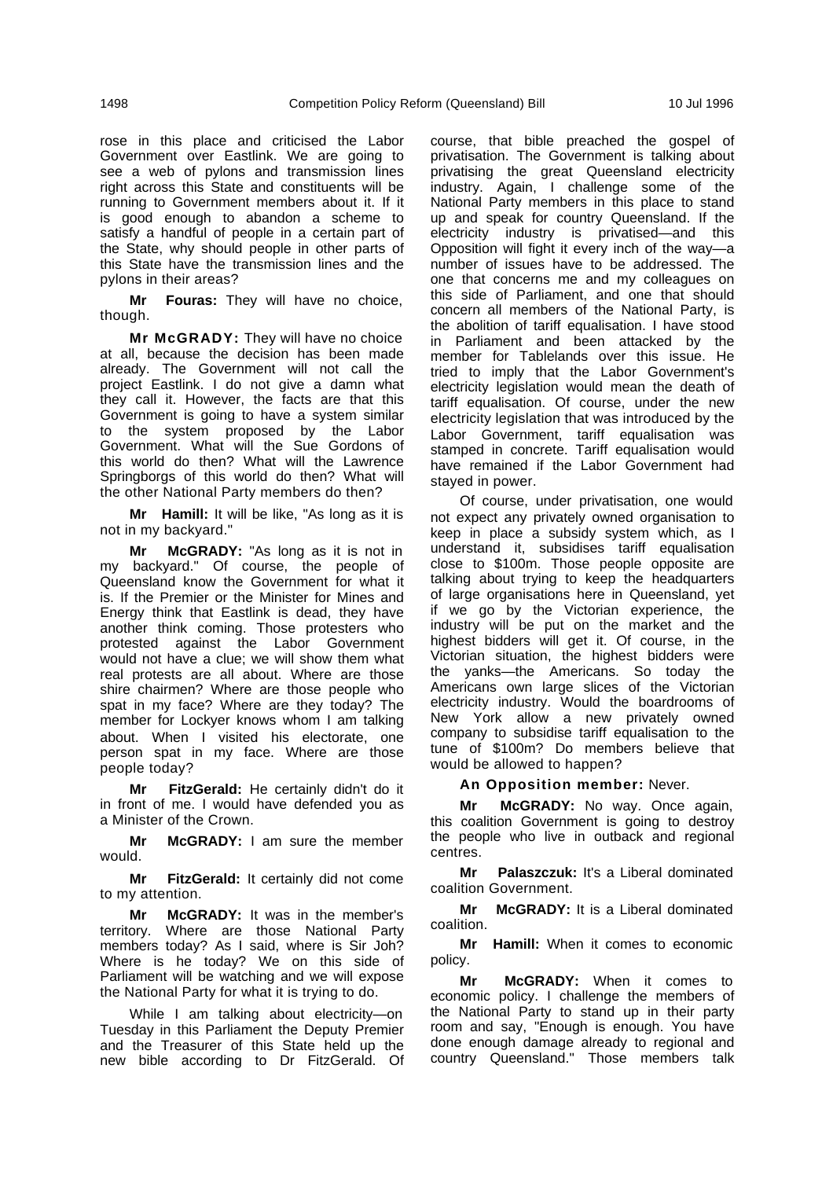rose in this place and criticised the Labor Government over Eastlink. We are going to see a web of pylons and transmission lines right across this State and constituents will be running to Government members about it. If it is good enough to abandon a scheme to satisfy a handful of people in a certain part of the State, why should people in other parts of this State have the transmission lines and the pylons in their areas?

**Mr Fouras:** They will have no choice, though.

**Mr McGRADY:** They will have no choice at all, because the decision has been made already. The Government will not call the project Eastlink. I do not give a damn what they call it. However, the facts are that this Government is going to have a system similar to the system proposed by the Labor Government. What will the Sue Gordons of this world do then? What will the Lawrence Springborgs of this world do then? What will the other National Party members do then?

**Mr Hamill:** It will be like, "As long as it is not in my backyard."

**Mr McGRADY:** "As long as it is not in my backyard." Of course, the people of Queensland know the Government for what it is. If the Premier or the Minister for Mines and Energy think that Eastlink is dead, they have another think coming. Those protesters who protested against the Labor Government would not have a clue; we will show them what real protests are all about. Where are those shire chairmen? Where are those people who spat in my face? Where are they today? The member for Lockyer knows whom I am talking about. When I visited his electorate, one person spat in my face. Where are those people today?

**Mr FitzGerald:** He certainly didn't do it in front of me. I would have defended you as a Minister of the Crown.

**Mr McGRADY:** I am sure the member would.

**Mr FitzGerald:** It certainly did not come to my attention.

**Mr McGRADY:** It was in the member's territory. Where are those National Party members today? As I said, where is Sir Joh? Where is he today? We on this side of Parliament will be watching and we will expose the National Party for what it is trying to do.

While I am talking about electricity—on Tuesday in this Parliament the Deputy Premier and the Treasurer of this State held up the new bible according to Dr FitzGerald. Of course, that bible preached the gospel of privatisation. The Government is talking about privatising the great Queensland electricity industry. Again, I challenge some of the National Party members in this place to stand up and speak for country Queensland. If the electricity industry is privatised—and this Opposition will fight it every inch of the way—a number of issues have to be addressed. The one that concerns me and my colleagues on this side of Parliament, and one that should concern all members of the National Party, is the abolition of tariff equalisation. I have stood in Parliament and been attacked by the member for Tablelands over this issue. He tried to imply that the Labor Government's electricity legislation would mean the death of tariff equalisation. Of course, under the new electricity legislation that was introduced by the Labor Government, tariff equalisation was stamped in concrete. Tariff equalisation would have remained if the Labor Government had stayed in power.

Of course, under privatisation, one would not expect any privately owned organisation to keep in place a subsidy system which, as I understand it, subsidises tariff equalisation close to \$100m. Those people opposite are talking about trying to keep the headquarters of large organisations here in Queensland, yet if we go by the Victorian experience, the industry will be put on the market and the highest bidders will get it. Of course, in the Victorian situation, the highest bidders were the yanks—the Americans. So today the Americans own large slices of the Victorian electricity industry. Would the boardrooms of New York allow a new privately owned company to subsidise tariff equalisation to the tune of \$100m? Do members believe that would be allowed to happen?

**An Opposition member:** Never.

**Mr McGRADY:** No way. Once again, this coalition Government is going to destroy the people who live in outback and regional centres.

**Mr Palaszczuk:** It's a Liberal dominated coalition Government.

**Mr McGRADY:** It is a Liberal dominated coalition.

**Mr Hamill:** When it comes to economic policy.

**Mr McGRADY:** When it comes to economic policy. I challenge the members of the National Party to stand up in their party room and say, "Enough is enough. You have done enough damage already to regional and country Queensland." Those members talk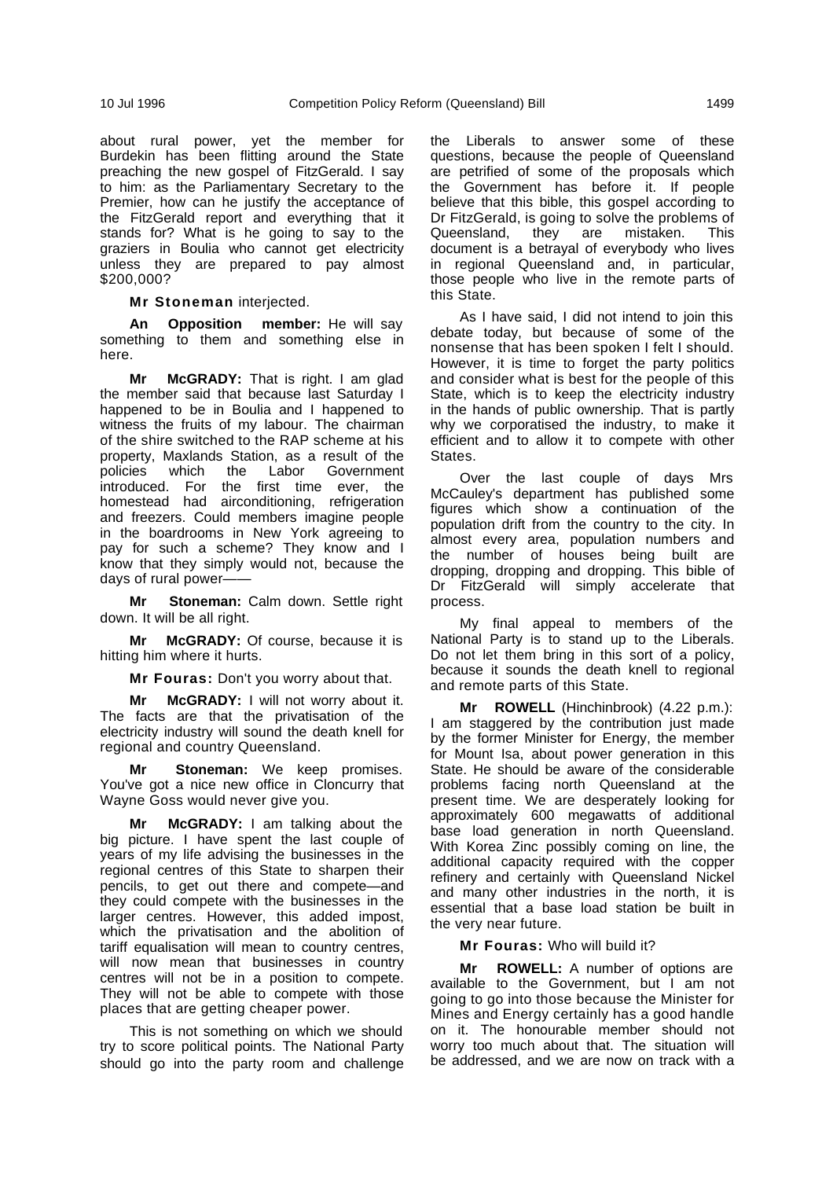about rural power, yet the member for Burdekin has been flitting around the State preaching the new gospel of FitzGerald. I say to him: as the Parliamentary Secretary to the Premier, how can he justify the acceptance of the FitzGerald report and everything that it stands for? What is he going to say to the graziers in Boulia who cannot get electricity unless they are prepared to pay almost \$200,000?

**Mr Stoneman** interjected.

**An Opposition member:** He will say something to them and something else in here.

**Mr McGRADY:** That is right. I am glad the member said that because last Saturday I happened to be in Boulia and I happened to witness the fruits of my labour. The chairman of the shire switched to the RAP scheme at his property, Maxlands Station, as a result of the policies which the Labor Government which the Labor Government introduced. For the first time ever, the homestead had airconditioning, refrigeration and freezers. Could members imagine people in the boardrooms in New York agreeing to pay for such a scheme? They know and I know that they simply would not, because the days of rural power-

**Mr Stoneman:** Calm down. Settle right down. It will be all right.

**Mr McGRADY:** Of course, because it is hitting him where it hurts.

**Mr Fouras:** Don't you worry about that.

**Mr McGRADY:** I will not worry about it. The facts are that the privatisation of the electricity industry will sound the death knell for regional and country Queensland.

**Stoneman:** We keep promises. You've got a nice new office in Cloncurry that Wayne Goss would never give you.

**Mr McGRADY:** I am talking about the big picture. I have spent the last couple of years of my life advising the businesses in the regional centres of this State to sharpen their pencils, to get out there and compete—and they could compete with the businesses in the larger centres. However, this added impost, which the privatisation and the abolition of tariff equalisation will mean to country centres, will now mean that businesses in country centres will not be in a position to compete. They will not be able to compete with those places that are getting cheaper power.

This is not something on which we should try to score political points. The National Party should go into the party room and challenge the Liberals to answer some of these questions, because the people of Queensland are petrified of some of the proposals which the Government has before it. If people believe that this bible, this gospel according to Dr FitzGerald, is going to solve the problems of Queensland, they are mistaken. This document is a betrayal of everybody who lives in regional Queensland and, in particular, those people who live in the remote parts of this State.

As I have said, I did not intend to join this debate today, but because of some of the nonsense that has been spoken I felt I should. However, it is time to forget the party politics and consider what is best for the people of this State, which is to keep the electricity industry in the hands of public ownership. That is partly why we corporatised the industry, to make it efficient and to allow it to compete with other States.

Over the last couple of days Mrs McCauley's department has published some figures which show a continuation of the population drift from the country to the city. In almost every area, population numbers and the number of houses being built are dropping, dropping and dropping. This bible of Dr FitzGerald will simply accelerate that process.

My final appeal to members of the National Party is to stand up to the Liberals. Do not let them bring in this sort of a policy, because it sounds the death knell to regional and remote parts of this State.

**Mr ROWELL** (Hinchinbrook) (4.22 p.m.): I am staggered by the contribution just made by the former Minister for Energy, the member for Mount Isa, about power generation in this State. He should be aware of the considerable problems facing north Queensland at the present time. We are desperately looking for approximately 600 megawatts of additional base load generation in north Queensland. With Korea Zinc possibly coming on line, the additional capacity required with the copper refinery and certainly with Queensland Nickel and many other industries in the north, it is essential that a base load station be built in the very near future.

**Mr Fouras:** Who will build it?

**Mr ROWELL:** A number of options are available to the Government, but I am not going to go into those because the Minister for Mines and Energy certainly has a good handle on it. The honourable member should not worry too much about that. The situation will be addressed, and we are now on track with a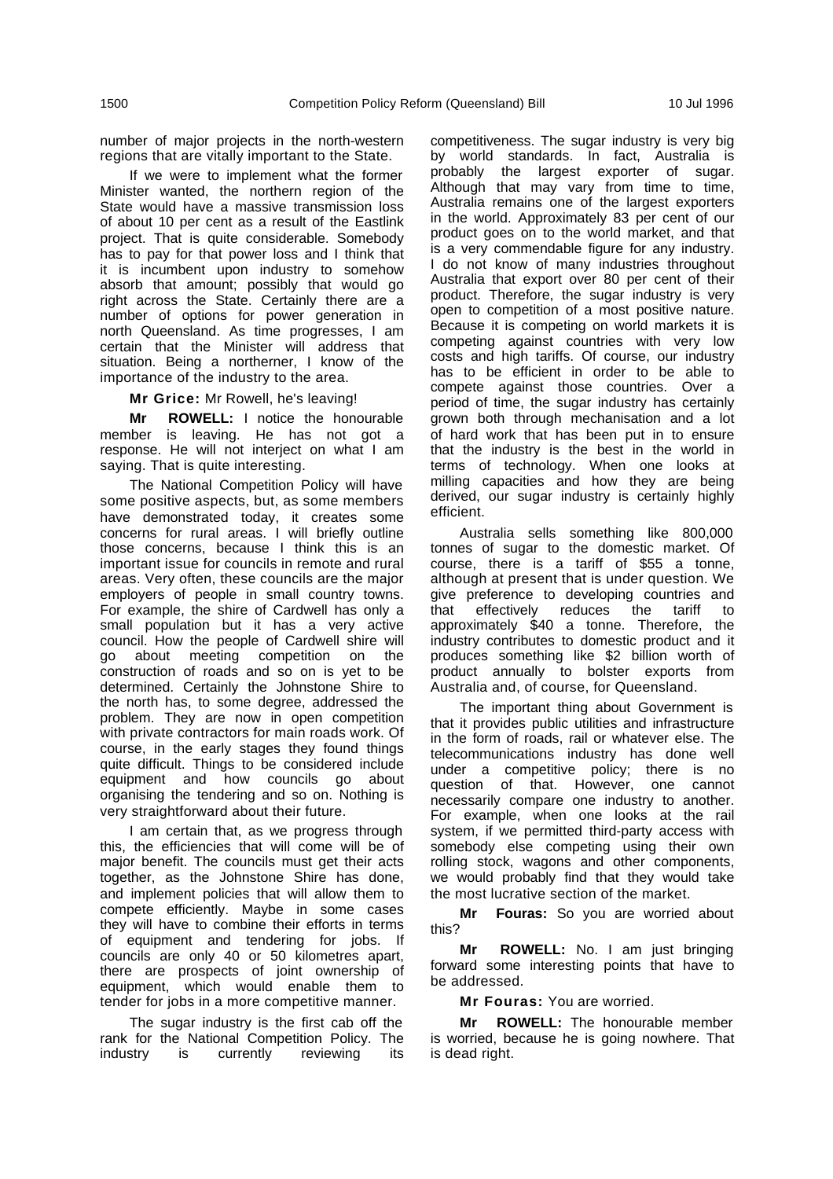number of major projects in the north-western regions that are vitally important to the State.

If we were to implement what the former Minister wanted, the northern region of the State would have a massive transmission loss of about 10 per cent as a result of the Eastlink project. That is quite considerable. Somebody has to pay for that power loss and I think that it is incumbent upon industry to somehow absorb that amount; possibly that would go right across the State. Certainly there are a number of options for power generation in north Queensland. As time progresses, I am certain that the Minister will address that situation. Being a northerner, I know of the importance of the industry to the area.

**Mr Grice:** Mr Rowell, he's leaving!

**Mr ROWELL:** I notice the honourable member is leaving. He has not got a response. He will not interject on what I am saying. That is quite interesting.

The National Competition Policy will have some positive aspects, but, as some members have demonstrated today, it creates some concerns for rural areas. I will briefly outline those concerns, because I think this is an important issue for councils in remote and rural areas. Very often, these councils are the major employers of people in small country towns. For example, the shire of Cardwell has only a small population but it has a very active council. How the people of Cardwell shire will go about meeting competition on the construction of roads and so on is yet to be determined. Certainly the Johnstone Shire to the north has, to some degree, addressed the problem. They are now in open competition with private contractors for main roads work. Of course, in the early stages they found things quite difficult. Things to be considered include equipment and how councils go about organising the tendering and so on. Nothing is very straightforward about their future.

I am certain that, as we progress through this, the efficiencies that will come will be of major benefit. The councils must get their acts together, as the Johnstone Shire has done, and implement policies that will allow them to compete efficiently. Maybe in some cases they will have to combine their efforts in terms of equipment and tendering for jobs. If councils are only 40 or 50 kilometres apart, there are prospects of joint ownership of equipment, which would enable them to tender for jobs in a more competitive manner.

The sugar industry is the first cab off the rank for the National Competition Policy. The industry is currently reviewing its

competitiveness. The sugar industry is very big by world standards. In fact, Australia is probably the largest exporter of sugar. Although that may vary from time to time, Australia remains one of the largest exporters in the world. Approximately 83 per cent of our product goes on to the world market, and that is a very commendable figure for any industry. I do not know of many industries throughout Australia that export over 80 per cent of their product. Therefore, the sugar industry is very open to competition of a most positive nature. Because it is competing on world markets it is competing against countries with very low costs and high tariffs. Of course, our industry has to be efficient in order to be able to compete against those countries. Over a period of time, the sugar industry has certainly grown both through mechanisation and a lot of hard work that has been put in to ensure that the industry is the best in the world in terms of technology. When one looks at milling capacities and how they are being derived, our sugar industry is certainly highly efficient.

Australia sells something like 800,000 tonnes of sugar to the domestic market. Of course, there is a tariff of \$55 a tonne, although at present that is under question. We give preference to developing countries and that effectively reduces the tariff to approximately \$40 a tonne. Therefore, the industry contributes to domestic product and it produces something like \$2 billion worth of product annually to bolster exports from Australia and, of course, for Queensland.

The important thing about Government is that it provides public utilities and infrastructure in the form of roads, rail or whatever else. The telecommunications industry has done well under a competitive policy; there is no question of that. However, one cannot necessarily compare one industry to another. For example, when one looks at the rail system, if we permitted third-party access with somebody else competing using their own rolling stock, wagons and other components, we would probably find that they would take the most lucrative section of the market.

**Mr Fouras:** So you are worried about this?

**Mr ROWELL:** No. I am just bringing forward some interesting points that have to be addressed.

**Mr Fouras:** You are worried.

**Mr ROWELL:** The honourable member is worried, because he is going nowhere. That is dead right.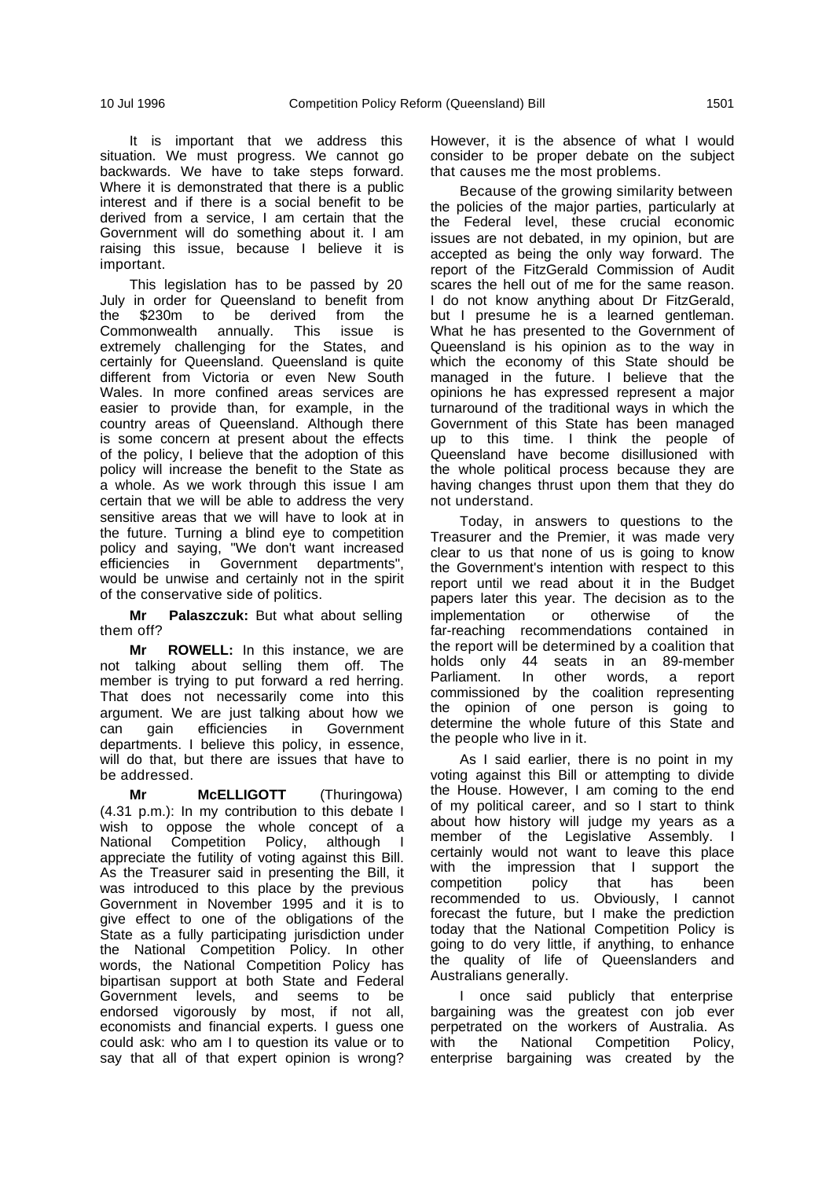It is important that we address this situation. We must progress. We cannot go backwards. We have to take steps forward. Where it is demonstrated that there is a public interest and if there is a social benefit to be derived from a service, I am certain that the Government will do something about it. I am raising this issue, because I believe it is important.

This legislation has to be passed by 20 July in order for Queensland to benefit from \$230m to be derived from the Commonwealth annually. This issue is extremely challenging for the States, and certainly for Queensland. Queensland is quite different from Victoria or even New South Wales. In more confined areas services are easier to provide than, for example, in the country areas of Queensland. Although there is some concern at present about the effects of the policy, I believe that the adoption of this policy will increase the benefit to the State as a whole. As we work through this issue I am certain that we will be able to address the very sensitive areas that we will have to look at in the future. Turning a blind eye to competition policy and saying, "We don't want increased efficiencies in Government departments", would be unwise and certainly not in the spirit of the conservative side of politics.

**Mr Palaszczuk:** But what about selling them off?

**Mr ROWELL:** In this instance, we are not talking about selling them off. The member is trying to put forward a red herring. That does not necessarily come into this argument. We are just talking about how we can gain efficiencies in Government departments. I believe this policy, in essence, will do that, but there are issues that have to be addressed.

**Mr McELLIGOTT** (Thuringowa) (4.31 p.m.): In my contribution to this debate I wish to oppose the whole concept of a National Competition Policy, although I appreciate the futility of voting against this Bill. As the Treasurer said in presenting the Bill, it was introduced to this place by the previous Government in November 1995 and it is to give effect to one of the obligations of the State as a fully participating jurisdiction under the National Competition Policy. In other words, the National Competition Policy has bipartisan support at both State and Federal Government levels, and seems to be endorsed vigorously by most, if not all, economists and financial experts. I guess one could ask: who am I to question its value or to say that all of that expert opinion is wrong?

However, it is the absence of what I would consider to be proper debate on the subject that causes me the most problems.

Because of the growing similarity between the policies of the major parties, particularly at the Federal level, these crucial economic issues are not debated, in my opinion, but are accepted as being the only way forward. The report of the FitzGerald Commission of Audit scares the hell out of me for the same reason. I do not know anything about Dr FitzGerald, but I presume he is a learned gentleman. What he has presented to the Government of Queensland is his opinion as to the way in which the economy of this State should be managed in the future. I believe that the opinions he has expressed represent a major turnaround of the traditional ways in which the Government of this State has been managed up to this time. I think the people of Queensland have become disillusioned with the whole political process because they are having changes thrust upon them that they do not understand.

Today, in answers to questions to the Treasurer and the Premier, it was made very clear to us that none of us is going to know the Government's intention with respect to this report until we read about it in the Budget papers later this year. The decision as to the implementation or otherwise of the far-reaching recommendations contained in the report will be determined by a coalition that holds only 44 seats in an 89-member<br>Parliament. In other words, a report In other words, commissioned by the coalition representing the opinion of one person is going to determine the whole future of this State and the people who live in it.

As I said earlier, there is no point in my voting against this Bill or attempting to divide the House. However, I am coming to the end of my political career, and so I start to think about how history will judge my years as a member of the Legislative Assembly. I certainly would not want to leave this place with the impression that I support the competition policy that has been recommended to us. Obviously, I cannot forecast the future, but I make the prediction today that the National Competition Policy is going to do very little, if anything, to enhance the quality of life of Queenslanders and Australians generally.

I once said publicly that enterprise bargaining was the greatest con job ever perpetrated on the workers of Australia. As with the National Competition Policy, enterprise bargaining was created by the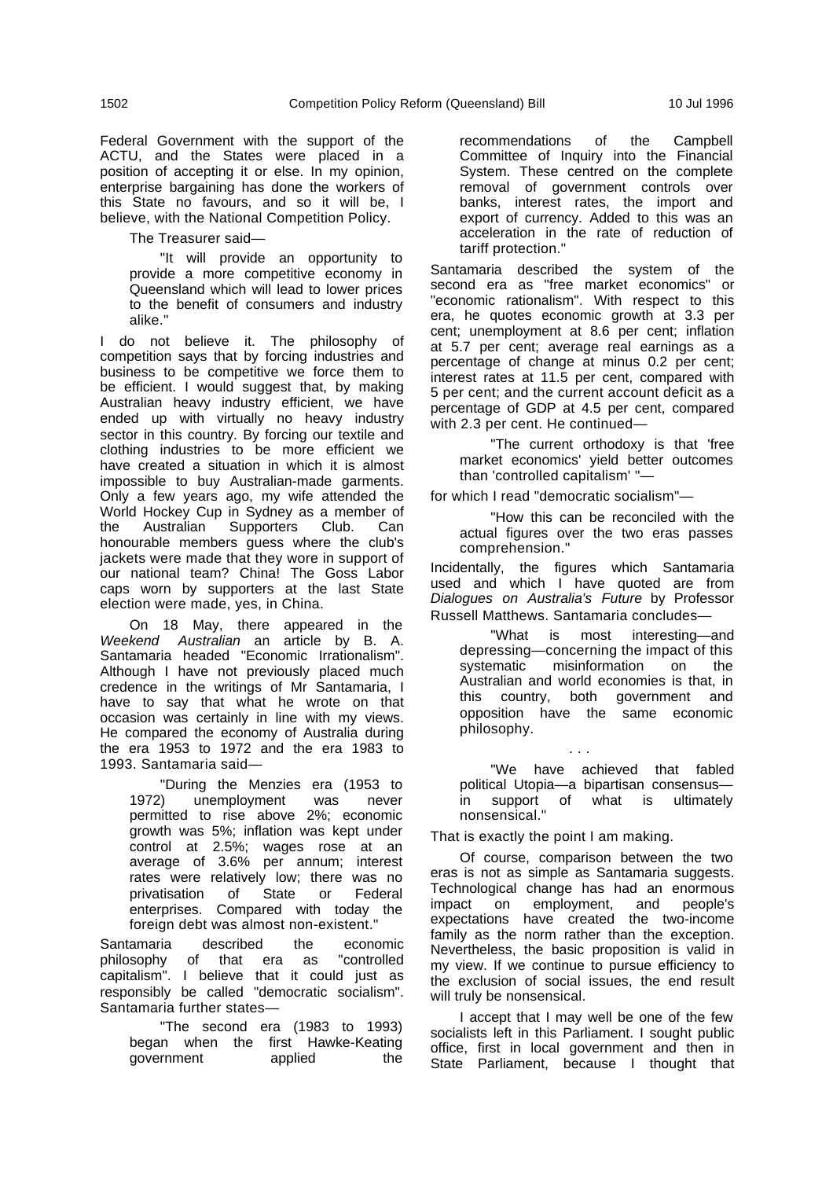Federal Government with the support of the ACTU, and the States were placed in a position of accepting it or else. In my opinion, enterprise bargaining has done the workers of this State no favours, and so it will be, I believe, with the National Competition Policy.

The Treasurer said—

"It will provide an opportunity to provide a more competitive economy in Queensland which will lead to lower prices to the benefit of consumers and industry alike."

I do not believe it. The philosophy of competition says that by forcing industries and business to be competitive we force them to be efficient. I would suggest that, by making Australian heavy industry efficient, we have ended up with virtually no heavy industry sector in this country. By forcing our textile and clothing industries to be more efficient we have created a situation in which it is almost impossible to buy Australian-made garments. Only a few years ago, my wife attended the World Hockey Cup in Sydney as a member of the Australian Supporters Club. Can honourable members guess where the club's jackets were made that they wore in support of our national team? China! The Goss Labor caps worn by supporters at the last State election were made, yes, in China.

On 18 May, there appeared in the Weekend Australian an article by B. A. Santamaria headed "Economic Irrationalism". Although I have not previously placed much credence in the writings of Mr Santamaria, I have to say that what he wrote on that occasion was certainly in line with my views. He compared the economy of Australia during the era 1953 to 1972 and the era 1983 to 1993. Santamaria said—

"During the Menzies era (1953 to 1972) unemployment was never permitted to rise above 2%; economic growth was 5%; inflation was kept under control at 2.5%; wages rose at an average of 3.6% per annum; interest rates were relatively low; there was no privatisation of State or Federal enterprises. Compared with today the foreign debt was almost non-existent."

Santamaria described the economic philosophy of that era as "controlled capitalism". I believe that it could just as responsibly be called "democratic socialism". Santamaria further states—

"The second era (1983 to 1993) began when the first Hawke-Keating government applied the

recommendations of the Campbell Committee of Inquiry into the Financial System. These centred on the complete removal of government controls over banks, interest rates, the import and export of currency. Added to this was an acceleration in the rate of reduction of tariff protection."

Santamaria described the system of the second era as "free market economics" or "economic rationalism". With respect to this era, he quotes economic growth at 3.3 per cent; unemployment at 8.6 per cent; inflation at 5.7 per cent; average real earnings as a percentage of change at minus 0.2 per cent; interest rates at 11.5 per cent, compared with 5 per cent; and the current account deficit as a percentage of GDP at 4.5 per cent, compared with 2.3 per cent. He continued—

"The current orthodoxy is that 'free market economics' yield better outcomes than 'controlled capitalism' "—

for which I read "democratic socialism"—

"How this can be reconciled with the actual figures over the two eras passes comprehension."

Incidentally, the figures which Santamaria used and which I have quoted are from Dialogues on Australia's Future by Professor Russell Matthews. Santamaria concludes—

"What is most interesting—and depressing—concerning the impact of this systematic misinformation on the Australian and world economies is that, in this country, both government and opposition have the same economic philosophy.

"We have achieved that fabled political Utopia—a bipartisan consensus in support of what is ultimately nonsensical."

. . .

That is exactly the point I am making.

Of course, comparison between the two eras is not as simple as Santamaria suggests. Technological change has had an enormous impact on employment, and people's expectations have created the two-income family as the norm rather than the exception. Nevertheless, the basic proposition is valid in my view. If we continue to pursue efficiency to the exclusion of social issues, the end result will truly be nonsensical.

I accept that I may well be one of the few socialists left in this Parliament. I sought public office, first in local government and then in State Parliament, because I thought that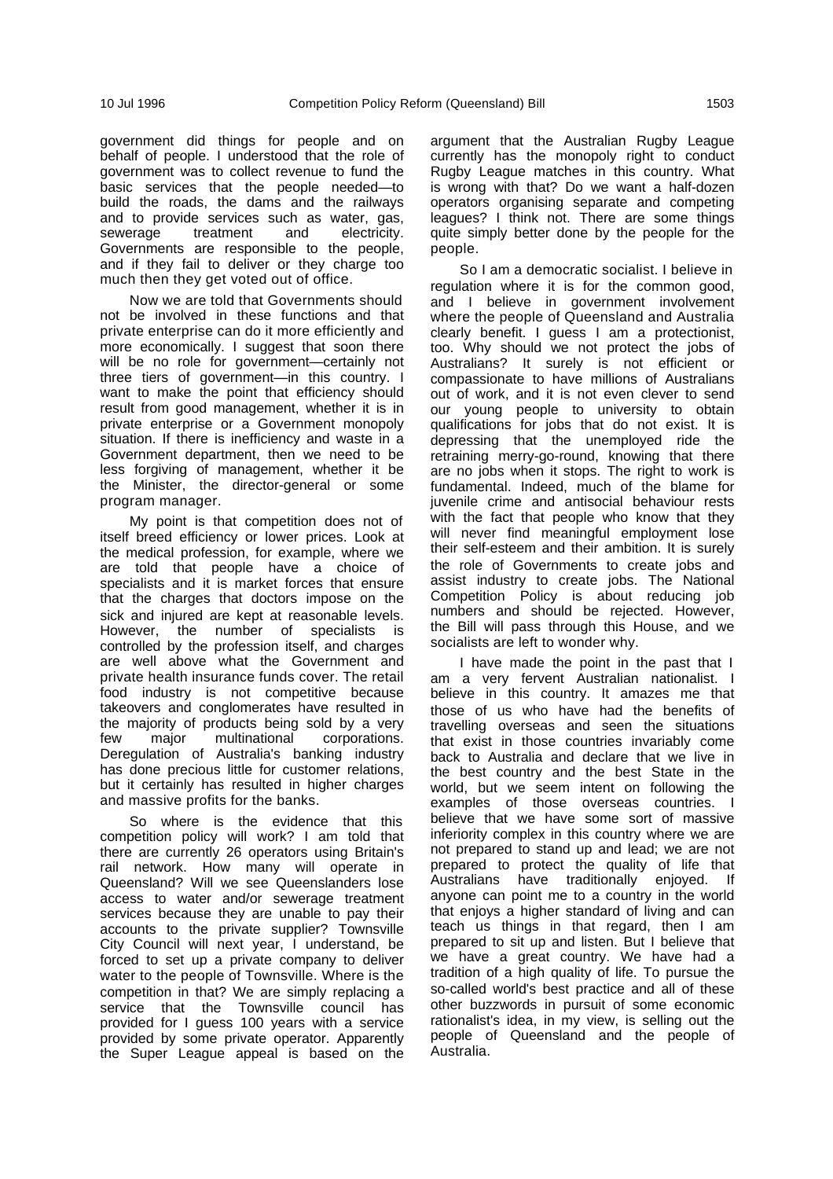government did things for people and on behalf of people. I understood that the role of government was to collect revenue to fund the basic services that the people needed—to build the roads, the dams and the railways and to provide services such as water, gas, sewerage treatment and electricity. Governments are responsible to the people, and if they fail to deliver or they charge too much then they get voted out of office.

Now we are told that Governments should not be involved in these functions and that private enterprise can do it more efficiently and more economically. I suggest that soon there will be no role for government—certainly not three tiers of government—in this country. I want to make the point that efficiency should result from good management, whether it is in private enterprise or a Government monopoly situation. If there is inefficiency and waste in a Government department, then we need to be less forgiving of management, whether it be the Minister, the director-general or some program manager.

My point is that competition does not of itself breed efficiency or lower prices. Look at the medical profession, for example, where we are told that people have a choice of specialists and it is market forces that ensure that the charges that doctors impose on the sick and injured are kept at reasonable levels. However, the number of specialists is controlled by the profession itself, and charges are well above what the Government and private health insurance funds cover. The retail food industry is not competitive because takeovers and conglomerates have resulted in the majority of products being sold by a very few major multinational corporations. Deregulation of Australia's banking industry has done precious little for customer relations, but it certainly has resulted in higher charges and massive profits for the banks.

So where is the evidence that this competition policy will work? I am told that there are currently 26 operators using Britain's rail network. How many will operate in Queensland? Will we see Queenslanders lose access to water and/or sewerage treatment services because they are unable to pay their accounts to the private supplier? Townsville City Council will next year, I understand, be forced to set up a private company to deliver water to the people of Townsville. Where is the competition in that? We are simply replacing a service that the Townsville council has provided for I guess 100 years with a service provided by some private operator. Apparently the Super League appeal is based on the argument that the Australian Rugby League currently has the monopoly right to conduct Rugby League matches in this country. What is wrong with that? Do we want a half-dozen operators organising separate and competing leagues? I think not. There are some things quite simply better done by the people for the people.

So I am a democratic socialist. I believe in regulation where it is for the common good, and I believe in government involvement where the people of Queensland and Australia clearly benefit. I guess I am a protectionist, too. Why should we not protect the jobs of Australians? It surely is not efficient or compassionate to have millions of Australians out of work, and it is not even clever to send our young people to university to obtain qualifications for jobs that do not exist. It is depressing that the unemployed ride the retraining merry-go-round, knowing that there are no jobs when it stops. The right to work is fundamental. Indeed, much of the blame for juvenile crime and antisocial behaviour rests with the fact that people who know that they will never find meaningful employment lose their self-esteem and their ambition. It is surely the role of Governments to create jobs and assist industry to create jobs. The National Competition Policy is about reducing job numbers and should be rejected. However, the Bill will pass through this House, and we socialists are left to wonder why.

I have made the point in the past that I am a very fervent Australian nationalist. I believe in this country. It amazes me that those of us who have had the benefits of travelling overseas and seen the situations that exist in those countries invariably come back to Australia and declare that we live in the best country and the best State in the world, but we seem intent on following the examples of those overseas countries. I believe that we have some sort of massive inferiority complex in this country where we are not prepared to stand up and lead; we are not prepared to protect the quality of life that Australians have traditionally enjoyed. If anyone can point me to a country in the world that enjoys a higher standard of living and can teach us things in that regard, then I am prepared to sit up and listen. But I believe that we have a great country. We have had a tradition of a high quality of life. To pursue the so-called world's best practice and all of these other buzzwords in pursuit of some economic rationalist's idea, in my view, is selling out the people of Queensland and the people of Australia.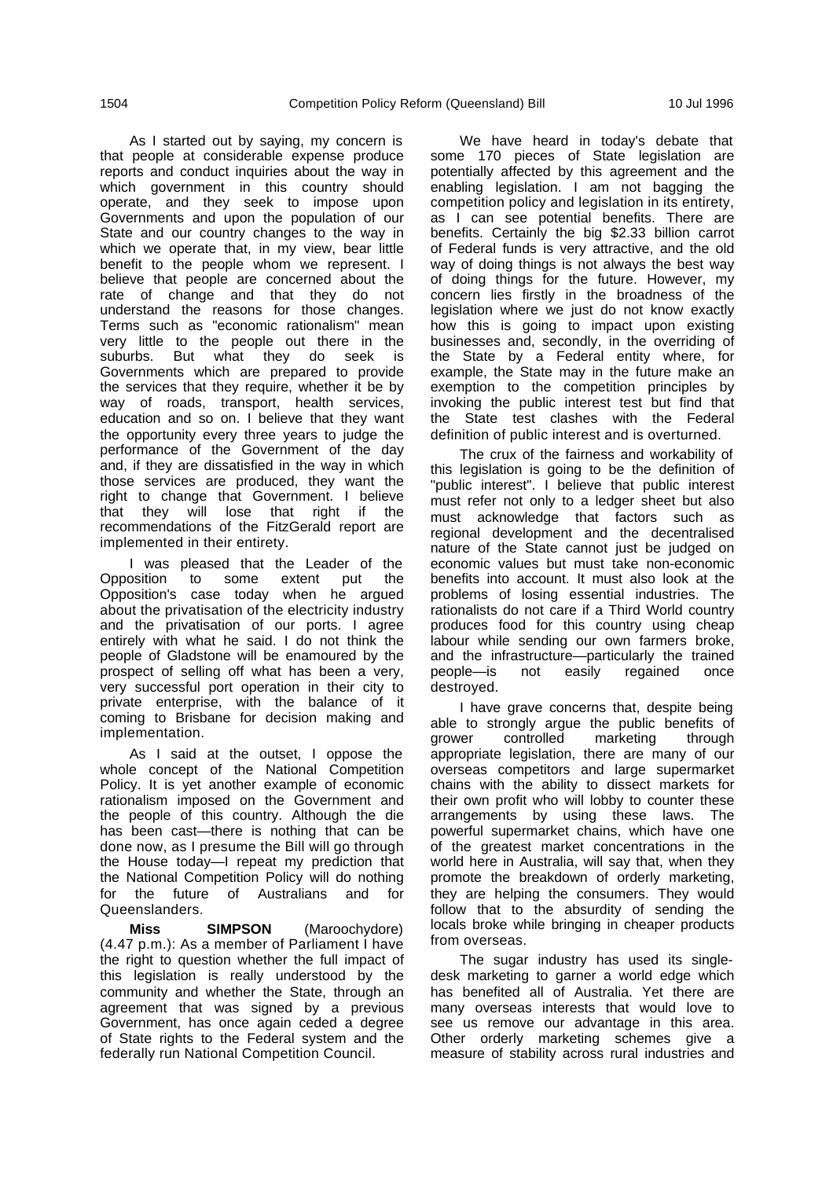As I started out by saying, my concern is that people at considerable expense produce reports and conduct inquiries about the way in which government in this country should operate, and they seek to impose upon Governments and upon the population of our State and our country changes to the way in which we operate that, in my view, bear little benefit to the people whom we represent. I believe that people are concerned about the rate of change and that they do not understand the reasons for those changes. Terms such as "economic rationalism" mean very little to the people out there in the suburbs. But what they do seek is Governments which are prepared to provide the services that they require, whether it be by way of roads, transport, health services, education and so on. I believe that they want the opportunity every three years to judge the performance of the Government of the day and, if they are dissatisfied in the way in which those services are produced, they want the right to change that Government. I believe that they will lose that right if the recommendations of the FitzGerald report are implemented in their entirety.

I was pleased that the Leader of the Opposition to some extent put the Opposition's case today when he argued about the privatisation of the electricity industry and the privatisation of our ports. I agree entirely with what he said. I do not think the people of Gladstone will be enamoured by the prospect of selling off what has been a very, very successful port operation in their city to private enterprise, with the balance of it coming to Brisbane for decision making and implementation.

As I said at the outset, I oppose the whole concept of the National Competition Policy. It is yet another example of economic rationalism imposed on the Government and the people of this country. Although the die has been cast—there is nothing that can be done now, as I presume the Bill will go through the House today—I repeat my prediction that the National Competition Policy will do nothing for the future of Australians and for Queenslanders.

**Miss SIMPSON** (Maroochydore) (4.47 p.m.): As a member of Parliament I have the right to question whether the full impact of this legislation is really understood by the community and whether the State, through an agreement that was signed by a previous Government, has once again ceded a degree of State rights to the Federal system and the federally run National Competition Council.

We have heard in today's debate that some 170 pieces of State legislation are potentially affected by this agreement and the enabling legislation. I am not bagging the competition policy and legislation in its entirety, as I can see potential benefits. There are benefits. Certainly the big \$2.33 billion carrot of Federal funds is very attractive, and the old way of doing things is not always the best way of doing things for the future. However, my concern lies firstly in the broadness of the legislation where we just do not know exactly how this is going to impact upon existing businesses and, secondly, in the overriding of the State by a Federal entity where, for example, the State may in the future make an exemption to the competition principles by invoking the public interest test but find that the State test clashes with the Federal definition of public interest and is overturned.

The crux of the fairness and workability of this legislation is going to be the definition of "public interest". I believe that public interest must refer not only to a ledger sheet but also must acknowledge that factors such as regional development and the decentralised nature of the State cannot just be judged on economic values but must take non-economic benefits into account. It must also look at the problems of losing essential industries. The rationalists do not care if a Third World country produces food for this country using cheap labour while sending our own farmers broke, and the infrastructure—particularly the trained people—is not easily regained once destroyed.

I have grave concerns that, despite being able to strongly argue the public benefits of grower controlled marketing through appropriate legislation, there are many of our overseas competitors and large supermarket chains with the ability to dissect markets for their own profit who will lobby to counter these arrangements by using these laws. The powerful supermarket chains, which have one of the greatest market concentrations in the world here in Australia, will say that, when they promote the breakdown of orderly marketing, they are helping the consumers. They would follow that to the absurdity of sending the locals broke while bringing in cheaper products from overseas.

The sugar industry has used its singledesk marketing to garner a world edge which has benefited all of Australia. Yet there are many overseas interests that would love to see us remove our advantage in this area. Other orderly marketing schemes give a measure of stability across rural industries and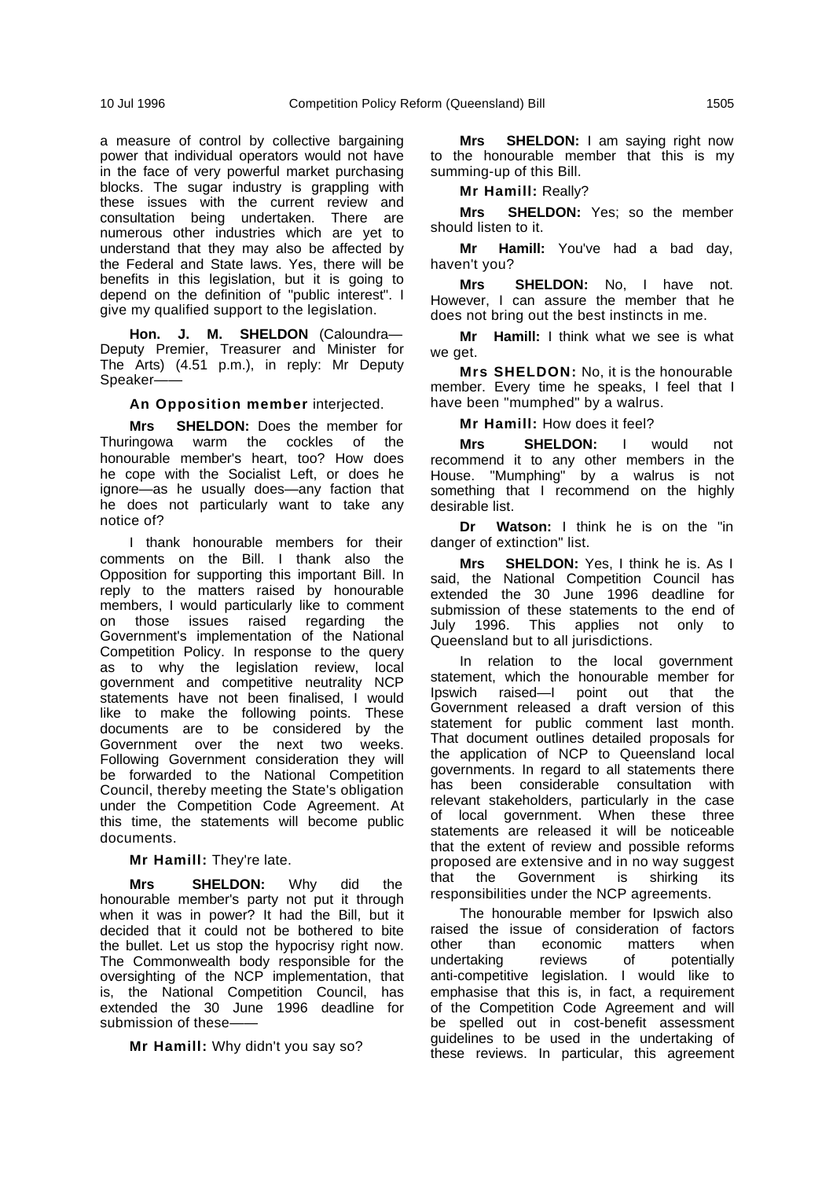a measure of control by collective bargaining power that individual operators would not have in the face of very powerful market purchasing blocks. The sugar industry is grappling with these issues with the current review and consultation being undertaken. There are numerous other industries which are yet to understand that they may also be affected by the Federal and State laws. Yes, there will be benefits in this legislation, but it is going to depend on the definition of "public interest". I give my qualified support to the legislation.

**Hon. J. M. SHELDON** (Caloundra— Deputy Premier, Treasurer and Minister for The Arts) (4.51 p.m.), in reply: Mr Deputy Speaker-

#### **An Opposition member** interjected.

**Mrs SHELDON:** Does the member for<br>ingowa warm the cockles of the Thuringowa warm the honourable member's heart, too? How does he cope with the Socialist Left, or does he ignore—as he usually does—any faction that he does not particularly want to take any notice of?

I thank honourable members for their comments on the Bill. I thank also the Opposition for supporting this important Bill. In reply to the matters raised by honourable members, I would particularly like to comment on those issues raised regarding the Government's implementation of the National Competition Policy. In response to the query as to why the legislation review, local government and competitive neutrality NCP statements have not been finalised, I would like to make the following points. These documents are to be considered by the Government over the next two weeks. Following Government consideration they will be forwarded to the National Competition Council, thereby meeting the State's obligation under the Competition Code Agreement. At this time, the statements will become public documents.

#### **Mr Hamill:** They're late.

**Mrs SHELDON:** Why did the honourable member's party not put it through when it was in power? It had the Bill, but it decided that it could not be bothered to bite the bullet. Let us stop the hypocrisy right now. The Commonwealth body responsible for the oversighting of the NCP implementation, that is, the National Competition Council, has extended the 30 June 1996 deadline for submission of these-

**Mr Hamill:** Why didn't you say so?

**Mrs SHELDON:** I am saying right now to the honourable member that this is my summing-up of this Bill.

**Mr Hamill:** Really?

**Mrs SHELDON:** Yes; so the member should listen to it.

**Mr Hamill:** You've had a bad day, haven't you?

**Mrs SHELDON:** No, I have not. However, I can assure the member that he does not bring out the best instincts in me.

**Mr Hamill:** I think what we see is what we get.

**Mrs SHELDON:** No, it is the honourable member. Every time he speaks, I feel that I have been "mumphed" by a walrus.

**Mr Hamill:** How does it feel?

**Mrs SHELDON:** I would not recommend it to any other members in the House. "Mumphing" by a walrus is not something that I recommend on the highly desirable list.

**Dr Watson:** I think he is on the "in danger of extinction" list.

**Mrs SHELDON:** Yes, I think he is. As I said, the National Competition Council has extended the 30 June 1996 deadline for submission of these statements to the end of July 1996. This applies not only to Queensland but to all jurisdictions.

In relation to the local government statement, which the honourable member for Ipswich raised—I point out that the Government released a draft version of this statement for public comment last month. That document outlines detailed proposals for the application of NCP to Queensland local governments. In regard to all statements there has been considerable consultation with relevant stakeholders, particularly in the case of local government. When these three statements are released it will be noticeable that the extent of review and possible reforms proposed are extensive and in no way suggest that the Government is shirking its responsibilities under the NCP agreements.

The honourable member for Ipswich also raised the issue of consideration of factors<br>other than economic matters when other than economic matter than economic matter reviews of potentially anti-competitive legislation. I would like to emphasise that this is, in fact, a requirement of the Competition Code Agreement and will be spelled out in cost-benefit assessment guidelines to be used in the undertaking of these reviews. In particular, this agreement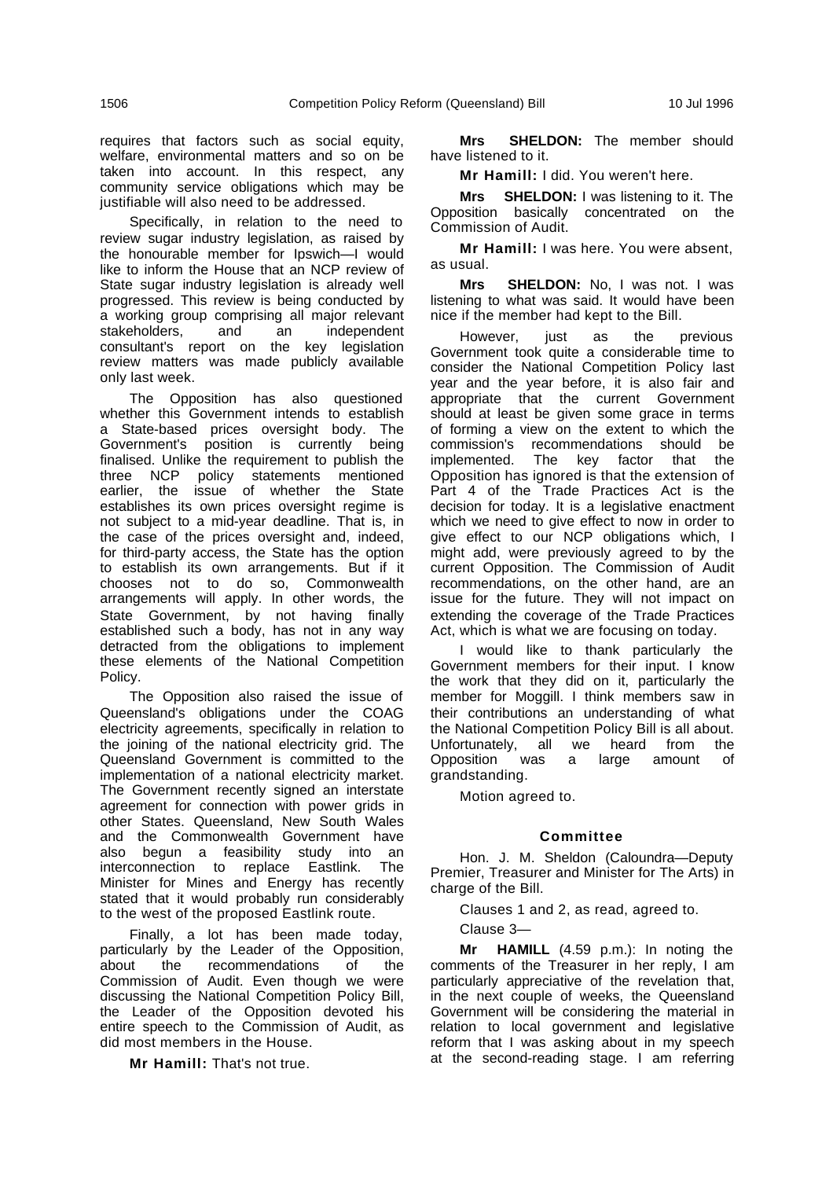requires that factors such as social equity, welfare, environmental matters and so on be taken into account. In this respect, any community service obligations which may be justifiable will also need to be addressed.

Specifically, in relation to the need to review sugar industry legislation, as raised by the honourable member for Ipswich—I would like to inform the House that an NCP review of State sugar industry legislation is already well progressed. This review is being conducted by a working group comprising all major relevant stakeholders, and an independent consultant's report on the key legislation review matters was made publicly available only last week.

The Opposition has also questioned whether this Government intends to establish a State-based prices oversight body. The Government's position is currently being finalised. Unlike the requirement to publish the three NCP policy statements mentioned earlier, the issue of whether the State establishes its own prices oversight regime is not subject to a mid-year deadline. That is, in the case of the prices oversight and, indeed, for third-party access, the State has the option to establish its own arrangements. But if it chooses not to do so, Commonwealth arrangements will apply. In other words, the State Government, by not having finally established such a body, has not in any way detracted from the obligations to implement these elements of the National Competition Policy.

The Opposition also raised the issue of Queensland's obligations under the COAG electricity agreements, specifically in relation to the joining of the national electricity grid. The Queensland Government is committed to the implementation of a national electricity market. The Government recently signed an interstate agreement for connection with power grids in other States. Queensland, New South Wales and the Commonwealth Government have also begun a feasibility study into an interconnection to replace Eastlink. The Minister for Mines and Energy has recently stated that it would probably run considerably to the west of the proposed Eastlink route.

Finally, a lot has been made today, particularly by the Leader of the Opposition, about the recommendations of the Commission of Audit. Even though we were discussing the National Competition Policy Bill, the Leader of the Opposition devoted his entire speech to the Commission of Audit, as did most members in the House.

**Mr Hamill:** That's not true.

**Mrs SHELDON:** The member should have listened to it.

**Mr Hamill:** I did. You weren't here.

**Mrs SHELDON:** I was listening to it. The Opposition basically concentrated on the Commission of Audit.

**Mr Hamill:** I was here. You were absent, as usual.

**Mrs SHELDON:** No, I was not. I was listening to what was said. It would have been nice if the member had kept to the Bill.

However, just as the previous Government took quite a considerable time to consider the National Competition Policy last year and the year before, it is also fair and appropriate that the current Government should at least be given some grace in terms of forming a view on the extent to which the commission's recommendations should be implemented. The key factor that the Opposition has ignored is that the extension of Part 4 of the Trade Practices Act is the decision for today. It is a legislative enactment which we need to give effect to now in order to give effect to our NCP obligations which, I might add, were previously agreed to by the current Opposition. The Commission of Audit recommendations, on the other hand, are an issue for the future. They will not impact on extending the coverage of the Trade Practices Act, which is what we are focusing on today.

I would like to thank particularly the Government members for their input. I know the work that they did on it, particularly the member for Moggill. I think members saw in their contributions an understanding of what the National Competition Policy Bill is all about. Unfortunately, all we heard from the Opposition was a large amount of grandstanding.

Motion agreed to.

## **Committee**

Hon. J. M. Sheldon (Caloundra—Deputy Premier, Treasurer and Minister for The Arts) in charge of the Bill.

Clauses 1 and 2, as read, agreed to.

Clause 3—

**Mr HAMILL** (4.59 p.m.): In noting the comments of the Treasurer in her reply, I am particularly appreciative of the revelation that, in the next couple of weeks, the Queensland Government will be considering the material in relation to local government and legislative reform that I was asking about in my speech at the second-reading stage. I am referring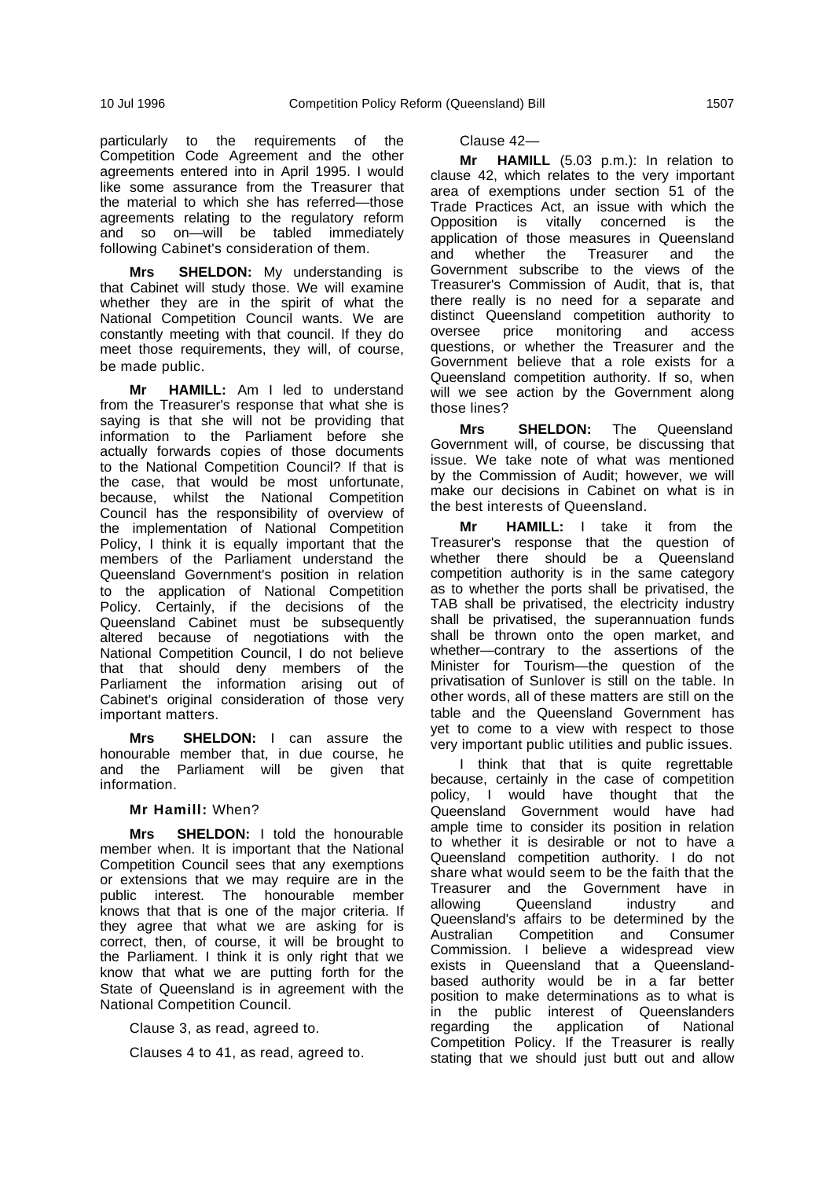particularly to the requirements of the Competition Code Agreement and the other agreements entered into in April 1995. I would like some assurance from the Treasurer that the material to which she has referred—those agreements relating to the regulatory reform and so on-will be tabled immediately following Cabinet's consideration of them.

**Mrs SHELDON:** My understanding is that Cabinet will study those. We will examine whether they are in the spirit of what the National Competition Council wants. We are constantly meeting with that council. If they do meet those requirements, they will, of course, be made public.

**Mr HAMILL:** Am I led to understand from the Treasurer's response that what she is saying is that she will not be providing that information to the Parliament before she actually forwards copies of those documents to the National Competition Council? If that is the case, that would be most unfortunate, because, whilst the National Competition Council has the responsibility of overview of the implementation of National Competition Policy, I think it is equally important that the members of the Parliament understand the Queensland Government's position in relation to the application of National Competition Policy. Certainly, if the decisions of the Queensland Cabinet must be subsequently altered because of negotiations with the National Competition Council, I do not believe that that should deny members of the Parliament the information arising out of Cabinet's original consideration of those very important matters.

**Mrs SHELDON:** I can assure the honourable member that, in due course, he and the Parliament will be given that information.

### **Mr Hamill:** When?

**Mrs SHELDON:** I told the honourable member when. It is important that the National Competition Council sees that any exemptions or extensions that we may require are in the public interest. The honourable member knows that that is one of the major criteria. If they agree that what we are asking for is correct, then, of course, it will be brought to the Parliament. I think it is only right that we know that what we are putting forth for the State of Queensland is in agreement with the National Competition Council.

Clause 3, as read, agreed to.

Clauses 4 to 41, as read, agreed to.

Clause 42—

**Mr HAMILL** (5.03 p.m.): In relation to clause 42, which relates to the very important area of exemptions under section 51 of the Trade Practices Act, an issue with which the Opposition is vitally concerned is the application of those measures in Queensland and whether the Treasurer and the Government subscribe to the views of the Treasurer's Commission of Audit, that is, that there really is no need for a separate and distinct Queensland competition authority to oversee price monitoring and access questions, or whether the Treasurer and the Government believe that a role exists for a Queensland competition authority. If so, when will we see action by the Government along those lines?

**Mrs SHELDON:** The Queensland Government will, of course, be discussing that issue. We take note of what was mentioned by the Commission of Audit; however, we will make our decisions in Cabinet on what is in the best interests of Queensland.

**Mr HAMILL:** I take it from the Treasurer's response that the question of whether there should be a Queensland competition authority is in the same category as to whether the ports shall be privatised, the TAB shall be privatised, the electricity industry shall be privatised, the superannuation funds shall be thrown onto the open market, and whether—contrary to the assertions of the Minister for Tourism—the question of the privatisation of Sunlover is still on the table. In other words, all of these matters are still on the table and the Queensland Government has yet to come to a view with respect to those very important public utilities and public issues.

I think that that is quite regrettable because, certainly in the case of competition policy, I would have thought that the Queensland Government would have had ample time to consider its position in relation to whether it is desirable or not to have a Queensland competition authority. I do not share what would seem to be the faith that the Treasurer and the Government have in allowing Queensland industry and Queensland's affairs to be determined by the Australian Competition and Consumer Commission. I believe a widespread view exists in Queensland that a Queenslandbased authority would be in a far better position to make determinations as to what is in the public interest of Queenslanders regarding the application of National Competition Policy. If the Treasurer is really stating that we should just butt out and allow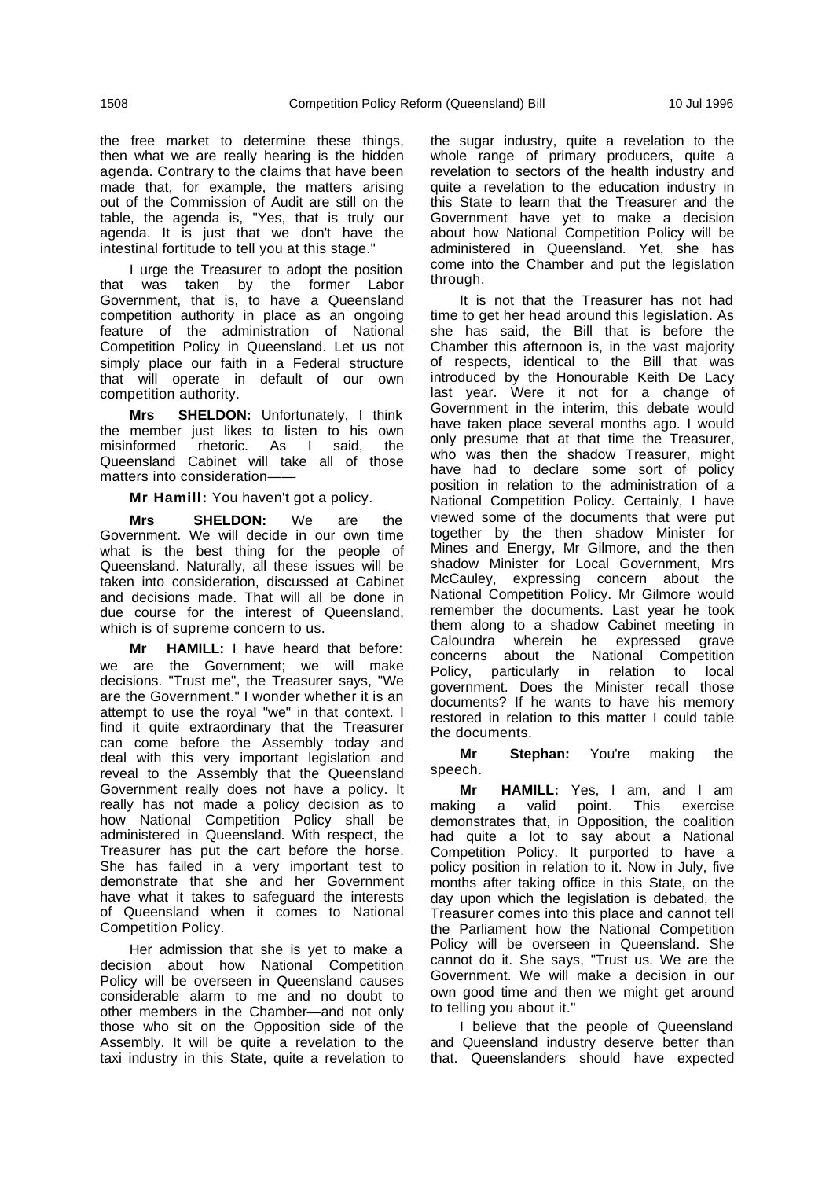the free market to determine these things, then what we are really hearing is the hidden agenda. Contrary to the claims that have been made that, for example, the matters arising out of the Commission of Audit are still on the table, the agenda is, "Yes, that is truly our agenda. It is just that we don't have the intestinal fortitude to tell you at this stage."

I urge the Treasurer to adopt the position that was taken by the former Labor Government, that is, to have a Queensland competition authority in place as an ongoing feature of the administration of National Competition Policy in Queensland. Let us not simply place our faith in a Federal structure that will operate in default of our own competition authority.

**Mrs SHELDON:** Unfortunately, I think the member just likes to listen to his own misinformed rhetoric. As I said, the Queensland Cabinet will take all of those matters into consideration-

**Mr Hamill:** You haven't got a policy.

**Mrs SHELDON:** We are the Government. We will decide in our own time what is the best thing for the people of Queensland. Naturally, all these issues will be taken into consideration, discussed at Cabinet and decisions made. That will all be done in due course for the interest of Queensland, which is of supreme concern to us.

**Mr HAMILL:** I have heard that before: we are the Government; we will make decisions. "Trust me", the Treasurer says, "We are the Government." I wonder whether it is an attempt to use the royal "we" in that context. I find it quite extraordinary that the Treasurer can come before the Assembly today and deal with this very important legislation and reveal to the Assembly that the Queensland Government really does not have a policy. It really has not made a policy decision as to how National Competition Policy shall be administered in Queensland. With respect, the Treasurer has put the cart before the horse. She has failed in a very important test to demonstrate that she and her Government have what it takes to safeguard the interests of Queensland when it comes to National Competition Policy.

Her admission that she is yet to make a decision about how National Competition Policy will be overseen in Queensland causes considerable alarm to me and no doubt to other members in the Chamber—and not only those who sit on the Opposition side of the Assembly. It will be quite a revelation to the taxi industry in this State, quite a revelation to the sugar industry, quite a revelation to the whole range of primary producers, quite a revelation to sectors of the health industry and quite a revelation to the education industry in this State to learn that the Treasurer and the Government have yet to make a decision about how National Competition Policy will be administered in Queensland. Yet, she has come into the Chamber and put the legislation through.

It is not that the Treasurer has not had time to get her head around this legislation. As she has said, the Bill that is before the Chamber this afternoon is, in the vast majority of respects, identical to the Bill that was introduced by the Honourable Keith De Lacy last year. Were it not for a change of Government in the interim, this debate would have taken place several months ago. I would only presume that at that time the Treasurer, who was then the shadow Treasurer, might have had to declare some sort of policy position in relation to the administration of a National Competition Policy. Certainly, I have viewed some of the documents that were put together by the then shadow Minister for Mines and Energy, Mr Gilmore, and the then shadow Minister for Local Government, Mrs McCauley, expressing concern about the National Competition Policy. Mr Gilmore would remember the documents. Last year he took them along to a shadow Cabinet meeting in Caloundra wherein he expressed grave concerns about the National Competition Policy, particularly in relation to local government. Does the Minister recall those documents? If he wants to have his memory restored in relation to this matter I could table the documents.

**Mr Stephan:** You're making the speech.

**Mr HAMILL:** Yes, I am, and I am making a valid point. This exercise demonstrates that, in Opposition, the coalition had quite a lot to say about a National Competition Policy. It purported to have a policy position in relation to it. Now in July, five months after taking office in this State, on the day upon which the legislation is debated, the Treasurer comes into this place and cannot tell the Parliament how the National Competition Policy will be overseen in Queensland. She cannot do it. She says, "Trust us. We are the Government. We will make a decision in our own good time and then we might get around to telling you about it."

I believe that the people of Queensland and Queensland industry deserve better than that. Queenslanders should have expected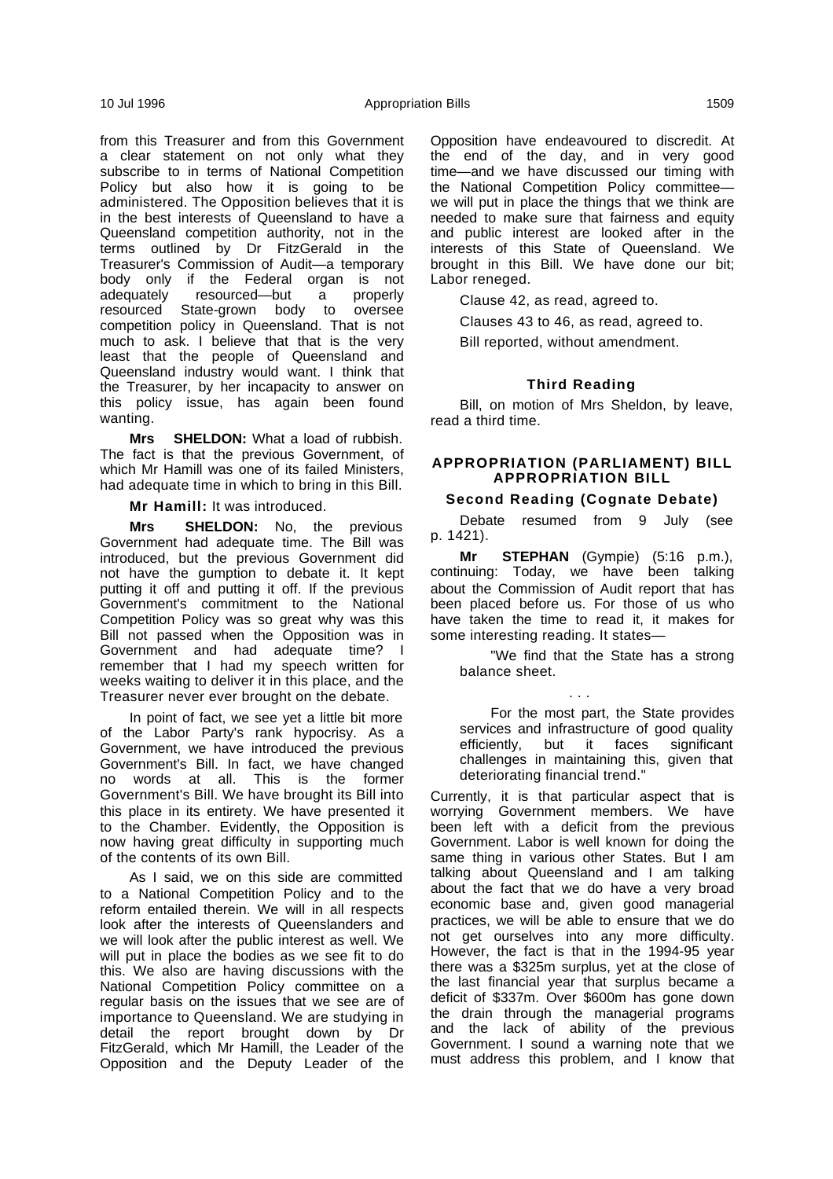from this Treasurer and from this Government a clear statement on not only what they subscribe to in terms of National Competition Policy but also how it is going to be administered. The Opposition believes that it is in the best interests of Queensland to have a Queensland competition authority, not in the terms outlined by Dr FitzGerald in the Treasurer's Commission of Audit—a temporary body only if the Federal organ is not adequately resourced—but a properly resourced State-grown body to oversee competition policy in Queensland. That is not much to ask. I believe that that is the very least that the people of Queensland and Queensland industry would want. I think that the Treasurer, by her incapacity to answer on this policy issue, has again been found wanting.

**Mrs SHELDON:** What a load of rubbish. The fact is that the previous Government, of which Mr Hamill was one of its failed Ministers, had adequate time in which to bring in this Bill.

**Mr Hamill:** It was introduced.

**Mrs SHELDON:** No, the previous Government had adequate time. The Bill was introduced, but the previous Government did not have the gumption to debate it. It kept putting it off and putting it off. If the previous Government's commitment to the National Competition Policy was so great why was this Bill not passed when the Opposition was in Government and had adequate time? I remember that I had my speech written for weeks waiting to deliver it in this place, and the Treasurer never ever brought on the debate.

In point of fact, we see yet a little bit more of the Labor Party's rank hypocrisy. As a Government, we have introduced the previous Government's Bill. In fact, we have changed no words at all. This is the former Government's Bill. We have brought its Bill into this place in its entirety. We have presented it to the Chamber. Evidently, the Opposition is now having great difficulty in supporting much of the contents of its own Bill.

As I said, we on this side are committed to a National Competition Policy and to the reform entailed therein. We will in all respects look after the interests of Queenslanders and we will look after the public interest as well. We will put in place the bodies as we see fit to do this. We also are having discussions with the National Competition Policy committee on a regular basis on the issues that we see are of importance to Queensland. We are studying in detail the report brought down by Dr FitzGerald, which Mr Hamill, the Leader of the Opposition and the Deputy Leader of the Opposition have endeavoured to discredit. At the end of the day, and in very good time—and we have discussed our timing with the National Competition Policy committee we will put in place the things that we think are needed to make sure that fairness and equity and public interest are looked after in the interests of this State of Queensland. We brought in this Bill. We have done our bit; Labor reneged.

Clause 42, as read, agreed to.

Clauses 43 to 46, as read, agreed to.

Bill reported, without amendment.

## **Third Reading**

Bill, on motion of Mrs Sheldon, by leave, read a third time.

## **APPROPRIATION (PARLIAMENT) BILL APPROPRIATION BILL**

# **Second Reading (Cognate Debate)**

Debate resumed from 9 July (see p. 1421).

**Mr STEPHAN** (Gympie) (5:16 p.m.), continuing: Today, we have been talking about the Commission of Audit report that has been placed before us. For those of us who have taken the time to read it, it makes for some interesting reading. It states—

. . .

"We find that the State has a strong balance sheet.

For the most part, the State provides services and infrastructure of good quality efficiently, but it faces significant challenges in maintaining this, given that deteriorating financial trend."

Currently, it is that particular aspect that is worrying Government members. We have been left with a deficit from the previous Government. Labor is well known for doing the same thing in various other States. But I am talking about Queensland and I am talking about the fact that we do have a very broad economic base and, given good managerial practices, we will be able to ensure that we do not get ourselves into any more difficulty. However, the fact is that in the 1994-95 year there was a \$325m surplus, yet at the close of the last financial year that surplus became a deficit of \$337m. Over \$600m has gone down the drain through the managerial programs and the lack of ability of the previous Government. I sound a warning note that we must address this problem, and I know that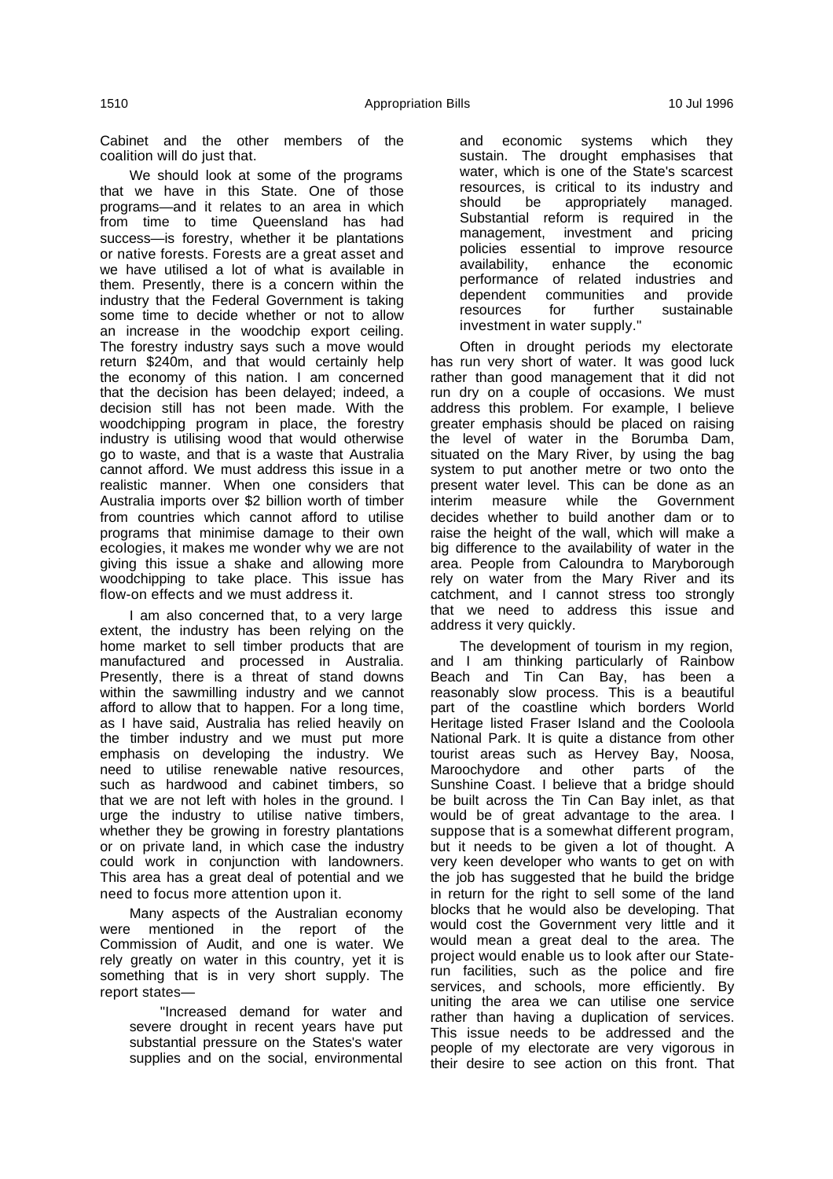Cabinet and the other members of the coalition will do just that.

We should look at some of the programs that we have in this State. One of those programs—and it relates to an area in which from time to time Queensland has had success—is forestry, whether it be plantations or native forests. Forests are a great asset and we have utilised a lot of what is available in them. Presently, there is a concern within the industry that the Federal Government is taking some time to decide whether or not to allow an increase in the woodchip export ceiling. The forestry industry says such a move would return \$240m, and that would certainly help the economy of this nation. I am concerned that the decision has been delayed; indeed, a decision still has not been made. With the woodchipping program in place, the forestry industry is utilising wood that would otherwise go to waste, and that is a waste that Australia cannot afford. We must address this issue in a realistic manner. When one considers that Australia imports over \$2 billion worth of timber from countries which cannot afford to utilise programs that minimise damage to their own ecologies, it makes me wonder why we are not giving this issue a shake and allowing more woodchipping to take place. This issue has flow-on effects and we must address it.

I am also concerned that, to a very large extent, the industry has been relying on the home market to sell timber products that are manufactured and processed in Australia. Presently, there is a threat of stand downs within the sawmilling industry and we cannot afford to allow that to happen. For a long time, as I have said, Australia has relied heavily on the timber industry and we must put more emphasis on developing the industry. We need to utilise renewable native resources, such as hardwood and cabinet timbers, so that we are not left with holes in the ground. I urge the industry to utilise native timbers, whether they be growing in forestry plantations or on private land, in which case the industry could work in conjunction with landowners. This area has a great deal of potential and we need to focus more attention upon it.

Many aspects of the Australian economy were mentioned in the report of the Commission of Audit, and one is water. We rely greatly on water in this country, yet it is something that is in very short supply. The report states—

"Increased demand for water and severe drought in recent years have put substantial pressure on the States's water supplies and on the social, environmental

and economic systems which they sustain. The drought emphasises that water, which is one of the State's scarcest resources, is critical to its industry and should be appropriately managed. Substantial reform is required in the management, investment and pricing policies essential to improve resource availability, enhance the economic performance of related industries and dependent communities and provide resources for further sustainable investment in water supply."

Often in drought periods my electorate has run very short of water. It was good luck rather than good management that it did not run dry on a couple of occasions. We must address this problem. For example, I believe greater emphasis should be placed on raising the level of water in the Borumba Dam, situated on the Mary River, by using the bag system to put another metre or two onto the present water level. This can be done as an interim measure while the Government decides whether to build another dam or to raise the height of the wall, which will make a big difference to the availability of water in the area. People from Caloundra to Maryborough rely on water from the Mary River and its catchment, and I cannot stress too strongly that we need to address this issue and address it very quickly.

The development of tourism in my region, and I am thinking particularly of Rainbow Beach and Tin Can Bay, has been a reasonably slow process. This is a beautiful part of the coastline which borders World Heritage listed Fraser Island and the Cooloola National Park. It is quite a distance from other tourist areas such as Hervey Bay, Noosa, Maroochydore and other parts of the Sunshine Coast. I believe that a bridge should be built across the Tin Can Bay inlet, as that would be of great advantage to the area. I suppose that is a somewhat different program, but it needs to be given a lot of thought. A very keen developer who wants to get on with the job has suggested that he build the bridge in return for the right to sell some of the land blocks that he would also be developing. That would cost the Government very little and it would mean a great deal to the area. The project would enable us to look after our Staterun facilities, such as the police and fire services, and schools, more efficiently. By uniting the area we can utilise one service rather than having a duplication of services. This issue needs to be addressed and the people of my electorate are very vigorous in their desire to see action on this front. That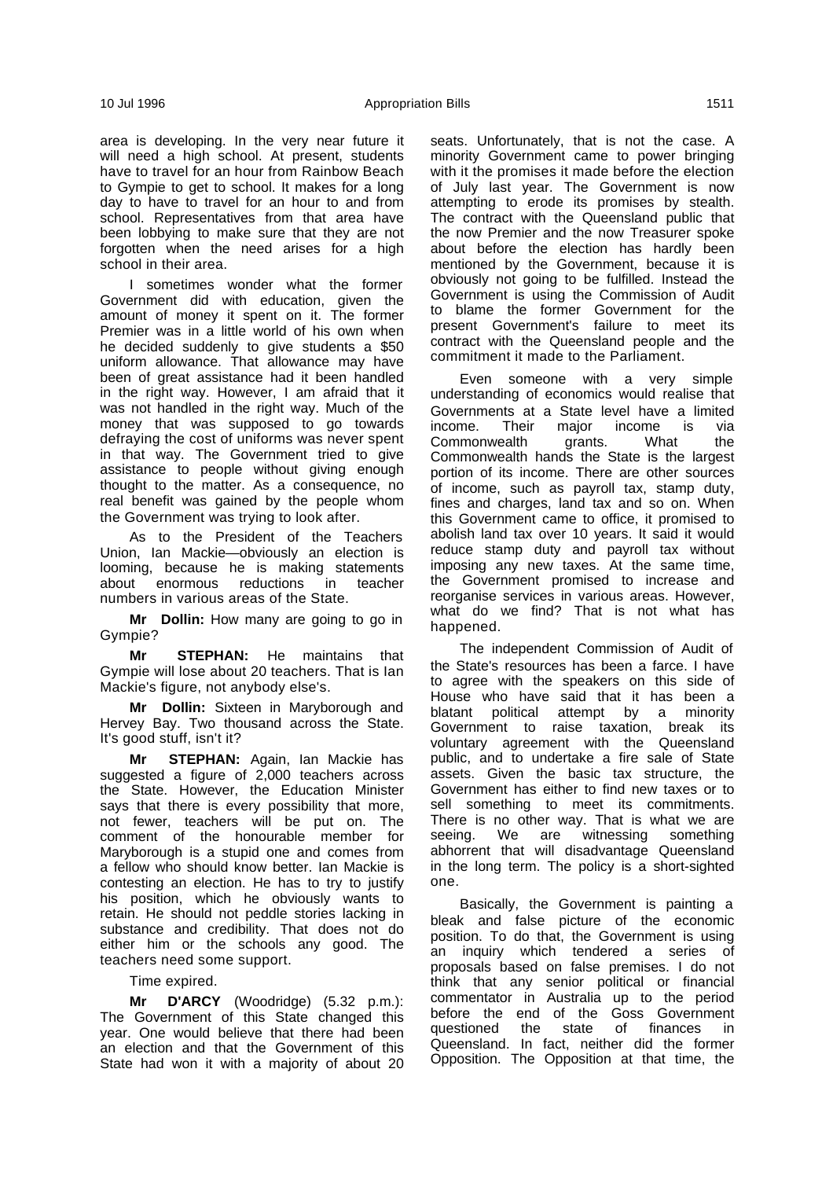area is developing. In the very near future it will need a high school. At present, students have to travel for an hour from Rainbow Beach to Gympie to get to school. It makes for a long day to have to travel for an hour to and from school. Representatives from that area have been lobbying to make sure that they are not forgotten when the need arises for a high school in their area.

I sometimes wonder what the former Government did with education, given the amount of money it spent on it. The former Premier was in a little world of his own when he decided suddenly to give students a \$50 uniform allowance. That allowance may have been of great assistance had it been handled in the right way. However, I am afraid that it was not handled in the right way. Much of the money that was supposed to go towards defraying the cost of uniforms was never spent in that way. The Government tried to give assistance to people without giving enough thought to the matter. As a consequence, no real benefit was gained by the people whom the Government was trying to look after.

As to the President of the Teachers Union, Ian Mackie—obviously an election is looming, because he is making statements about enormous reductions in teacher numbers in various areas of the State.

**Mr Dollin:** How many are going to go in Gympie?

**Mr STEPHAN:** He maintains that Gympie will lose about 20 teachers. That is Ian Mackie's figure, not anybody else's.

**Mr Dollin:** Sixteen in Maryborough and Hervey Bay. Two thousand across the State. It's good stuff, isn't it?

**Mr STEPHAN:** Again, Ian Mackie has suggested a figure of 2,000 teachers across the State. However, the Education Minister says that there is every possibility that more, not fewer, teachers will be put on. The comment of the honourable member for Maryborough is a stupid one and comes from a fellow who should know better. Ian Mackie is contesting an election. He has to try to justify his position, which he obviously wants to retain. He should not peddle stories lacking in substance and credibility. That does not do either him or the schools any good. The teachers need some support.

### Time expired.

**Mr D'ARCY** (Woodridge) (5.32 p.m.): The Government of this State changed this year. One would believe that there had been an election and that the Government of this State had won it with a majority of about 20 seats. Unfortunately, that is not the case. A minority Government came to power bringing with it the promises it made before the election of July last year. The Government is now attempting to erode its promises by stealth. The contract with the Queensland public that the now Premier and the now Treasurer spoke about before the election has hardly been mentioned by the Government, because it is obviously not going to be fulfilled. Instead the Government is using the Commission of Audit to blame the former Government for the present Government's failure to meet its contract with the Queensland people and the commitment it made to the Parliament.

Even someone with a very simple understanding of economics would realise that Governments at a State level have a limited income. Their major income is via<br>Commonwealth grants. What the Commonwealth grants. What the Commonwealth hands the State is the largest portion of its income. There are other sources of income, such as payroll tax, stamp duty, fines and charges, land tax and so on. When this Government came to office, it promised to abolish land tax over 10 years. It said it would reduce stamp duty and payroll tax without imposing any new taxes. At the same time, the Government promised to increase and reorganise services in various areas. However, what do we find? That is not what has happened.

The independent Commission of Audit of the State's resources has been a farce. I have to agree with the speakers on this side of House who have said that it has been a blatant political attempt by a minority Government to raise taxation, break its voluntary agreement with the Queensland public, and to undertake a fire sale of State assets. Given the basic tax structure, the Government has either to find new taxes or to sell something to meet its commitments. There is no other way. That is what we are seeing. We are witnessing something abhorrent that will disadvantage Queensland in the long term. The policy is a short-sighted one.

Basically, the Government is painting a bleak and false picture of the economic position. To do that, the Government is using an inquiry which tendered a series of proposals based on false premises. I do not think that any senior political or financial commentator in Australia up to the period before the end of the Goss Government questioned the state of finances in Queensland. In fact, neither did the former Opposition. The Opposition at that time, the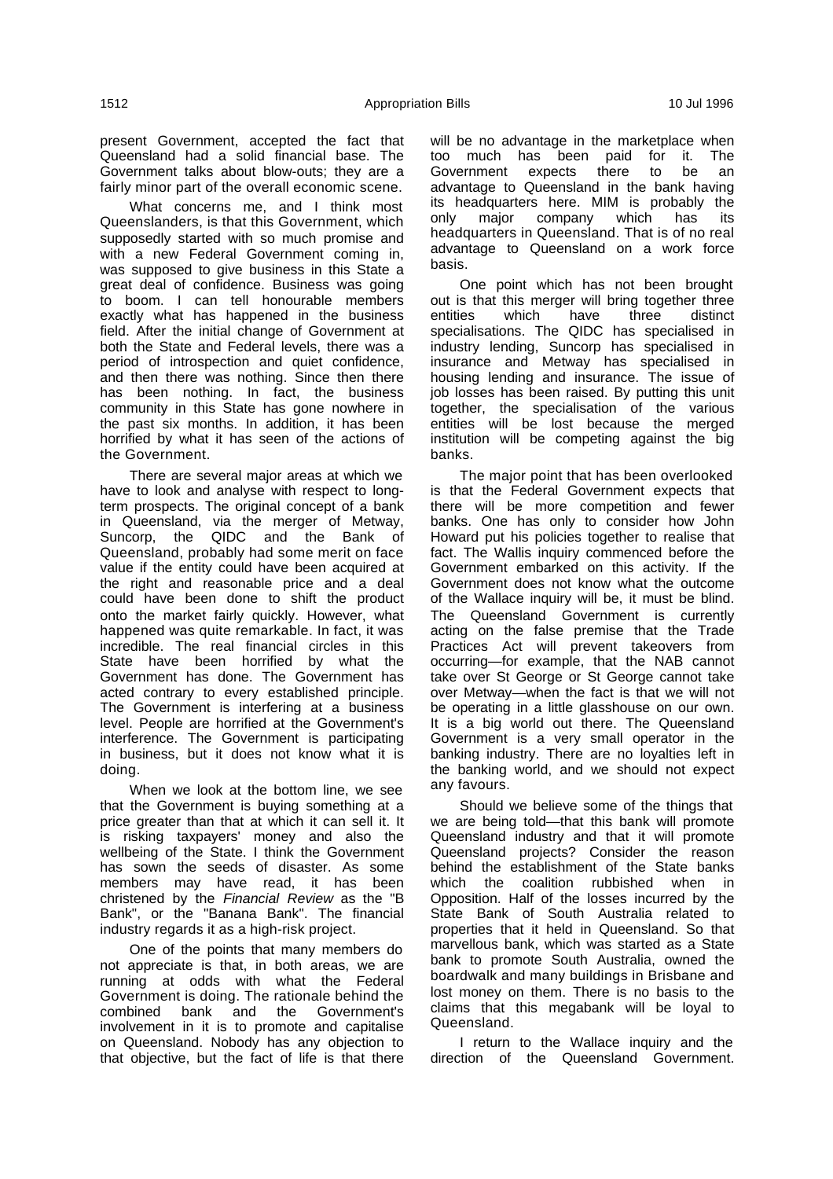present Government, accepted the fact that Queensland had a solid financial base. The Government talks about blow-outs; they are a fairly minor part of the overall economic scene.

What concerns me, and I think most Queenslanders, is that this Government, which supposedly started with so much promise and with a new Federal Government coming in, was supposed to give business in this State a great deal of confidence. Business was going to boom. I can tell honourable members exactly what has happened in the business field. After the initial change of Government at both the State and Federal levels, there was a period of introspection and quiet confidence, and then there was nothing. Since then there has been nothing. In fact, the business community in this State has gone nowhere in the past six months. In addition, it has been horrified by what it has seen of the actions of the Government.

There are several major areas at which we have to look and analyse with respect to longterm prospects. The original concept of a bank in Queensland, via the merger of Metway, Suncorp, the QIDC and the Bank of Queensland, probably had some merit on face value if the entity could have been acquired at the right and reasonable price and a deal could have been done to shift the product onto the market fairly quickly. However, what happened was quite remarkable. In fact, it was incredible. The real financial circles in this State have been horrified by what the Government has done. The Government has acted contrary to every established principle. The Government is interfering at a business level. People are horrified at the Government's interference. The Government is participating in business, but it does not know what it is doing.

When we look at the bottom line, we see that the Government is buying something at a price greater than that at which it can sell it. It is risking taxpayers' money and also the wellbeing of the State. I think the Government has sown the seeds of disaster. As some members may have read, it has been christened by the Financial Review as the "B Bank", or the "Banana Bank". The financial industry regards it as a high-risk project.

One of the points that many members do not appreciate is that, in both areas, we are running at odds with what the Federal Government is doing. The rationale behind the combined bank and the Government's involvement in it is to promote and capitalise on Queensland. Nobody has any objection to that objective, but the fact of life is that there will be no advantage in the marketplace when too much has been paid for it. The Government expects there to be an advantage to Queensland in the bank having its headquarters here. MIM is probably the only major company which has its headquarters in Queensland. That is of no real advantage to Queensland on a work force basis.

One point which has not been brought out is that this merger will bring together three<br>entities which have three distinct distinct specialisations. The QIDC has specialised in industry lending, Suncorp has specialised in insurance and Metway has specialised in housing lending and insurance. The issue of job losses has been raised. By putting this unit together, the specialisation of the various entities will be lost because the merged institution will be competing against the big banks.

The major point that has been overlooked is that the Federal Government expects that there will be more competition and fewer banks. One has only to consider how John Howard put his policies together to realise that fact. The Wallis inquiry commenced before the Government embarked on this activity. If the Government does not know what the outcome of the Wallace inquiry will be, it must be blind. The Queensland Government is currently acting on the false premise that the Trade Practices Act will prevent takeovers from occurring—for example, that the NAB cannot take over St George or St George cannot take over Metway—when the fact is that we will not be operating in a little glasshouse on our own. It is a big world out there. The Queensland Government is a very small operator in the banking industry. There are no loyalties left in the banking world, and we should not expect any favours.

Should we believe some of the things that we are being told—that this bank will promote Queensland industry and that it will promote Queensland projects? Consider the reason behind the establishment of the State banks which the coalition rubbished when in Opposition. Half of the losses incurred by the State Bank of South Australia related to properties that it held in Queensland. So that marvellous bank, which was started as a State bank to promote South Australia, owned the boardwalk and many buildings in Brisbane and lost money on them. There is no basis to the claims that this megabank will be loyal to Queensland.

I return to the Wallace inquiry and the direction of the Queensland Government.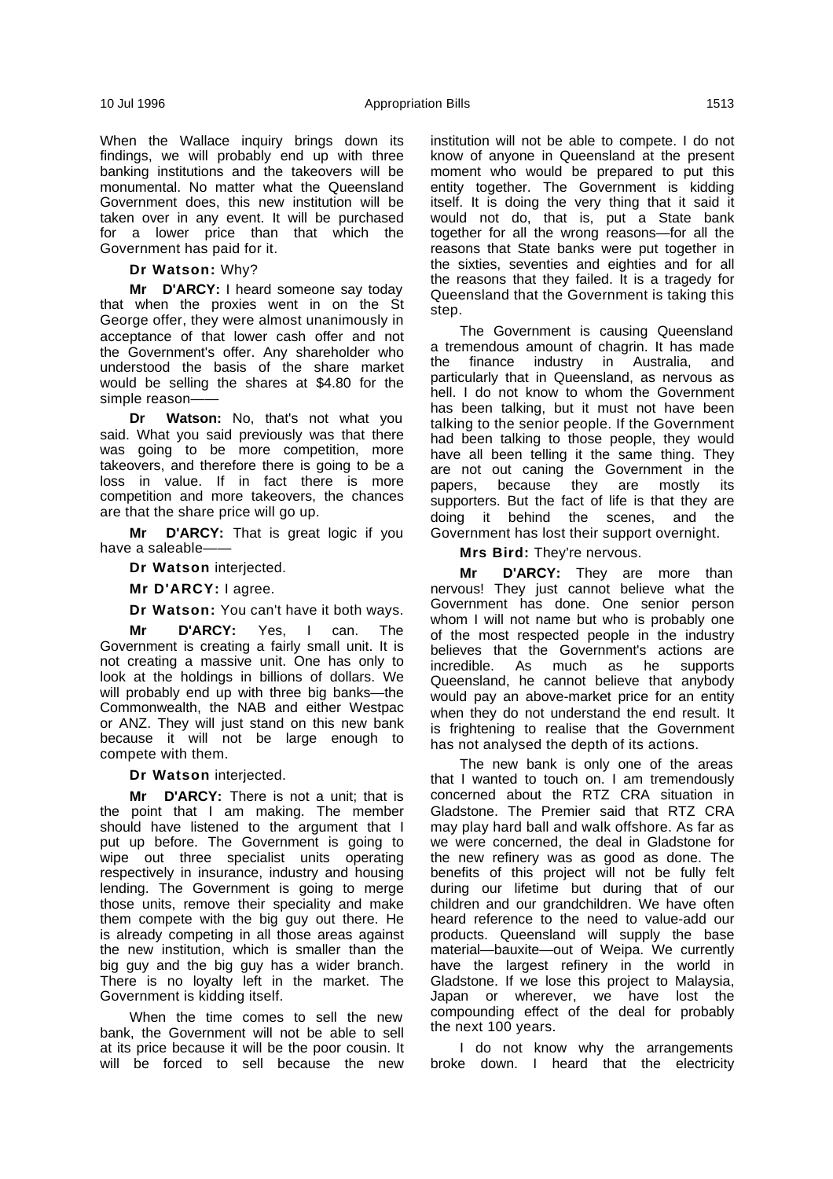When the Wallace inquiry brings down its findings, we will probably end up with three banking institutions and the takeovers will be monumental. No matter what the Queensland Government does, this new institution will be taken over in any event. It will be purchased for a lower price than that which the Government has paid for it.

**Dr Watson:** Why?

**Mr D'ARCY:** I heard someone say today that when the proxies went in on the St George offer, they were almost unanimously in acceptance of that lower cash offer and not the Government's offer. Any shareholder who understood the basis of the share market would be selling the shares at \$4.80 for the simple reason-

**Dr Watson:** No, that's not what you said. What you said previously was that there was going to be more competition, more takeovers, and therefore there is going to be a loss in value. If in fact there is more competition and more takeovers, the chances are that the share price will go up.

**Mr D'ARCY:** That is great logic if you have a saleable-

**Dr Watson** interjected.

**Mr D'ARCY:** I agree.

**Dr Watson:** You can't have it both ways.

**Mr D'ARCY:** Yes, I can. The Government is creating a fairly small unit. It is not creating a massive unit. One has only to look at the holdings in billions of dollars. We will probably end up with three big banks-the Commonwealth, the NAB and either Westpac or ANZ. They will just stand on this new bank because it will not be large enough to compete with them.

**Dr Watson** interjected.

**Mr D'ARCY:** There is not a unit; that is the point that I am making. The member should have listened to the argument that I put up before. The Government is going to wipe out three specialist units operating respectively in insurance, industry and housing lending. The Government is going to merge those units, remove their speciality and make them compete with the big guy out there. He is already competing in all those areas against the new institution, which is smaller than the big guy and the big guy has a wider branch. There is no loyalty left in the market. The Government is kidding itself.

When the time comes to sell the new bank, the Government will not be able to sell at its price because it will be the poor cousin. It will be forced to sell because the new institution will not be able to compete. I do not know of anyone in Queensland at the present moment who would be prepared to put this entity together. The Government is kidding itself. It is doing the very thing that it said it would not do, that is, put a State bank together for all the wrong reasons—for all the reasons that State banks were put together in the sixties, seventies and eighties and for all the reasons that they failed. It is a tragedy for Queensland that the Government is taking this step.

The Government is causing Queensland a tremendous amount of chagrin. It has made the finance industry in Australia, and particularly that in Queensland, as nervous as hell. I do not know to whom the Government has been talking, but it must not have been talking to the senior people. If the Government had been talking to those people, they would have all been telling it the same thing. They are not out caning the Government in the papers, because they are mostly its supporters. But the fact of life is that they are doing it behind the scenes, and the Government has lost their support overnight.

**Mrs Bird:** They're nervous.

**Mr D'ARCY:** They are more than nervous! They just cannot believe what the Government has done. One senior person whom I will not name but who is probably one of the most respected people in the industry believes that the Government's actions are incredible. As much as he supports Queensland, he cannot believe that anybody would pay an above-market price for an entity when they do not understand the end result. It is frightening to realise that the Government has not analysed the depth of its actions.

The new bank is only one of the areas that I wanted to touch on. I am tremendously concerned about the RTZ CRA situation in Gladstone. The Premier said that RTZ CRA may play hard ball and walk offshore. As far as we were concerned, the deal in Gladstone for the new refinery was as good as done. The benefits of this project will not be fully felt during our lifetime but during that of our children and our grandchildren. We have often heard reference to the need to value-add our products. Queensland will supply the base material—bauxite—out of Weipa. We currently have the largest refinery in the world in Gladstone. If we lose this project to Malaysia, Japan or wherever, we have lost the compounding effect of the deal for probably the next 100 years.

I do not know why the arrangements broke down. I heard that the electricity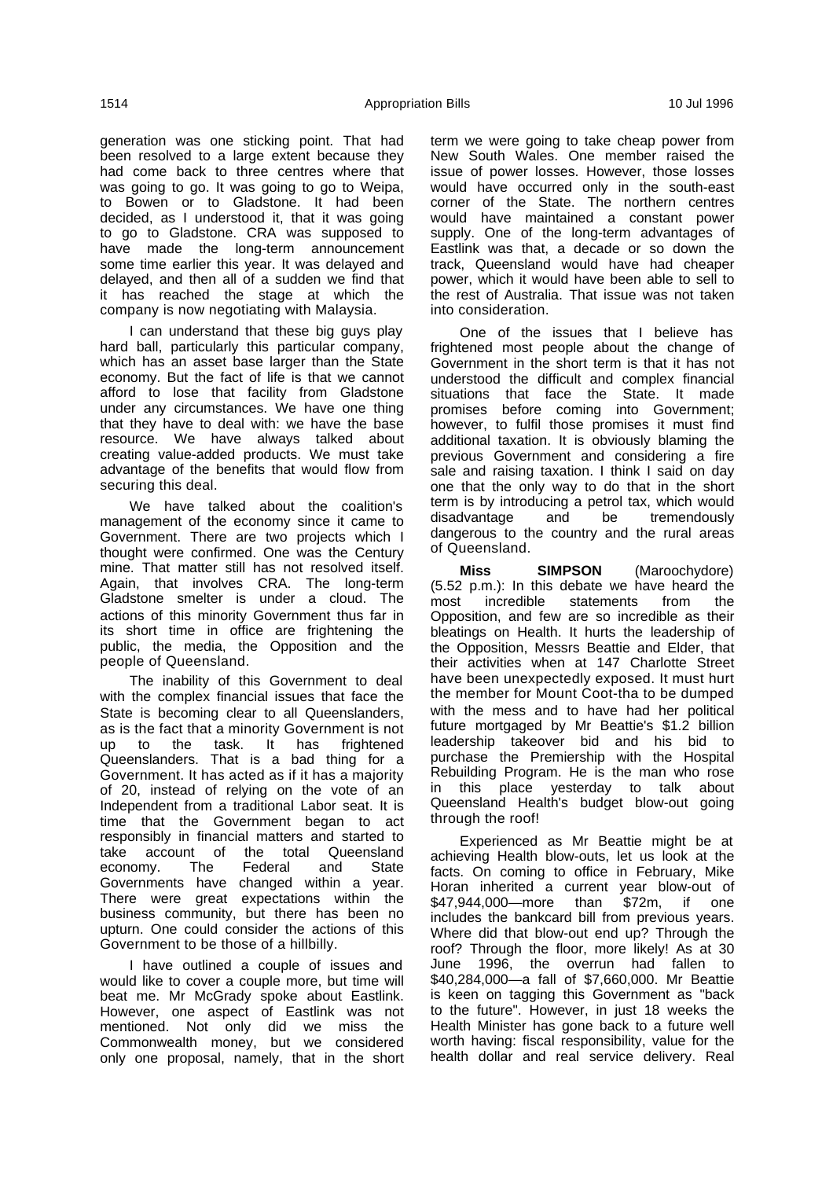generation was one sticking point. That had been resolved to a large extent because they had come back to three centres where that was going to go. It was going to go to Weipa, to Bowen or to Gladstone. It had been decided, as I understood it, that it was going to go to Gladstone. CRA was supposed to have made the long-term announcement some time earlier this year. It was delayed and delayed, and then all of a sudden we find that it has reached the stage at which the company is now negotiating with Malaysia.

I can understand that these big guys play hard ball, particularly this particular company, which has an asset base larger than the State economy. But the fact of life is that we cannot afford to lose that facility from Gladstone under any circumstances. We have one thing that they have to deal with: we have the base resource. We have always talked about creating value-added products. We must take advantage of the benefits that would flow from securing this deal.

We have talked about the coalition's management of the economy since it came to Government. There are two projects which I thought were confirmed. One was the Century mine. That matter still has not resolved itself. Again, that involves CRA. The long-term Gladstone smelter is under a cloud. The actions of this minority Government thus far in its short time in office are frightening the public, the media, the Opposition and the people of Queensland.

The inability of this Government to deal with the complex financial issues that face the State is becoming clear to all Queenslanders, as is the fact that a minority Government is not up to the task. It has frightened Queenslanders. That is a bad thing for a Government. It has acted as if it has a majority of 20, instead of relying on the vote of an Independent from a traditional Labor seat. It is time that the Government began to act responsibly in financial matters and started to take account of the total Queensland economy. The Federal and State Governments have changed within a year. There were great expectations within the business community, but there has been no upturn. One could consider the actions of this Government to be those of a hillbilly.

I have outlined a couple of issues and would like to cover a couple more, but time will beat me. Mr McGrady spoke about Eastlink. However, one aspect of Eastlink was not mentioned. Not only did we miss the Commonwealth money, but we considered only one proposal, namely, that in the short term we were going to take cheap power from New South Wales. One member raised the issue of power losses. However, those losses would have occurred only in the south-east corner of the State. The northern centres would have maintained a constant power supply. One of the long-term advantages of Eastlink was that, a decade or so down the track, Queensland would have had cheaper power, which it would have been able to sell to the rest of Australia. That issue was not taken into consideration.

One of the issues that I believe has frightened most people about the change of Government in the short term is that it has not understood the difficult and complex financial situations that face the State. It made promises before coming into Government; however, to fulfil those promises it must find additional taxation. It is obviously blaming the previous Government and considering a fire sale and raising taxation. I think I said on day one that the only way to do that in the short term is by introducing a petrol tax, which would disadvantage and be tremendously dangerous to the country and the rural areas of Queensland.

**Miss SIMPSON** (Maroochydore) (5.52 p.m.): In this debate we have heard the most incredible statements from the Opposition, and few are so incredible as their bleatings on Health. It hurts the leadership of the Opposition, Messrs Beattie and Elder, that their activities when at 147 Charlotte Street have been unexpectedly exposed. It must hurt the member for Mount Coot-tha to be dumped with the mess and to have had her political future mortgaged by Mr Beattie's \$1.2 billion leadership takeover bid and his bid to purchase the Premiership with the Hospital Rebuilding Program. He is the man who rose in this place yesterday to talk about Queensland Health's budget blow-out going through the roof!

Experienced as Mr Beattie might be at achieving Health blow-outs, let us look at the facts. On coming to office in February, Mike Horan inherited a current year blow-out of \$47,944,000—more than \$72m, if one includes the bankcard bill from previous years. Where did that blow-out end up? Through the roof? Through the floor, more likely! As at 30 June 1996, the overrun had fallen to \$40,284,000—a fall of \$7,660,000. Mr Beattie is keen on tagging this Government as "back to the future". However, in just 18 weeks the Health Minister has gone back to a future well worth having: fiscal responsibility, value for the health dollar and real service delivery. Real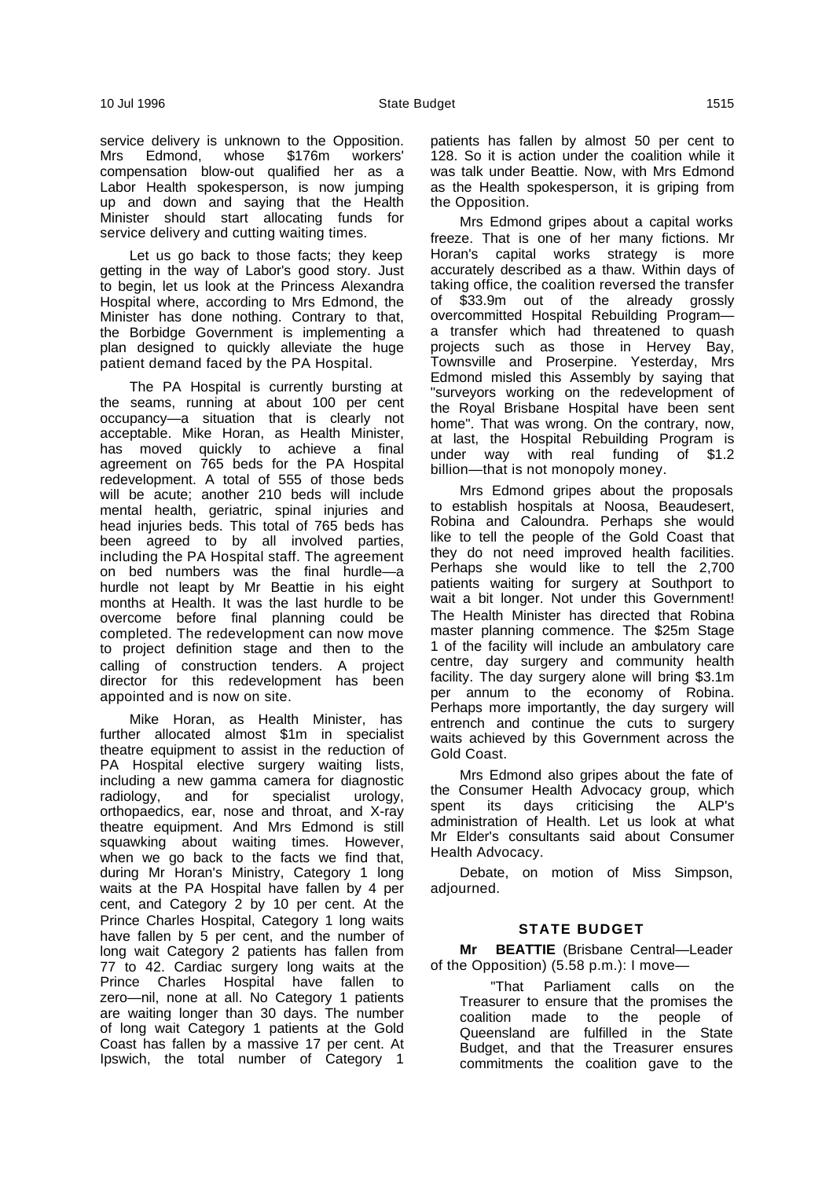service delivery is unknown to the Opposition. Mrs Edmond, whose \$176m workers' compensation blow-out qualified her as a Labor Health spokesperson, is now jumping up and down and saying that the Health Minister should start allocating funds for service delivery and cutting waiting times.

Let us go back to those facts; they keep getting in the way of Labor's good story. Just to begin, let us look at the Princess Alexandra Hospital where, according to Mrs Edmond, the Minister has done nothing. Contrary to that, the Borbidge Government is implementing a plan designed to quickly alleviate the huge patient demand faced by the PA Hospital.

The PA Hospital is currently bursting at the seams, running at about 100 per cent occupancy—a situation that is clearly not acceptable. Mike Horan, as Health Minister, has moved quickly to achieve a final agreement on 765 beds for the PA Hospital redevelopment. A total of 555 of those beds will be acute; another 210 beds will include mental health, geriatric, spinal injuries and head injuries beds. This total of 765 beds has been agreed to by all involved parties, including the PA Hospital staff. The agreement on bed numbers was the final hurdle—a hurdle not leapt by Mr Beattie in his eight months at Health. It was the last hurdle to be overcome before final planning could be completed. The redevelopment can now move to project definition stage and then to the calling of construction tenders. A project director for this redevelopment has been appointed and is now on site.

Mike Horan, as Health Minister, has further allocated almost \$1m in specialist theatre equipment to assist in the reduction of PA Hospital elective surgery waiting lists, including a new gamma camera for diagnostic radiology, and for specialist urology, orthopaedics, ear, nose and throat, and X-ray theatre equipment. And Mrs Edmond is still squawking about waiting times. However, when we go back to the facts we find that, during Mr Horan's Ministry, Category 1 long waits at the PA Hospital have fallen by 4 per cent, and Category 2 by 10 per cent. At the Prince Charles Hospital, Category 1 long waits have fallen by 5 per cent, and the number of long wait Category 2 patients has fallen from 77 to 42. Cardiac surgery long waits at the Prince Charles Hospital have fallen to zero—nil, none at all. No Category 1 patients are waiting longer than 30 days. The number of long wait Category 1 patients at the Gold Coast has fallen by a massive 17 per cent. At Ipswich, the total number of Category 1

patients has fallen by almost 50 per cent to 128. So it is action under the coalition while it was talk under Beattie. Now, with Mrs Edmond as the Health spokesperson, it is griping from the Opposition.

Mrs Edmond gripes about a capital works freeze. That is one of her many fictions. Mr Horan's capital works strategy is more accurately described as a thaw. Within days of taking office, the coalition reversed the transfer of \$33.9m out of the already grossly overcommitted Hospital Rebuilding Program a transfer which had threatened to quash projects such as those in Hervey Bay, Townsville and Proserpine. Yesterday, Mrs Edmond misled this Assembly by saying that "surveyors working on the redevelopment of the Royal Brisbane Hospital have been sent home". That was wrong. On the contrary, now, at last, the Hospital Rebuilding Program is under way with real funding of \$1.2 billion—that is not monopoly money.

Mrs Edmond gripes about the proposals to establish hospitals at Noosa, Beaudesert, Robina and Caloundra. Perhaps she would like to tell the people of the Gold Coast that they do not need improved health facilities. Perhaps she would like to tell the 2,700 patients waiting for surgery at Southport to wait a bit longer. Not under this Government! The Health Minister has directed that Robina master planning commence. The \$25m Stage 1 of the facility will include an ambulatory care centre, day surgery and community health facility. The day surgery alone will bring \$3.1m per annum to the economy of Robina. Perhaps more importantly, the day surgery will entrench and continue the cuts to surgery waits achieved by this Government across the Gold Coast.

Mrs Edmond also gripes about the fate of the Consumer Health Advocacy group, which spent its days criticising the ALP's administration of Health. Let us look at what Mr Elder's consultants said about Consumer Health Advocacy.

Debate, on motion of Miss Simpson, adjourned.

# **STATE BUDGET**

**Mr BEATTIE** (Brisbane Central—Leader of the Opposition) (5.58 p.m.): I move—

"That Parliament calls on the Treasurer to ensure that the promises the coalition made to the people of Queensland are fulfilled in the State Budget, and that the Treasurer ensures commitments the coalition gave to the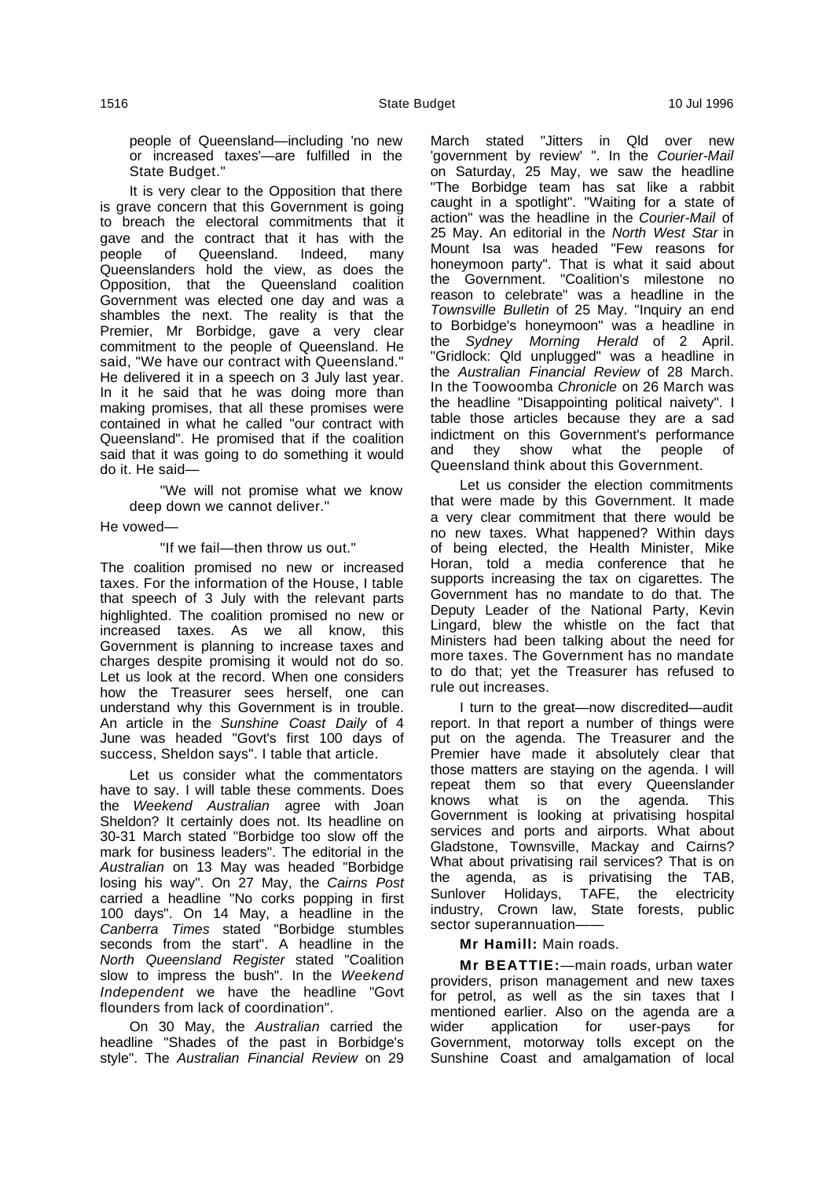people of Queensland—including 'no new or increased taxes'—are fulfilled in the State Budget."

It is very clear to the Opposition that there is grave concern that this Government is going to breach the electoral commitments that it gave and the contract that it has with the people of Queensland. Indeed, many Queenslanders hold the view, as does the Opposition, that the Queensland coalition Government was elected one day and was a shambles the next. The reality is that the Premier, Mr Borbidge, gave a very clear commitment to the people of Queensland. He said, "We have our contract with Queensland." He delivered it in a speech on 3 July last year. In it he said that he was doing more than making promises, that all these promises were contained in what he called "our contract with Queensland". He promised that if the coalition said that it was going to do something it would do it. He said—

"We will not promise what we know deep down we cannot deliver."

He vowed—

"If we fail—then throw us out."

The coalition promised no new or increased taxes. For the information of the House, I table that speech of 3 July with the relevant parts highlighted. The coalition promised no new or increased taxes. As we all know, this Government is planning to increase taxes and charges despite promising it would not do so. Let us look at the record. When one considers how the Treasurer sees herself, one can understand why this Government is in trouble. An article in the Sunshine Coast Daily of 4 June was headed "Govt's first 100 days of success, Sheldon says". I table that article.

Let us consider what the commentators have to say. I will table these comments. Does the Weekend Australian agree with Joan Sheldon? It certainly does not. Its headline on 30-31 March stated "Borbidge too slow off the mark for business leaders". The editorial in the Australian on 13 May was headed "Borbidge losing his way". On 27 May, the Cairns Post carried a headline "No corks popping in first 100 days". On 14 May, a headline in the Canberra Times stated "Borbidge stumbles seconds from the start". A headline in the North Queensland Register stated "Coalition slow to impress the bush". In the Weekend Independent we have the headline "Govt flounders from lack of coordination".

On 30 May, the Australian carried the headline "Shades of the past in Borbidge's style". The Australian Financial Review on 29

March stated "Jitters in Qld over new 'government by review' ". In the Courier-Mail on Saturday, 25 May, we saw the headline "The Borbidge team has sat like a rabbit caught in a spotlight". "Waiting for a state of action" was the headline in the Courier-Mail of 25 May. An editorial in the North West Star in Mount Isa was headed "Few reasons for honeymoon party". That is what it said about the Government. "Coalition's milestone no reason to celebrate" was a headline in the Townsville Bulletin of 25 May. "Inquiry an end to Borbidge's honeymoon" was a headline in the Sydney Morning Herald of 2 April. "Gridlock: Qld unplugged" was a headline in the Australian Financial Review of 28 March. In the Toowoomba Chronicle on 26 March was the headline "Disappointing political naivety". I table those articles because they are a sad indictment on this Government's performance<br>and they show what the people of what the people of Queensland think about this Government.

Let us consider the election commitments that were made by this Government. It made a very clear commitment that there would be no new taxes. What happened? Within days of being elected, the Health Minister, Mike Horan, told a media conference that he supports increasing the tax on cigarettes. The Government has no mandate to do that. The Deputy Leader of the National Party, Kevin Lingard, blew the whistle on the fact that Ministers had been talking about the need for more taxes. The Government has no mandate to do that; yet the Treasurer has refused to rule out increases.

I turn to the great—now discredited—audit report. In that report a number of things were put on the agenda. The Treasurer and the Premier have made it absolutely clear that those matters are staying on the agenda. I will repeat them so that every Queenslander knows what is on the agenda. This Government is looking at privatising hospital services and ports and airports. What about Gladstone, Townsville, Mackay and Cairns? What about privatising rail services? That is on the agenda, as is privatising the TAB, Sunlover Holidays, TAFE, the electricity industry, Crown law, State forests, public sector superannuation-

## **Mr Hamill:** Main roads.

**Mr BEATTIE:**—main roads, urban water providers, prison management and new taxes for petrol, as well as the sin taxes that I mentioned earlier. Also on the agenda are a wider application for user-pays for Government, motorway tolls except on the Sunshine Coast and amalgamation of local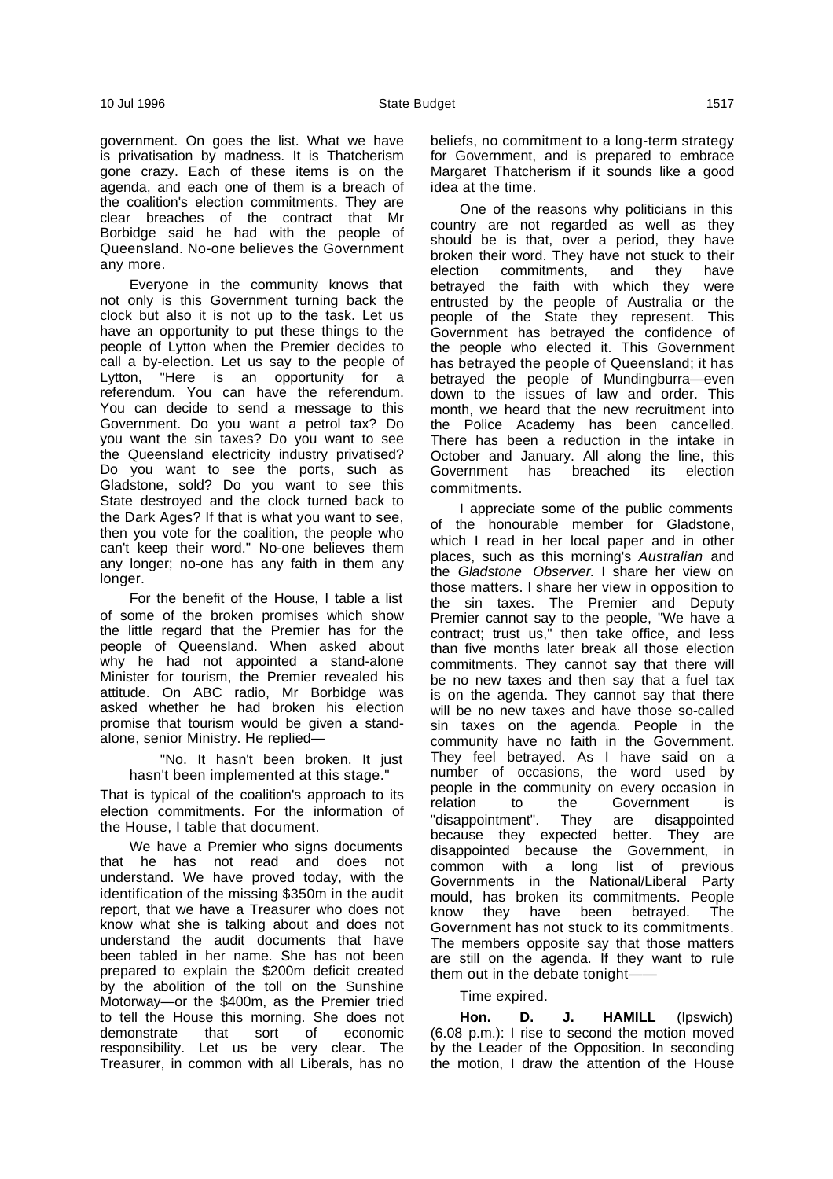government. On goes the list. What we have is privatisation by madness. It is Thatcherism gone crazy. Each of these items is on the agenda, and each one of them is a breach of the coalition's election commitments. They are clear breaches of the contract that Mr Borbidge said he had with the people of Queensland. No-one believes the Government any more.

Everyone in the community knows that not only is this Government turning back the clock but also it is not up to the task. Let us have an opportunity to put these things to the people of Lytton when the Premier decides to call a by-election. Let us say to the people of Lytton, "Here is an opportunity for a referendum. You can have the referendum. You can decide to send a message to this Government. Do you want a petrol tax? Do you want the sin taxes? Do you want to see the Queensland electricity industry privatised? Do you want to see the ports, such as Gladstone, sold? Do you want to see this State destroyed and the clock turned back to the Dark Ages? If that is what you want to see, then you vote for the coalition, the people who can't keep their word." No-one believes them any longer; no-one has any faith in them any longer.

For the benefit of the House, I table a list of some of the broken promises which show the little regard that the Premier has for the people of Queensland. When asked about why he had not appointed a stand-alone Minister for tourism, the Premier revealed his attitude. On ABC radio, Mr Borbidge was asked whether he had broken his election promise that tourism would be given a standalone, senior Ministry. He replied—

"No. It hasn't been broken. It just hasn't been implemented at this stage."

That is typical of the coalition's approach to its election commitments. For the information of the House, I table that document.

We have a Premier who signs documents that he has not read and does not understand. We have proved today, with the identification of the missing \$350m in the audit report, that we have a Treasurer who does not know what she is talking about and does not understand the audit documents that have been tabled in her name. She has not been prepared to explain the \$200m deficit created by the abolition of the toll on the Sunshine Motorway—or the \$400m, as the Premier tried to tell the House this morning. She does not demonstrate that sort of economic responsibility. Let us be very clear. The Treasurer, in common with all Liberals, has no beliefs, no commitment to a long-term strategy for Government, and is prepared to embrace Margaret Thatcherism if it sounds like a good idea at the time.

One of the reasons why politicians in this country are not regarded as well as they should be is that, over a period, they have broken their word. They have not stuck to their election commitments, and they have betrayed the faith with which they were entrusted by the people of Australia or the people of the State they represent. This Government has betrayed the confidence of the people who elected it. This Government has betrayed the people of Queensland; it has betrayed the people of Mundingburra—even down to the issues of law and order. This month, we heard that the new recruitment into the Police Academy has been cancelled. There has been a reduction in the intake in October and January. All along the line, this Government has breached its election commitments.

I appreciate some of the public comments of the honourable member for Gladstone, which I read in her local paper and in other places, such as this morning's Australian and the Gladstone Observer. I share her view on those matters. I share her view in opposition to the sin taxes. The Premier and Deputy Premier cannot say to the people, "We have a contract; trust us," then take office, and less than five months later break all those election commitments. They cannot say that there will be no new taxes and then say that a fuel tax is on the agenda. They cannot say that there will be no new taxes and have those so-called sin taxes on the agenda. People in the community have no faith in the Government. They feel betrayed. As I have said on a number of occasions, the word used by people in the community on every occasion in relation to the Government is "disappointment". They are disappointed because they expected better. They are disappointed because the Government, in common with a long list of previous Governments in the National/Liberal Party mould, has broken its commitments. People know they have been betrayed. The Government has not stuck to its commitments. The members opposite say that those matters are still on the agenda. If they want to rule them out in the debate tonight-

### Time expired.

**Hon. D. J. HAMILL** (Ipswich) (6.08 p.m.): I rise to second the motion moved by the Leader of the Opposition. In seconding the motion, I draw the attention of the House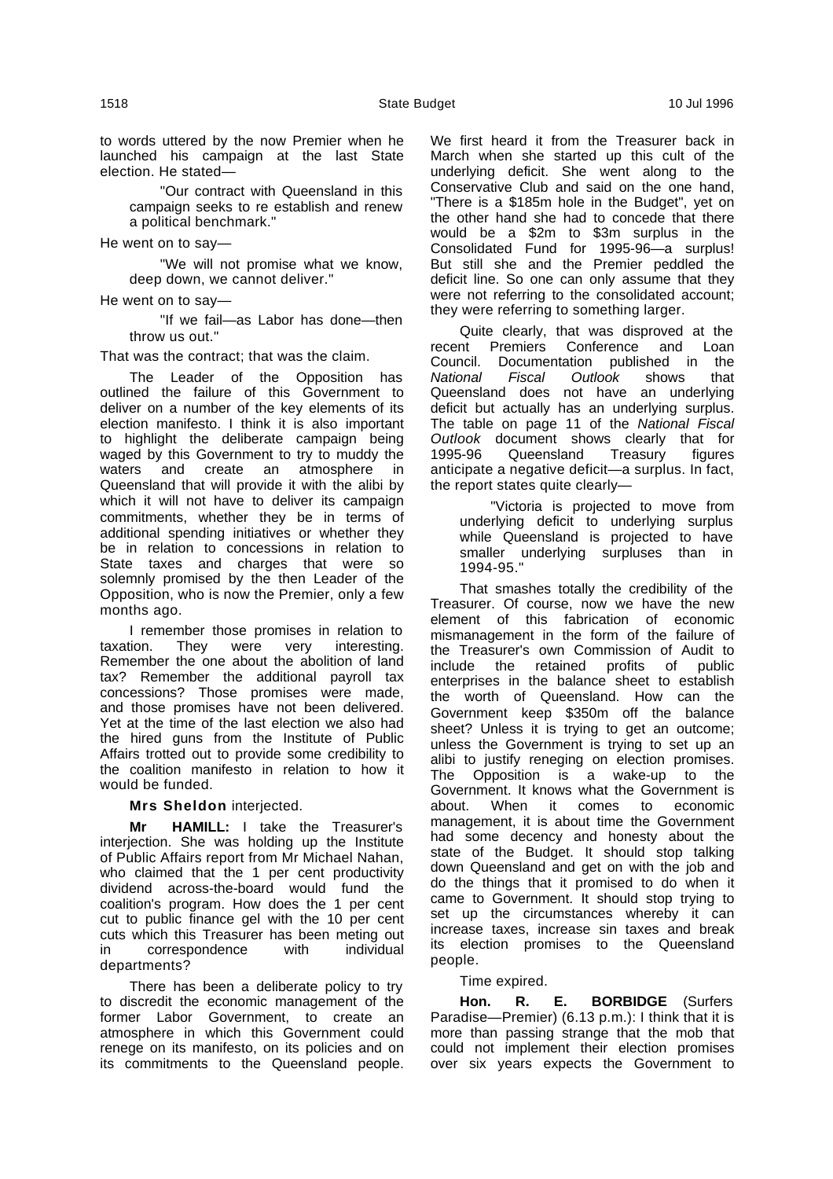"Our contract with Queensland in this campaign seeks to re establish and renew a political benchmark."

He went on to say—

"We will not promise what we know, deep down, we cannot deliver."

He went on to say—

"If we fail—as Labor has done—then throw us out."

That was the contract; that was the claim.

The Leader of the Opposition has outlined the failure of this Government to deliver on a number of the key elements of its election manifesto. I think it is also important to highlight the deliberate campaign being waged by this Government to try to muddy the waters and create an atmosphere in Queensland that will provide it with the alibi by which it will not have to deliver its campaign commitments, whether they be in terms of additional spending initiatives or whether they be in relation to concessions in relation to State taxes and charges that were so solemnly promised by the then Leader of the Opposition, who is now the Premier, only a few months ago.

I remember those promises in relation to<br>tion. They were very interesting. taxation. They were very interesting. Remember the one about the abolition of land tax? Remember the additional payroll tax concessions? Those promises were made, and those promises have not been delivered. Yet at the time of the last election we also had the hired guns from the Institute of Public Affairs trotted out to provide some credibility to the coalition manifesto in relation to how it would be funded.

**Mrs Sheldon** interjected.

**Mr HAMILL:** I take the Treasurer's interjection. She was holding up the Institute of Public Affairs report from Mr Michael Nahan, who claimed that the 1 per cent productivity dividend across-the-board would fund the coalition's program. How does the 1 per cent cut to public finance gel with the 10 per cent cuts which this Treasurer has been meting out in correspondence with individual departments?

There has been a deliberate policy to try to discredit the economic management of the former Labor Government, to create an atmosphere in which this Government could renege on its manifesto, on its policies and on its commitments to the Queensland people. We first heard it from the Treasurer back in March when she started up this cult of the underlying deficit. She went along to the Conservative Club and said on the one hand, "There is a \$185m hole in the Budget", yet on the other hand she had to concede that there would be a \$2m to \$3m surplus in the Consolidated Fund for 1995-96—a surplus! But still she and the Premier peddled the deficit line. So one can only assume that they were not referring to the consolidated account; they were referring to something larger.

Quite clearly, that was disproved at the recent Premiers Conference and Loan Council. Documentation published in the National Fiscal Outlook shows that Queensland does not have an underlying deficit but actually has an underlying surplus. The table on page 11 of the National Fiscal Outlook document shows clearly that for 1995-96 Queensland Treasury figures anticipate a negative deficit—a surplus. In fact, the report states quite clearly—

"Victoria is projected to move from underlying deficit to underlying surplus while Queensland is projected to have smaller underlying surpluses than in 1994-95."

That smashes totally the credibility of the Treasurer. Of course, now we have the new element of this fabrication of economic mismanagement in the form of the failure of the Treasurer's own Commission of Audit to include the retained profits of public enterprises in the balance sheet to establish the worth of Queensland. How can the Government keep \$350m off the balance sheet? Unless it is trying to get an outcome; unless the Government is trying to set up an alibi to justify reneging on election promises. The Opposition is a wake-up to the Government. It knows what the Government is about. When it comes to economic management, it is about time the Government had some decency and honesty about the state of the Budget. It should stop talking down Queensland and get on with the job and do the things that it promised to do when it came to Government. It should stop trying to set up the circumstances whereby it can increase taxes, increase sin taxes and break its election promises to the Queensland people.

## Time expired.

**Hon. R. E. BORBIDGE** (Surfers Paradise—Premier) (6.13 p.m.): I think that it is more than passing strange that the mob that could not implement their election promises over six years expects the Government to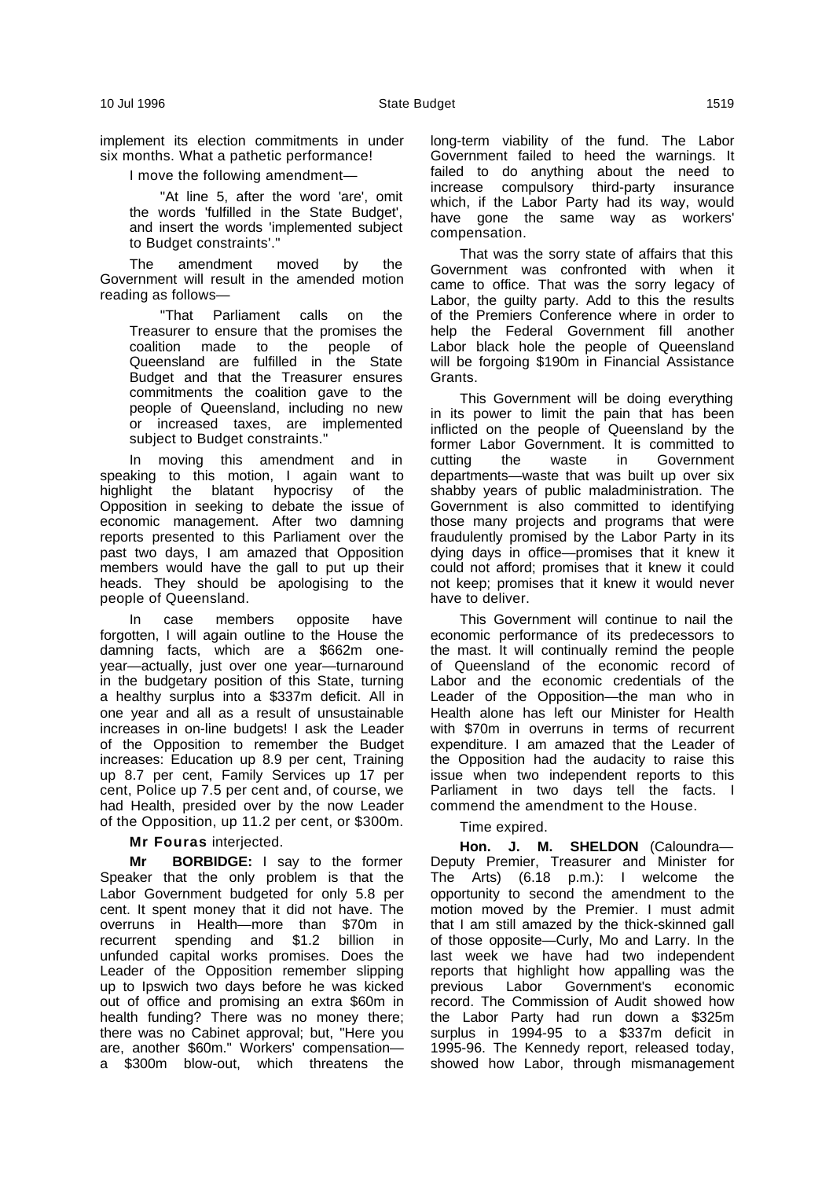implement its election commitments in under six months. What a pathetic performance!

I move the following amendment—

"At line 5, after the word 'are', omit the words 'fulfilled in the State Budget', and insert the words 'implemented subject to Budget constraints'."

The amendment moved by the Government will result in the amended motion reading as follows—

"That Parliament calls on the Treasurer to ensure that the promises the coalition made to the people of Queensland are fulfilled in the State Budget and that the Treasurer ensures commitments the coalition gave to the people of Queensland, including no new or increased taxes, are implemented subject to Budget constraints."

In moving this amendment and in speaking to this motion, I again want to highlight the blatant hypocrisy of the Opposition in seeking to debate the issue of economic management. After two damning reports presented to this Parliament over the past two days, I am amazed that Opposition members would have the gall to put up their heads. They should be apologising to the people of Queensland.

In case members opposite have forgotten, I will again outline to the House the damning facts, which are a \$662m oneyear—actually, just over one year—turnaround in the budgetary position of this State, turning a healthy surplus into a \$337m deficit. All in one year and all as a result of unsustainable increases in on-line budgets! I ask the Leader of the Opposition to remember the Budget increases: Education up 8.9 per cent, Training up 8.7 per cent, Family Services up 17 per cent, Police up 7.5 per cent and, of course, we had Health, presided over by the now Leader of the Opposition, up 11.2 per cent, or \$300m.

## **Mr Fouras** interjected.

**Mr BORBIDGE:** I say to the former Speaker that the only problem is that the Labor Government budgeted for only 5.8 per cent. It spent money that it did not have. The overruns in Health—more than \$70m in recurrent spending and \$1.2 billion in unfunded capital works promises. Does the Leader of the Opposition remember slipping up to Ipswich two days before he was kicked out of office and promising an extra \$60m in health funding? There was no money there; there was no Cabinet approval; but, "Here you are, another \$60m." Workers' compensation a \$300m blow-out, which threatens the long-term viability of the fund. The Labor Government failed to heed the warnings. It failed to do anything about the need to increase compulsory third-party insurance which, if the Labor Party had its way, would have gone the same way as workers' compensation.

That was the sorry state of affairs that this Government was confronted with when it came to office. That was the sorry legacy of Labor, the guilty party. Add to this the results of the Premiers Conference where in order to help the Federal Government fill another Labor black hole the people of Queensland will be forgoing \$190m in Financial Assistance Grants.

This Government will be doing everything in its power to limit the pain that has been inflicted on the people of Queensland by the former Labor Government. It is committed to cutting the waste in Government departments—waste that was built up over six shabby years of public maladministration. The Government is also committed to identifying those many projects and programs that were fraudulently promised by the Labor Party in its dying days in office—promises that it knew it could not afford; promises that it knew it could not keep; promises that it knew it would never have to deliver.

This Government will continue to nail the economic performance of its predecessors to the mast. It will continually remind the people of Queensland of the economic record of Labor and the economic credentials of the Leader of the Opposition—the man who in Health alone has left our Minister for Health with \$70m in overruns in terms of recurrent expenditure. I am amazed that the Leader of the Opposition had the audacity to raise this issue when two independent reports to this Parliament in two days tell the facts. I commend the amendment to the House.

## Time expired.

**Hon. J. M. SHELDON** (Caloundra— Deputy Premier, Treasurer and Minister for The Arts) (6.18 p.m.): I welcome the opportunity to second the amendment to the motion moved by the Premier. I must admit that I am still amazed by the thick-skinned gall of those opposite—Curly, Mo and Larry. In the last week we have had two independent reports that highlight how appalling was the previous Labor Government's economic record. The Commission of Audit showed how the Labor Party had run down a \$325m surplus in 1994-95 to a \$337m deficit in 1995-96. The Kennedy report, released today, showed how Labor, through mismanagement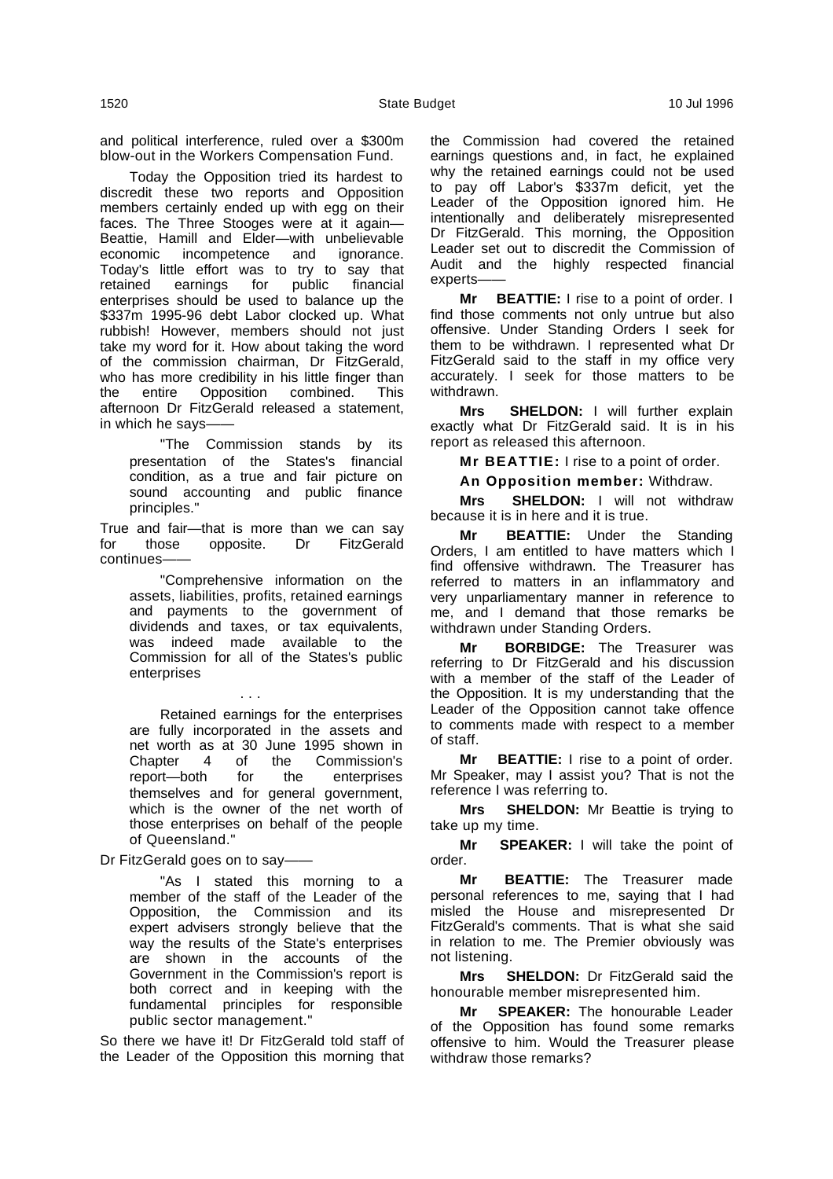and political interference, ruled over a \$300m blow-out in the Workers Compensation Fund.

Today the Opposition tried its hardest to discredit these two reports and Opposition members certainly ended up with egg on their faces. The Three Stooges were at it again— Beattie, Hamill and Elder—with unbelievable economic incompetence and ignorance. Today's little effort was to try to say that retained earnings for public financial enterprises should be used to balance up the \$337m 1995-96 debt Labor clocked up. What rubbish! However, members should not just take my word for it. How about taking the word of the commission chairman, Dr FitzGerald, who has more credibility in his little finger than the entire Opposition combined. This afternoon Dr FitzGerald released a statement, in which he says-

"The Commission stands by its presentation of the States's financial condition, as a true and fair picture on sound accounting and public finance principles."

True and fair—that is more than we can say<br>for those opposite. Dr FitzGerald for those opposite. Dr FitzGerald continues-

"Comprehensive information on the assets, liabilities, profits, retained earnings and payments to the government of dividends and taxes, or tax equivalents, was indeed made available to the Commission for all of the States's public enterprises

. . .

Retained earnings for the enterprises are fully incorporated in the assets and net worth as at 30 June 1995 shown in Chapter 4 of the Commission's  $report$ —both for the themselves and for general government, which is the owner of the net worth of those enterprises on behalf of the people of Queensland."

Dr FitzGerald goes on to say-

"As I stated this morning to a member of the staff of the Leader of the Opposition, the Commission and its expert advisers strongly believe that the way the results of the State's enterprises are shown in the accounts of the Government in the Commission's report is both correct and in keeping with the fundamental principles for responsible public sector management."

So there we have it! Dr FitzGerald told staff of the Leader of the Opposition this morning that the Commission had covered the retained earnings questions and, in fact, he explained why the retained earnings could not be used to pay off Labor's \$337m deficit, yet the Leader of the Opposition ignored him. He intentionally and deliberately misrepresented Dr FitzGerald. This morning, the Opposition Leader set out to discredit the Commission of Audit and the highly respected financial experts-

**Mr BEATTIE:** I rise to a point of order. I find those comments not only untrue but also offensive. Under Standing Orders I seek for them to be withdrawn. I represented what Dr FitzGerald said to the staff in my office very accurately. I seek for those matters to be withdrawn.

**Mrs SHELDON:** I will further explain exactly what Dr FitzGerald said. It is in his report as released this afternoon.

**Mr BEATTIE:** I rise to a point of order.

**An Opposition member:** Withdraw.

**Mrs SHELDON:** I will not withdraw because it is in here and it is true.

**Mr BEATTIE:** Under the Standing Orders, I am entitled to have matters which I find offensive withdrawn. The Treasurer has referred to matters in an inflammatory and very unparliamentary manner in reference to me, and I demand that those remarks be withdrawn under Standing Orders.

**Mr BORBIDGE:** The Treasurer was referring to Dr FitzGerald and his discussion with a member of the staff of the Leader of the Opposition. It is my understanding that the Leader of the Opposition cannot take offence to comments made with respect to a member of staff.

**Mr BEATTIE:** I rise to a point of order. Mr Speaker, may I assist you? That is not the reference I was referring to.

**Mrs SHELDON:** Mr Beattie is trying to take up my time.

**Mr SPEAKER:** I will take the point of order.

**Mr BEATTIE:** The Treasurer made personal references to me, saying that I had misled the House and misrepresented Dr FitzGerald's comments. That is what she said in relation to me. The Premier obviously was not listening.

**Mrs SHELDON:** Dr FitzGerald said the honourable member misrepresented him.

**Mr SPEAKER:** The honourable Leader of the Opposition has found some remarks offensive to him. Would the Treasurer please withdraw those remarks?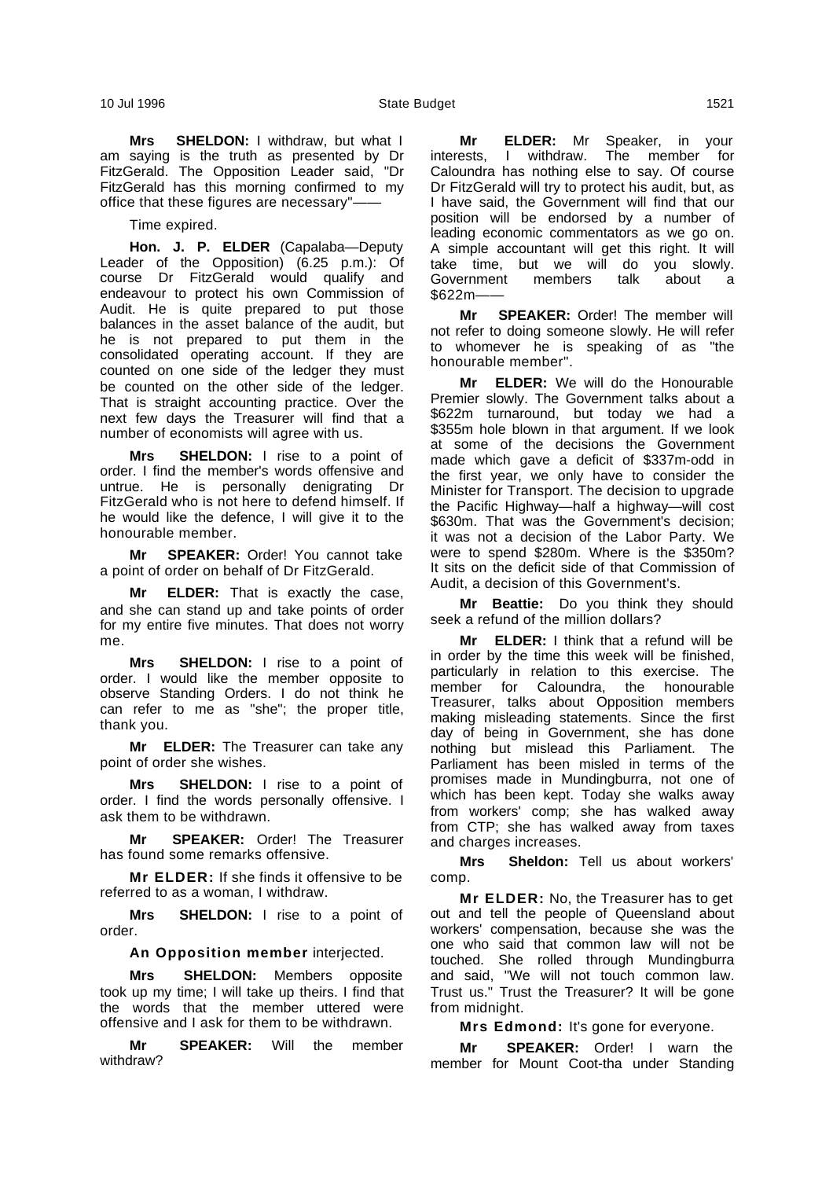**Mrs SHELDON:** I withdraw, but what I am saying is the truth as presented by Dr FitzGerald. The Opposition Leader said, "Dr FitzGerald has this morning confirmed to my office that these figures are necessary"-

Time expired.

**Hon. J. P. ELDER** (Capalaba—Deputy Leader of the Opposition) (6.25 p.m.): Of course Dr FitzGerald would qualify and endeavour to protect his own Commission of Audit. He is quite prepared to put those balances in the asset balance of the audit, but he is not prepared to put them in the consolidated operating account. If they are counted on one side of the ledger they must be counted on the other side of the ledger. That is straight accounting practice. Over the next few days the Treasurer will find that a number of economists will agree with us.

**Mrs SHELDON:** I rise to a point of order. I find the member's words offensive and untrue. He is personally denigrating Dr FitzGerald who is not here to defend himself. If he would like the defence, I will give it to the honourable member.

**Mr SPEAKER:** Order! You cannot take a point of order on behalf of Dr FitzGerald.

**ELDER:** That is exactly the case, and she can stand up and take points of order for my entire five minutes. That does not worry me.

**Mrs SHELDON:** I rise to a point of order. I would like the member opposite to observe Standing Orders. I do not think he can refer to me as "she"; the proper title, thank you.

**Mr ELDER:** The Treasurer can take any point of order she wishes.

**Mrs SHELDON:** I rise to a point of order. I find the words personally offensive. I ask them to be withdrawn.

**Mr SPEAKER:** Order! The Treasurer has found some remarks offensive.

**Mr ELDER:** If she finds it offensive to be referred to as a woman, I withdraw.

**Mrs SHELDON:** I rise to a point of order.

**An Opposition member** interjected.

**Mrs SHELDON:** Members opposite took up my time; I will take up theirs. I find that the words that the member uttered were offensive and I ask for them to be withdrawn.

**Mr SPEAKER:** Will the member withdraw?

**Mr ELDER:** Mr Speaker, in your interests, I withdraw. The member for Caloundra has nothing else to say. Of course Dr FitzGerald will try to protect his audit, but, as I have said, the Government will find that our position will be endorsed by a number of leading economic commentators as we go on. A simple accountant will get this right. It will take time, but we will do you slowly. Government members talk about a \$622m——

**Mr SPEAKER:** Order! The member will not refer to doing someone slowly. He will refer to whomever he is speaking of as "the honourable member".

**Mr ELDER:** We will do the Honourable Premier slowly. The Government talks about a \$622m turnaround, but today we had a \$355m hole blown in that argument. If we look at some of the decisions the Government made which gave a deficit of \$337m-odd in the first year, we only have to consider the Minister for Transport. The decision to upgrade the Pacific Highway—half a highway—will cost \$630m. That was the Government's decision; it was not a decision of the Labor Party. We were to spend \$280m. Where is the \$350m? It sits on the deficit side of that Commission of Audit, a decision of this Government's.

**Mr Beattie:** Do you think they should seek a refund of the million dollars?

**ELDER:** I think that a refund will be in order by the time this week will be finished, particularly in relation to this exercise. The member for Caloundra, the honourable Treasurer, talks about Opposition members making misleading statements. Since the first day of being in Government, she has done nothing but mislead this Parliament. The Parliament has been misled in terms of the promises made in Mundingburra, not one of which has been kept. Today she walks away from workers' comp; she has walked away from CTP; she has walked away from taxes and charges increases.

**Mrs Sheldon:** Tell us about workers' comp.

**Mr ELDER:** No, the Treasurer has to get out and tell the people of Queensland about workers' compensation, because she was the one who said that common law will not be touched. She rolled through Mundingburra and said, "We will not touch common law. Trust us." Trust the Treasurer? It will be gone from midnight.

**Mrs Edmond:** It's gone for everyone.

**Mr SPEAKER:** Order! I warn the member for Mount Coot-tha under Standing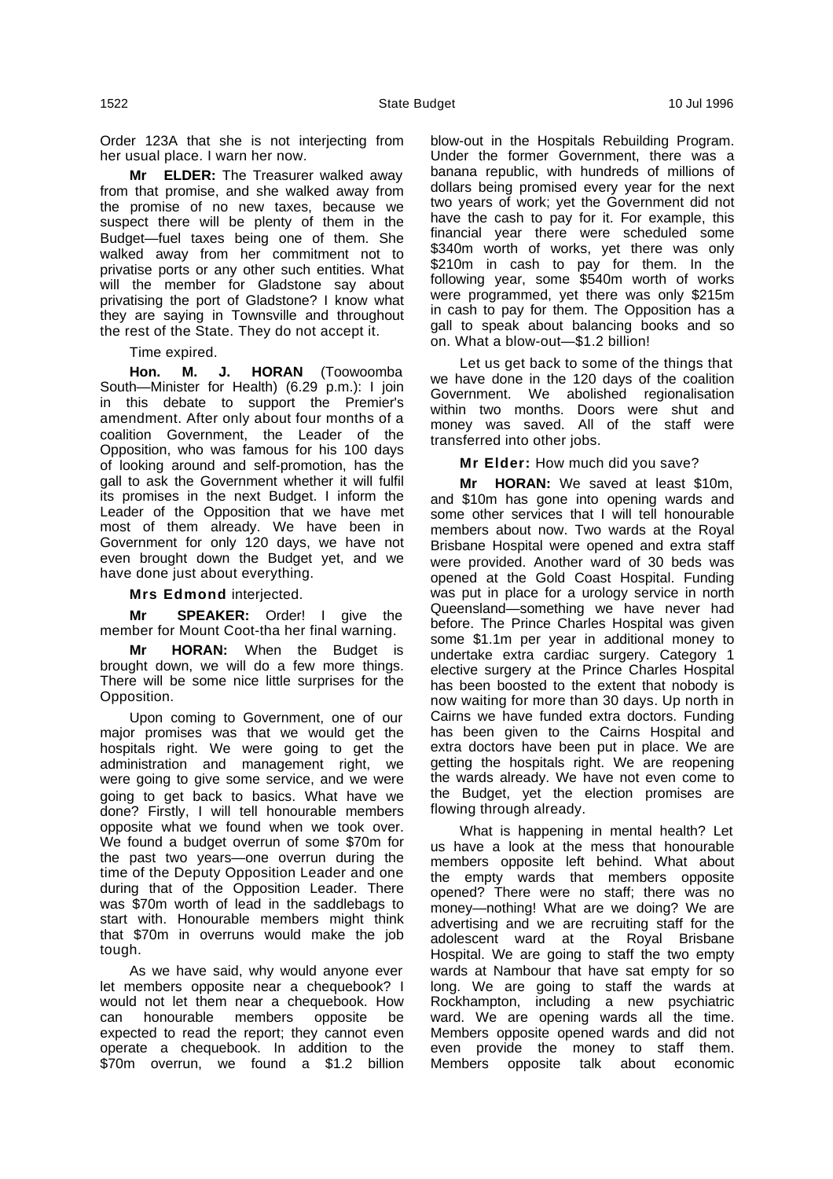Order 123A that she is not interjecting from her usual place. I warn her now.

**Mr ELDER:** The Treasurer walked away from that promise, and she walked away from the promise of no new taxes, because we suspect there will be plenty of them in the Budget—fuel taxes being one of them. She walked away from her commitment not to privatise ports or any other such entities. What will the member for Gladstone say about privatising the port of Gladstone? I know what they are saying in Townsville and throughout the rest of the State. They do not accept it.

Time expired.

**Hon. M. J. HORAN** (Toowoomba South—Minister for Health) (6.29 p.m.): I join in this debate to support the Premier's amendment. After only about four months of a coalition Government, the Leader of the Opposition, who was famous for his 100 days of looking around and self-promotion, has the gall to ask the Government whether it will fulfil its promises in the next Budget. I inform the Leader of the Opposition that we have met most of them already. We have been in Government for only 120 days, we have not even brought down the Budget yet, and we have done just about everything.

**Mrs Edmond** interjected.

**Mr SPEAKER:** Order! I give the member for Mount Coot-tha her final warning.

**Mr HORAN:** When the Budget is brought down, we will do a few more things. There will be some nice little surprises for the Opposition.

Upon coming to Government, one of our major promises was that we would get the hospitals right. We were going to get the administration and management right, we were going to give some service, and we were going to get back to basics. What have we done? Firstly, I will tell honourable members opposite what we found when we took over. We found a budget overrun of some \$70m for the past two years—one overrun during the time of the Deputy Opposition Leader and one during that of the Opposition Leader. There was \$70m worth of lead in the saddlebags to start with. Honourable members might think that \$70m in overruns would make the job tough.

As we have said, why would anyone ever let members opposite near a chequebook? I would not let them near a chequebook. How can honourable members opposite be expected to read the report; they cannot even operate a chequebook. In addition to the \$70m overrun, we found a \$1.2 billion

blow-out in the Hospitals Rebuilding Program. Under the former Government, there was a banana republic, with hundreds of millions of dollars being promised every year for the next two years of work; yet the Government did not have the cash to pay for it. For example, this financial year there were scheduled some \$340m worth of works, yet there was only \$210m in cash to pay for them. In the following year, some \$540m worth of works were programmed, yet there was only \$215m in cash to pay for them. The Opposition has a gall to speak about balancing books and so on. What a blow-out—\$1.2 billion!

Let us get back to some of the things that we have done in the 120 days of the coalition Government. We abolished regionalisation within two months. Doors were shut and money was saved. All of the staff were transferred into other jobs.

**Mr Elder:** How much did you save?

**Mr HORAN:** We saved at least \$10m, and \$10m has gone into opening wards and some other services that I will tell honourable members about now. Two wards at the Royal Brisbane Hospital were opened and extra staff were provided. Another ward of 30 beds was opened at the Gold Coast Hospital. Funding was put in place for a urology service in north Queensland—something we have never had before. The Prince Charles Hospital was given some \$1.1m per year in additional money to undertake extra cardiac surgery. Category 1 elective surgery at the Prince Charles Hospital has been boosted to the extent that nobody is now waiting for more than 30 days. Up north in Cairns we have funded extra doctors. Funding has been given to the Cairns Hospital and extra doctors have been put in place. We are getting the hospitals right. We are reopening the wards already. We have not even come to the Budget, yet the election promises are flowing through already.

What is happening in mental health? Let us have a look at the mess that honourable members opposite left behind. What about the empty wards that members opposite opened? There were no staff; there was no money—nothing! What are we doing? We are advertising and we are recruiting staff for the adolescent ward at the Royal Brisbane Hospital. We are going to staff the two empty wards at Nambour that have sat empty for so long. We are going to staff the wards at Rockhampton, including a new psychiatric ward. We are opening wards all the time. Members opposite opened wards and did not even provide the money to staff them. Members opposite talk about economic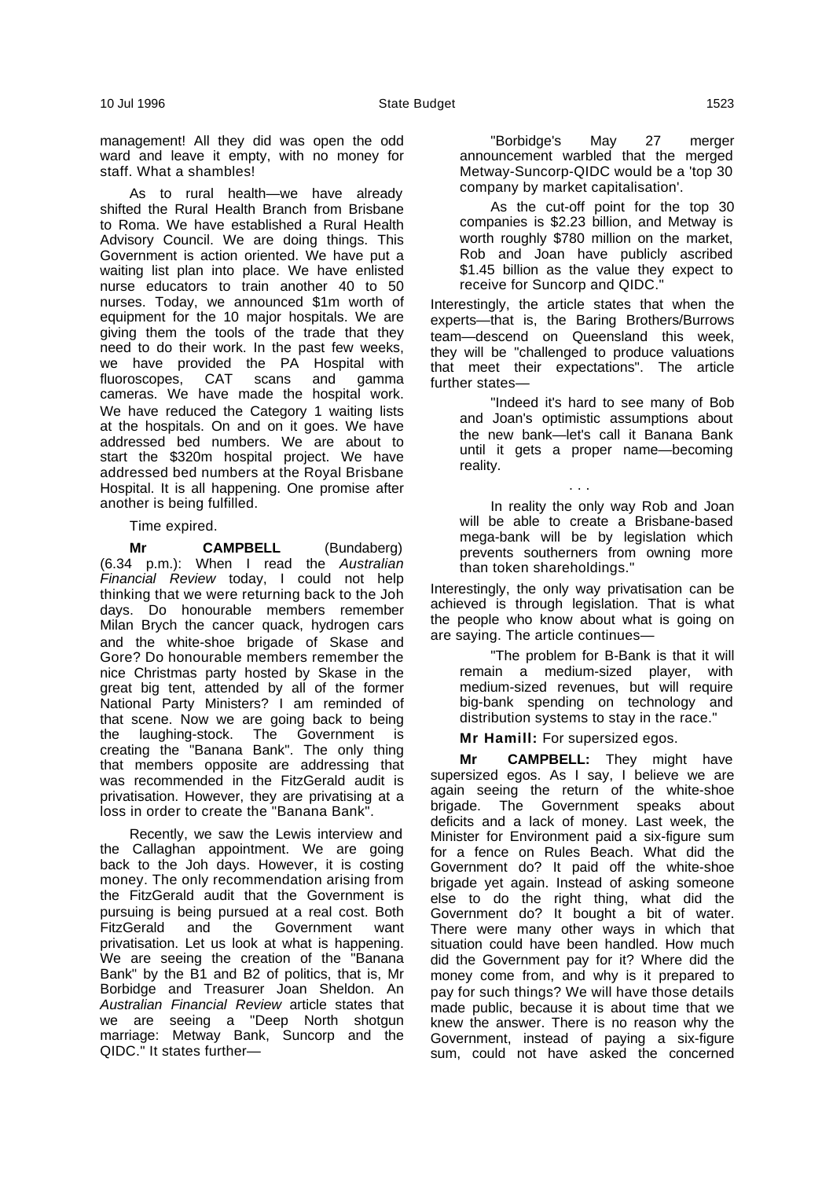management! All they did was open the odd ward and leave it empty, with no money for staff. What a shambles!

As to rural health—we have already shifted the Rural Health Branch from Brisbane to Roma. We have established a Rural Health Advisory Council. We are doing things. This Government is action oriented. We have put a waiting list plan into place. We have enlisted nurse educators to train another 40 to 50 nurses. Today, we announced \$1m worth of equipment for the 10 major hospitals. We are giving them the tools of the trade that they need to do their work. In the past few weeks, we have provided the PA Hospital with<br>fluoroscopes, CAT scans and gamma fluoroscopes, CAT scans cameras. We have made the hospital work. We have reduced the Category 1 waiting lists at the hospitals. On and on it goes. We have addressed bed numbers. We are about to start the \$320m hospital project. We have addressed bed numbers at the Royal Brisbane Hospital. It is all happening. One promise after another is being fulfilled.

Time expired.

**Mr CAMPBELL** (Bundaberg) (6.34 p.m.): When I read the Australian Financial Review today, I could not help thinking that we were returning back to the Joh days. Do honourable members remember Milan Brych the cancer quack, hydrogen cars and the white-shoe brigade of Skase and Gore? Do honourable members remember the nice Christmas party hosted by Skase in the great big tent, attended by all of the former National Party Ministers? I am reminded of that scene. Now we are going back to being the laughing-stock. The Government is creating the "Banana Bank". The only thing that members opposite are addressing that was recommended in the FitzGerald audit is privatisation. However, they are privatising at a loss in order to create the "Banana Bank".

Recently, we saw the Lewis interview and the Callaghan appointment. We are going back to the Joh days. However, it is costing money. The only recommendation arising from the FitzGerald audit that the Government is pursuing is being pursued at a real cost. Both<br>FitzGerald and the Government want and the Government want privatisation. Let us look at what is happening. We are seeing the creation of the "Banana Bank" by the B1 and B2 of politics, that is, Mr Borbidge and Treasurer Joan Sheldon. An Australian Financial Review article states that we are seeing a "Deep North shotgun marriage: Metway Bank, Suncorp and the QIDC." It states further—

"Borbidge's May 27 merger announcement warbled that the merged Metway-Suncorp-QIDC would be a 'top 30 company by market capitalisation'.

As the cut-off point for the top 30 companies is \$2.23 billion, and Metway is worth roughly \$780 million on the market, Rob and Joan have publicly ascribed \$1.45 billion as the value they expect to receive for Suncorp and QIDC."

Interestingly, the article states that when the experts—that is, the Baring Brothers/Burrows team—descend on Queensland this week, they will be "challenged to produce valuations that meet their expectations". The article further states—

"Indeed it's hard to see many of Bob and Joan's optimistic assumptions about the new bank—let's call it Banana Bank until it gets a proper name—becoming reality.

. . .

In reality the only way Rob and Joan will be able to create a Brisbane-based mega-bank will be by legislation which prevents southerners from owning more than token shareholdings."

Interestingly, the only way privatisation can be achieved is through legislation. That is what the people who know about what is going on are saying. The article continues—

"The problem for B-Bank is that it will remain a medium-sized player, with medium-sized revenues, but will require big-bank spending on technology and distribution systems to stay in the race."

**Mr Hamill:** For supersized egos.

**Mr CAMPBELL:** They might have supersized egos. As I say, I believe we are again seeing the return of the white-shoe brigade. The Government speaks about deficits and a lack of money. Last week, the Minister for Environment paid a six-figure sum for a fence on Rules Beach. What did the Government do? It paid off the white-shoe brigade yet again. Instead of asking someone else to do the right thing, what did the Government do? It bought a bit of water. There were many other ways in which that situation could have been handled. How much did the Government pay for it? Where did the money come from, and why is it prepared to pay for such things? We will have those details made public, because it is about time that we knew the answer. There is no reason why the Government, instead of paying a six-figure sum, could not have asked the concerned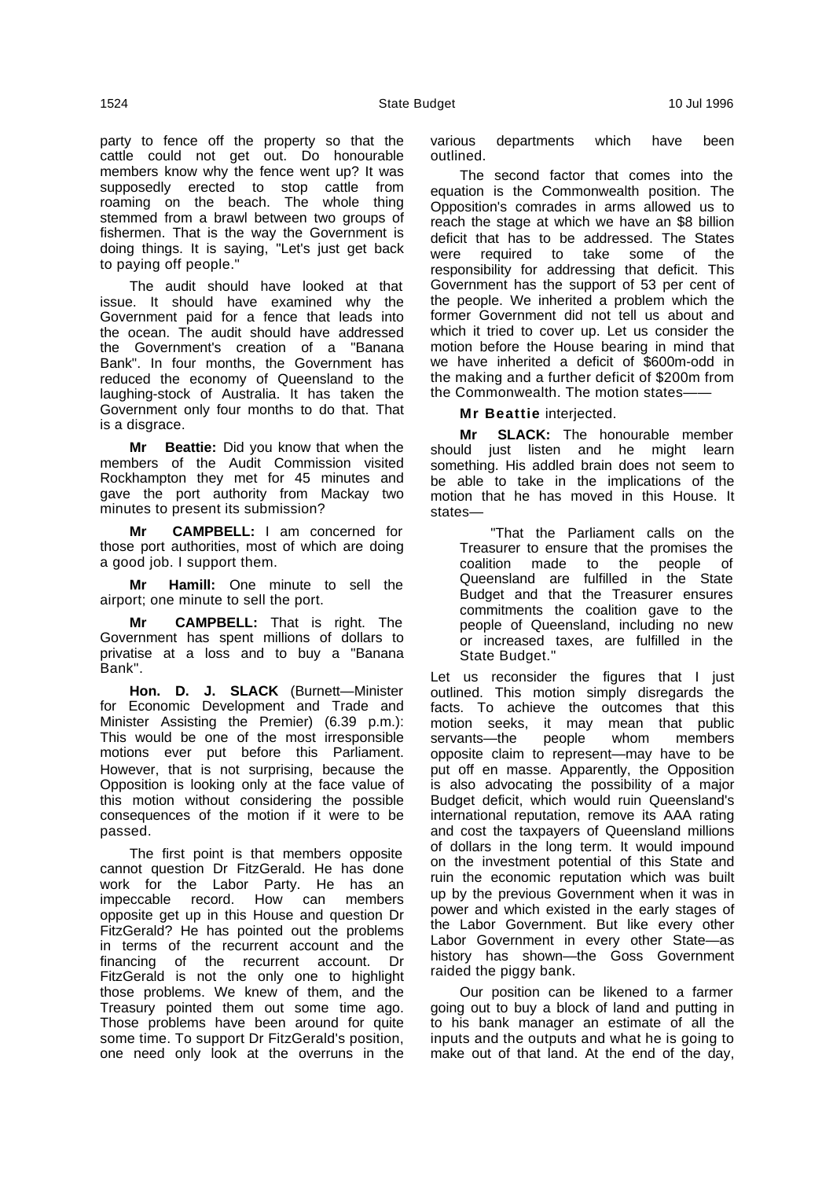party to fence off the property so that the cattle could not get out. Do honourable members know why the fence went up? It was supposedly erected to stop cattle from roaming on the beach. The whole thing stemmed from a brawl between two groups of fishermen. That is the way the Government is doing things. It is saying, "Let's just get back to paying off people."

The audit should have looked at that issue. It should have examined why the Government paid for a fence that leads into the ocean. The audit should have addressed the Government's creation of a "Banana Bank". In four months, the Government has reduced the economy of Queensland to the laughing-stock of Australia. It has taken the Government only four months to do that. That is a disgrace.

**Mr Beattie:** Did you know that when the members of the Audit Commission visited Rockhampton they met for 45 minutes and gave the port authority from Mackay two minutes to present its submission?

**Mr CAMPBELL:** I am concerned for those port authorities, most of which are doing a good job. I support them.

**Mr Hamill:** One minute to sell the airport; one minute to sell the port.

**Mr CAMPBELL:** That is right. The Government has spent millions of dollars to privatise at a loss and to buy a "Banana Bank".

**Hon. D. J. SLACK** (Burnett—Minister for Economic Development and Trade and Minister Assisting the Premier) (6.39 p.m.): This would be one of the most irresponsible motions ever put before this Parliament. However, that is not surprising, because the Opposition is looking only at the face value of this motion without considering the possible consequences of the motion if it were to be passed.

The first point is that members opposite cannot question Dr FitzGerald. He has done work for the Labor Party. He has an impeccable record. How can members opposite get up in this House and question Dr FitzGerald? He has pointed out the problems in terms of the recurrent account and the financing of the recurrent account. Dr FitzGerald is not the only one to highlight those problems. We knew of them, and the Treasury pointed them out some time ago. Those problems have been around for quite some time. To support Dr FitzGerald's position, one need only look at the overruns in the various departments which have been outlined.

The second factor that comes into the equation is the Commonwealth position. The Opposition's comrades in arms allowed us to reach the stage at which we have an \$8 billion deficit that has to be addressed. The States were required to take some of the responsibility for addressing that deficit. This Government has the support of 53 per cent of the people. We inherited a problem which the former Government did not tell us about and which it tried to cover up. Let us consider the motion before the House bearing in mind that we have inherited a deficit of \$600m-odd in the making and a further deficit of \$200m from the Commonwealth. The motion states-

# **Mr Beattie** interjected.

**Mr SLACK:** The honourable member should just listen and he might learn something. His addled brain does not seem to be able to take in the implications of the motion that he has moved in this House. It states—

"That the Parliament calls on the Treasurer to ensure that the promises the coalition made to the people of coalition made to the people Queensland are fulfilled in the State Budget and that the Treasurer ensures commitments the coalition gave to the people of Queensland, including no new or increased taxes, are fulfilled in the State Budget."

Let us reconsider the figures that I just outlined. This motion simply disregards the facts. To achieve the outcomes that this motion seeks, it may mean that public<br>servants—the people whom members servants—the people whom members opposite claim to represent—may have to be put off en masse. Apparently, the Opposition is also advocating the possibility of a major Budget deficit, which would ruin Queensland's international reputation, remove its AAA rating and cost the taxpayers of Queensland millions of dollars in the long term. It would impound on the investment potential of this State and ruin the economic reputation which was built up by the previous Government when it was in power and which existed in the early stages of the Labor Government. But like every other Labor Government in every other State—as history has shown—the Goss Government raided the piggy bank.

Our position can be likened to a farmer going out to buy a block of land and putting in to his bank manager an estimate of all the inputs and the outputs and what he is going to make out of that land. At the end of the day,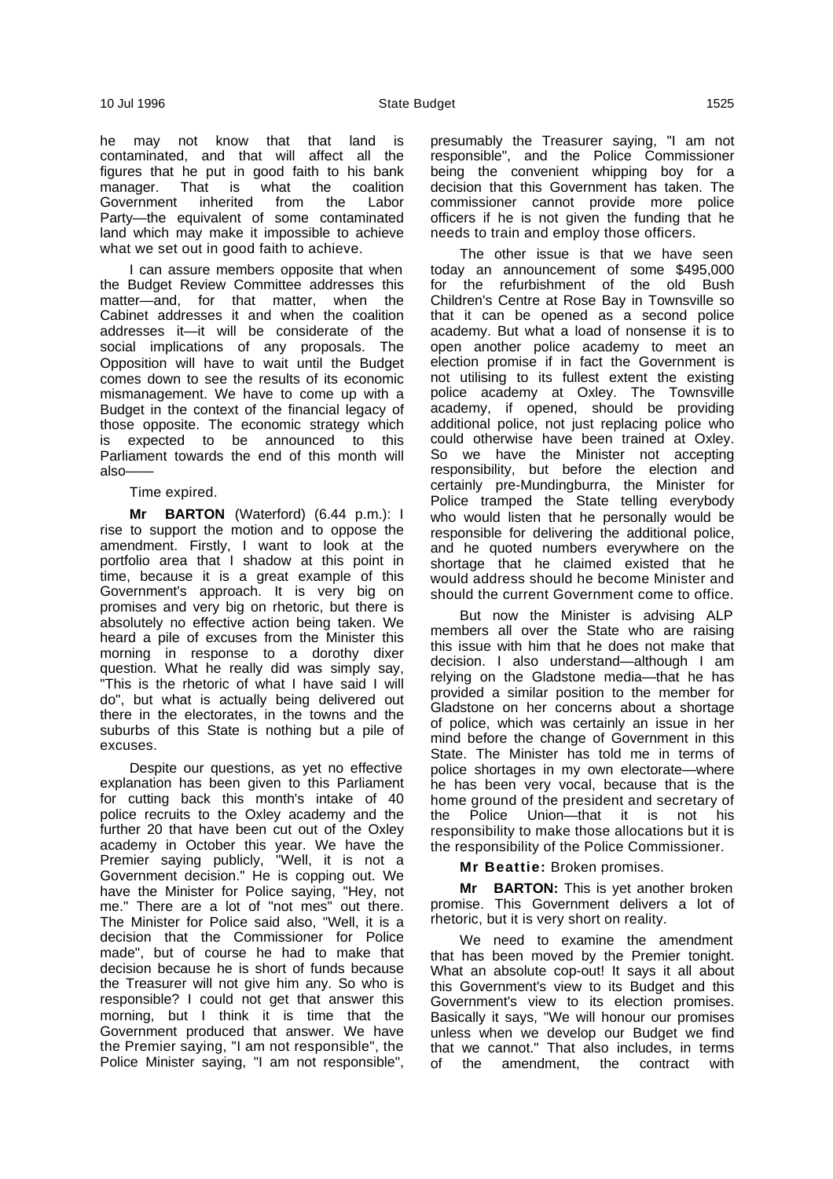he may not know that that land is contaminated, and that will affect all the figures that he put in good faith to his bank manager. That is what the coalition Government inherited from the Labor Party—the equivalent of some contaminated land which may make it impossible to achieve what we set out in good faith to achieve.

I can assure members opposite that when the Budget Review Committee addresses this matter—and, for that matter, when the Cabinet addresses it and when the coalition addresses it—it will be considerate of the social implications of any proposals. The Opposition will have to wait until the Budget comes down to see the results of its economic mismanagement. We have to come up with a Budget in the context of the financial legacy of those opposite. The economic strategy which is expected to be announced to this Parliament towards the end of this month will also-

#### Time expired.

**Mr BARTON** (Waterford) (6.44 p.m.): I rise to support the motion and to oppose the amendment. Firstly, I want to look at the portfolio area that I shadow at this point in time, because it is a great example of this Government's approach. It is very big on promises and very big on rhetoric, but there is absolutely no effective action being taken. We heard a pile of excuses from the Minister this morning in response to a dorothy dixer question. What he really did was simply say, "This is the rhetoric of what I have said I will do", but what is actually being delivered out there in the electorates, in the towns and the suburbs of this State is nothing but a pile of excuses.

Despite our questions, as yet no effective explanation has been given to this Parliament for cutting back this month's intake of 40 police recruits to the Oxley academy and the further 20 that have been cut out of the Oxley academy in October this year. We have the Premier saying publicly, "Well, it is not a Government decision." He is copping out. We have the Minister for Police saying, "Hey, not me." There are a lot of "not mes" out there. The Minister for Police said also, "Well, it is a decision that the Commissioner for Police made", but of course he had to make that decision because he is short of funds because the Treasurer will not give him any. So who is responsible? I could not get that answer this morning, but I think it is time that the Government produced that answer. We have the Premier saying, "I am not responsible", the Police Minister saying, "I am not responsible",

presumably the Treasurer saying, "I am not responsible", and the Police Commissioner being the convenient whipping boy for a decision that this Government has taken. The commissioner cannot provide more police officers if he is not given the funding that he needs to train and employ those officers.

The other issue is that we have seen today an announcement of some \$495,000 for the refurbishment of the old Bush Children's Centre at Rose Bay in Townsville so that it can be opened as  $a$  second police academy. But what a load of nonsense it is to open another police academy to meet an election promise if in fact the Government is not utilising to its fullest extent the existing police academy at Oxley. The Townsville academy, if opened, should be providing additional police, not just replacing police who could otherwise have been trained at Oxley. So we have the Minister not accepting responsibility, but before the election and certainly pre-Mundingburra, the Minister for Police tramped the State telling everybody who would listen that he personally would be responsible for delivering the additional police, and he quoted numbers everywhere on the shortage that he claimed existed that he would address should he become Minister and should the current Government come to office.

But now the Minister is advising ALP members all over the State who are raising this issue with him that he does not make that decision. I also understand—although I am relying on the Gladstone media—that he has provided a similar position to the member for Gladstone on her concerns about a shortage of police, which was certainly an issue in her mind before the change of Government in this State. The Minister has told me in terms of police shortages in my own electorate—where he has been very vocal, because that is the home ground of the president and secretary of the Police Union—that it is not his responsibility to make those allocations but it is the responsibility of the Police Commissioner.

**Mr Beattie:** Broken promises.

**Mr BARTON:** This is yet another broken promise. This Government delivers a lot of rhetoric, but it is very short on reality.

We need to examine the amendment that has been moved by the Premier tonight. What an absolute cop-out! It says it all about this Government's view to its Budget and this Government's view to its election promises. Basically it says, "We will honour our promises unless when we develop our Budget we find that we cannot." That also includes, in terms of the amendment, the contract with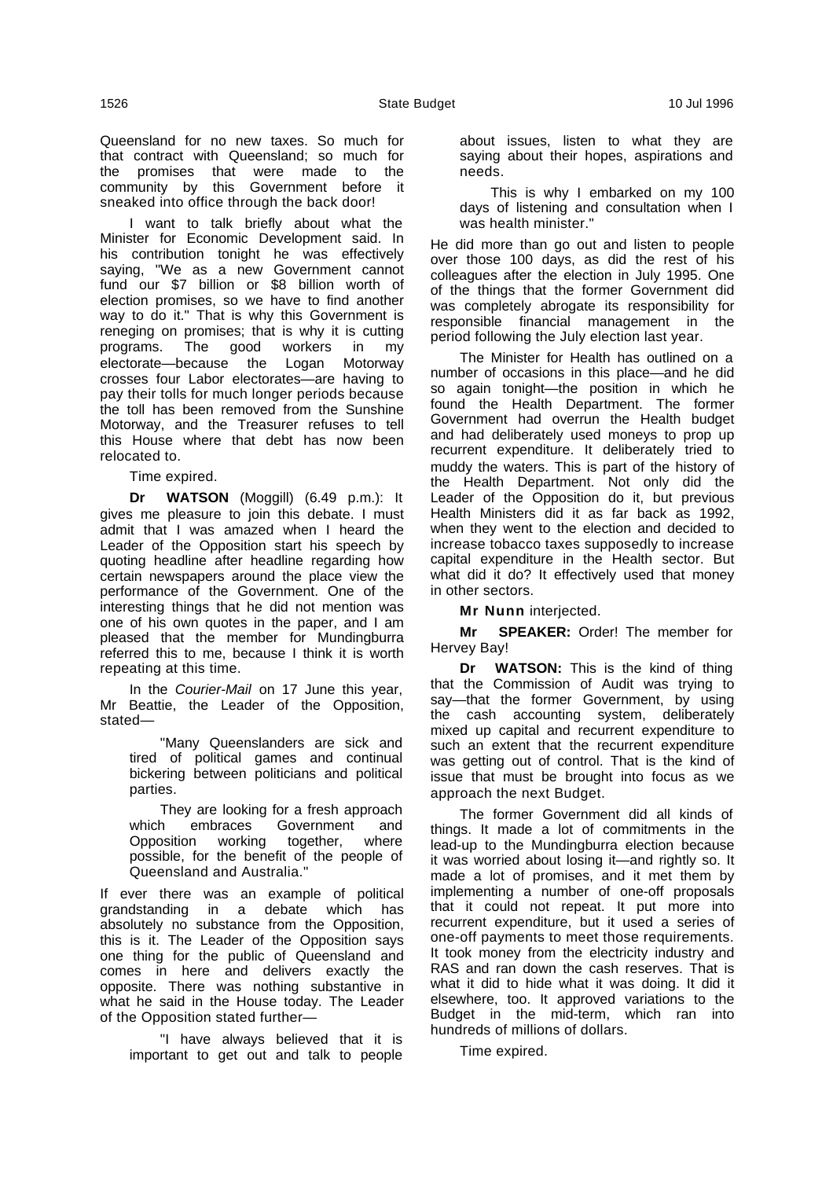I want to talk briefly about what the Minister for Economic Development said. In his contribution tonight he was effectively saying, "We as a new Government cannot fund our \$7 billion or \$8 billion worth of election promises, so we have to find another way to do it." That is why this Government is reneging on promises; that is why it is cutting programs. The good workers in my electorate—because the Logan Motorway crosses four Labor electorates—are having to pay their tolls for much longer periods because the toll has been removed from the Sunshine Motorway, and the Treasurer refuses to tell this House where that debt has now been relocated to.

Time expired.

**Dr WATSON** (Moggill) (6.49 p.m.): It gives me pleasure to join this debate. I must admit that I was amazed when I heard the Leader of the Opposition start his speech by quoting headline after headline regarding how certain newspapers around the place view the performance of the Government. One of the interesting things that he did not mention was one of his own quotes in the paper, and I am pleased that the member for Mundingburra referred this to me, because I think it is worth repeating at this time.

In the Courier-Mail on 17 June this year, Mr Beattie, the Leader of the Opposition, stated—

"Many Queenslanders are sick and tired of political games and continual bickering between politicians and political parties.

They are looking for a fresh approach which embraces Government and Opposition working together, where possible, for the benefit of the people of Queensland and Australia."

If ever there was an example of political grandstanding in a debate which has absolutely no substance from the Opposition, this is it. The Leader of the Opposition says one thing for the public of Queensland and comes in here and delivers exactly the opposite. There was nothing substantive in what he said in the House today. The Leader of the Opposition stated further—

"I have always believed that it is important to get out and talk to people

about issues, listen to what they are saying about their hopes, aspirations and needs.

This is why I embarked on my 100 days of listening and consultation when I was health minister."

He did more than go out and listen to people over those 100 days, as did the rest of his colleagues after the election in July 1995. One of the things that the former Government did was completely abrogate its responsibility for responsible financial management in the period following the July election last year.

The Minister for Health has outlined on a number of occasions in this place—and he did so again tonight—the position in which he found the Health Department. The former Government had overrun the Health budget and had deliberately used moneys to prop up recurrent expenditure. It deliberately tried to muddy the waters. This is part of the history of the Health Department. Not only did the Leader of the Opposition do it, but previous Health Ministers did it as far back as 1992, when they went to the election and decided to increase tobacco taxes supposedly to increase capital expenditure in the Health sector. But what did it do? It effectively used that money in other sectors.

**Mr Nunn** interjected.

**Mr SPEAKER:** Order! The member for Hervey Bay!

**Dr WATSON:** This is the kind of thing that the Commission of Audit was trying to say—that the former Government, by using the cash accounting system, deliberately mixed up capital and recurrent expenditure to such an extent that the recurrent expenditure was getting out of control. That is the kind of issue that must be brought into focus as we approach the next Budget.

The former Government did all kinds of things. It made a lot of commitments in the lead-up to the Mundingburra election because it was worried about losing it—and rightly so. It made a lot of promises, and it met them by implementing a number of one-off proposals that it could not repeat. It put more into recurrent expenditure, but it used a series of one-off payments to meet those requirements. It took money from the electricity industry and RAS and ran down the cash reserves. That is what it did to hide what it was doing. It did it elsewhere, too. It approved variations to the Budget in the mid-term, which ran into hundreds of millions of dollars.

Time expired.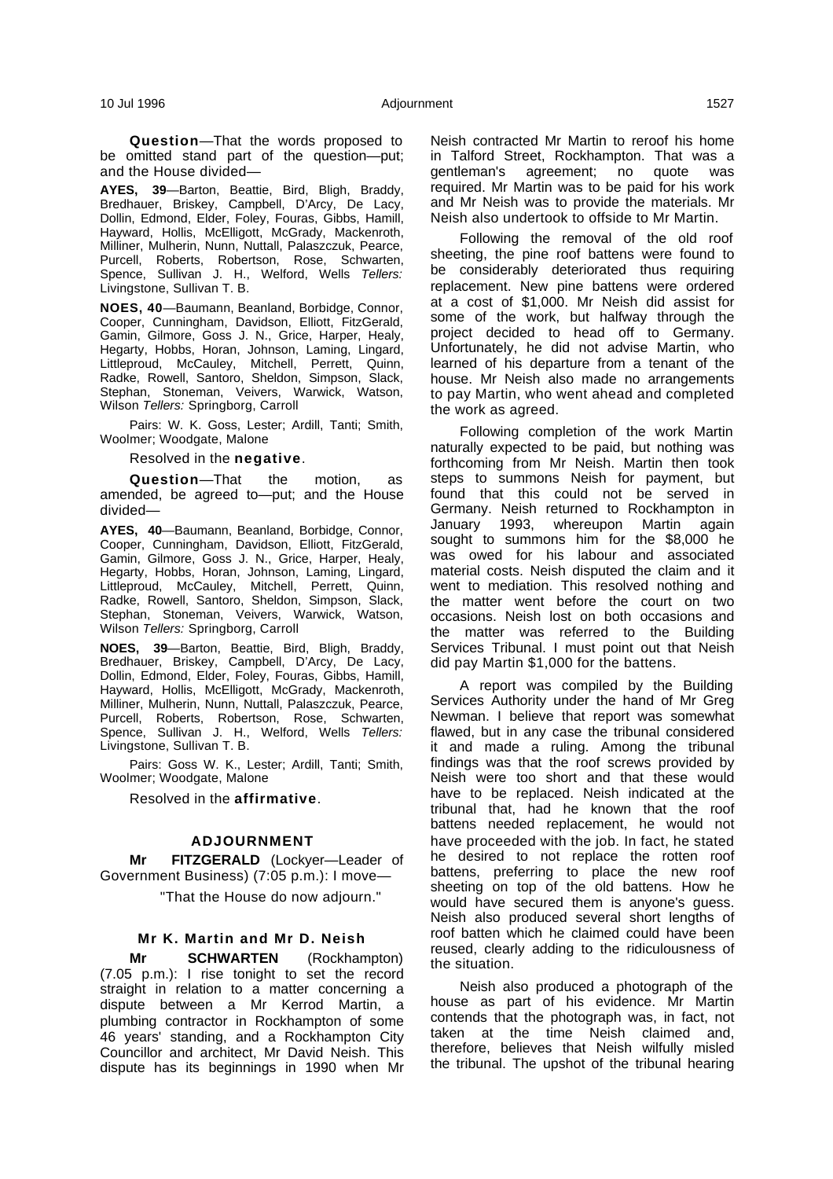**Question**—That the words proposed to be omitted stand part of the question—put; and the House divided—

**AYES, 39**—Barton, Beattie, Bird, Bligh, Braddy, Bredhauer, Briskey, Campbell, D'Arcy, De Lacy, Dollin, Edmond, Elder, Foley, Fouras, Gibbs, Hamill, Hayward, Hollis, McElligott, McGrady, Mackenroth, Milliner, Mulherin, Nunn, Nuttall, Palaszczuk, Pearce, Purcell, Roberts, Robertson, Rose, Schwarten, Spence, Sullivan J. H., Welford, Wells Tellers: Livingstone, Sullivan T. B.

**NOES, 40**—Baumann, Beanland, Borbidge, Connor, Cooper, Cunningham, Davidson, Elliott, FitzGerald, Gamin, Gilmore, Goss J. N., Grice, Harper, Healy, Hegarty, Hobbs, Horan, Johnson, Laming, Lingard, Littleproud, McCauley, Mitchell, Perrett, Quinn, Radke, Rowell, Santoro, Sheldon, Simpson, Slack, Stephan, Stoneman, Veivers, Warwick, Watson, Wilson Tellers: Springborg, Carroll

Pairs: W. K. Goss, Lester; Ardill, Tanti; Smith, Woolmer; Woodgate, Malone

Resolved in the **negative**.

**Question**—That the motion, as amended, be agreed to—put; and the House divided—

**AYES, 40**—Baumann, Beanland, Borbidge, Connor, Cooper, Cunningham, Davidson, Elliott, FitzGerald, Gamin, Gilmore, Goss J. N., Grice, Harper, Healy, Hegarty, Hobbs, Horan, Johnson, Laming, Lingard, Littleproud, McCauley, Mitchell, Perrett, Quinn, Radke, Rowell, Santoro, Sheldon, Simpson, Slack, Stephan, Stoneman, Veivers, Warwick, Watson, Wilson Tellers: Springborg, Carroll

**NOES, 39**—Barton, Beattie, Bird, Bligh, Braddy, Bredhauer, Briskey, Campbell, D'Arcy, De Lacy, Dollin, Edmond, Elder, Foley, Fouras, Gibbs, Hamill, Hayward, Hollis, McElligott, McGrady, Mackenroth, Milliner, Mulherin, Nunn, Nuttall, Palaszczuk, Pearce, Purcell, Roberts, Robertson, Rose, Schwarten, Spence, Sullivan J. H., Welford, Wells Tellers: Livingstone, Sullivan T. B.

Pairs: Goss W. K., Lester; Ardill, Tanti; Smith, Woolmer; Woodgate, Malone

Resolved in the **affirmative**.

### **ADJOURNMENT**

**Mr FITZGERALD** (Lockyer—Leader of Government Business) (7:05 p.m.): I move—

"That the House do now adjourn."

#### **Mr K. Martin and Mr D. Neish**

**Mr SCHWARTEN** (Rockhampton) (7.05 p.m.): I rise tonight to set the record straight in relation to a matter concerning a dispute between a Mr Kerrod Martin, a plumbing contractor in Rockhampton of some 46 years' standing, and a Rockhampton City Councillor and architect, Mr David Neish. This dispute has its beginnings in 1990 when Mr Neish contracted Mr Martin to reroof his home in Talford Street, Rockhampton. That was a gentleman's agreement; no quote was required. Mr Martin was to be paid for his work and Mr Neish was to provide the materials. Mr Neish also undertook to offside to Mr Martin.

Following the removal of the old roof sheeting, the pine roof battens were found to be considerably deteriorated thus requiring replacement. New pine battens were ordered at a cost of \$1,000. Mr Neish did assist for some of the work, but halfway through the project decided to head off to Germany. Unfortunately, he did not advise Martin, who learned of his departure from a tenant of the house. Mr Neish also made no arrangements to pay Martin, who went ahead and completed the work as agreed.

Following completion of the work Martin naturally expected to be paid, but nothing was forthcoming from Mr Neish. Martin then took steps to summons Neish for payment, but found that this could not be served in Germany. Neish returned to Rockhampton in January 1993, whereupon Martin again sought to summons him for the \$8,000 he was owed for his labour and associated material costs. Neish disputed the claim and it went to mediation. This resolved nothing and the matter went before the court on two occasions. Neish lost on both occasions and the matter was referred to the Building Services Tribunal. I must point out that Neish did pay Martin \$1,000 for the battens.

A report was compiled by the Building Services Authority under the hand of Mr Greg Newman. I believe that report was somewhat flawed, but in any case the tribunal considered it and made a ruling. Among the tribunal findings was that the roof screws provided by Neish were too short and that these would have to be replaced. Neish indicated at the tribunal that, had he known that the roof battens needed replacement, he would not have proceeded with the job. In fact, he stated he desired to not replace the rotten roof battens, preferring to place the new roof sheeting on top of the old battens. How he would have secured them is anyone's guess. Neish also produced several short lengths of roof batten which he claimed could have been reused, clearly adding to the ridiculousness of the situation.

Neish also produced a photograph of the house as part of his evidence. Mr Martin contends that the photograph was, in fact, not taken at the time Neish claimed and, therefore, believes that Neish wilfully misled the tribunal. The upshot of the tribunal hearing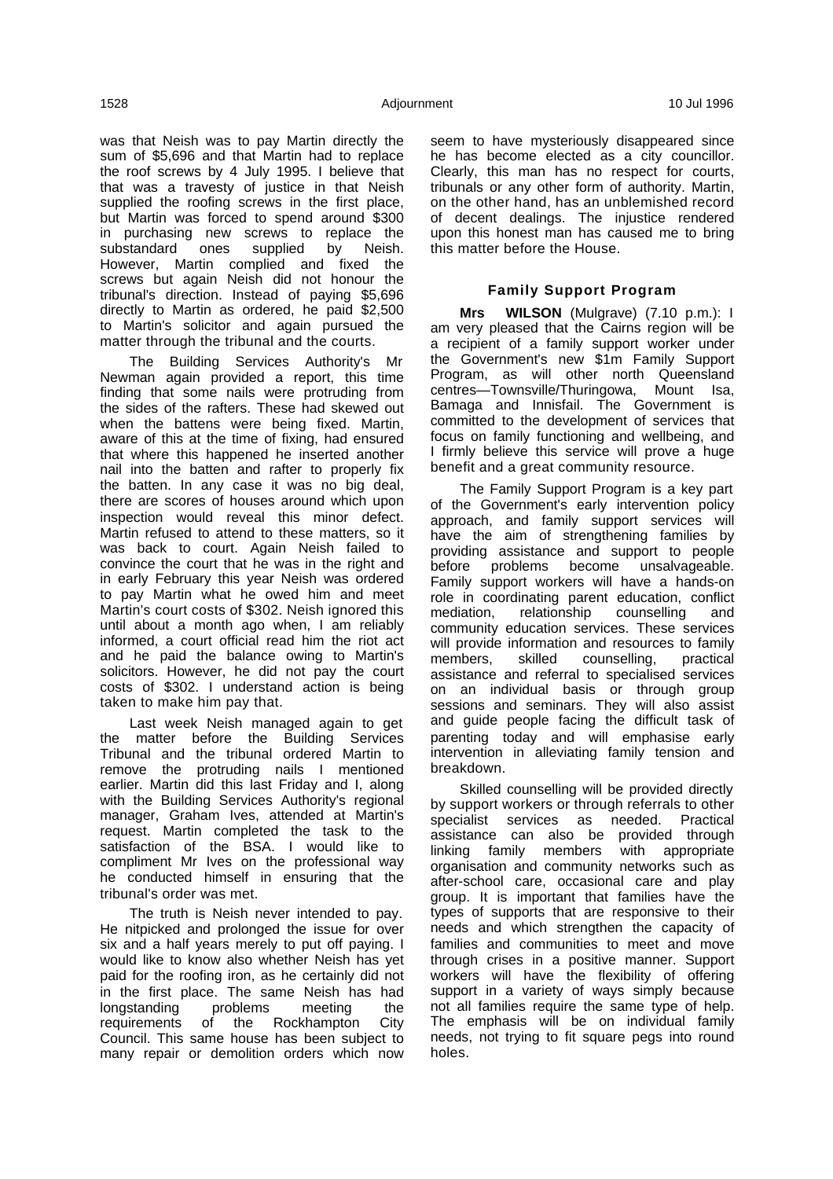was that Neish was to pay Martin directly the sum of \$5,696 and that Martin had to replace the roof screws by 4 July 1995. I believe that that was a travesty of justice in that Neish supplied the roofing screws in the first place, but Martin was forced to spend around \$300 in purchasing new screws to replace the substandard ones supplied by Neish. However, Martin complied and fixed the screws but again Neish did not honour the tribunal's direction. Instead of paying \$5,696 directly to Martin as ordered, he paid \$2,500 to Martin's solicitor and again pursued the matter through the tribunal and the courts.

The Building Services Authority's Mr Newman again provided a report, this time finding that some nails were protruding from the sides of the rafters. These had skewed out when the battens were being fixed. Martin, aware of this at the time of fixing, had ensured that where this happened he inserted another nail into the batten and rafter to properly fix the batten. In any case it was no big deal, there are scores of houses around which upon inspection would reveal this minor defect. Martin refused to attend to these matters, so it was back to court. Again Neish failed to convince the court that he was in the right and in early February this year Neish was ordered to pay Martin what he owed him and meet Martin's court costs of \$302. Neish ignored this until about a month ago when, I am reliably informed, a court official read him the riot act and he paid the balance owing to Martin's solicitors. However, he did not pay the court costs of \$302. I understand action is being taken to make him pay that.

Last week Neish managed again to get the matter before the Building Services Tribunal and the tribunal ordered Martin to remove the protruding nails I mentioned earlier. Martin did this last Friday and I, along with the Building Services Authority's regional manager, Graham Ives, attended at Martin's request. Martin completed the task to the satisfaction of the BSA. I would like to compliment Mr Ives on the professional way he conducted himself in ensuring that the tribunal's order was met.

The truth is Neish never intended to pay. He nitpicked and prolonged the issue for over six and a half years merely to put off paying. I would like to know also whether Neish has yet paid for the roofing iron, as he certainly did not in the first place. The same Neish has had<br>longstanding problems meeting the longstanding problems meeting the requirements of the Rockhampton City Council. This same house has been subject to many repair or demolition orders which now

seem to have mysteriously disappeared since he has become elected as a city councillor. Clearly, this man has no respect for courts, tribunals or any other form of authority. Martin, on the other hand, has an unblemished record of decent dealings. The injustice rendered upon this honest man has caused me to bring this matter before the House.

# **Family Support Program**

**Mrs WILSON** (Mulgrave) (7.10 p.m.): I am very pleased that the Cairns region will be a recipient of a family support worker under the Government's new \$1m Family Support Program, as will other north Queensland centres—Townsville/Thuringowa, Mount Isa, Bamaga and Innisfail. The Government is committed to the development of services that focus on family functioning and wellbeing, and I firmly believe this service will prove a huge benefit and a great community resource.

The Family Support Program is a key part of the Government's early intervention policy approach, and family support services will have the aim of strengthening families by providing assistance and support to people before problems become unsalvageable. Family support workers will have a hands-on role in coordinating parent education, conflict mediation, relationship counselling and community education services. These services will provide information and resources to family members, skilled counselling, practical assistance and referral to specialised services on an individual basis or through group sessions and seminars. They will also assist and guide people facing the difficult task of parenting today and will emphasise early intervention in alleviating family tension and breakdown.

Skilled counselling will be provided directly by support workers or through referrals to other specialist services as needed. Practical assistance can also be provided through linking family members with appropriate organisation and community networks such as after-school care, occasional care and play group. It is important that families have the types of supports that are responsive to their needs and which strengthen the capacity of families and communities to meet and move through crises in a positive manner. Support workers will have the flexibility of offering support in a variety of ways simply because not all families require the same type of help. The emphasis will be on individual family needs, not trying to fit square pegs into round holes.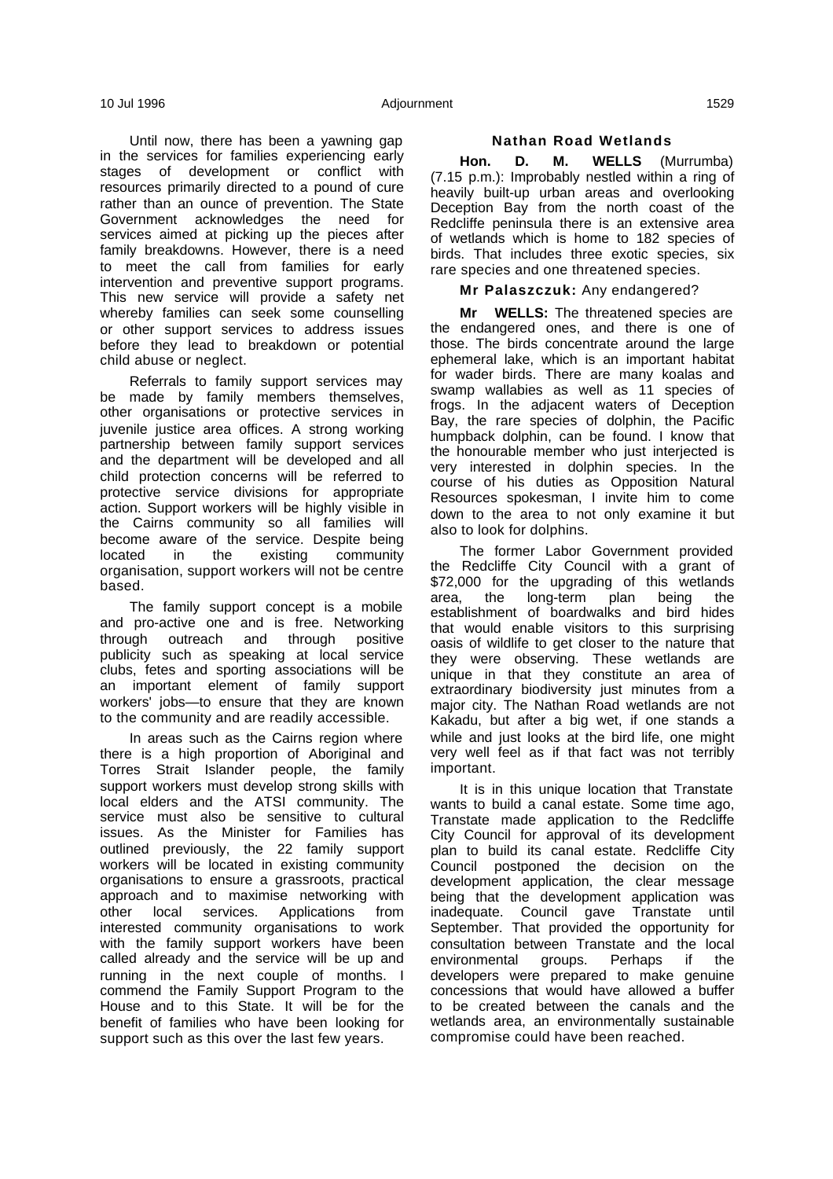Until now, there has been a yawning gap in the services for families experiencing early stages of development or conflict with resources primarily directed to a pound of cure rather than an ounce of prevention. The State Government acknowledges the need for services aimed at picking up the pieces after family breakdowns. However, there is a need to meet the call from families for early intervention and preventive support programs. This new service will provide a safety net whereby families can seek some counselling or other support services to address issues before they lead to breakdown or potential child abuse or neglect.

Referrals to family support services may be made by family members themselves, other organisations or protective services in juvenile justice area offices. A strong working partnership between family support services and the department will be developed and all child protection concerns will be referred to protective service divisions for appropriate action. Support workers will be highly visible in the Cairns community so all families will become aware of the service. Despite being located in the existing community organisation, support workers will not be centre based.

The family support concept is a mobile and pro-active one and is free. Networking through outreach and through positive publicity such as speaking at local service clubs, fetes and sporting associations will be an important element of family support workers' jobs—to ensure that they are known to the community and are readily accessible.

In areas such as the Cairns region where there is a high proportion of Aboriginal and Torres Strait Islander people, the family support workers must develop strong skills with local elders and the ATSI community. The service must also be sensitive to cultural issues. As the Minister for Families has outlined previously, the 22 family support workers will be located in existing community organisations to ensure a grassroots, practical approach and to maximise networking with other local services. Applications from interested community organisations to work with the family support workers have been called already and the service will be up and running in the next couple of months. I commend the Family Support Program to the House and to this State. It will be for the benefit of families who have been looking for support such as this over the last few years.

### **Nathan Road Wetlands**

**Hon. D. M. WELLS** (Murrumba) (7.15 p.m.): Improbably nestled within a ring of heavily built-up urban areas and overlooking Deception Bay from the north coast of the Redcliffe peninsula there is an extensive area of wetlands which is home to 182 species of birds. That includes three exotic species, six rare species and one threatened species.

### **Mr Palaszczuk:** Any endangered?

**Mr WELLS:** The threatened species are the endangered ones, and there is one of those. The birds concentrate around the large ephemeral lake, which is an important habitat for wader birds. There are many koalas and swamp wallabies as well as 11 species of frogs. In the adjacent waters of Deception Bay, the rare species of dolphin, the Pacific humpback dolphin, can be found. I know that the honourable member who just interjected is very interested in dolphin species. In the course of his duties as Opposition Natural Resources spokesman, I invite him to come down to the area to not only examine it but also to look for dolphins.

The former Labor Government provided the Redcliffe City Council with a grant of \$72,000 for the upgrading of this wetlands area, the long-term plan being the establishment of boardwalks and bird hides that would enable visitors to this surprising oasis of wildlife to get closer to the nature that they were observing. These wetlands are unique in that they constitute an area of extraordinary biodiversity just minutes from a major city. The Nathan Road wetlands are not Kakadu, but after a big wet, if one stands a while and just looks at the bird life, one might very well feel as if that fact was not terribly important.

It is in this unique location that Transtate wants to build a canal estate. Some time ago, Transtate made application to the Redcliffe City Council for approval of its development plan to build its canal estate. Redcliffe City Council postponed the decision on the development application, the clear message being that the development application was inadequate. Council gave Transtate until September. That provided the opportunity for consultation between Transtate and the local environmental groups. Perhaps if the developers were prepared to make genuine concessions that would have allowed a buffer to be created between the canals and the wetlands area, an environmentally sustainable compromise could have been reached.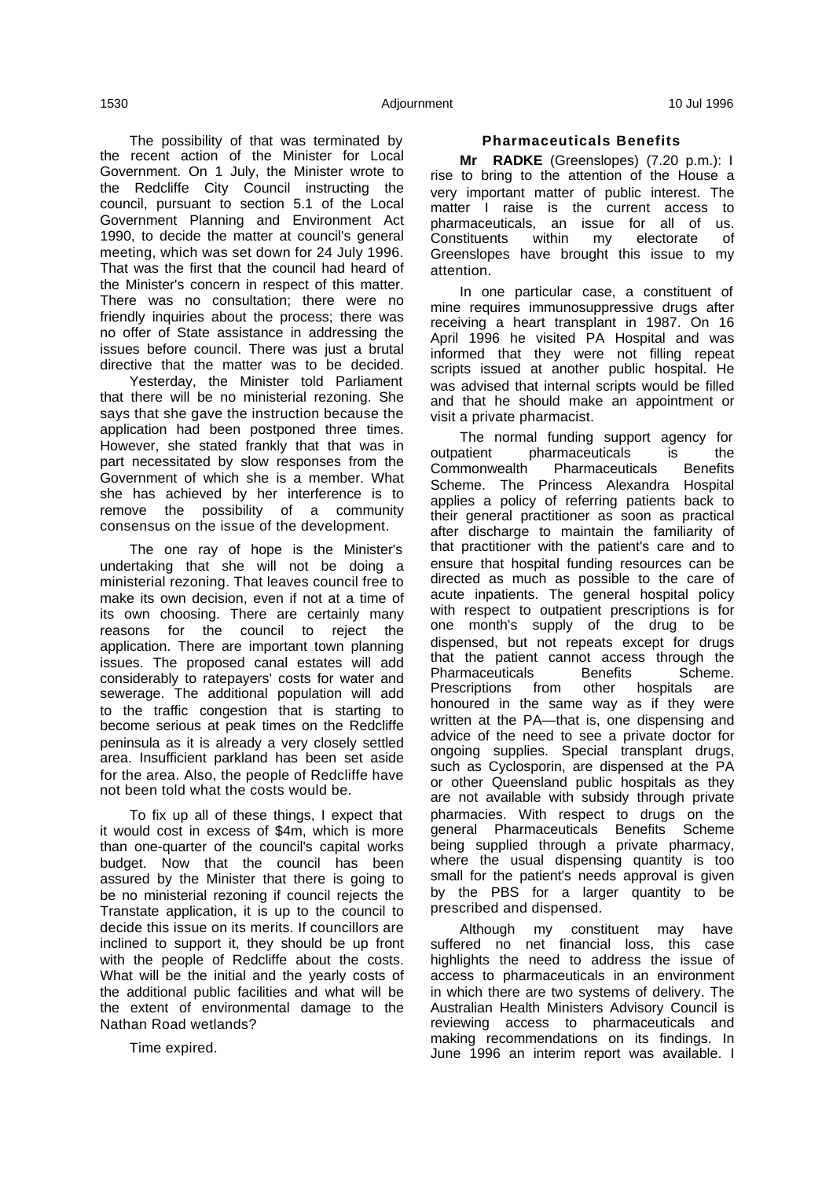The possibility of that was terminated by the recent action of the Minister for Local Government. On 1 July, the Minister wrote to the Redcliffe City Council instructing the council, pursuant to section 5.1 of the Local Government Planning and Environment Act 1990, to decide the matter at council's general meeting, which was set down for 24 July 1996. That was the first that the council had heard of the Minister's concern in respect of this matter. There was no consultation; there were no friendly inquiries about the process; there was no offer of State assistance in addressing the issues before council. There was just a brutal directive that the matter was to be decided.

Yesterday, the Minister told Parliament that there will be no ministerial rezoning. She says that she gave the instruction because the application had been postponed three times. However, she stated frankly that that was in part necessitated by slow responses from the Government of which she is a member. What she has achieved by her interference is to remove the possibility of a community consensus on the issue of the development.

The one ray of hope is the Minister's undertaking that she will not be doing a ministerial rezoning. That leaves council free to make its own decision, even if not at a time of its own choosing. There are certainly many reasons for the council to reject the application. There are important town planning issues. The proposed canal estates will add considerably to ratepayers' costs for water and sewerage. The additional population will add to the traffic congestion that is starting to become serious at peak times on the Redcliffe peninsula as it is already a very closely settled area. Insufficient parkland has been set aside for the area. Also, the people of Redcliffe have not been told what the costs would be.

To fix up all of these things, I expect that it would cost in excess of \$4m, which is more than one-quarter of the council's capital works budget. Now that the council has been assured by the Minister that there is going to be no ministerial rezoning if council rejects the Transtate application, it is up to the council to decide this issue on its merits. If councillors are inclined to support it, they should be up front with the people of Redcliffe about the costs. What will be the initial and the yearly costs of the additional public facilities and what will be the extent of environmental damage to the Nathan Road wetlands?

Time expired.

### **Pharmaceuticals Benefits**

**Mr RADKE** (Greenslopes) (7.20 p.m.): I rise to bring to the attention of the House a very important matter of public interest. The matter I raise is the current access to pharmaceuticals, an issue for all of us. Constituents within my electorate of Greenslopes have brought this issue to my attention.

In one particular case, a constituent of mine requires immunosuppressive drugs after receiving a heart transplant in 1987. On 16 April 1996 he visited PA Hospital and was informed that they were not filling repeat scripts issued at another public hospital. He was advised that internal scripts would be filled and that he should make an appointment or visit a private pharmacist.

The normal funding support agency for outpatient pharmaceuticals is the Commonwealth Pharmaceuticals Benefits Scheme. The Princess Alexandra Hospital applies a policy of referring patients back to their general practitioner as soon as practical after discharge to maintain the familiarity of that practitioner with the patient's care and to ensure that hospital funding resources can be directed as much as possible to the care of acute inpatients. The general hospital policy with respect to outpatient prescriptions is for one month's supply of the drug to be dispensed, but not repeats except for drugs that the patient cannot access through the Pharmaceuticals Benefits Scheme. Prescriptions from other hospitals are honoured in the same way as if they were written at the PA—that is, one dispensing and advice of the need to see a private doctor for ongoing supplies. Special transplant drugs, such as Cyclosporin, are dispensed at the PA or other Queensland public hospitals as they are not available with subsidy through private pharmacies. With respect to drugs on the general Pharmaceuticals Benefits Scheme being supplied through a private pharmacy, where the usual dispensing quantity is too small for the patient's needs approval is given by the PBS for a larger quantity to be prescribed and dispensed.

Although my constituent may have suffered no net financial loss, this case highlights the need to address the issue of access to pharmaceuticals in an environment in which there are two systems of delivery. The Australian Health Ministers Advisory Council is reviewing access to pharmaceuticals and making recommendations on its findings. In June 1996 an interim report was available. I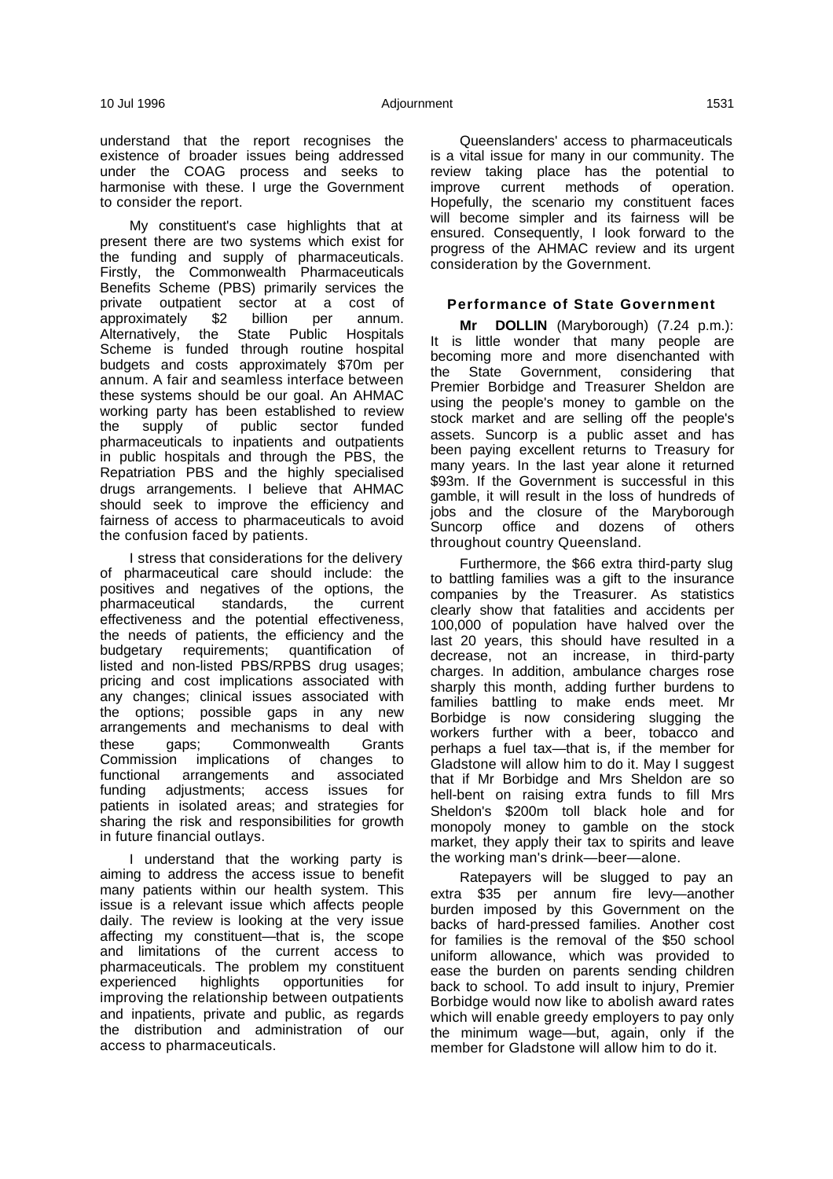understand that the report recognises the existence of broader issues being addressed under the COAG process and seeks to harmonise with these. I urge the Government to consider the report.

My constituent's case highlights that at present there are two systems which exist for the funding and supply of pharmaceuticals. Firstly, the Commonwealth Pharmaceuticals Benefits Scheme (PBS) primarily services the private outpatient sector at a cost of approximately \$2 billion per annum.<br>Alternatively, the State Public Hospitals the State Public Hospitals Scheme is funded through routine hospital budgets and costs approximately \$70m per annum. A fair and seamless interface between these systems should be our goal. An AHMAC working party has been established to review the supply of public sector funded pharmaceuticals to inpatients and outpatients in public hospitals and through the PBS, the Repatriation PBS and the highly specialised drugs arrangements. I believe that AHMAC should seek to improve the efficiency and fairness of access to pharmaceuticals to avoid the confusion faced by patients.

I stress that considerations for the delivery of pharmaceutical care should include: the positives and negatives of the options, the pharmaceutical standards, the current effectiveness and the potential effectiveness, the needs of patients, the efficiency and the budgetary requirements; quantification of listed and non-listed PBS/RPBS drug usages; pricing and cost implications associated with any changes; clinical issues associated with the options; possible gaps in any new arrangements and mechanisms to deal with these gaps; Commonwealth Grants Commission implications of changes to<br>functional arrangements and associated arrangements and associated funding adjustments; access issues for patients in isolated areas; and strategies for sharing the risk and responsibilities for growth in future financial outlays.

I understand that the working party is aiming to address the access issue to benefit many patients within our health system. This issue is a relevant issue which affects people daily. The review is looking at the very issue affecting my constituent—that is, the scope and limitations of the current access to pharmaceuticals. The problem my constituent experienced highlights opportunities for improving the relationship between outpatients and inpatients, private and public, as regards the distribution and administration of our access to pharmaceuticals.

Queenslanders' access to pharmaceuticals is a vital issue for many in our community. The review taking place has the potential to improve current methods of operation. Hopefully, the scenario my constituent faces will become simpler and its fairness will be ensured. Consequently, I look forward to the progress of the AHMAC review and its urgent consideration by the Government.

### **Performance of State Government**

**Mr DOLLIN** (Maryborough) (7.24 p.m.): It is little wonder that many people are becoming more and more disenchanted with the State Government, considering that Premier Borbidge and Treasurer Sheldon are using the people's money to gamble on the stock market and are selling off the people's assets. Suncorp is a public asset and has been paying excellent returns to Treasury for many years. In the last year alone it returned \$93m. If the Government is successful in this gamble, it will result in the loss of hundreds of jobs and the closure of the Maryborough Suncorp office and dozens of others throughout country Queensland.

Furthermore, the \$66 extra third-party slug to battling families was a gift to the insurance companies by the Treasurer. As statistics clearly show that fatalities and accidents per 100,000 of population have halved over the last 20 years, this should have resulted in a decrease, not an increase, in third-party charges. In addition, ambulance charges rose sharply this month, adding further burdens to families battling to make ends meet. Mr Borbidge is now considering slugging the workers further with a beer, tobacco and perhaps a fuel tax—that is, if the member for Gladstone will allow him to do it. May I suggest that if Mr Borbidge and Mrs Sheldon are so hell-bent on raising extra funds to fill Mrs Sheldon's \$200m toll black hole and for monopoly money to gamble on the stock market, they apply their tax to spirits and leave the working man's drink—beer—alone.

Ratepayers will be slugged to pay an extra \$35 per annum fire levy—another burden imposed by this Government on the backs of hard-pressed families. Another cost for families is the removal of the \$50 school uniform allowance, which was provided to ease the burden on parents sending children back to school. To add insult to injury, Premier Borbidge would now like to abolish award rates which will enable greedy employers to pay only the minimum wage—but, again, only if the member for Gladstone will allow him to do it.